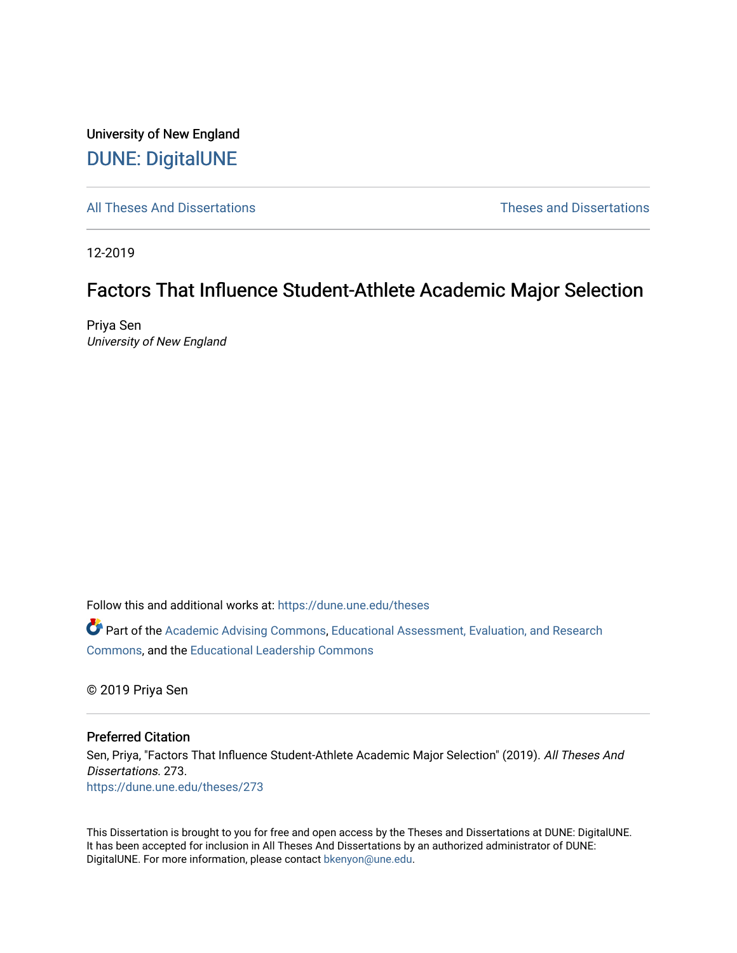University of New England [DUNE: DigitalUNE](https://dune.une.edu/) 

[All Theses And Dissertations](https://dune.une.edu/theses) [Theses and Dissertations](https://dune.une.edu/theses_dissertations) 

12-2019

## Factors That Influence Student-Athlete Academic Major Selection

Priya Sen University of New England

Follow this and additional works at: [https://dune.une.edu/theses](https://dune.une.edu/theses?utm_source=dune.une.edu%2Ftheses%2F273&utm_medium=PDF&utm_campaign=PDFCoverPages) 

Part of the [Academic Advising Commons](http://network.bepress.com/hgg/discipline/1403?utm_source=dune.une.edu%2Ftheses%2F273&utm_medium=PDF&utm_campaign=PDFCoverPages), [Educational Assessment, Evaluation, and Research](http://network.bepress.com/hgg/discipline/796?utm_source=dune.une.edu%2Ftheses%2F273&utm_medium=PDF&utm_campaign=PDFCoverPages)  [Commons](http://network.bepress.com/hgg/discipline/796?utm_source=dune.une.edu%2Ftheses%2F273&utm_medium=PDF&utm_campaign=PDFCoverPages), and the [Educational Leadership Commons](http://network.bepress.com/hgg/discipline/1230?utm_source=dune.une.edu%2Ftheses%2F273&utm_medium=PDF&utm_campaign=PDFCoverPages) 

© 2019 Priya Sen

#### Preferred Citation

Sen, Priya, "Factors That Influence Student-Athlete Academic Major Selection" (2019). All Theses And Dissertations. 273. [https://dune.une.edu/theses/273](https://dune.une.edu/theses/273?utm_source=dune.une.edu%2Ftheses%2F273&utm_medium=PDF&utm_campaign=PDFCoverPages)

This Dissertation is brought to you for free and open access by the Theses and Dissertations at DUNE: DigitalUNE. It has been accepted for inclusion in All Theses And Dissertations by an authorized administrator of DUNE: DigitalUNE. For more information, please contact [bkenyon@une.edu.](mailto:bkenyon@une.edu)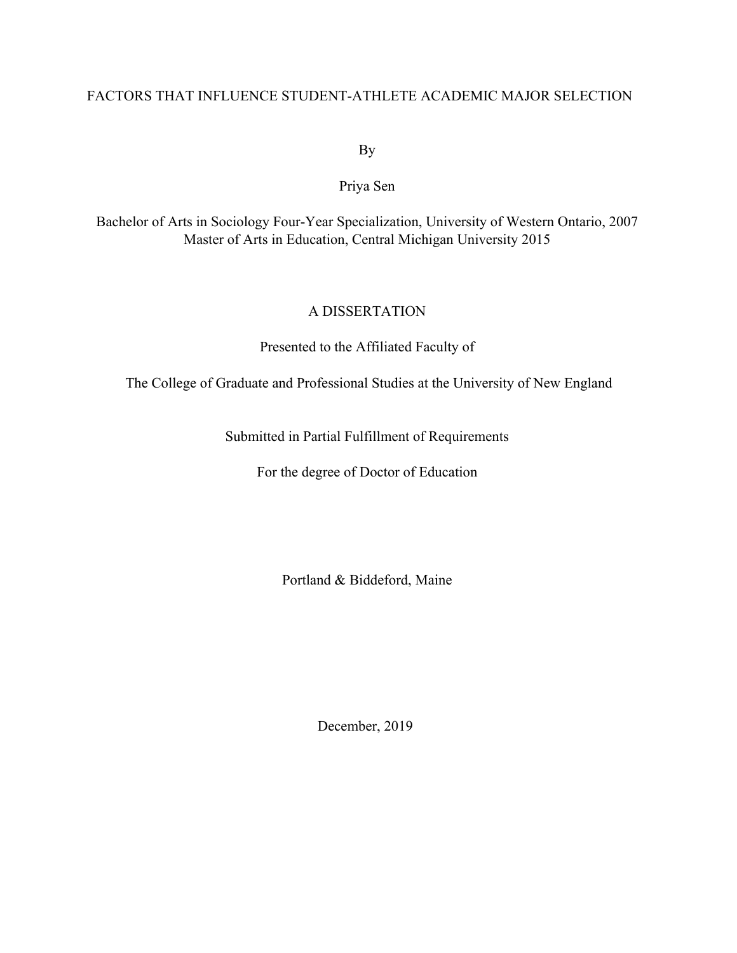## FACTORS THAT INFLUENCE STUDENT-ATHLETE ACADEMIC MAJOR SELECTION

By

Priya Sen

Bachelor of Arts in Sociology Four-Year Specialization, University of Western Ontario, 2007 Master of Arts in Education, Central Michigan University 2015

## A DISSERTATION

Presented to the Affiliated Faculty of

The College of Graduate and Professional Studies at the University of New England

Submitted in Partial Fulfillment of Requirements

For the degree of Doctor of Education

Portland & Biddeford, Maine

December, 2019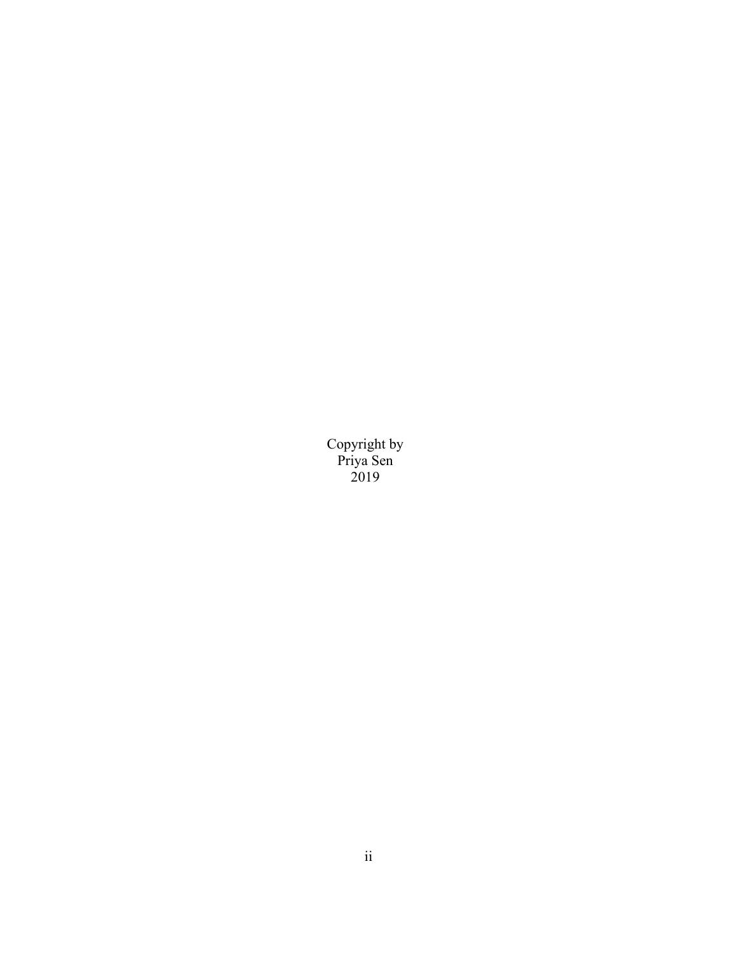Copyright by Priya Sen 2019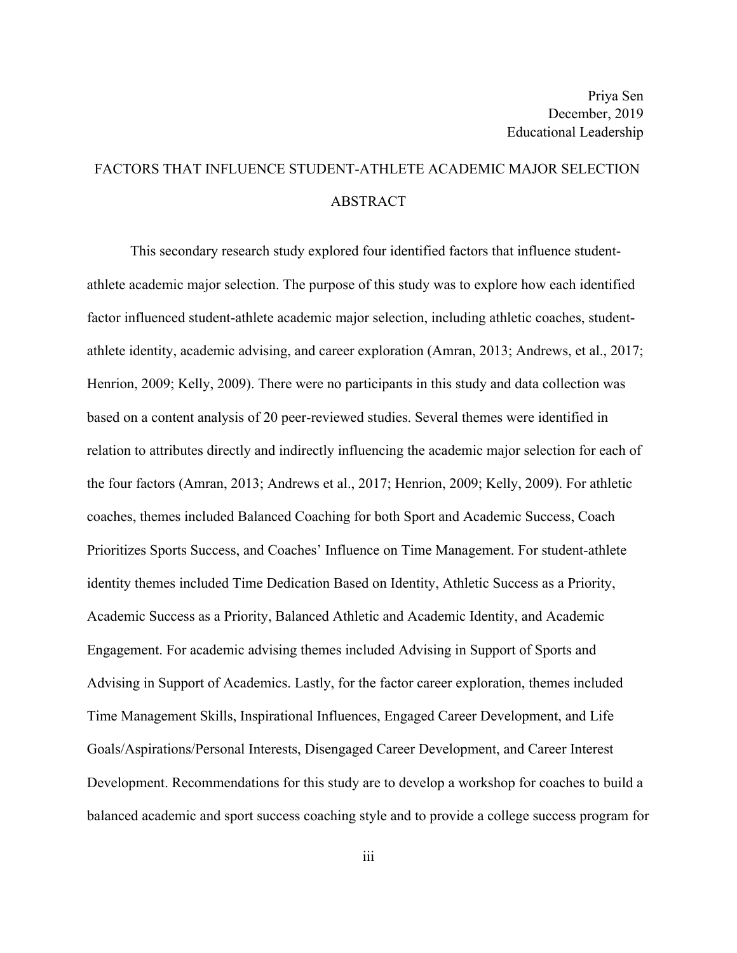# FACTORS THAT INFLUENCE STUDENT-ATHLETE ACADEMIC MAJOR SELECTION ABSTRACT

This secondary research study explored four identified factors that influence studentathlete academic major selection. The purpose of this study was to explore how each identified factor influenced student-athlete academic major selection, including athletic coaches, studentathlete identity, academic advising, and career exploration (Amran, 2013; Andrews, et al., 2017; Henrion, 2009; Kelly, 2009). There were no participants in this study and data collection was based on a content analysis of 20 peer-reviewed studies. Several themes were identified in relation to attributes directly and indirectly influencing the academic major selection for each of the four factors (Amran, 2013; Andrews et al., 2017; Henrion, 2009; Kelly, 2009). For athletic coaches, themes included Balanced Coaching for both Sport and Academic Success, Coach Prioritizes Sports Success, and Coaches' Influence on Time Management. For student-athlete identity themes included Time Dedication Based on Identity, Athletic Success as a Priority, Academic Success as a Priority, Balanced Athletic and Academic Identity, and Academic Engagement. For academic advising themes included Advising in Support of Sports and Advising in Support of Academics. Lastly, for the factor career exploration, themes included Time Management Skills, Inspirational Influences, Engaged Career Development, and Life Goals/Aspirations/Personal Interests, Disengaged Career Development, and Career Interest Development. Recommendations for this study are to develop a workshop for coaches to build a balanced academic and sport success coaching style and to provide a college success program for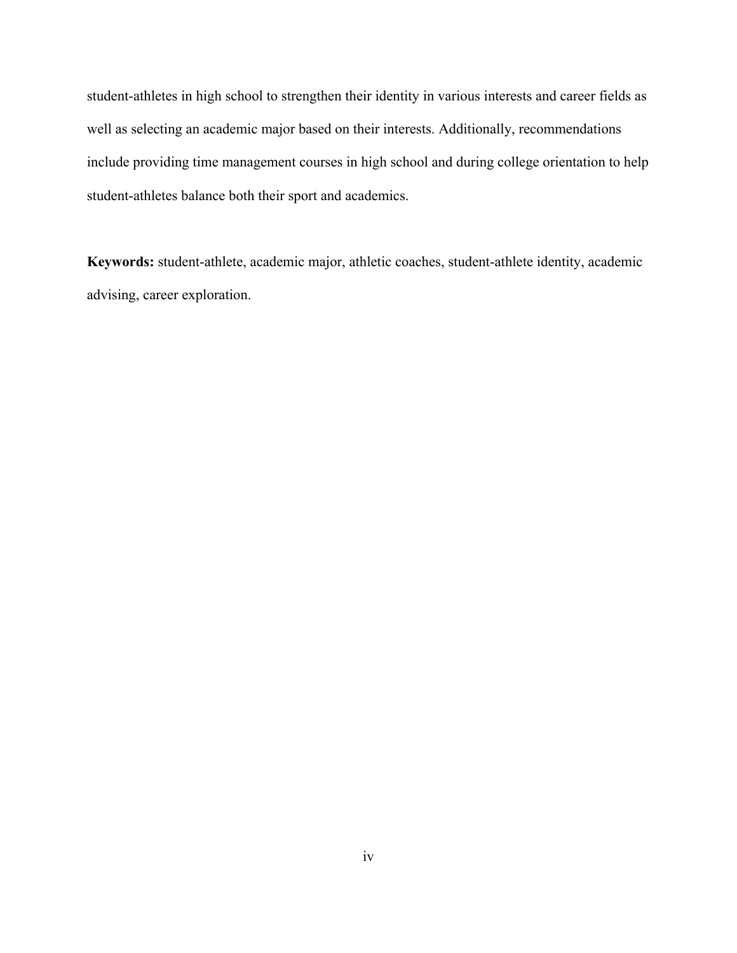student-athletes in high school to strengthen their identity in various interests and career fields as well as selecting an academic major based on their interests. Additionally, recommendations include providing time management courses in high school and during college orientation to help student-athletes balance both their sport and academics.

**Keywords:** student-athlete, academic major, athletic coaches, student-athlete identity, academic advising, career exploration.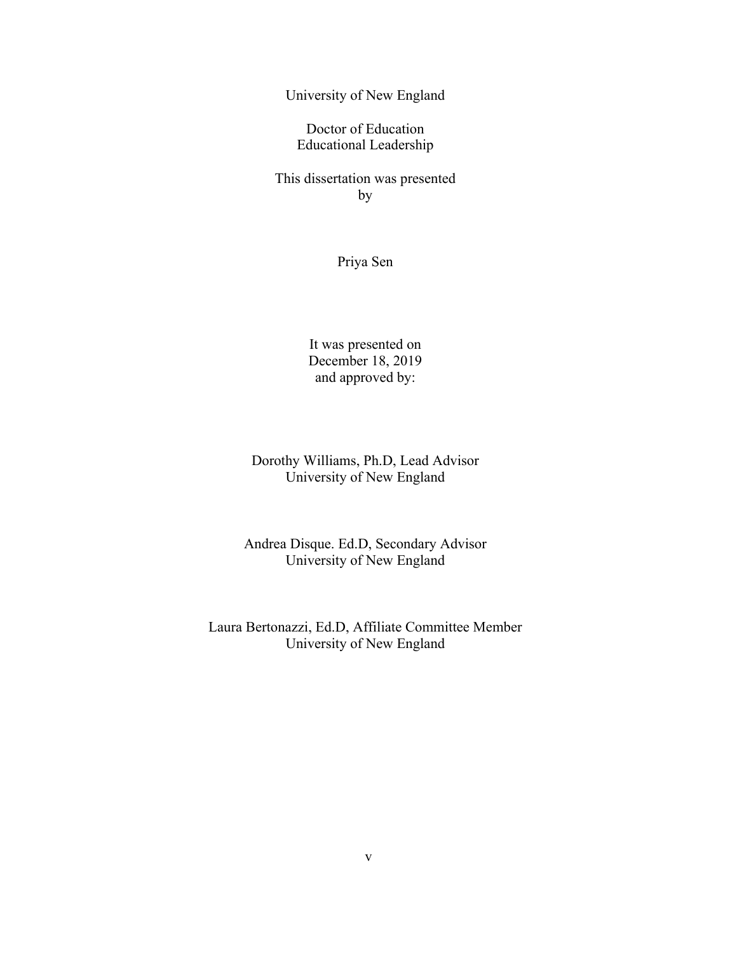University of New England

Doctor of Education Educational Leadership

This dissertation was presented by

Priya Sen

It was presented on December 18, 2019 and approved by:

Dorothy Williams, Ph.D, Lead Advisor University of New England

Andrea Disque. Ed.D, Secondary Advisor University of New England

Laura Bertonazzi, Ed.D, Affiliate Committee Member University of New England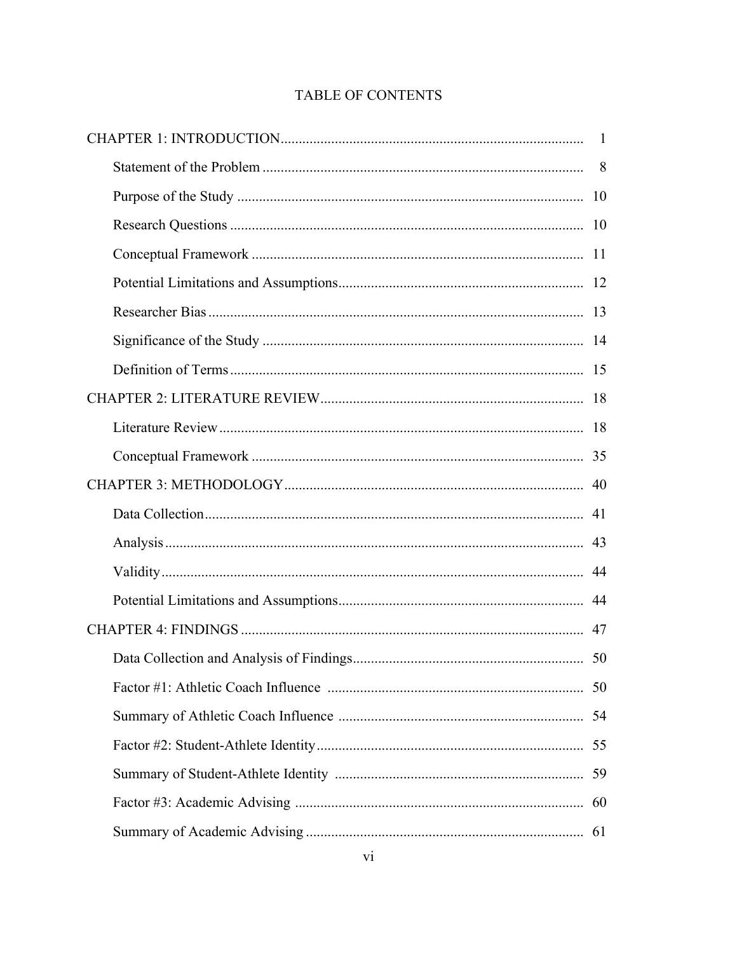## TABLE OF CONTENTS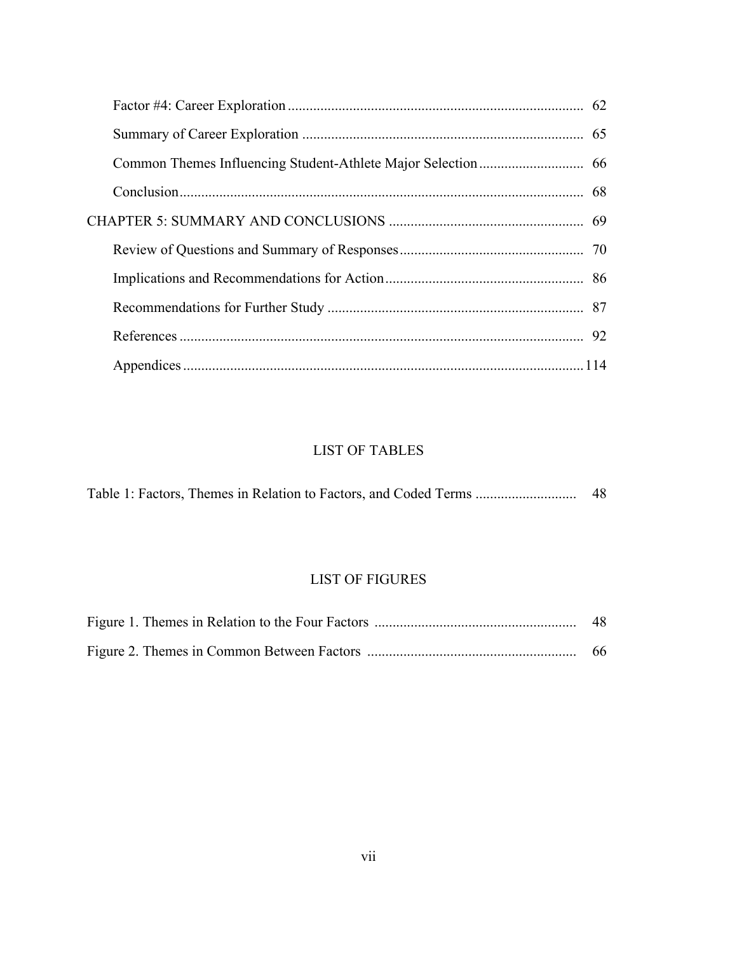## LIST OF TABLES

|  |  |  |  | Table 1: Factors, Themes in Relation to Factors, and Coded Terms | -48 |
|--|--|--|--|------------------------------------------------------------------|-----|
|--|--|--|--|------------------------------------------------------------------|-----|

## LIST OF FIGURES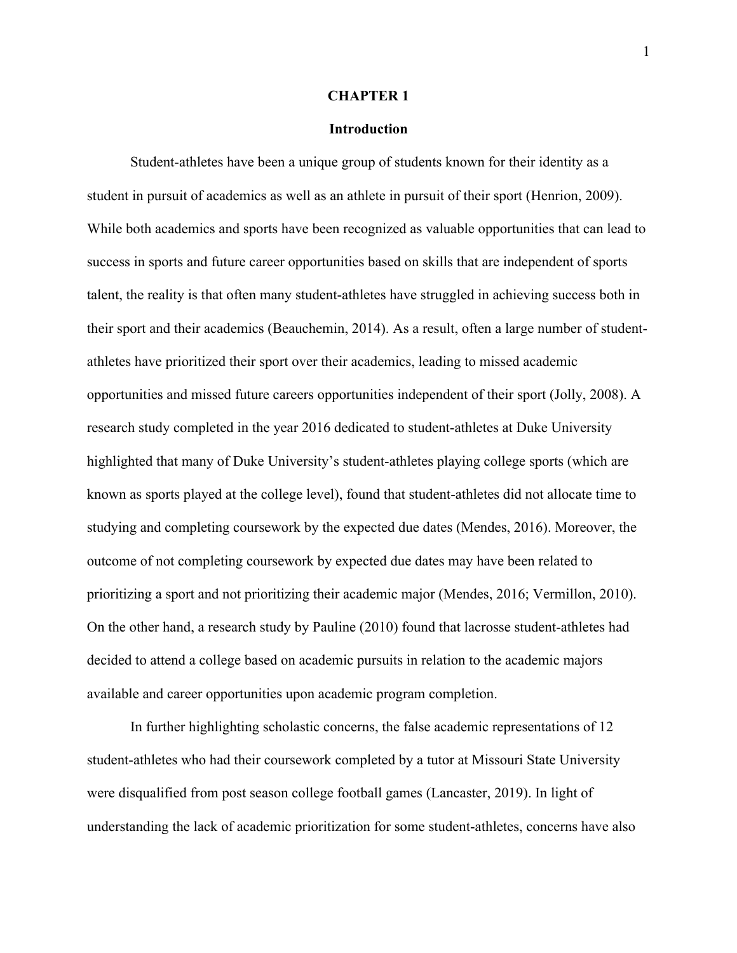#### **CHAPTER 1**

## **Introduction**

Student-athletes have been a unique group of students known for their identity as a student in pursuit of academics as well as an athlete in pursuit of their sport (Henrion, 2009). While both academics and sports have been recognized as valuable opportunities that can lead to success in sports and future career opportunities based on skills that are independent of sports talent, the reality is that often many student-athletes have struggled in achieving success both in their sport and their academics (Beauchemin, 2014). As a result, often a large number of studentathletes have prioritized their sport over their academics, leading to missed academic opportunities and missed future careers opportunities independent of their sport (Jolly, 2008). A research study completed in the year 2016 dedicated to student-athletes at Duke University highlighted that many of Duke University's student-athletes playing college sports (which are known as sports played at the college level), found that student-athletes did not allocate time to studying and completing coursework by the expected due dates (Mendes, 2016). Moreover, the outcome of not completing coursework by expected due dates may have been related to prioritizing a sport and not prioritizing their academic major (Mendes, 2016; Vermillon, 2010). On the other hand, a research study by Pauline (2010) found that lacrosse student-athletes had decided to attend a college based on academic pursuits in relation to the academic majors available and career opportunities upon academic program completion.

In further highlighting scholastic concerns, the false academic representations of 12 student-athletes who had their coursework completed by a tutor at Missouri State University were disqualified from post season college football games (Lancaster, 2019). In light of understanding the lack of academic prioritization for some student-athletes, concerns have also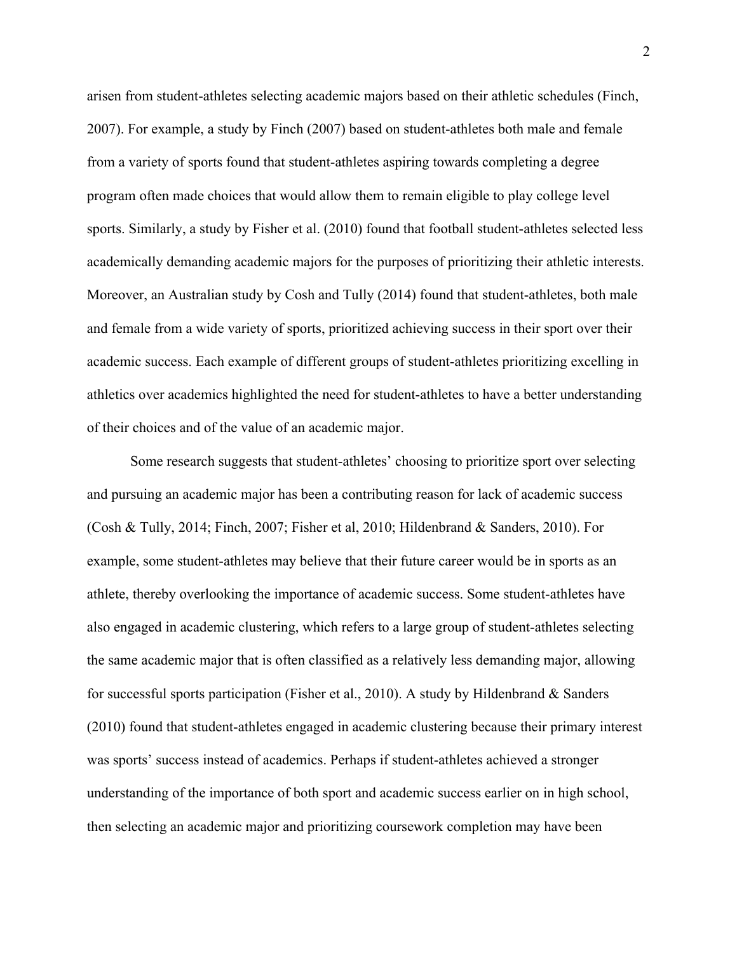arisen from student-athletes selecting academic majors based on their athletic schedules (Finch, 2007). For example, a study by Finch (2007) based on student-athletes both male and female from a variety of sports found that student-athletes aspiring towards completing a degree program often made choices that would allow them to remain eligible to play college level sports. Similarly, a study by Fisher et al. (2010) found that football student-athletes selected less academically demanding academic majors for the purposes of prioritizing their athletic interests. Moreover, an Australian study by Cosh and Tully (2014) found that student-athletes, both male and female from a wide variety of sports, prioritized achieving success in their sport over their academic success. Each example of different groups of student-athletes prioritizing excelling in athletics over academics highlighted the need for student-athletes to have a better understanding of their choices and of the value of an academic major.

Some research suggests that student-athletes' choosing to prioritize sport over selecting and pursuing an academic major has been a contributing reason for lack of academic success (Cosh & Tully, 2014; Finch, 2007; Fisher et al, 2010; Hildenbrand & Sanders, 2010). For example, some student-athletes may believe that their future career would be in sports as an athlete, thereby overlooking the importance of academic success. Some student-athletes have also engaged in academic clustering, which refers to a large group of student-athletes selecting the same academic major that is often classified as a relatively less demanding major, allowing for successful sports participation (Fisher et al., 2010). A study by Hildenbrand & Sanders (2010) found that student-athletes engaged in academic clustering because their primary interest was sports' success instead of academics. Perhaps if student-athletes achieved a stronger understanding of the importance of both sport and academic success earlier on in high school, then selecting an academic major and prioritizing coursework completion may have been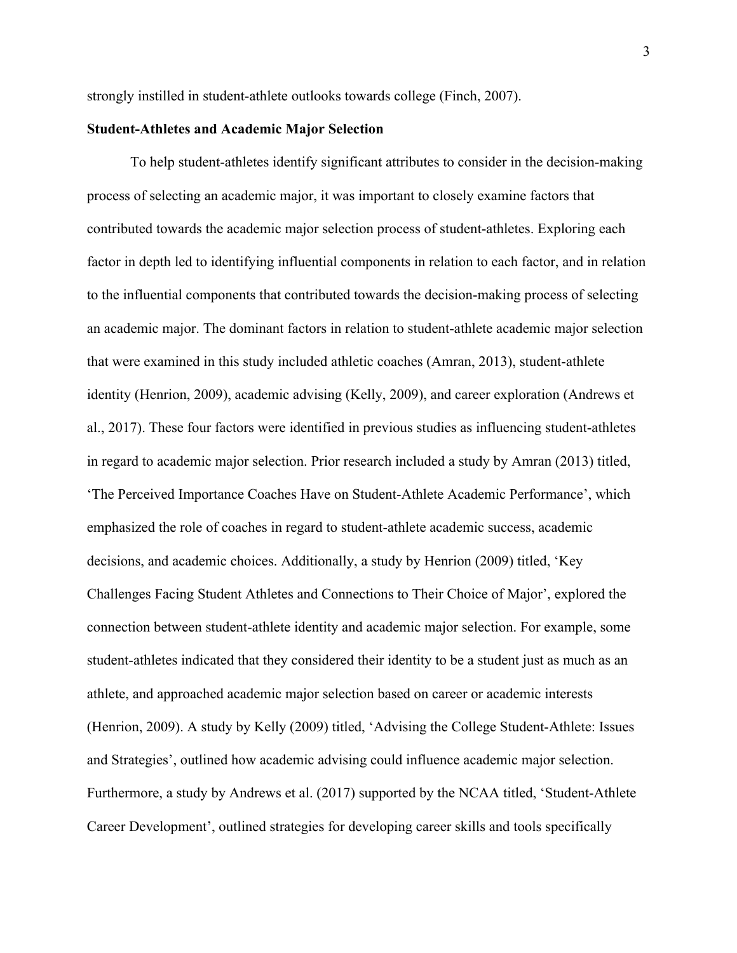strongly instilled in student-athlete outlooks towards college (Finch, 2007).

## **Student-Athletes and Academic Major Selection**

To help student-athletes identify significant attributes to consider in the decision-making process of selecting an academic major, it was important to closely examine factors that contributed towards the academic major selection process of student-athletes. Exploring each factor in depth led to identifying influential components in relation to each factor, and in relation to the influential components that contributed towards the decision-making process of selecting an academic major. The dominant factors in relation to student-athlete academic major selection that were examined in this study included athletic coaches (Amran, 2013), student-athlete identity (Henrion, 2009), academic advising (Kelly, 2009), and career exploration (Andrews et al., 2017). These four factors were identified in previous studies as influencing student-athletes in regard to academic major selection. Prior research included a study by Amran (2013) titled, 'The Perceived Importance Coaches Have on Student-Athlete Academic Performance', which emphasized the role of coaches in regard to student-athlete academic success, academic decisions, and academic choices. Additionally, a study by Henrion (2009) titled, 'Key Challenges Facing Student Athletes and Connections to Their Choice of Major', explored the connection between student-athlete identity and academic major selection. For example, some student-athletes indicated that they considered their identity to be a student just as much as an athlete, and approached academic major selection based on career or academic interests (Henrion, 2009). A study by Kelly (2009) titled, 'Advising the College Student-Athlete: Issues and Strategies', outlined how academic advising could influence academic major selection. Furthermore, a study by Andrews et al. (2017) supported by the NCAA titled, 'Student-Athlete Career Development', outlined strategies for developing career skills and tools specifically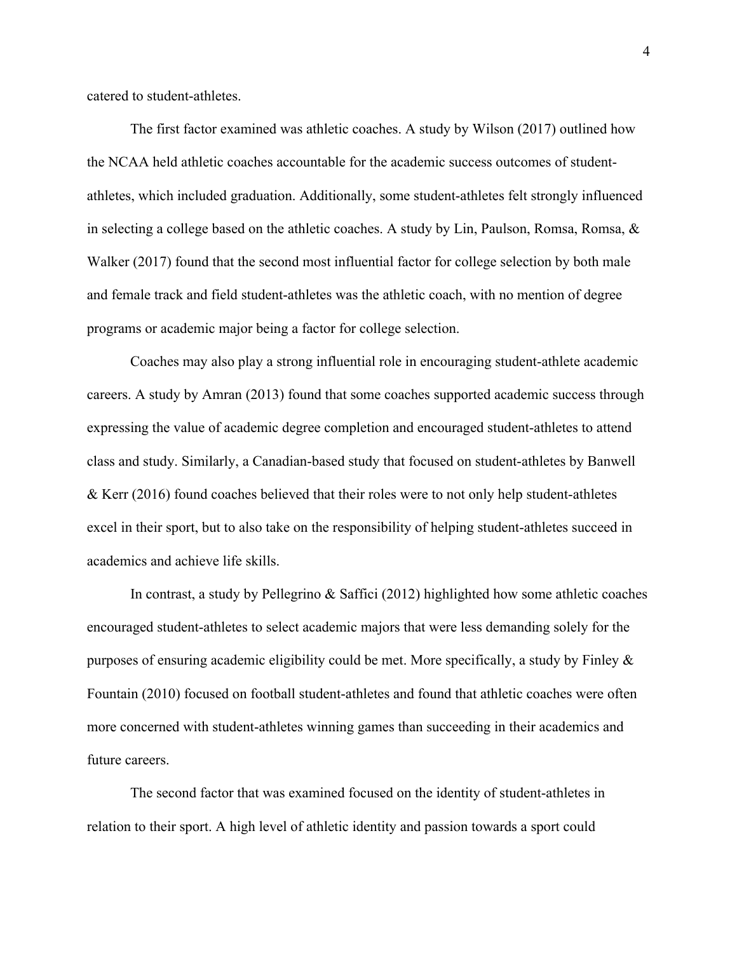catered to student-athletes.

The first factor examined was athletic coaches. A study by Wilson (2017) outlined how the NCAA held athletic coaches accountable for the academic success outcomes of studentathletes, which included graduation. Additionally, some student-athletes felt strongly influenced in selecting a college based on the athletic coaches. A study by Lin, Paulson, Romsa, Romsa,  $\&$ Walker (2017) found that the second most influential factor for college selection by both male and female track and field student-athletes was the athletic coach, with no mention of degree programs or academic major being a factor for college selection.

Coaches may also play a strong influential role in encouraging student-athlete academic careers. A study by Amran (2013) found that some coaches supported academic success through expressing the value of academic degree completion and encouraged student-athletes to attend class and study. Similarly, a Canadian-based study that focused on student-athletes by Banwell & Kerr (2016) found coaches believed that their roles were to not only help student-athletes excel in their sport, but to also take on the responsibility of helping student-athletes succeed in academics and achieve life skills.

In contrast, a study by Pellegrino  $\&$  Saffici (2012) highlighted how some athletic coaches encouraged student-athletes to select academic majors that were less demanding solely for the purposes of ensuring academic eligibility could be met. More specifically, a study by Finley & Fountain (2010) focused on football student-athletes and found that athletic coaches were often more concerned with student-athletes winning games than succeeding in their academics and future careers.

The second factor that was examined focused on the identity of student-athletes in relation to their sport. A high level of athletic identity and passion towards a sport could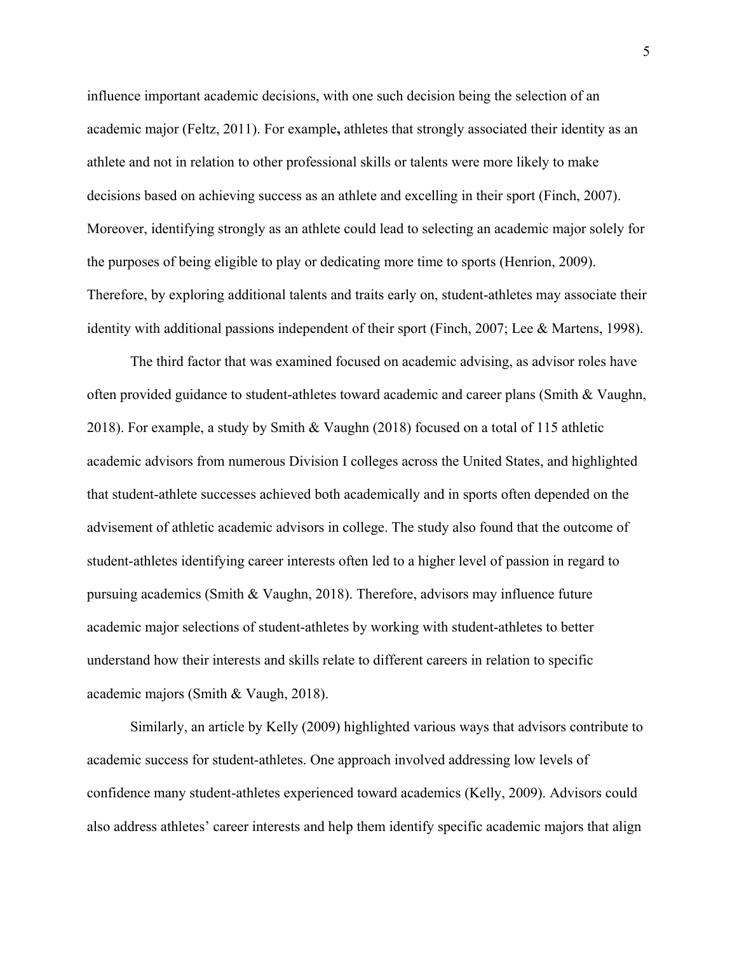influence important academic decisions, with one such decision being the selection of an academic major (Feltz, 2011). For example**,** athletes that strongly associated their identity as an athlete and not in relation to other professional skills or talents were more likely to make decisions based on achieving success as an athlete and excelling in their sport (Finch, 2007). Moreover, identifying strongly as an athlete could lead to selecting an academic major solely for the purposes of being eligible to play or dedicating more time to sports (Henrion, 2009). Therefore, by exploring additional talents and traits early on, student-athletes may associate their identity with additional passions independent of their sport (Finch, 2007; Lee & Martens, 1998).

The third factor that was examined focused on academic advising, as advisor roles have often provided guidance to student-athletes toward academic and career plans (Smith & Vaughn, 2018). For example, a study by Smith & Vaughn (2018) focused on a total of 115 athletic academic advisors from numerous Division I colleges across the United States, and highlighted that student-athlete successes achieved both academically and in sports often depended on the advisement of athletic academic advisors in college. The study also found that the outcome of student-athletes identifying career interests often led to a higher level of passion in regard to pursuing academics (Smith & Vaughn, 2018). Therefore, advisors may influence future academic major selections of student-athletes by working with student-athletes to better understand how their interests and skills relate to different careers in relation to specific academic majors (Smith & Vaugh, 2018).

Similarly, an article by Kelly (2009) highlighted various ways that advisors contribute to academic success for student-athletes. One approach involved addressing low levels of confidence many student-athletes experienced toward academics (Kelly, 2009). Advisors could also address athletes' career interests and help them identify specific academic majors that align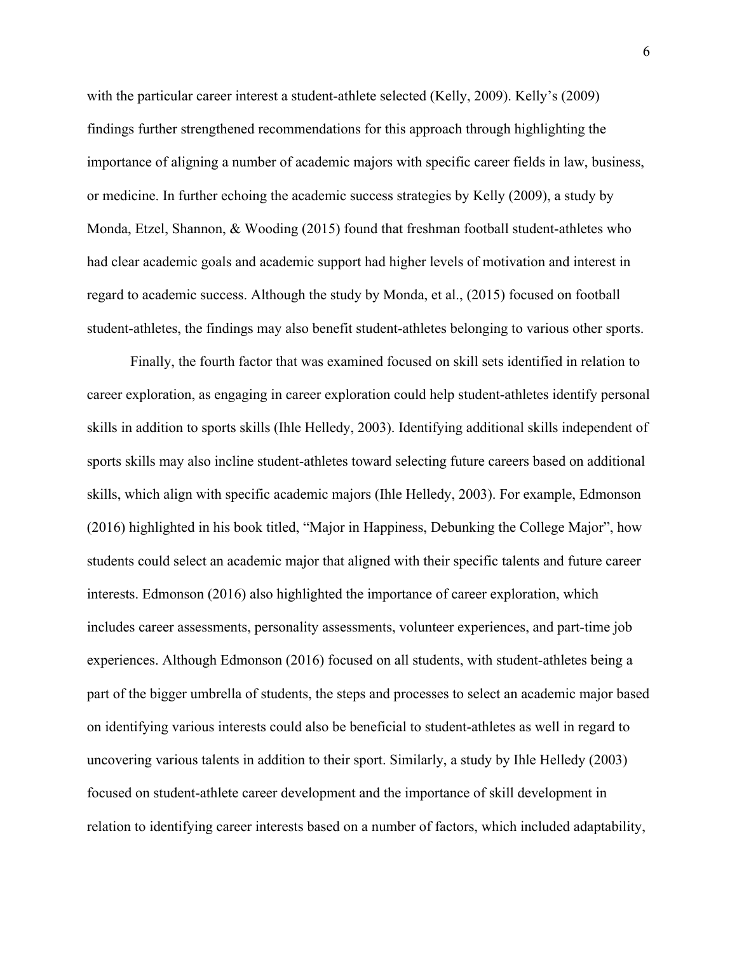with the particular career interest a student-athlete selected (Kelly, 2009). Kelly's (2009) findings further strengthened recommendations for this approach through highlighting the importance of aligning a number of academic majors with specific career fields in law, business, or medicine. In further echoing the academic success strategies by Kelly (2009), a study by Monda, Etzel, Shannon, & Wooding (2015) found that freshman football student-athletes who had clear academic goals and academic support had higher levels of motivation and interest in regard to academic success. Although the study by Monda, et al., (2015) focused on football student-athletes, the findings may also benefit student-athletes belonging to various other sports.

Finally, the fourth factor that was examined focused on skill sets identified in relation to career exploration, as engaging in career exploration could help student-athletes identify personal skills in addition to sports skills (Ihle Helledy, 2003). Identifying additional skills independent of sports skills may also incline student-athletes toward selecting future careers based on additional skills, which align with specific academic majors (Ihle Helledy, 2003). For example, Edmonson (2016) highlighted in his book titled, "Major in Happiness, Debunking the College Major", how students could select an academic major that aligned with their specific talents and future career interests. Edmonson (2016) also highlighted the importance of career exploration, which includes career assessments, personality assessments, volunteer experiences, and part-time job experiences. Although Edmonson (2016) focused on all students, with student-athletes being a part of the bigger umbrella of students, the steps and processes to select an academic major based on identifying various interests could also be beneficial to student-athletes as well in regard to uncovering various talents in addition to their sport. Similarly, a study by Ihle Helledy (2003) focused on student-athlete career development and the importance of skill development in relation to identifying career interests based on a number of factors, which included adaptability,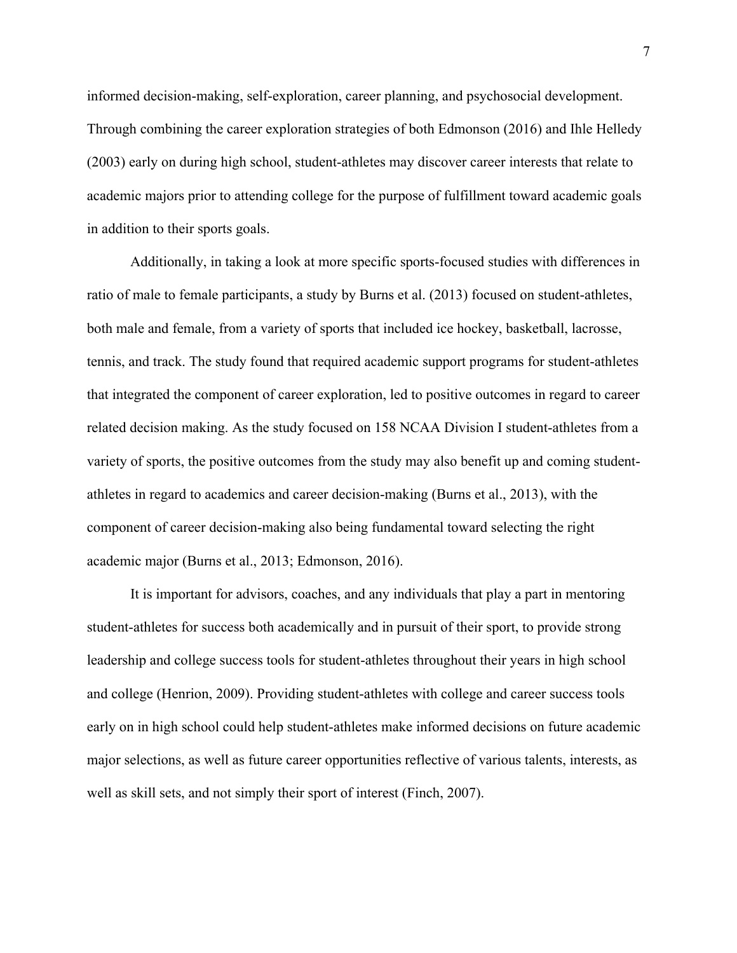informed decision-making, self-exploration, career planning, and psychosocial development. Through combining the career exploration strategies of both Edmonson (2016) and Ihle Helledy (2003) early on during high school, student-athletes may discover career interests that relate to academic majors prior to attending college for the purpose of fulfillment toward academic goals in addition to their sports goals.

Additionally, in taking a look at more specific sports-focused studies with differences in ratio of male to female participants, a study by Burns et al. (2013) focused on student-athletes, both male and female, from a variety of sports that included ice hockey, basketball, lacrosse, tennis, and track. The study found that required academic support programs for student-athletes that integrated the component of career exploration, led to positive outcomes in regard to career related decision making. As the study focused on 158 NCAA Division I student-athletes from a variety of sports, the positive outcomes from the study may also benefit up and coming studentathletes in regard to academics and career decision-making (Burns et al., 2013), with the component of career decision-making also being fundamental toward selecting the right academic major (Burns et al., 2013; Edmonson, 2016).

It is important for advisors, coaches, and any individuals that play a part in mentoring student-athletes for success both academically and in pursuit of their sport, to provide strong leadership and college success tools for student-athletes throughout their years in high school and college (Henrion, 2009). Providing student-athletes with college and career success tools early on in high school could help student-athletes make informed decisions on future academic major selections, as well as future career opportunities reflective of various talents, interests, as well as skill sets, and not simply their sport of interest (Finch, 2007).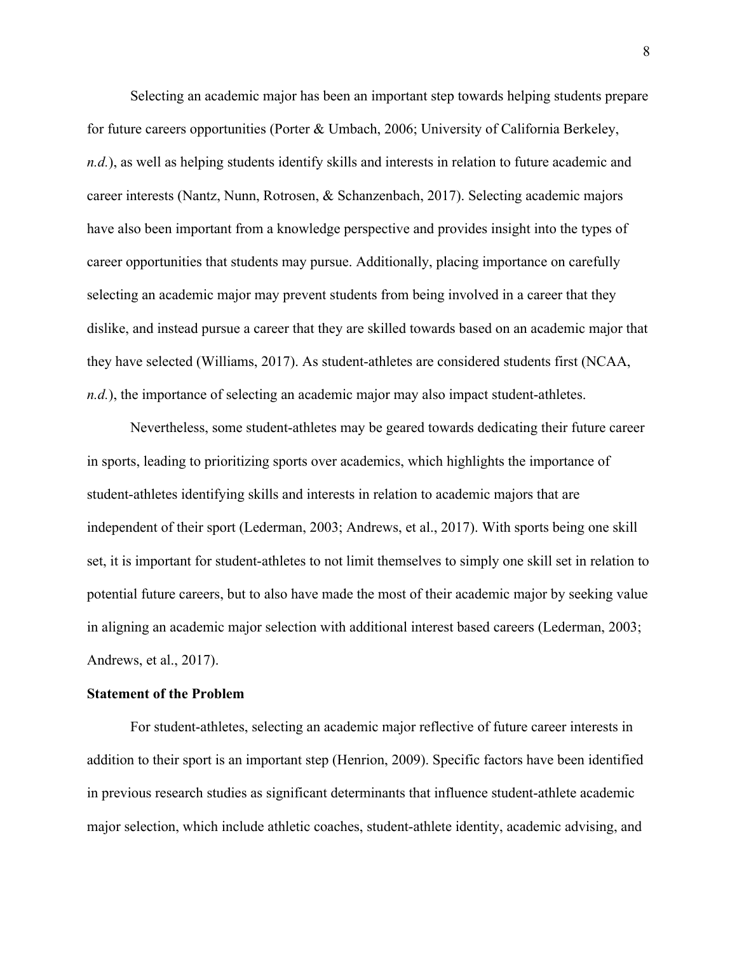Selecting an academic major has been an important step towards helping students prepare for future careers opportunities (Porter & Umbach, 2006; University of California Berkeley, *n.d.*), as well as helping students identify skills and interests in relation to future academic and career interests (Nantz, Nunn, Rotrosen, & Schanzenbach, 2017). Selecting academic majors have also been important from a knowledge perspective and provides insight into the types of career opportunities that students may pursue. Additionally, placing importance on carefully selecting an academic major may prevent students from being involved in a career that they dislike, and instead pursue a career that they are skilled towards based on an academic major that they have selected (Williams, 2017). As student-athletes are considered students first (NCAA, *n.d.*), the importance of selecting an academic major may also impact student-athletes.

Nevertheless, some student-athletes may be geared towards dedicating their future career in sports, leading to prioritizing sports over academics, which highlights the importance of student-athletes identifying skills and interests in relation to academic majors that are independent of their sport (Lederman, 2003; Andrews, et al., 2017). With sports being one skill set, it is important for student-athletes to not limit themselves to simply one skill set in relation to potential future careers, but to also have made the most of their academic major by seeking value in aligning an academic major selection with additional interest based careers (Lederman, 2003; Andrews, et al., 2017).

## **Statement of the Problem**

For student-athletes, selecting an academic major reflective of future career interests in addition to their sport is an important step (Henrion, 2009). Specific factors have been identified in previous research studies as significant determinants that influence student-athlete academic major selection, which include athletic coaches, student-athlete identity, academic advising, and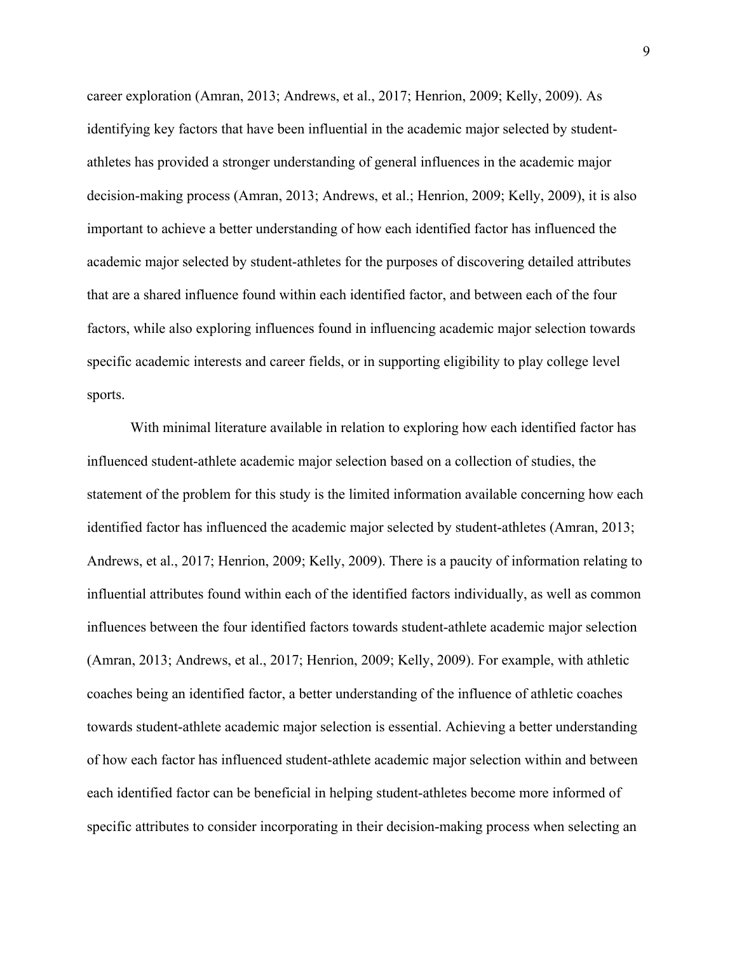career exploration (Amran, 2013; Andrews, et al., 2017; Henrion, 2009; Kelly, 2009). As identifying key factors that have been influential in the academic major selected by studentathletes has provided a stronger understanding of general influences in the academic major decision-making process (Amran, 2013; Andrews, et al.; Henrion, 2009; Kelly, 2009), it is also important to achieve a better understanding of how each identified factor has influenced the academic major selected by student-athletes for the purposes of discovering detailed attributes that are a shared influence found within each identified factor, and between each of the four factors, while also exploring influences found in influencing academic major selection towards specific academic interests and career fields, or in supporting eligibility to play college level sports.

With minimal literature available in relation to exploring how each identified factor has influenced student-athlete academic major selection based on a collection of studies, the statement of the problem for this study is the limited information available concerning how each identified factor has influenced the academic major selected by student-athletes (Amran, 2013; Andrews, et al., 2017; Henrion, 2009; Kelly, 2009). There is a paucity of information relating to influential attributes found within each of the identified factors individually, as well as common influences between the four identified factors towards student-athlete academic major selection (Amran, 2013; Andrews, et al., 2017; Henrion, 2009; Kelly, 2009). For example, with athletic coaches being an identified factor, a better understanding of the influence of athletic coaches towards student-athlete academic major selection is essential. Achieving a better understanding of how each factor has influenced student-athlete academic major selection within and between each identified factor can be beneficial in helping student-athletes become more informed of specific attributes to consider incorporating in their decision-making process when selecting an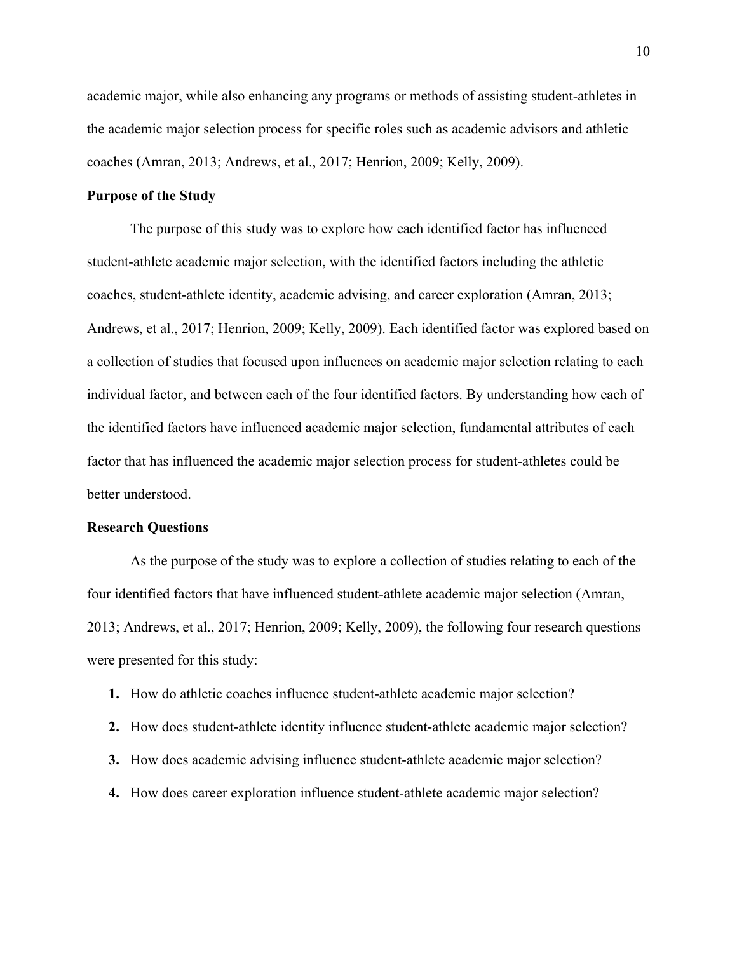academic major, while also enhancing any programs or methods of assisting student-athletes in the academic major selection process for specific roles such as academic advisors and athletic coaches (Amran, 2013; Andrews, et al., 2017; Henrion, 2009; Kelly, 2009).

## **Purpose of the Study**

The purpose of this study was to explore how each identified factor has influenced student-athlete academic major selection, with the identified factors including the athletic coaches, student-athlete identity, academic advising, and career exploration (Amran, 2013; Andrews, et al., 2017; Henrion, 2009; Kelly, 2009). Each identified factor was explored based on a collection of studies that focused upon influences on academic major selection relating to each individual factor, and between each of the four identified factors. By understanding how each of the identified factors have influenced academic major selection, fundamental attributes of each factor that has influenced the academic major selection process for student-athletes could be better understood.

#### **Research Questions**

As the purpose of the study was to explore a collection of studies relating to each of the four identified factors that have influenced student-athlete academic major selection (Amran, 2013; Andrews, et al., 2017; Henrion, 2009; Kelly, 2009), the following four research questions were presented for this study:

- **1.** How do athletic coaches influence student-athlete academic major selection?
- **2.** How does student-athlete identity influence student-athlete academic major selection?
- **3.** How does academic advising influence student-athlete academic major selection?
- **4.** How does career exploration influence student-athlete academic major selection?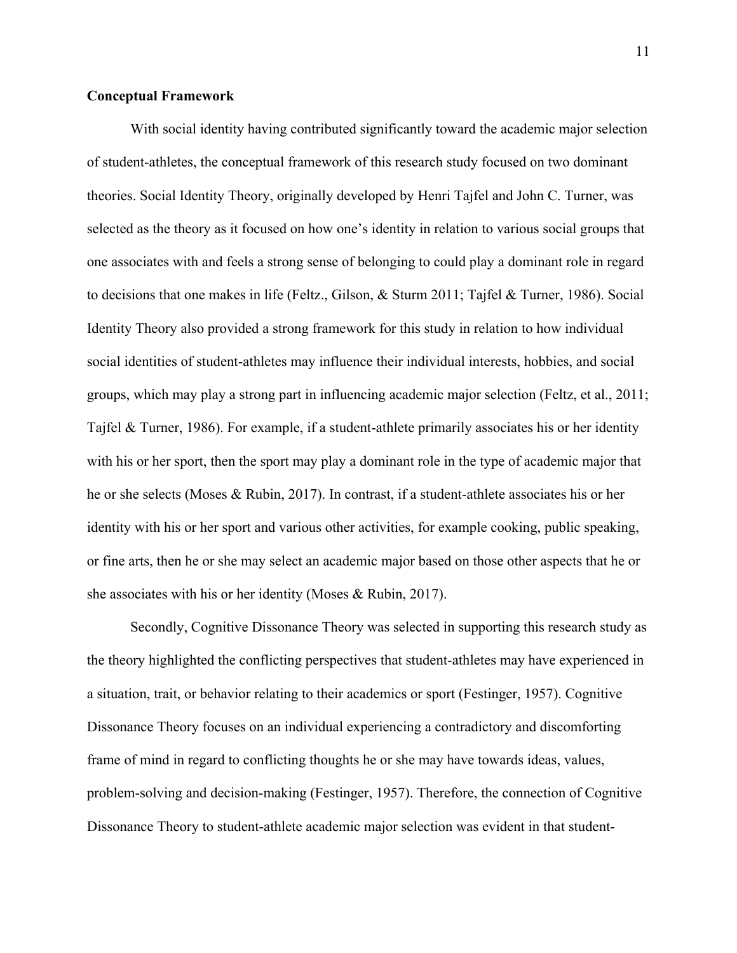### **Conceptual Framework**

With social identity having contributed significantly toward the academic major selection of student-athletes, the conceptual framework of this research study focused on two dominant theories. Social Identity Theory, originally developed by Henri Tajfel and John C. Turner, was selected as the theory as it focused on how one's identity in relation to various social groups that one associates with and feels a strong sense of belonging to could play a dominant role in regard to decisions that one makes in life (Feltz., Gilson, & Sturm 2011; Tajfel & Turner, 1986). Social Identity Theory also provided a strong framework for this study in relation to how individual social identities of student-athletes may influence their individual interests, hobbies, and social groups, which may play a strong part in influencing academic major selection (Feltz, et al., 2011; Tajfel & Turner, 1986). For example, if a student-athlete primarily associates his or her identity with his or her sport, then the sport may play a dominant role in the type of academic major that he or she selects (Moses & Rubin, 2017). In contrast, if a student-athlete associates his or her identity with his or her sport and various other activities, for example cooking, public speaking, or fine arts, then he or she may select an academic major based on those other aspects that he or she associates with his or her identity (Moses & Rubin, 2017).

Secondly, Cognitive Dissonance Theory was selected in supporting this research study as the theory highlighted the conflicting perspectives that student-athletes may have experienced in a situation, trait, or behavior relating to their academics or sport (Festinger, 1957). Cognitive Dissonance Theory focuses on an individual experiencing a contradictory and discomforting frame of mind in regard to conflicting thoughts he or she may have towards ideas, values, problem-solving and decision-making (Festinger, 1957). Therefore, the connection of Cognitive Dissonance Theory to student-athlete academic major selection was evident in that student-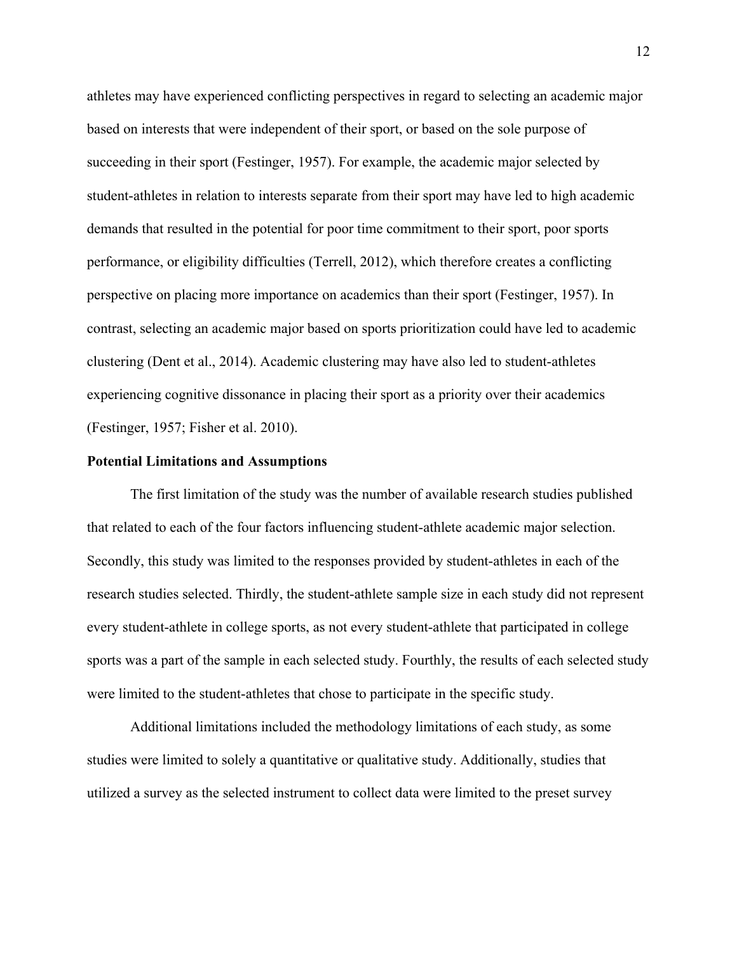athletes may have experienced conflicting perspectives in regard to selecting an academic major based on interests that were independent of their sport, or based on the sole purpose of succeeding in their sport (Festinger, 1957). For example, the academic major selected by student-athletes in relation to interests separate from their sport may have led to high academic demands that resulted in the potential for poor time commitment to their sport, poor sports performance, or eligibility difficulties (Terrell, 2012), which therefore creates a conflicting perspective on placing more importance on academics than their sport (Festinger, 1957). In contrast, selecting an academic major based on sports prioritization could have led to academic clustering (Dent et al., 2014). Academic clustering may have also led to student-athletes experiencing cognitive dissonance in placing their sport as a priority over their academics (Festinger, 1957; Fisher et al. 2010).

#### **Potential Limitations and Assumptions**

The first limitation of the study was the number of available research studies published that related to each of the four factors influencing student-athlete academic major selection. Secondly, this study was limited to the responses provided by student-athletes in each of the research studies selected. Thirdly, the student-athlete sample size in each study did not represent every student-athlete in college sports, as not every student-athlete that participated in college sports was a part of the sample in each selected study. Fourthly, the results of each selected study were limited to the student-athletes that chose to participate in the specific study.

Additional limitations included the methodology limitations of each study, as some studies were limited to solely a quantitative or qualitative study. Additionally, studies that utilized a survey as the selected instrument to collect data were limited to the preset survey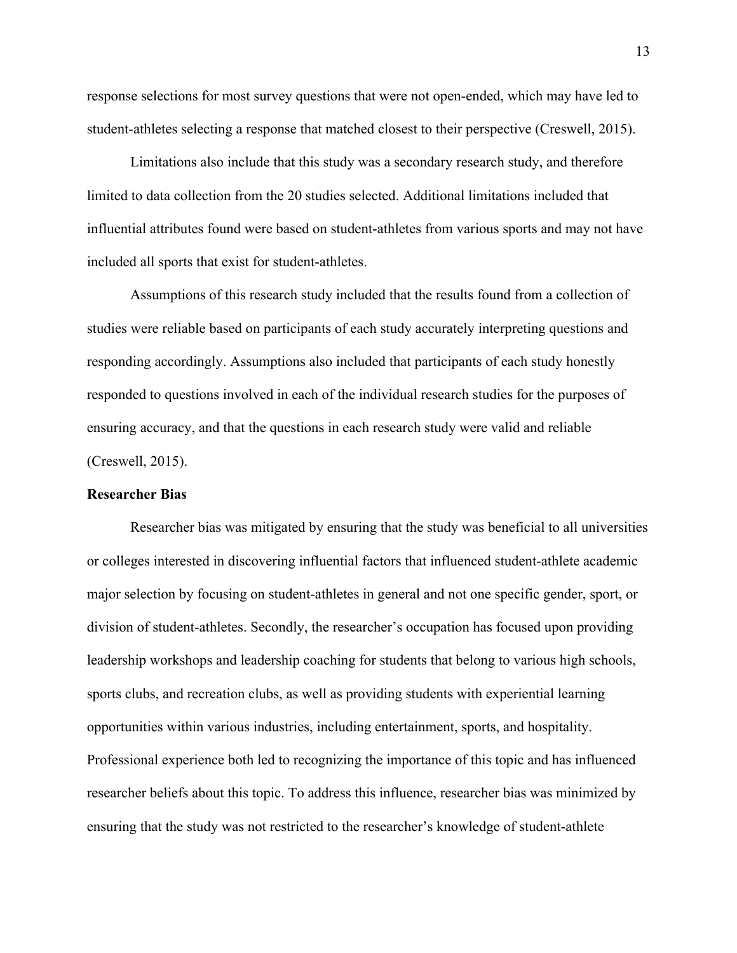response selections for most survey questions that were not open-ended, which may have led to student-athletes selecting a response that matched closest to their perspective (Creswell, 2015).

Limitations also include that this study was a secondary research study, and therefore limited to data collection from the 20 studies selected. Additional limitations included that influential attributes found were based on student-athletes from various sports and may not have included all sports that exist for student-athletes.

Assumptions of this research study included that the results found from a collection of studies were reliable based on participants of each study accurately interpreting questions and responding accordingly. Assumptions also included that participants of each study honestly responded to questions involved in each of the individual research studies for the purposes of ensuring accuracy, and that the questions in each research study were valid and reliable (Creswell, 2015).

## **Researcher Bias**

Researcher bias was mitigated by ensuring that the study was beneficial to all universities or colleges interested in discovering influential factors that influenced student-athlete academic major selection by focusing on student-athletes in general and not one specific gender, sport, or division of student-athletes. Secondly, the researcher's occupation has focused upon providing leadership workshops and leadership coaching for students that belong to various high schools, sports clubs, and recreation clubs, as well as providing students with experiential learning opportunities within various industries, including entertainment, sports, and hospitality. Professional experience both led to recognizing the importance of this topic and has influenced researcher beliefs about this topic. To address this influence, researcher bias was minimized by ensuring that the study was not restricted to the researcher's knowledge of student-athlete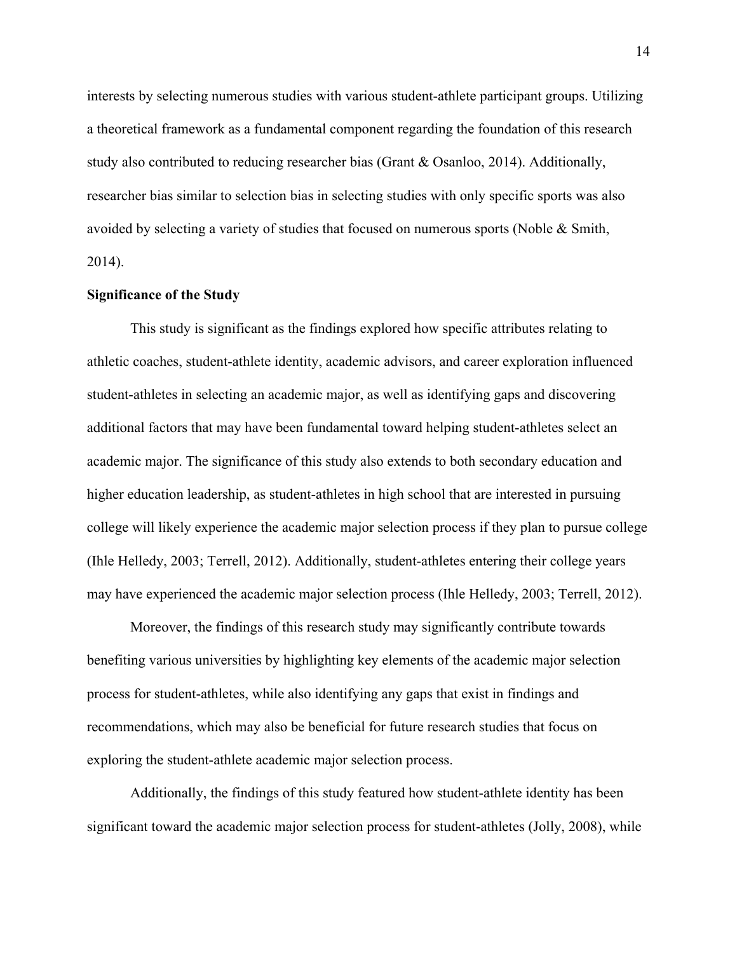interests by selecting numerous studies with various student-athlete participant groups. Utilizing a theoretical framework as a fundamental component regarding the foundation of this research study also contributed to reducing researcher bias (Grant & Osanloo, 2014). Additionally, researcher bias similar to selection bias in selecting studies with only specific sports was also avoided by selecting a variety of studies that focused on numerous sports (Noble & Smith, 2014).

## **Significance of the Study**

This study is significant as the findings explored how specific attributes relating to athletic coaches, student-athlete identity, academic advisors, and career exploration influenced student-athletes in selecting an academic major, as well as identifying gaps and discovering additional factors that may have been fundamental toward helping student-athletes select an academic major. The significance of this study also extends to both secondary education and higher education leadership, as student-athletes in high school that are interested in pursuing college will likely experience the academic major selection process if they plan to pursue college (Ihle Helledy, 2003; Terrell, 2012). Additionally, student-athletes entering their college years may have experienced the academic major selection process (Ihle Helledy, 2003; Terrell, 2012).

Moreover, the findings of this research study may significantly contribute towards benefiting various universities by highlighting key elements of the academic major selection process for student-athletes, while also identifying any gaps that exist in findings and recommendations, which may also be beneficial for future research studies that focus on exploring the student-athlete academic major selection process.

Additionally, the findings of this study featured how student-athlete identity has been significant toward the academic major selection process for student-athletes (Jolly, 2008), while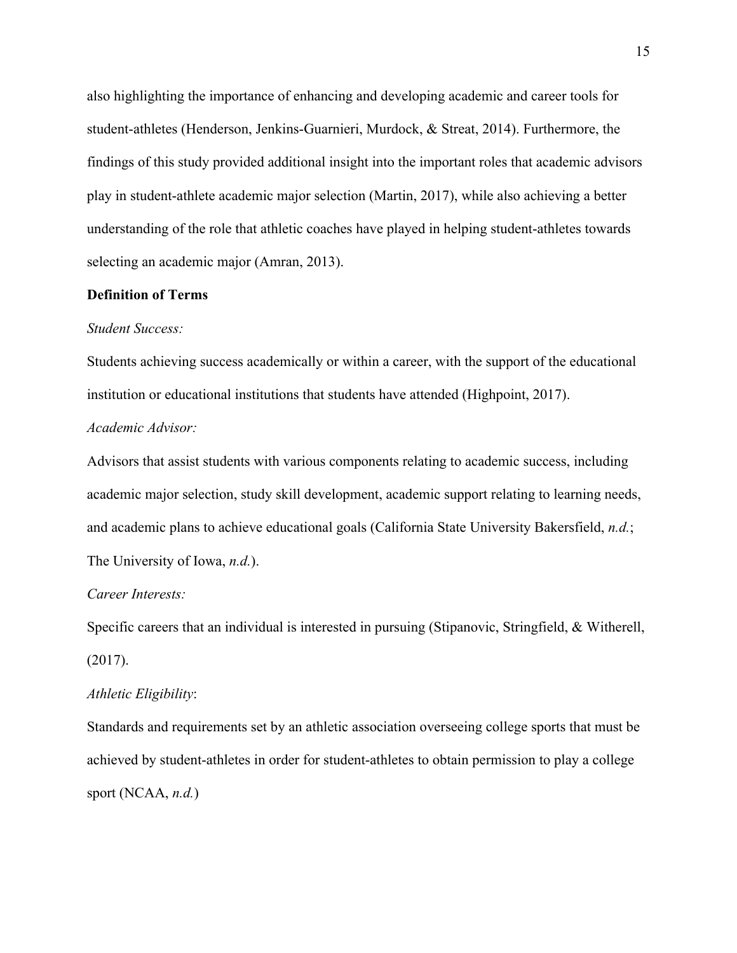also highlighting the importance of enhancing and developing academic and career tools for student-athletes (Henderson, Jenkins-Guarnieri, Murdock, & Streat, 2014). Furthermore, the findings of this study provided additional insight into the important roles that academic advisors play in student-athlete academic major selection (Martin, 2017), while also achieving a better understanding of the role that athletic coaches have played in helping student-athletes towards selecting an academic major (Amran, 2013).

## **Definition of Terms**

### *Student Success:*

Students achieving success academically or within a career, with the support of the educational institution or educational institutions that students have attended (Highpoint, 2017). *Academic Advisor:*

Advisors that assist students with various components relating to academic success, including academic major selection, study skill development, academic support relating to learning needs, and academic plans to achieve educational goals (California State University Bakersfield, *n.d.*; The University of Iowa, *n.d.*).

#### *Career Interests:*

Specific careers that an individual is interested in pursuing (Stipanovic, Stringfield, & Witherell, (2017).

## *Athletic Eligibility*:

Standards and requirements set by an athletic association overseeing college sports that must be achieved by student-athletes in order for student-athletes to obtain permission to play a college sport (NCAA, *n.d.*)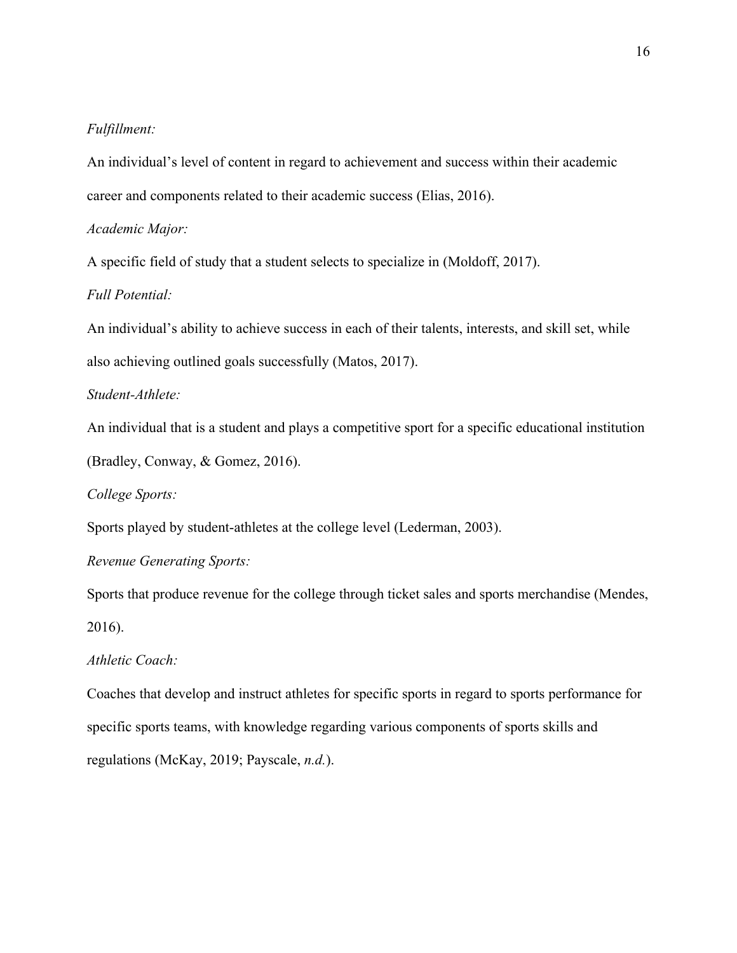## *Fulfillment:*

An individual's level of content in regard to achievement and success within their academic career and components related to their academic success (Elias, 2016).

*Academic Major:*

A specific field of study that a student selects to specialize in (Moldoff, 2017).

## *Full Potential:*

An individual's ability to achieve success in each of their talents, interests, and skill set, while also achieving outlined goals successfully (Matos, 2017).

## *Student-Athlete:*

An individual that is a student and plays a competitive sport for a specific educational institution (Bradley, Conway, & Gomez, 2016).

*College Sports:*

Sports played by student-athletes at the college level (Lederman, 2003).

## *Revenue Generating Sports:*

Sports that produce revenue for the college through ticket sales and sports merchandise (Mendes, 2016).

## *Athletic Coach:*

Coaches that develop and instruct athletes for specific sports in regard to sports performance for specific sports teams, with knowledge regarding various components of sports skills and regulations (McKay, 2019; Payscale, *n.d.*).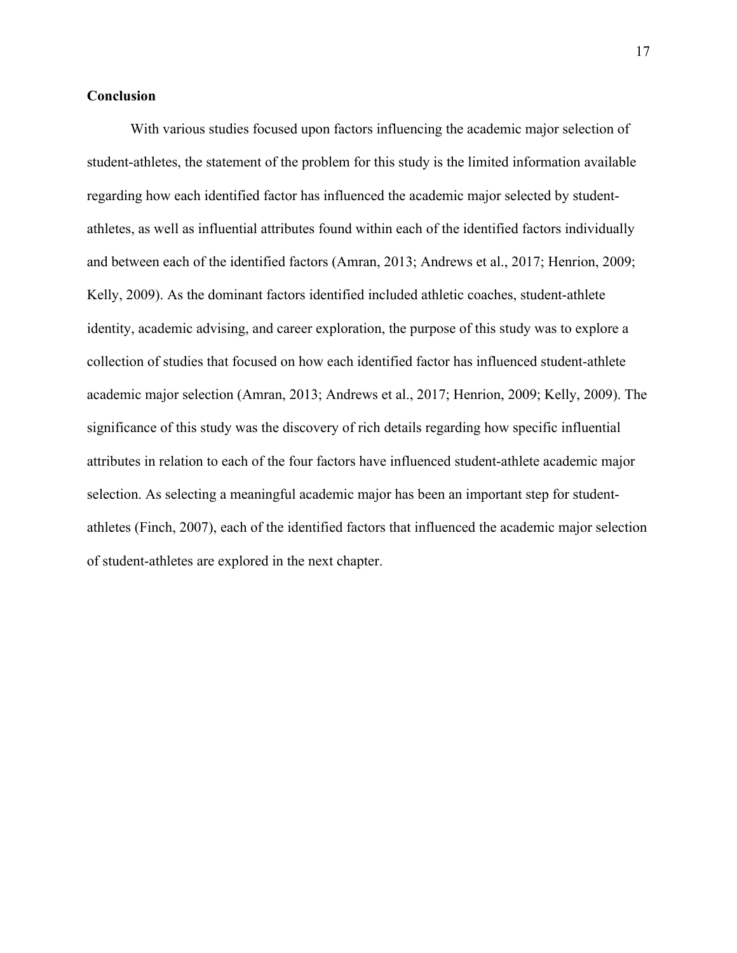## **Conclusion**

With various studies focused upon factors influencing the academic major selection of student-athletes, the statement of the problem for this study is the limited information available regarding how each identified factor has influenced the academic major selected by studentathletes, as well as influential attributes found within each of the identified factors individually and between each of the identified factors (Amran, 2013; Andrews et al., 2017; Henrion, 2009; Kelly, 2009). As the dominant factors identified included athletic coaches, student-athlete identity, academic advising, and career exploration, the purpose of this study was to explore a collection of studies that focused on how each identified factor has influenced student-athlete academic major selection (Amran, 2013; Andrews et al., 2017; Henrion, 2009; Kelly, 2009). The significance of this study was the discovery of rich details regarding how specific influential attributes in relation to each of the four factors have influenced student-athlete academic major selection. As selecting a meaningful academic major has been an important step for studentathletes (Finch, 2007), each of the identified factors that influenced the academic major selection of student-athletes are explored in the next chapter.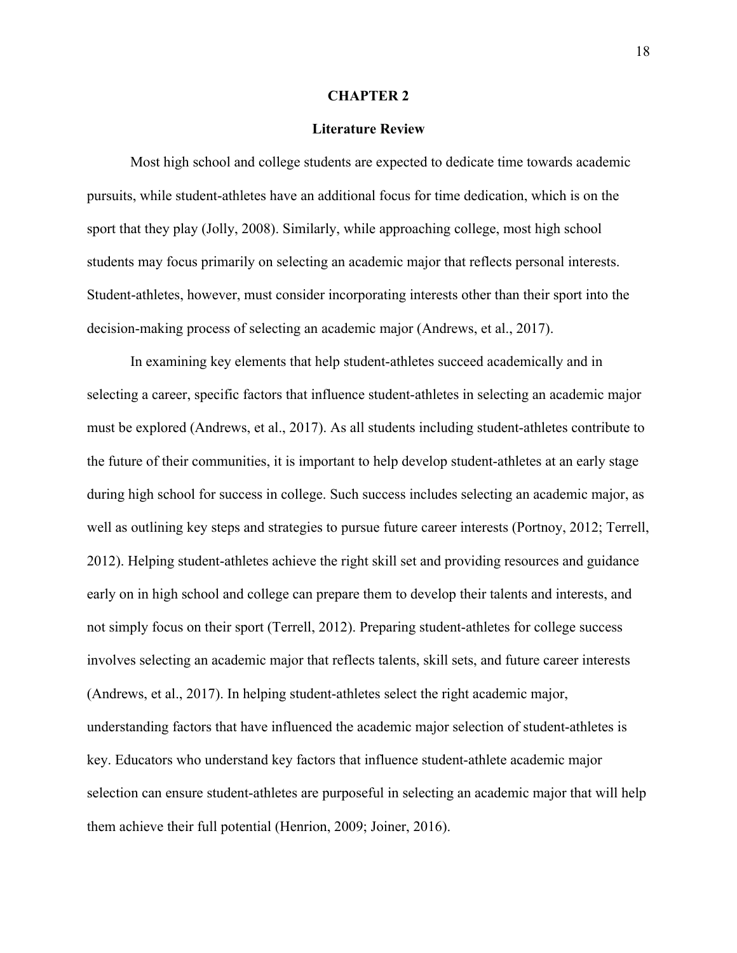#### **CHAPTER 2**

## **Literature Review**

Most high school and college students are expected to dedicate time towards academic pursuits, while student-athletes have an additional focus for time dedication, which is on the sport that they play (Jolly, 2008). Similarly, while approaching college, most high school students may focus primarily on selecting an academic major that reflects personal interests. Student-athletes, however, must consider incorporating interests other than their sport into the decision-making process of selecting an academic major (Andrews, et al., 2017).

In examining key elements that help student-athletes succeed academically and in selecting a career, specific factors that influence student-athletes in selecting an academic major must be explored (Andrews, et al., 2017). As all students including student-athletes contribute to the future of their communities, it is important to help develop student-athletes at an early stage during high school for success in college. Such success includes selecting an academic major, as well as outlining key steps and strategies to pursue future career interests (Portnoy, 2012; Terrell, 2012). Helping student-athletes achieve the right skill set and providing resources and guidance early on in high school and college can prepare them to develop their talents and interests, and not simply focus on their sport (Terrell, 2012). Preparing student-athletes for college success involves selecting an academic major that reflects talents, skill sets, and future career interests (Andrews, et al., 2017). In helping student-athletes select the right academic major, understanding factors that have influenced the academic major selection of student-athletes is key. Educators who understand key factors that influence student-athlete academic major selection can ensure student-athletes are purposeful in selecting an academic major that will help them achieve their full potential (Henrion, 2009; Joiner, 2016).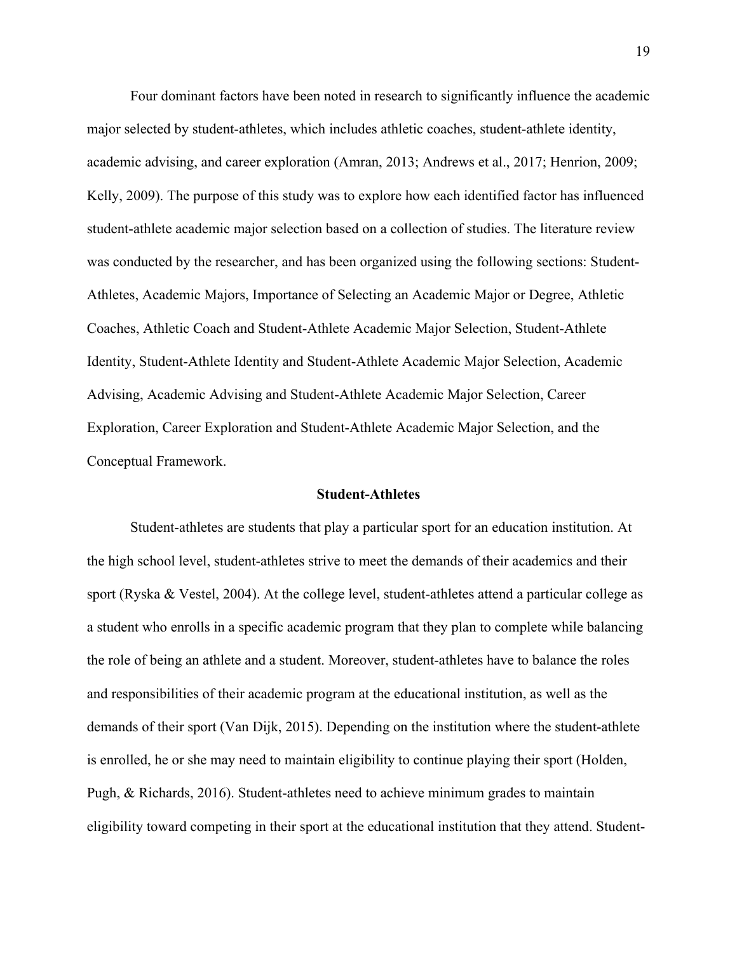Four dominant factors have been noted in research to significantly influence the academic major selected by student-athletes, which includes athletic coaches, student-athlete identity, academic advising, and career exploration (Amran, 2013; Andrews et al., 2017; Henrion, 2009; Kelly, 2009). The purpose of this study was to explore how each identified factor has influenced student-athlete academic major selection based on a collection of studies. The literature review was conducted by the researcher, and has been organized using the following sections: Student-Athletes, Academic Majors, Importance of Selecting an Academic Major or Degree, Athletic Coaches, Athletic Coach and Student-Athlete Academic Major Selection, Student-Athlete Identity, Student-Athlete Identity and Student-Athlete Academic Major Selection, Academic Advising, Academic Advising and Student-Athlete Academic Major Selection, Career Exploration, Career Exploration and Student-Athlete Academic Major Selection, and the Conceptual Framework.

## **Student-Athletes**

Student-athletes are students that play a particular sport for an education institution. At the high school level, student-athletes strive to meet the demands of their academics and their sport (Ryska & Vestel, 2004). At the college level, student-athletes attend a particular college as a student who enrolls in a specific academic program that they plan to complete while balancing the role of being an athlete and a student. Moreover, student-athletes have to balance the roles and responsibilities of their academic program at the educational institution, as well as the demands of their sport (Van Dijk, 2015). Depending on the institution where the student-athlete is enrolled, he or she may need to maintain eligibility to continue playing their sport (Holden, Pugh, & Richards, 2016). Student-athletes need to achieve minimum grades to maintain eligibility toward competing in their sport at the educational institution that they attend. Student-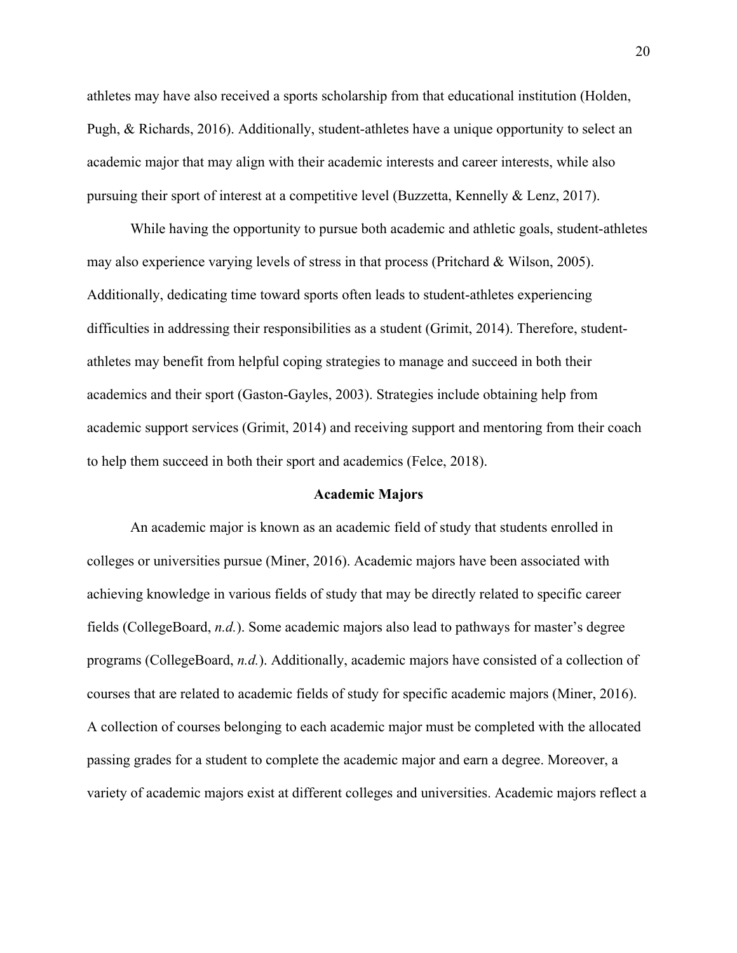athletes may have also received a sports scholarship from that educational institution (Holden, Pugh, & Richards, 2016). Additionally, student-athletes have a unique opportunity to select an academic major that may align with their academic interests and career interests, while also pursuing their sport of interest at a competitive level (Buzzetta, Kennelly & Lenz, 2017).

While having the opportunity to pursue both academic and athletic goals, student-athletes may also experience varying levels of stress in that process (Pritchard & Wilson, 2005). Additionally, dedicating time toward sports often leads to student-athletes experiencing difficulties in addressing their responsibilities as a student (Grimit, 2014). Therefore, studentathletes may benefit from helpful coping strategies to manage and succeed in both their academics and their sport (Gaston-Gayles, 2003). Strategies include obtaining help from academic support services (Grimit, 2014) and receiving support and mentoring from their coach to help them succeed in both their sport and academics (Felce, 2018).

#### **Academic Majors**

An academic major is known as an academic field of study that students enrolled in colleges or universities pursue (Miner, 2016). Academic majors have been associated with achieving knowledge in various fields of study that may be directly related to specific career fields (CollegeBoard, *n.d.*). Some academic majors also lead to pathways for master's degree programs (CollegeBoard, *n.d.*). Additionally, academic majors have consisted of a collection of courses that are related to academic fields of study for specific academic majors (Miner, 2016). A collection of courses belonging to each academic major must be completed with the allocated passing grades for a student to complete the academic major and earn a degree. Moreover, a variety of academic majors exist at different colleges and universities. Academic majors reflect a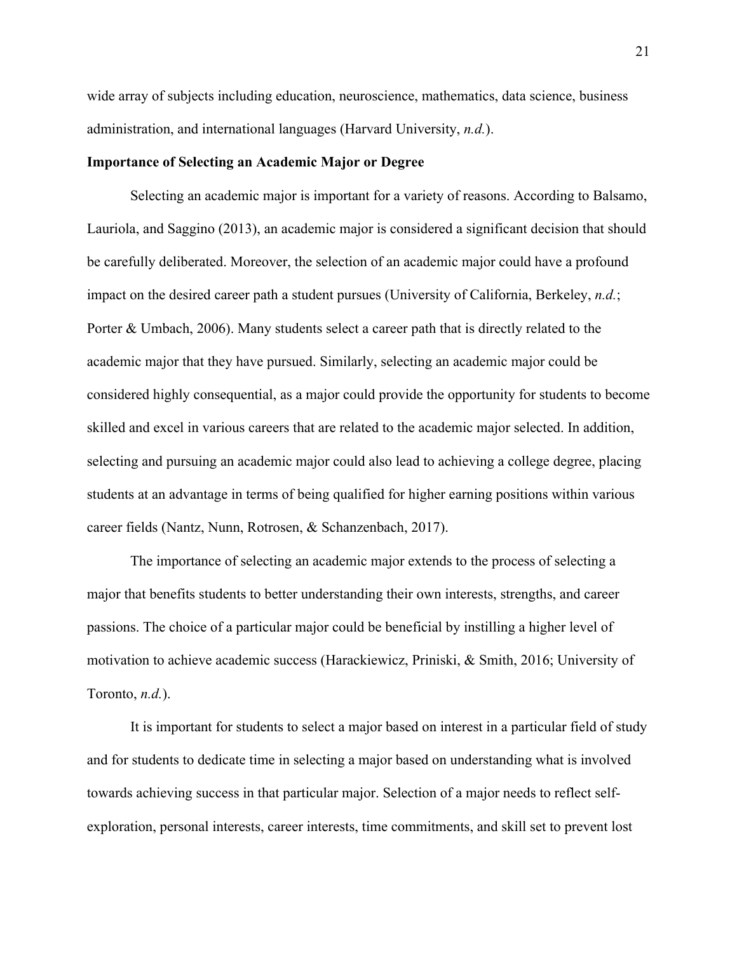wide array of subjects including education, neuroscience, mathematics, data science, business administration, and international languages (Harvard University, *n.d.*).

## **Importance of Selecting an Academic Major or Degree**

Selecting an academic major is important for a variety of reasons. According to Balsamo, Lauriola, and Saggino (2013), an academic major is considered a significant decision that should be carefully deliberated. Moreover, the selection of an academic major could have a profound impact on the desired career path a student pursues (University of California, Berkeley, *n.d.*; Porter & Umbach, 2006). Many students select a career path that is directly related to the academic major that they have pursued. Similarly, selecting an academic major could be considered highly consequential, as a major could provide the opportunity for students to become skilled and excel in various careers that are related to the academic major selected. In addition, selecting and pursuing an academic major could also lead to achieving a college degree, placing students at an advantage in terms of being qualified for higher earning positions within various career fields (Nantz, Nunn, Rotrosen, & Schanzenbach, 2017).

The importance of selecting an academic major extends to the process of selecting a major that benefits students to better understanding their own interests, strengths, and career passions. The choice of a particular major could be beneficial by instilling a higher level of motivation to achieve academic success (Harackiewicz, Priniski, & Smith, 2016; University of Toronto, *n.d.*).

It is important for students to select a major based on interest in a particular field of study and for students to dedicate time in selecting a major based on understanding what is involved towards achieving success in that particular major. Selection of a major needs to reflect selfexploration, personal interests, career interests, time commitments, and skill set to prevent lost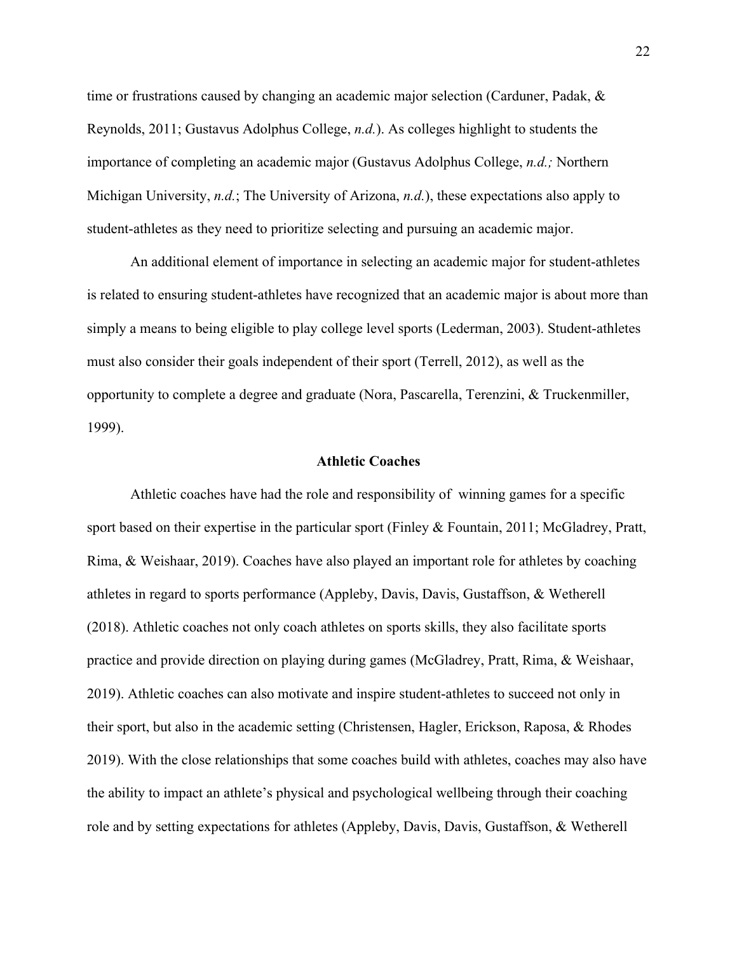time or frustrations caused by changing an academic major selection (Carduner, Padak, & Reynolds, 2011; Gustavus Adolphus College, *n.d.*). As colleges highlight to students the importance of completing an academic major (Gustavus Adolphus College, *n.d.;* Northern Michigan University, *n.d.*; The University of Arizona, *n.d.*), these expectations also apply to student-athletes as they need to prioritize selecting and pursuing an academic major.

An additional element of importance in selecting an academic major for student-athletes is related to ensuring student-athletes have recognized that an academic major is about more than simply a means to being eligible to play college level sports (Lederman, 2003). Student-athletes must also consider their goals independent of their sport (Terrell, 2012), as well as the opportunity to complete a degree and graduate (Nora, Pascarella, Terenzini, & Truckenmiller, 1999).

#### **Athletic Coaches**

Athletic coaches have had the role and responsibility of winning games for a specific sport based on their expertise in the particular sport (Finley & Fountain, 2011; McGladrey, Pratt, Rima, & Weishaar, 2019). Coaches have also played an important role for athletes by coaching athletes in regard to sports performance (Appleby, Davis, Davis, Gustaffson, & Wetherell (2018). Athletic coaches not only coach athletes on sports skills, they also facilitate sports practice and provide direction on playing during games (McGladrey, Pratt, Rima, & Weishaar, 2019). Athletic coaches can also motivate and inspire student-athletes to succeed not only in their sport, but also in the academic setting (Christensen, Hagler, Erickson, Raposa, & Rhodes 2019). With the close relationships that some coaches build with athletes, coaches may also have the ability to impact an athlete's physical and psychological wellbeing through their coaching role and by setting expectations for athletes (Appleby, Davis, Davis, Gustaffson, & Wetherell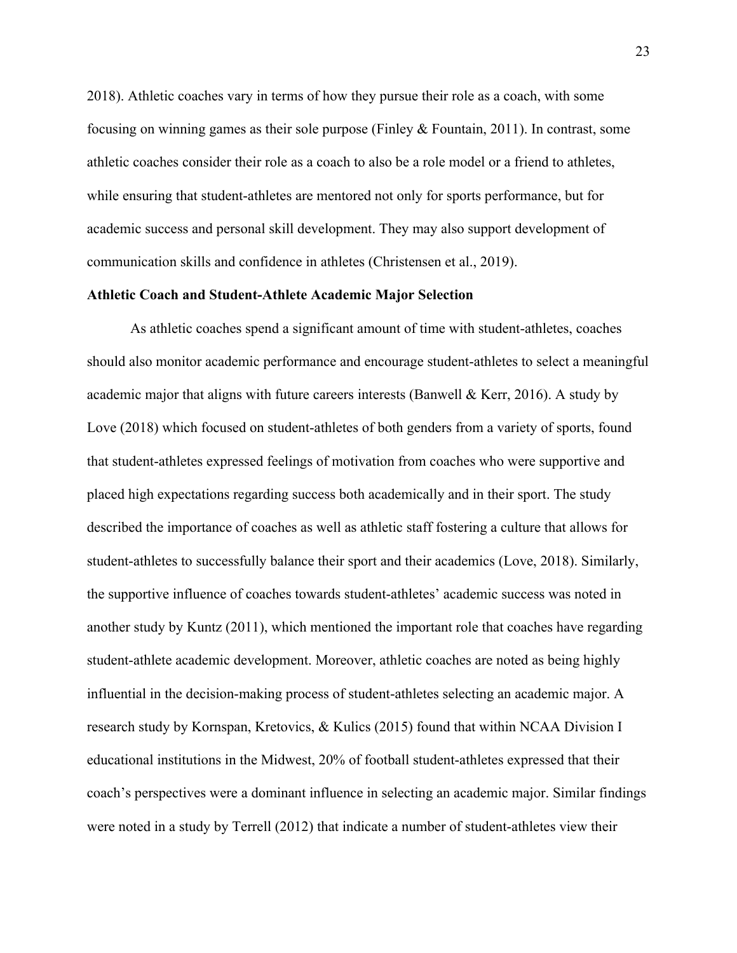2018). Athletic coaches vary in terms of how they pursue their role as a coach, with some focusing on winning games as their sole purpose (Finley & Fountain, 2011). In contrast, some athletic coaches consider their role as a coach to also be a role model or a friend to athletes, while ensuring that student-athletes are mentored not only for sports performance, but for academic success and personal skill development. They may also support development of communication skills and confidence in athletes (Christensen et al., 2019).

#### **Athletic Coach and Student-Athlete Academic Major Selection**

As athletic coaches spend a significant amount of time with student-athletes, coaches should also monitor academic performance and encourage student-athletes to select a meaningful academic major that aligns with future careers interests (Banwell & Kerr, 2016). A study by Love (2018) which focused on student-athletes of both genders from a variety of sports, found that student-athletes expressed feelings of motivation from coaches who were supportive and placed high expectations regarding success both academically and in their sport. The study described the importance of coaches as well as athletic staff fostering a culture that allows for student-athletes to successfully balance their sport and their academics (Love, 2018). Similarly, the supportive influence of coaches towards student-athletes' academic success was noted in another study by Kuntz (2011), which mentioned the important role that coaches have regarding student-athlete academic development. Moreover, athletic coaches are noted as being highly influential in the decision-making process of student-athletes selecting an academic major. A research study by Kornspan, Kretovics, & Kulics (2015) found that within NCAA Division I educational institutions in the Midwest, 20% of football student-athletes expressed that their coach's perspectives were a dominant influence in selecting an academic major. Similar findings were noted in a study by Terrell (2012) that indicate a number of student-athletes view their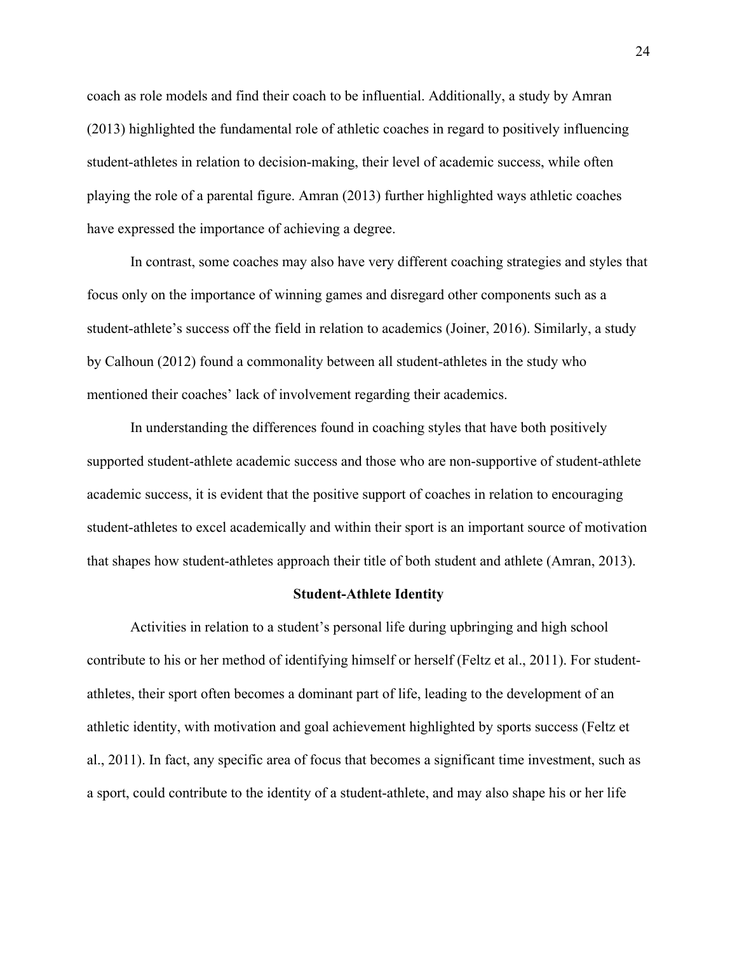coach as role models and find their coach to be influential. Additionally, a study by Amran (2013) highlighted the fundamental role of athletic coaches in regard to positively influencing student-athletes in relation to decision-making, their level of academic success, while often playing the role of a parental figure. Amran (2013) further highlighted ways athletic coaches have expressed the importance of achieving a degree.

In contrast, some coaches may also have very different coaching strategies and styles that focus only on the importance of winning games and disregard other components such as a student-athlete's success off the field in relation to academics (Joiner, 2016). Similarly, a study by Calhoun (2012) found a commonality between all student-athletes in the study who mentioned their coaches' lack of involvement regarding their academics.

In understanding the differences found in coaching styles that have both positively supported student-athlete academic success and those who are non-supportive of student-athlete academic success, it is evident that the positive support of coaches in relation to encouraging student-athletes to excel academically and within their sport is an important source of motivation that shapes how student-athletes approach their title of both student and athlete (Amran, 2013).

#### **Student-Athlete Identity**

Activities in relation to a student's personal life during upbringing and high school contribute to his or her method of identifying himself or herself (Feltz et al., 2011). For studentathletes, their sport often becomes a dominant part of life, leading to the development of an athletic identity, with motivation and goal achievement highlighted by sports success (Feltz et al., 2011). In fact, any specific area of focus that becomes a significant time investment, such as a sport, could contribute to the identity of a student-athlete, and may also shape his or her life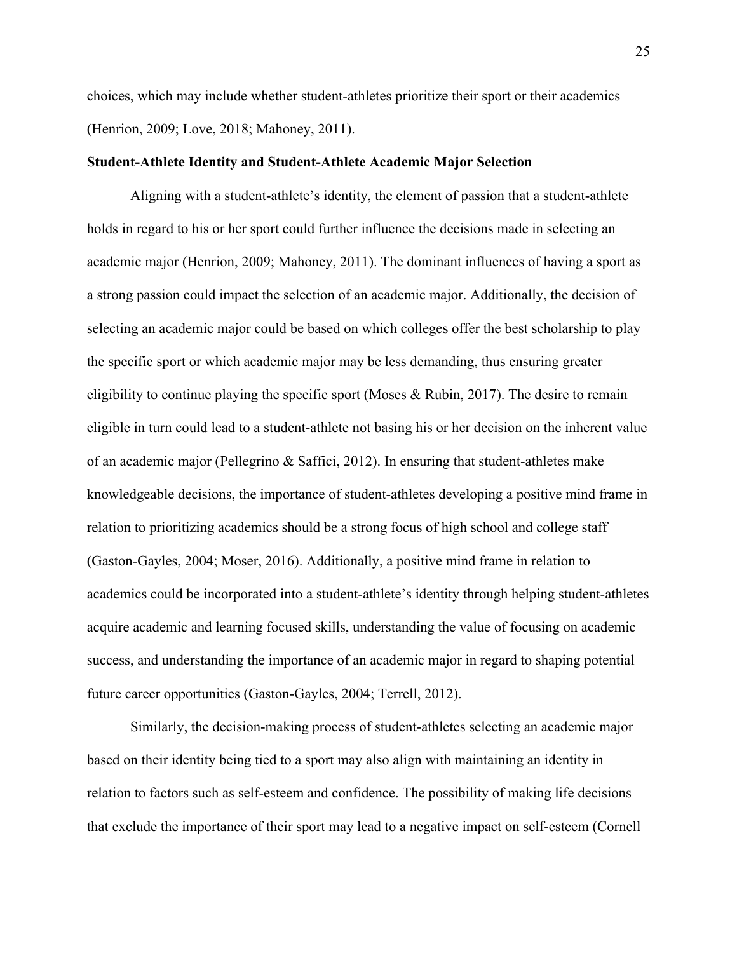choices, which may include whether student-athletes prioritize their sport or their academics (Henrion, 2009; Love, 2018; Mahoney, 2011).

### **Student-Athlete Identity and Student-Athlete Academic Major Selection**

Aligning with a student-athlete's identity, the element of passion that a student-athlete holds in regard to his or her sport could further influence the decisions made in selecting an academic major (Henrion, 2009; Mahoney, 2011). The dominant influences of having a sport as a strong passion could impact the selection of an academic major. Additionally, the decision of selecting an academic major could be based on which colleges offer the best scholarship to play the specific sport or which academic major may be less demanding, thus ensuring greater eligibility to continue playing the specific sport (Moses & Rubin, 2017). The desire to remain eligible in turn could lead to a student-athlete not basing his or her decision on the inherent value of an academic major (Pellegrino & Saffici, 2012). In ensuring that student-athletes make knowledgeable decisions, the importance of student-athletes developing a positive mind frame in relation to prioritizing academics should be a strong focus of high school and college staff (Gaston-Gayles, 2004; Moser, 2016). Additionally, a positive mind frame in relation to academics could be incorporated into a student-athlete's identity through helping student-athletes acquire academic and learning focused skills, understanding the value of focusing on academic success, and understanding the importance of an academic major in regard to shaping potential future career opportunities (Gaston-Gayles, 2004; Terrell, 2012).

Similarly, the decision-making process of student-athletes selecting an academic major based on their identity being tied to a sport may also align with maintaining an identity in relation to factors such as self-esteem and confidence. The possibility of making life decisions that exclude the importance of their sport may lead to a negative impact on self-esteem (Cornell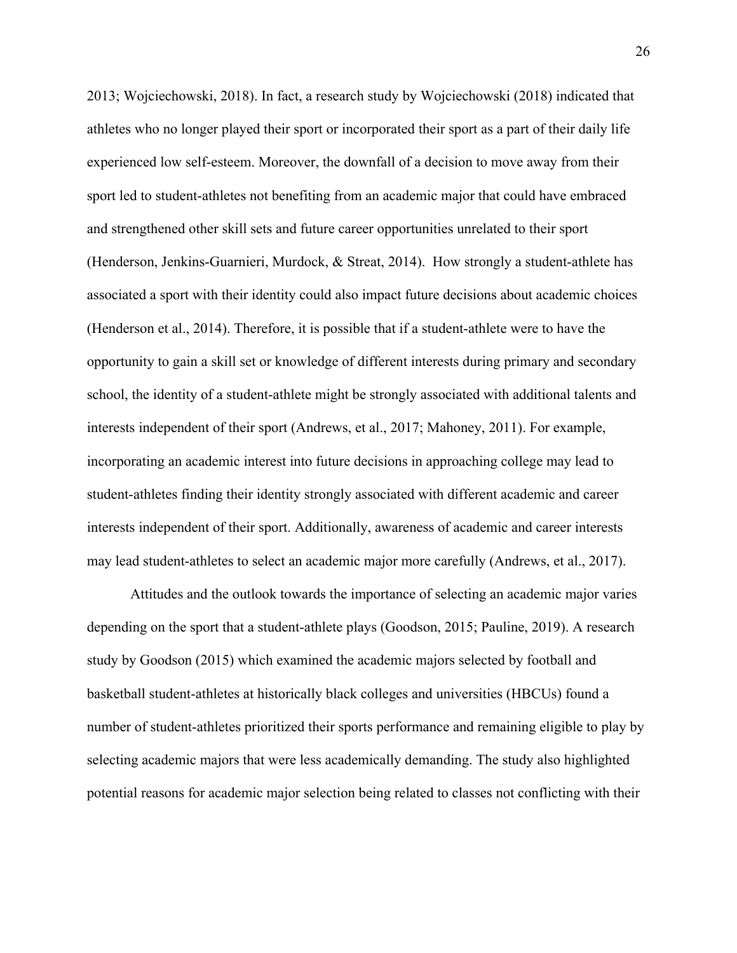2013; Wojciechowski, 2018). In fact, a research study by Wojciechowski (2018) indicated that athletes who no longer played their sport or incorporated their sport as a part of their daily life experienced low self-esteem. Moreover, the downfall of a decision to move away from their sport led to student-athletes not benefiting from an academic major that could have embraced and strengthened other skill sets and future career opportunities unrelated to their sport (Henderson, Jenkins-Guarnieri, Murdock, & Streat, 2014). How strongly a student-athlete has associated a sport with their identity could also impact future decisions about academic choices (Henderson et al., 2014). Therefore, it is possible that if a student-athlete were to have the opportunity to gain a skill set or knowledge of different interests during primary and secondary school, the identity of a student-athlete might be strongly associated with additional talents and interests independent of their sport (Andrews, et al., 2017; Mahoney, 2011). For example, incorporating an academic interest into future decisions in approaching college may lead to student-athletes finding their identity strongly associated with different academic and career interests independent of their sport. Additionally, awareness of academic and career interests may lead student-athletes to select an academic major more carefully (Andrews, et al., 2017).

Attitudes and the outlook towards the importance of selecting an academic major varies depending on the sport that a student-athlete plays (Goodson, 2015; Pauline, 2019). A research study by Goodson (2015) which examined the academic majors selected by football and basketball student-athletes at historically black colleges and universities (HBCUs) found a number of student-athletes prioritized their sports performance and remaining eligible to play by selecting academic majors that were less academically demanding. The study also highlighted potential reasons for academic major selection being related to classes not conflicting with their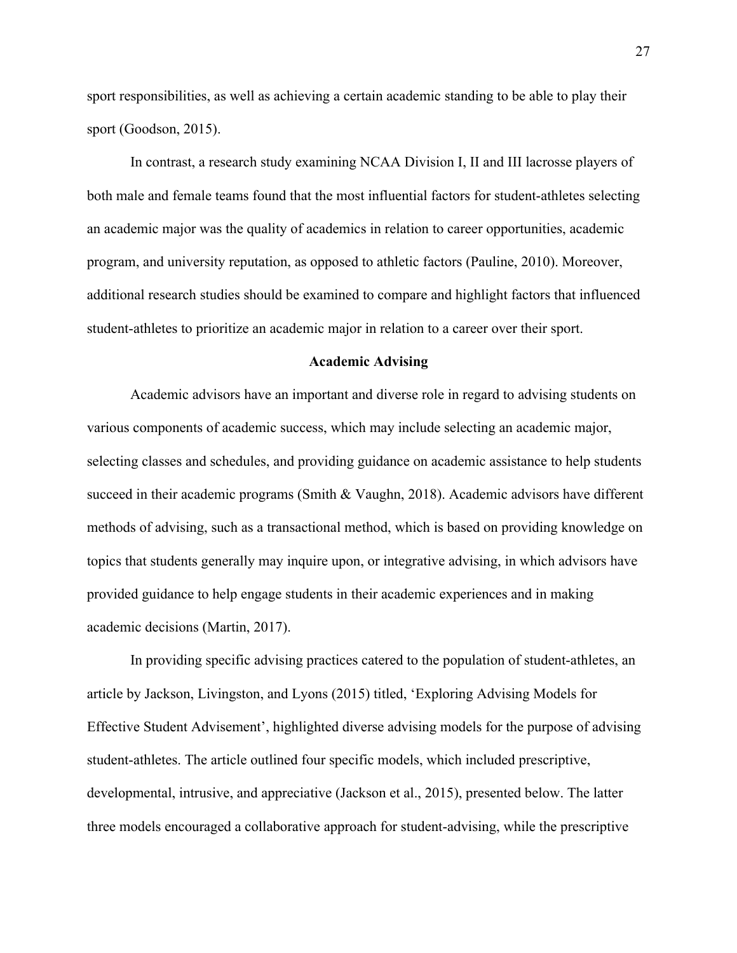sport responsibilities, as well as achieving a certain academic standing to be able to play their sport (Goodson, 2015).

In contrast, a research study examining NCAA Division I, II and III lacrosse players of both male and female teams found that the most influential factors for student-athletes selecting an academic major was the quality of academics in relation to career opportunities, academic program, and university reputation, as opposed to athletic factors (Pauline, 2010). Moreover, additional research studies should be examined to compare and highlight factors that influenced student-athletes to prioritize an academic major in relation to a career over their sport.

#### **Academic Advising**

Academic advisors have an important and diverse role in regard to advising students on various components of academic success, which may include selecting an academic major, selecting classes and schedules, and providing guidance on academic assistance to help students succeed in their academic programs (Smith & Vaughn, 2018). Academic advisors have different methods of advising, such as a transactional method, which is based on providing knowledge on topics that students generally may inquire upon, or integrative advising, in which advisors have provided guidance to help engage students in their academic experiences and in making academic decisions (Martin, 2017).

In providing specific advising practices catered to the population of student-athletes, an article by Jackson, Livingston, and Lyons (2015) titled, 'Exploring Advising Models for Effective Student Advisement', highlighted diverse advising models for the purpose of advising student-athletes. The article outlined four specific models, which included prescriptive, developmental, intrusive, and appreciative (Jackson et al., 2015), presented below. The latter three models encouraged a collaborative approach for student-advising, while the prescriptive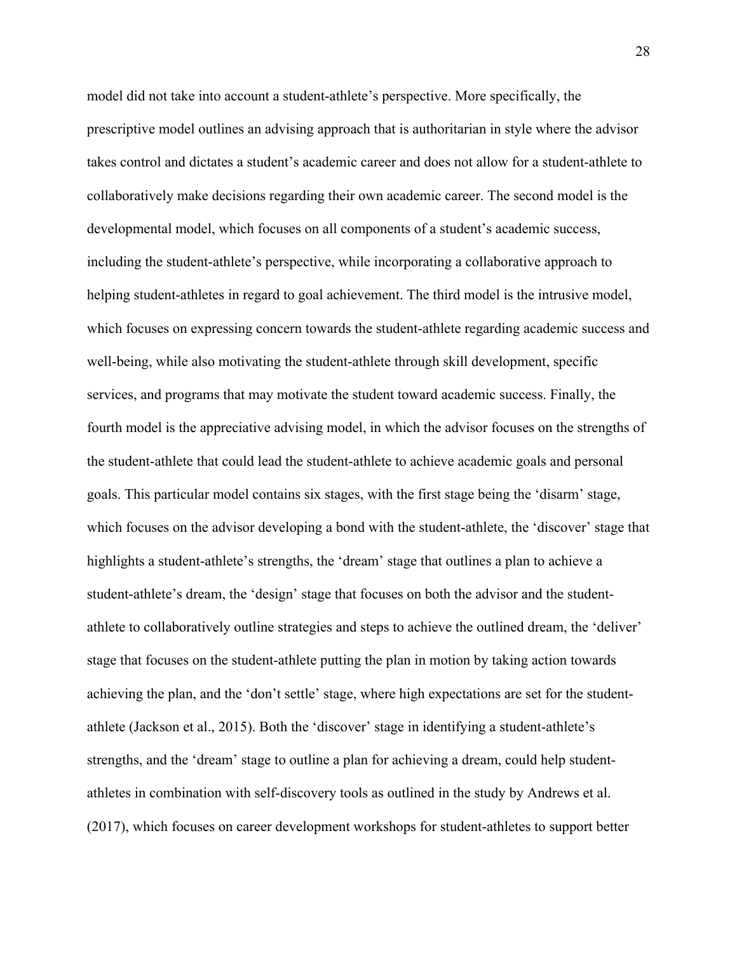model did not take into account a student-athlete's perspective. More specifically, the prescriptive model outlines an advising approach that is authoritarian in style where the advisor takes control and dictates a student's academic career and does not allow for a student-athlete to collaboratively make decisions regarding their own academic career. The second model is the developmental model, which focuses on all components of a student's academic success, including the student-athlete's perspective, while incorporating a collaborative approach to helping student-athletes in regard to goal achievement. The third model is the intrusive model, which focuses on expressing concern towards the student-athlete regarding academic success and well-being, while also motivating the student-athlete through skill development, specific services, and programs that may motivate the student toward academic success. Finally, the fourth model is the appreciative advising model, in which the advisor focuses on the strengths of the student-athlete that could lead the student-athlete to achieve academic goals and personal goals. This particular model contains six stages, with the first stage being the 'disarm' stage, which focuses on the advisor developing a bond with the student-athlete, the 'discover' stage that highlights a student-athlete's strengths, the 'dream' stage that outlines a plan to achieve a student-athlete's dream, the 'design' stage that focuses on both the advisor and the studentathlete to collaboratively outline strategies and steps to achieve the outlined dream, the 'deliver' stage that focuses on the student-athlete putting the plan in motion by taking action towards achieving the plan, and the 'don't settle' stage, where high expectations are set for the studentathlete (Jackson et al., 2015). Both the 'discover' stage in identifying a student-athlete's strengths, and the 'dream' stage to outline a plan for achieving a dream, could help studentathletes in combination with self-discovery tools as outlined in the study by Andrews et al. (2017), which focuses on career development workshops for student-athletes to support better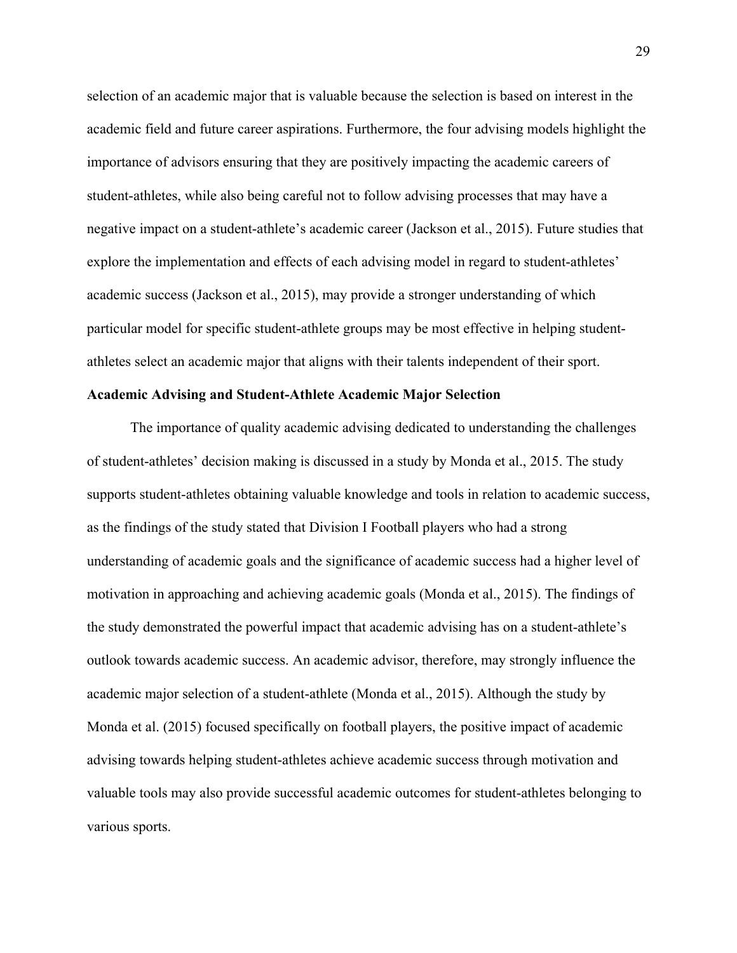selection of an academic major that is valuable because the selection is based on interest in the academic field and future career aspirations. Furthermore, the four advising models highlight the importance of advisors ensuring that they are positively impacting the academic careers of student-athletes, while also being careful not to follow advising processes that may have a negative impact on a student-athlete's academic career (Jackson et al., 2015). Future studies that explore the implementation and effects of each advising model in regard to student-athletes' academic success (Jackson et al., 2015), may provide a stronger understanding of which particular model for specific student-athlete groups may be most effective in helping studentathletes select an academic major that aligns with their talents independent of their sport.

# **Academic Advising and Student-Athlete Academic Major Selection**

The importance of quality academic advising dedicated to understanding the challenges of student-athletes' decision making is discussed in a study by Monda et al., 2015. The study supports student-athletes obtaining valuable knowledge and tools in relation to academic success, as the findings of the study stated that Division I Football players who had a strong understanding of academic goals and the significance of academic success had a higher level of motivation in approaching and achieving academic goals (Monda et al., 2015). The findings of the study demonstrated the powerful impact that academic advising has on a student-athlete's outlook towards academic success. An academic advisor, therefore, may strongly influence the academic major selection of a student-athlete (Monda et al., 2015). Although the study by Monda et al. (2015) focused specifically on football players, the positive impact of academic advising towards helping student-athletes achieve academic success through motivation and valuable tools may also provide successful academic outcomes for student-athletes belonging to various sports.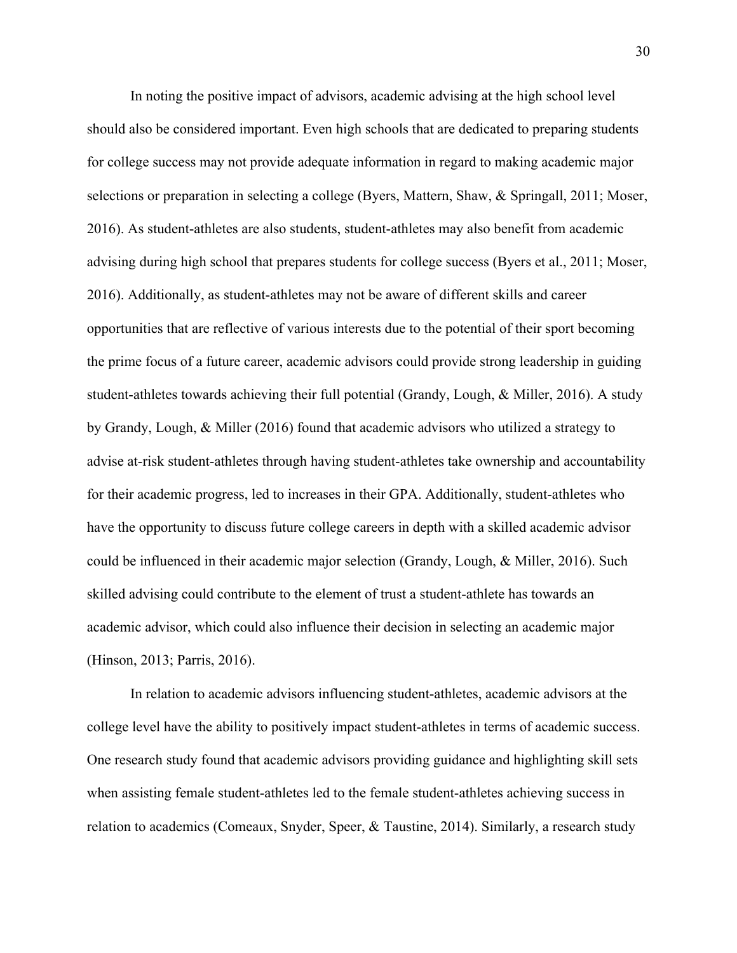In noting the positive impact of advisors, academic advising at the high school level should also be considered important. Even high schools that are dedicated to preparing students for college success may not provide adequate information in regard to making academic major selections or preparation in selecting a college (Byers, Mattern, Shaw, & Springall, 2011; Moser, 2016). As student-athletes are also students, student-athletes may also benefit from academic advising during high school that prepares students for college success (Byers et al., 2011; Moser, 2016). Additionally, as student-athletes may not be aware of different skills and career opportunities that are reflective of various interests due to the potential of their sport becoming the prime focus of a future career, academic advisors could provide strong leadership in guiding student-athletes towards achieving their full potential (Grandy, Lough, & Miller, 2016). A study by Grandy, Lough, & Miller (2016) found that academic advisors who utilized a strategy to advise at-risk student-athletes through having student-athletes take ownership and accountability for their academic progress, led to increases in their GPA. Additionally, student-athletes who have the opportunity to discuss future college careers in depth with a skilled academic advisor could be influenced in their academic major selection (Grandy, Lough, & Miller, 2016). Such skilled advising could contribute to the element of trust a student-athlete has towards an academic advisor, which could also influence their decision in selecting an academic major (Hinson, 2013; Parris, 2016).

In relation to academic advisors influencing student-athletes, academic advisors at the college level have the ability to positively impact student-athletes in terms of academic success. One research study found that academic advisors providing guidance and highlighting skill sets when assisting female student-athletes led to the female student-athletes achieving success in relation to academics (Comeaux, Snyder, Speer, & Taustine, 2014). Similarly, a research study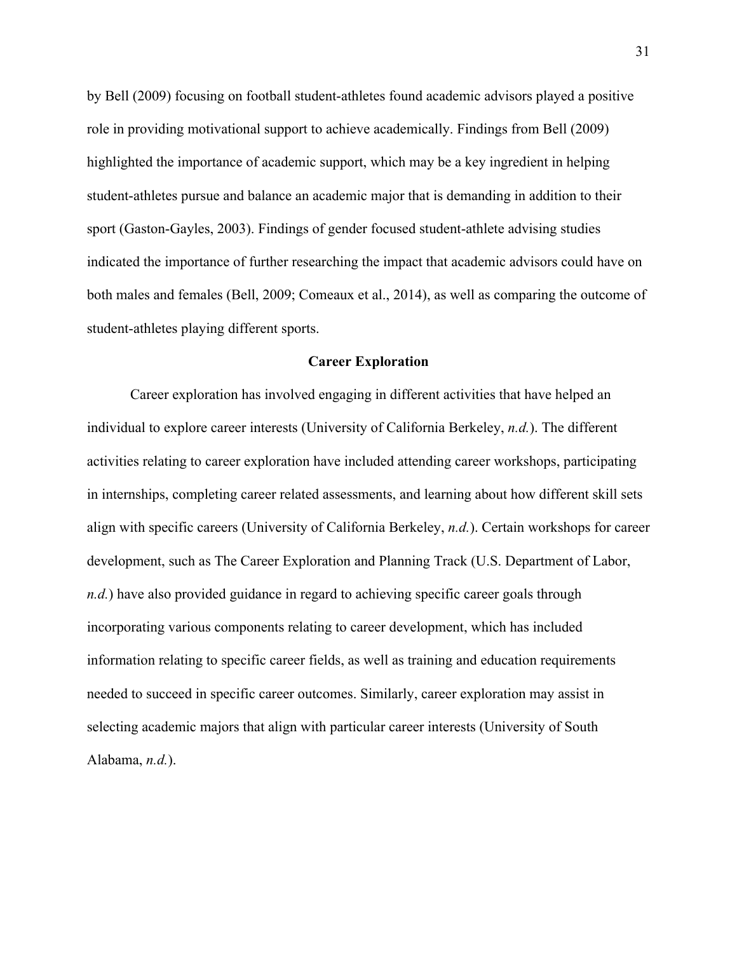by Bell (2009) focusing on football student-athletes found academic advisors played a positive role in providing motivational support to achieve academically. Findings from Bell (2009) highlighted the importance of academic support, which may be a key ingredient in helping student-athletes pursue and balance an academic major that is demanding in addition to their sport (Gaston-Gayles, 2003). Findings of gender focused student-athlete advising studies indicated the importance of further researching the impact that academic advisors could have on both males and females (Bell, 2009; Comeaux et al., 2014), as well as comparing the outcome of student-athletes playing different sports.

### **Career Exploration**

Career exploration has involved engaging in different activities that have helped an individual to explore career interests (University of California Berkeley, *n.d.*). The different activities relating to career exploration have included attending career workshops, participating in internships, completing career related assessments, and learning about how different skill sets align with specific careers (University of California Berkeley, *n.d.*). Certain workshops for career development, such as The Career Exploration and Planning Track (U.S. Department of Labor, *n.d.*) have also provided guidance in regard to achieving specific career goals through incorporating various components relating to career development, which has included information relating to specific career fields, as well as training and education requirements needed to succeed in specific career outcomes. Similarly, career exploration may assist in selecting academic majors that align with particular career interests (University of South Alabama, *n.d.*).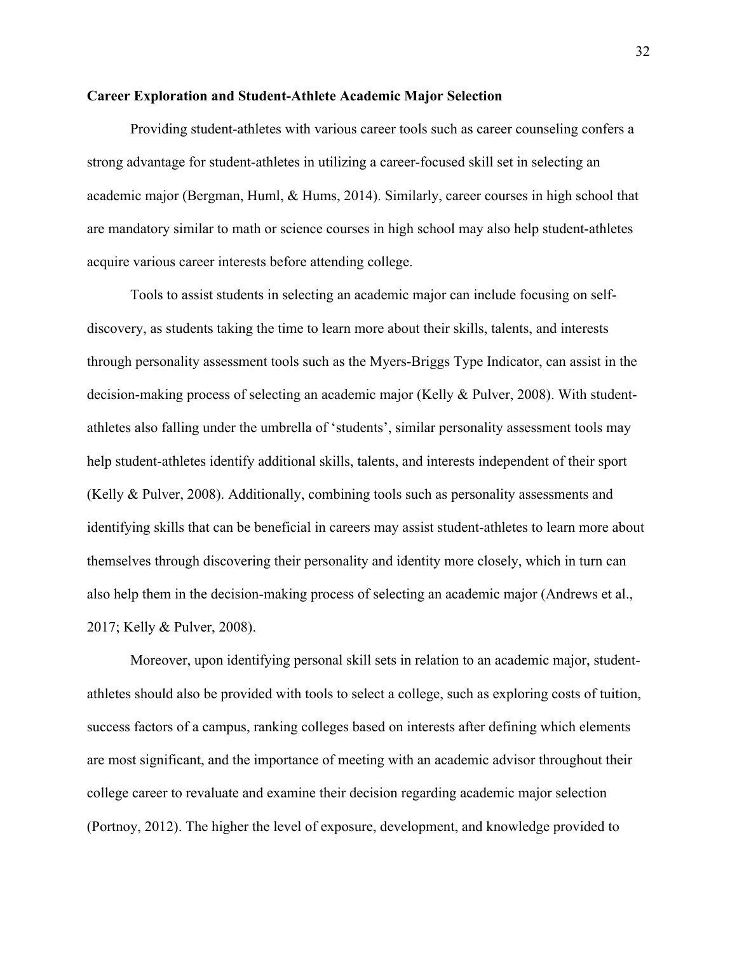## **Career Exploration and Student-Athlete Academic Major Selection**

Providing student-athletes with various career tools such as career counseling confers a strong advantage for student-athletes in utilizing a career-focused skill set in selecting an academic major (Bergman, Huml, & Hums, 2014). Similarly, career courses in high school that are mandatory similar to math or science courses in high school may also help student-athletes acquire various career interests before attending college.

Tools to assist students in selecting an academic major can include focusing on selfdiscovery, as students taking the time to learn more about their skills, talents, and interests through personality assessment tools such as the Myers-Briggs Type Indicator, can assist in the decision-making process of selecting an academic major (Kelly & Pulver, 2008). With studentathletes also falling under the umbrella of 'students', similar personality assessment tools may help student-athletes identify additional skills, talents, and interests independent of their sport (Kelly & Pulver, 2008). Additionally, combining tools such as personality assessments and identifying skills that can be beneficial in careers may assist student-athletes to learn more about themselves through discovering their personality and identity more closely, which in turn can also help them in the decision-making process of selecting an academic major (Andrews et al., 2017; Kelly & Pulver, 2008).

Moreover, upon identifying personal skill sets in relation to an academic major, studentathletes should also be provided with tools to select a college, such as exploring costs of tuition, success factors of a campus, ranking colleges based on interests after defining which elements are most significant, and the importance of meeting with an academic advisor throughout their college career to revaluate and examine their decision regarding academic major selection (Portnoy, 2012). The higher the level of exposure, development, and knowledge provided to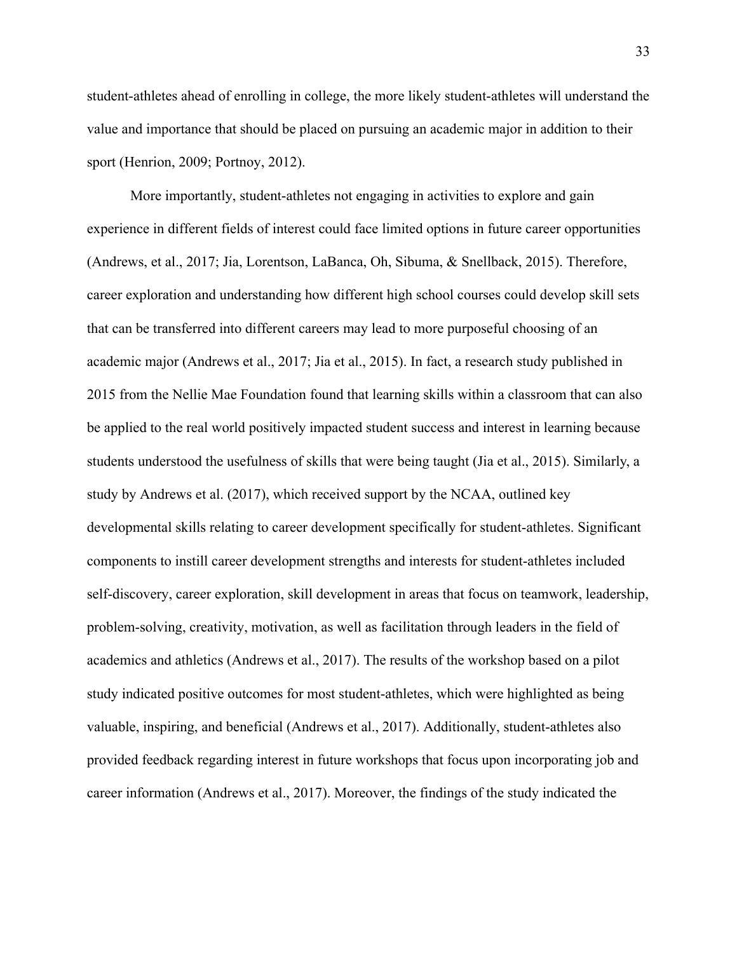student-athletes ahead of enrolling in college, the more likely student-athletes will understand the value and importance that should be placed on pursuing an academic major in addition to their sport (Henrion, 2009; Portnoy, 2012).

More importantly, student-athletes not engaging in activities to explore and gain experience in different fields of interest could face limited options in future career opportunities (Andrews, et al., 2017; Jia, Lorentson, LaBanca, Oh, Sibuma, & Snellback, 2015). Therefore, career exploration and understanding how different high school courses could develop skill sets that can be transferred into different careers may lead to more purposeful choosing of an academic major (Andrews et al., 2017; Jia et al., 2015). In fact, a research study published in 2015 from the Nellie Mae Foundation found that learning skills within a classroom that can also be applied to the real world positively impacted student success and interest in learning because students understood the usefulness of skills that were being taught (Jia et al., 2015). Similarly, a study by Andrews et al. (2017), which received support by the NCAA, outlined key developmental skills relating to career development specifically for student-athletes. Significant components to instill career development strengths and interests for student-athletes included self-discovery, career exploration, skill development in areas that focus on teamwork, leadership, problem-solving, creativity, motivation, as well as facilitation through leaders in the field of academics and athletics (Andrews et al., 2017). The results of the workshop based on a pilot study indicated positive outcomes for most student-athletes, which were highlighted as being valuable, inspiring, and beneficial (Andrews et al., 2017). Additionally, student-athletes also provided feedback regarding interest in future workshops that focus upon incorporating job and career information (Andrews et al., 2017). Moreover, the findings of the study indicated the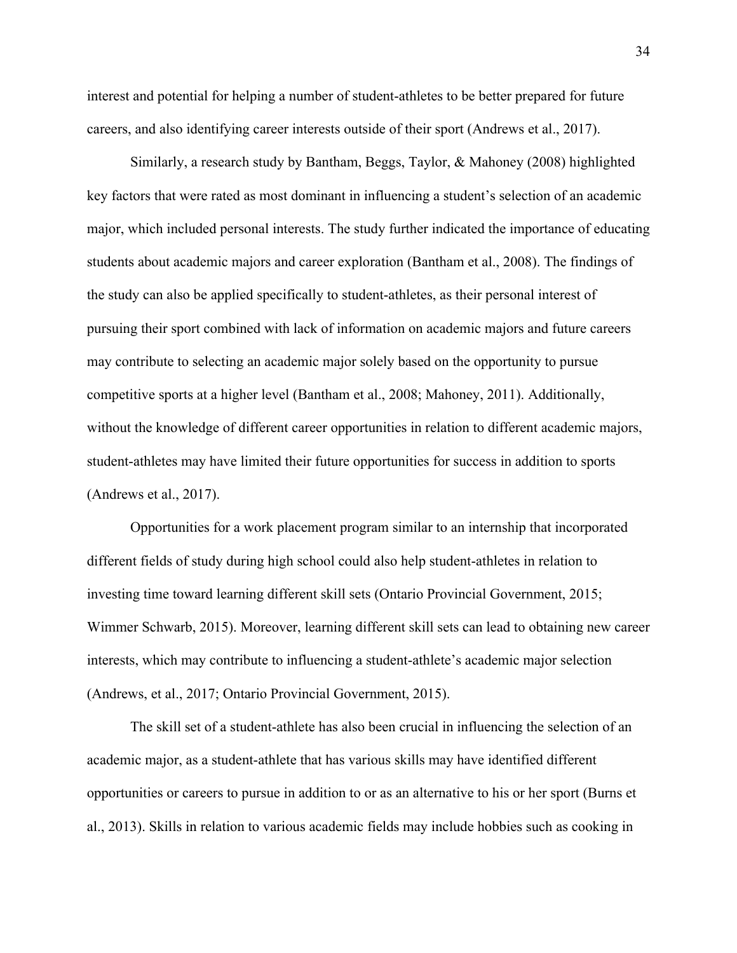interest and potential for helping a number of student-athletes to be better prepared for future careers, and also identifying career interests outside of their sport (Andrews et al., 2017).

Similarly, a research study by Bantham, Beggs, Taylor, & Mahoney (2008) highlighted key factors that were rated as most dominant in influencing a student's selection of an academic major, which included personal interests. The study further indicated the importance of educating students about academic majors and career exploration (Bantham et al., 2008). The findings of the study can also be applied specifically to student-athletes, as their personal interest of pursuing their sport combined with lack of information on academic majors and future careers may contribute to selecting an academic major solely based on the opportunity to pursue competitive sports at a higher level (Bantham et al., 2008; Mahoney, 2011). Additionally, without the knowledge of different career opportunities in relation to different academic majors, student-athletes may have limited their future opportunities for success in addition to sports (Andrews et al., 2017).

Opportunities for a work placement program similar to an internship that incorporated different fields of study during high school could also help student-athletes in relation to investing time toward learning different skill sets (Ontario Provincial Government, 2015; Wimmer Schwarb, 2015). Moreover, learning different skill sets can lead to obtaining new career interests, which may contribute to influencing a student-athlete's academic major selection (Andrews, et al., 2017; Ontario Provincial Government, 2015).

The skill set of a student-athlete has also been crucial in influencing the selection of an academic major, as a student-athlete that has various skills may have identified different opportunities or careers to pursue in addition to or as an alternative to his or her sport (Burns et al., 2013). Skills in relation to various academic fields may include hobbies such as cooking in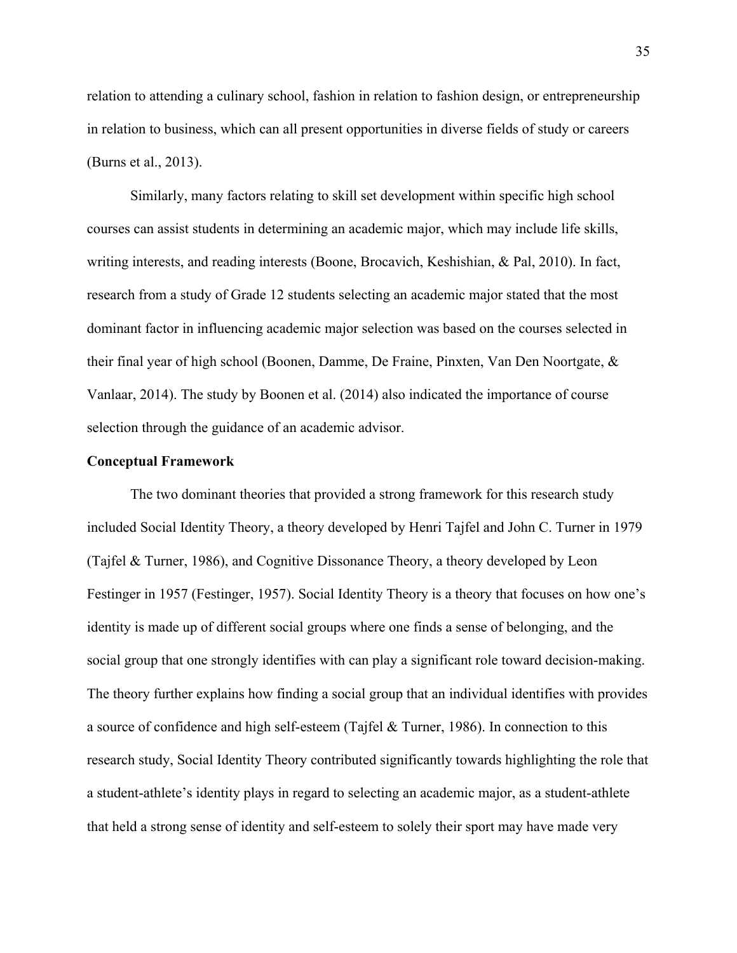relation to attending a culinary school, fashion in relation to fashion design, or entrepreneurship in relation to business, which can all present opportunities in diverse fields of study or careers (Burns et al., 2013).

Similarly, many factors relating to skill set development within specific high school courses can assist students in determining an academic major, which may include life skills, writing interests, and reading interests (Boone, Brocavich, Keshishian, & Pal, 2010). In fact, research from a study of Grade 12 students selecting an academic major stated that the most dominant factor in influencing academic major selection was based on the courses selected in their final year of high school (Boonen, Damme, De Fraine, Pinxten, Van Den Noortgate, & Vanlaar, 2014). The study by Boonen et al. (2014) also indicated the importance of course selection through the guidance of an academic advisor.

## **Conceptual Framework**

The two dominant theories that provided a strong framework for this research study included Social Identity Theory, a theory developed by Henri Tajfel and John C. Turner in 1979 (Tajfel & Turner, 1986), and Cognitive Dissonance Theory, a theory developed by Leon Festinger in 1957 (Festinger, 1957). Social Identity Theory is a theory that focuses on how one's identity is made up of different social groups where one finds a sense of belonging, and the social group that one strongly identifies with can play a significant role toward decision-making. The theory further explains how finding a social group that an individual identifies with provides a source of confidence and high self-esteem (Tajfel & Turner, 1986). In connection to this research study, Social Identity Theory contributed significantly towards highlighting the role that a student-athlete's identity plays in regard to selecting an academic major, as a student-athlete that held a strong sense of identity and self-esteem to solely their sport may have made very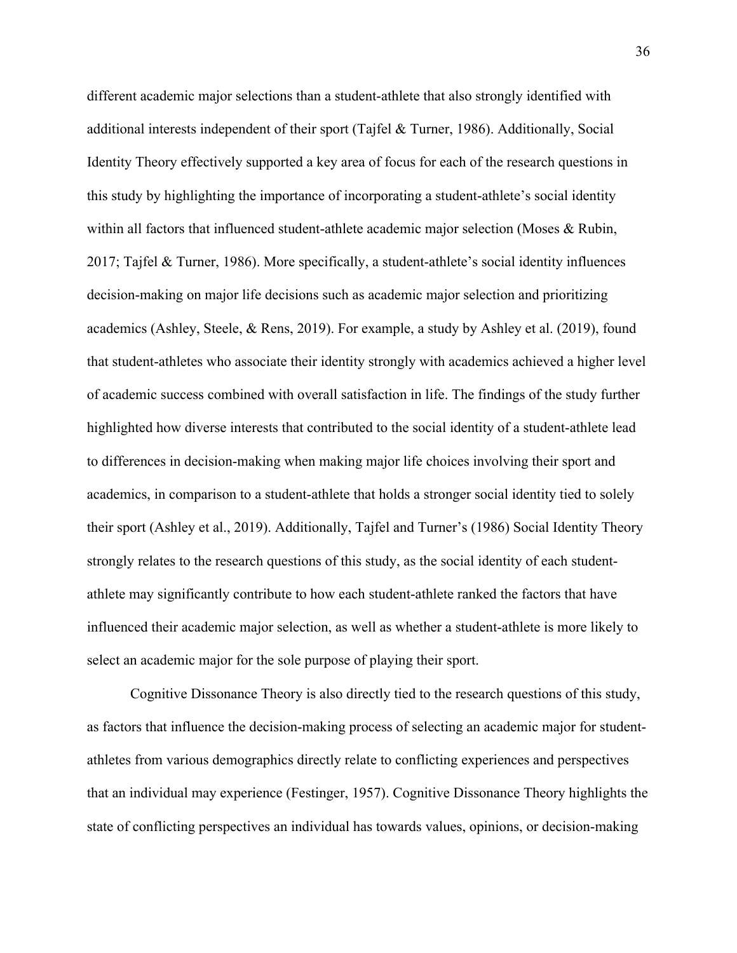different academic major selections than a student-athlete that also strongly identified with additional interests independent of their sport (Tajfel & Turner, 1986). Additionally, Social Identity Theory effectively supported a key area of focus for each of the research questions in this study by highlighting the importance of incorporating a student-athlete's social identity within all factors that influenced student-athlete academic major selection (Moses & Rubin, 2017; Tajfel & Turner, 1986). More specifically, a student-athlete's social identity influences decision-making on major life decisions such as academic major selection and prioritizing academics (Ashley, Steele, & Rens, 2019). For example, a study by Ashley et al. (2019), found that student-athletes who associate their identity strongly with academics achieved a higher level of academic success combined with overall satisfaction in life. The findings of the study further highlighted how diverse interests that contributed to the social identity of a student-athlete lead to differences in decision-making when making major life choices involving their sport and academics, in comparison to a student-athlete that holds a stronger social identity tied to solely their sport (Ashley et al., 2019). Additionally, Tajfel and Turner's (1986) Social Identity Theory strongly relates to the research questions of this study, as the social identity of each studentathlete may significantly contribute to how each student-athlete ranked the factors that have influenced their academic major selection, as well as whether a student-athlete is more likely to select an academic major for the sole purpose of playing their sport.

Cognitive Dissonance Theory is also directly tied to the research questions of this study, as factors that influence the decision-making process of selecting an academic major for studentathletes from various demographics directly relate to conflicting experiences and perspectives that an individual may experience (Festinger, 1957). Cognitive Dissonance Theory highlights the state of conflicting perspectives an individual has towards values, opinions, or decision-making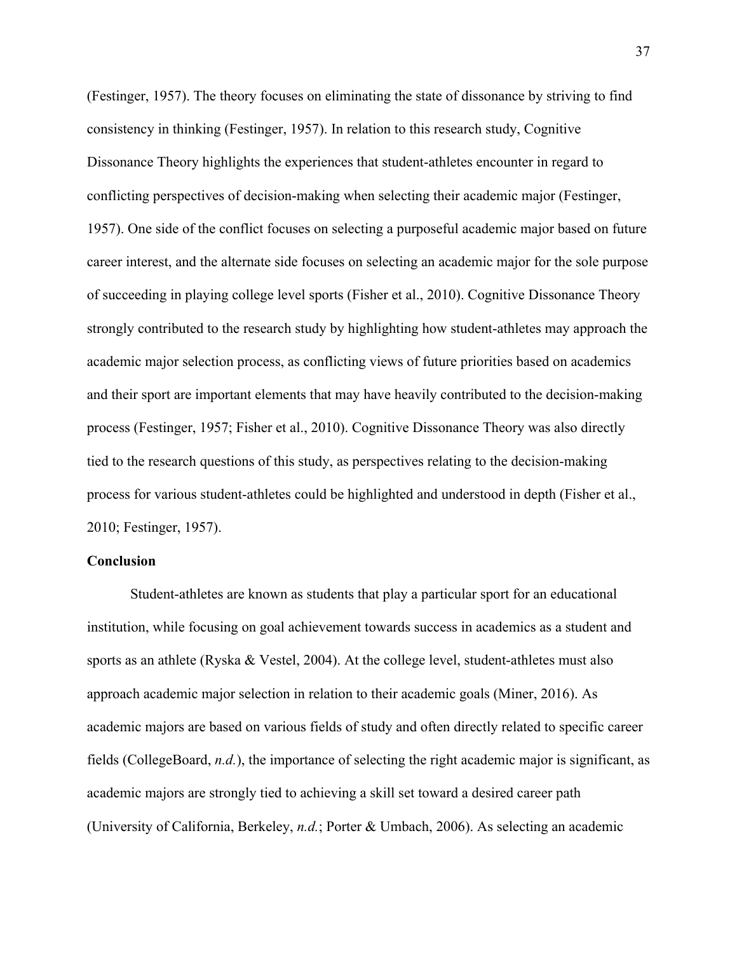(Festinger, 1957). The theory focuses on eliminating the state of dissonance by striving to find consistency in thinking (Festinger, 1957). In relation to this research study, Cognitive Dissonance Theory highlights the experiences that student-athletes encounter in regard to conflicting perspectives of decision-making when selecting their academic major (Festinger, 1957). One side of the conflict focuses on selecting a purposeful academic major based on future career interest, and the alternate side focuses on selecting an academic major for the sole purpose of succeeding in playing college level sports (Fisher et al., 2010). Cognitive Dissonance Theory strongly contributed to the research study by highlighting how student-athletes may approach the academic major selection process, as conflicting views of future priorities based on academics and their sport are important elements that may have heavily contributed to the decision-making process (Festinger, 1957; Fisher et al., 2010). Cognitive Dissonance Theory was also directly tied to the research questions of this study, as perspectives relating to the decision-making process for various student-athletes could be highlighted and understood in depth (Fisher et al., 2010; Festinger, 1957).

# **Conclusion**

Student-athletes are known as students that play a particular sport for an educational institution, while focusing on goal achievement towards success in academics as a student and sports as an athlete (Ryska & Vestel, 2004). At the college level, student-athletes must also approach academic major selection in relation to their academic goals (Miner, 2016). As academic majors are based on various fields of study and often directly related to specific career fields (CollegeBoard, *n.d.*), the importance of selecting the right academic major is significant, as academic majors are strongly tied to achieving a skill set toward a desired career path (University of California, Berkeley, *n.d.*; Porter & Umbach, 2006). As selecting an academic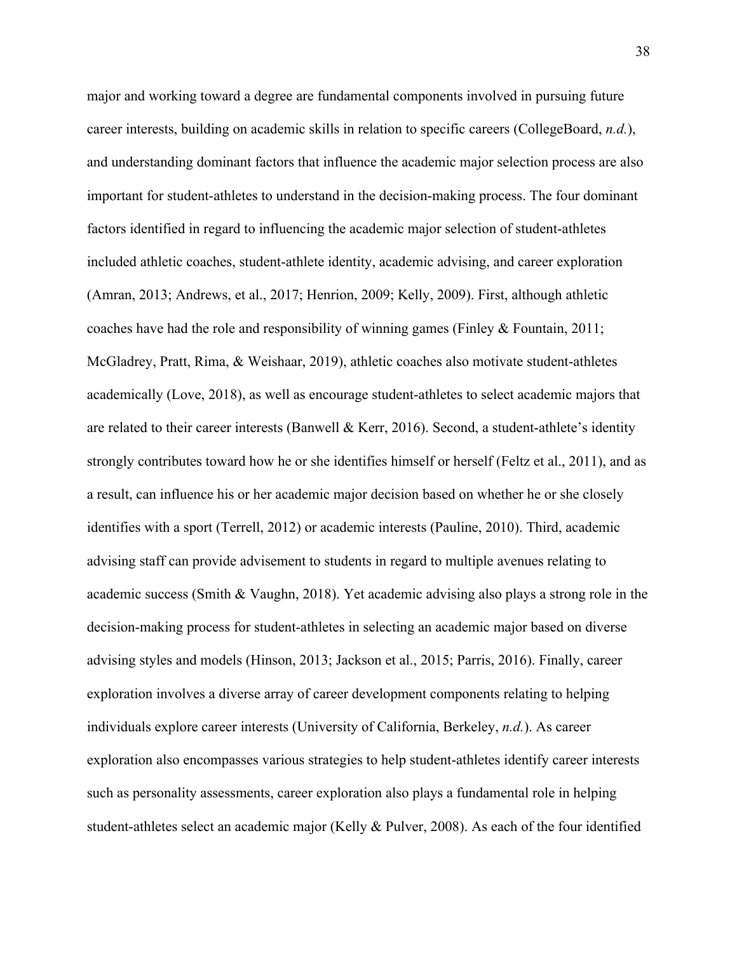major and working toward a degree are fundamental components involved in pursuing future career interests, building on academic skills in relation to specific careers (CollegeBoard, *n.d.*), and understanding dominant factors that influence the academic major selection process are also important for student-athletes to understand in the decision-making process. The four dominant factors identified in regard to influencing the academic major selection of student-athletes included athletic coaches, student-athlete identity, academic advising, and career exploration (Amran, 2013; Andrews, et al., 2017; Henrion, 2009; Kelly, 2009). First, although athletic coaches have had the role and responsibility of winning games (Finley & Fountain, 2011; McGladrey, Pratt, Rima, & Weishaar, 2019), athletic coaches also motivate student-athletes academically (Love, 2018), as well as encourage student-athletes to select academic majors that are related to their career interests (Banwell & Kerr, 2016). Second, a student-athlete's identity strongly contributes toward how he or she identifies himself or herself (Feltz et al., 2011), and as a result, can influence his or her academic major decision based on whether he or she closely identifies with a sport (Terrell, 2012) or academic interests (Pauline, 2010). Third, academic advising staff can provide advisement to students in regard to multiple avenues relating to academic success (Smith & Vaughn, 2018). Yet academic advising also plays a strong role in the decision-making process for student-athletes in selecting an academic major based on diverse advising styles and models (Hinson, 2013; Jackson et al., 2015; Parris, 2016). Finally, career exploration involves a diverse array of career development components relating to helping individuals explore career interests (University of California, Berkeley, *n.d.*). As career exploration also encompasses various strategies to help student-athletes identify career interests such as personality assessments, career exploration also plays a fundamental role in helping student-athletes select an academic major (Kelly & Pulver, 2008). As each of the four identified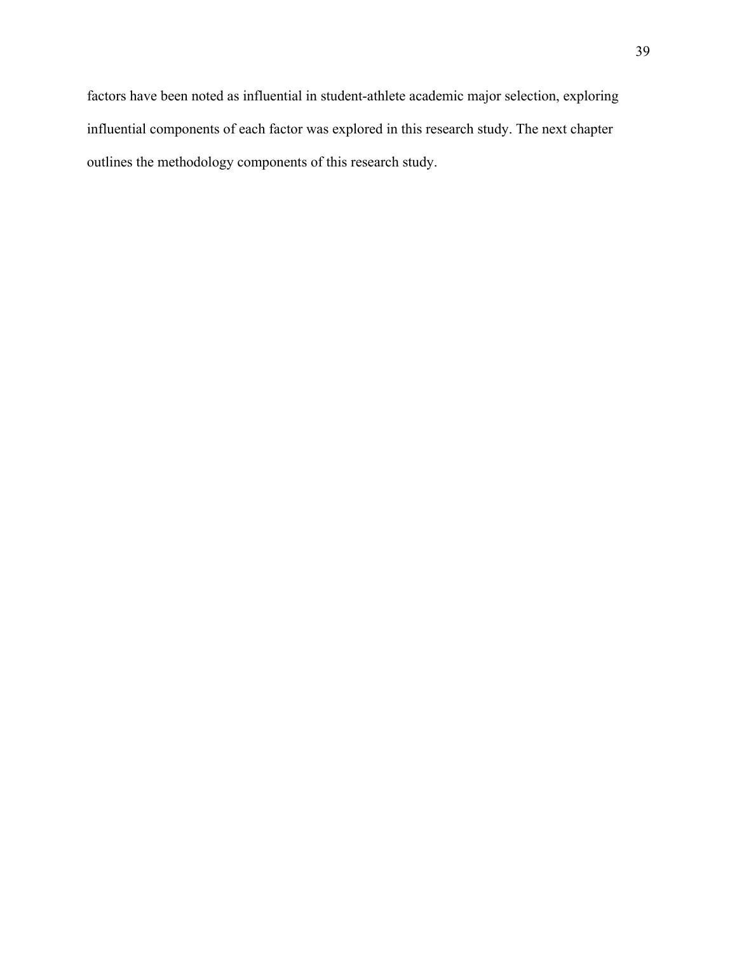factors have been noted as influential in student-athlete academic major selection, exploring influential components of each factor was explored in this research study. The next chapter outlines the methodology components of this research study.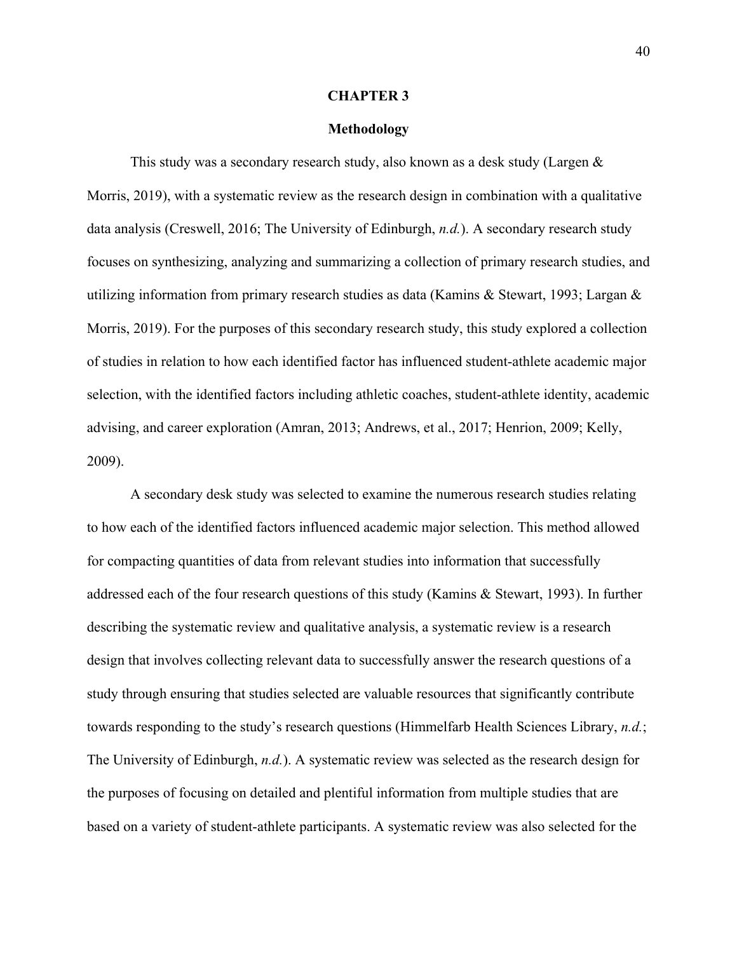## **CHAPTER 3**

# **Methodology**

This study was a secondary research study, also known as a desk study (Largen & Morris, 2019), with a systematic review as the research design in combination with a qualitative data analysis (Creswell, 2016; The University of Edinburgh, *n.d.*). A secondary research study focuses on synthesizing, analyzing and summarizing a collection of primary research studies, and utilizing information from primary research studies as data (Kamins & Stewart, 1993; Largan & Morris, 2019). For the purposes of this secondary research study, this study explored a collection of studies in relation to how each identified factor has influenced student-athlete academic major selection, with the identified factors including athletic coaches, student-athlete identity, academic advising, and career exploration (Amran, 2013; Andrews, et al., 2017; Henrion, 2009; Kelly, 2009).

A secondary desk study was selected to examine the numerous research studies relating to how each of the identified factors influenced academic major selection. This method allowed for compacting quantities of data from relevant studies into information that successfully addressed each of the four research questions of this study (Kamins & Stewart, 1993). In further describing the systematic review and qualitative analysis, a systematic review is a research design that involves collecting relevant data to successfully answer the research questions of a study through ensuring that studies selected are valuable resources that significantly contribute towards responding to the study's research questions (Himmelfarb Health Sciences Library, *n.d.*; The University of Edinburgh, *n.d.*). A systematic review was selected as the research design for the purposes of focusing on detailed and plentiful information from multiple studies that are based on a variety of student-athlete participants. A systematic review was also selected for the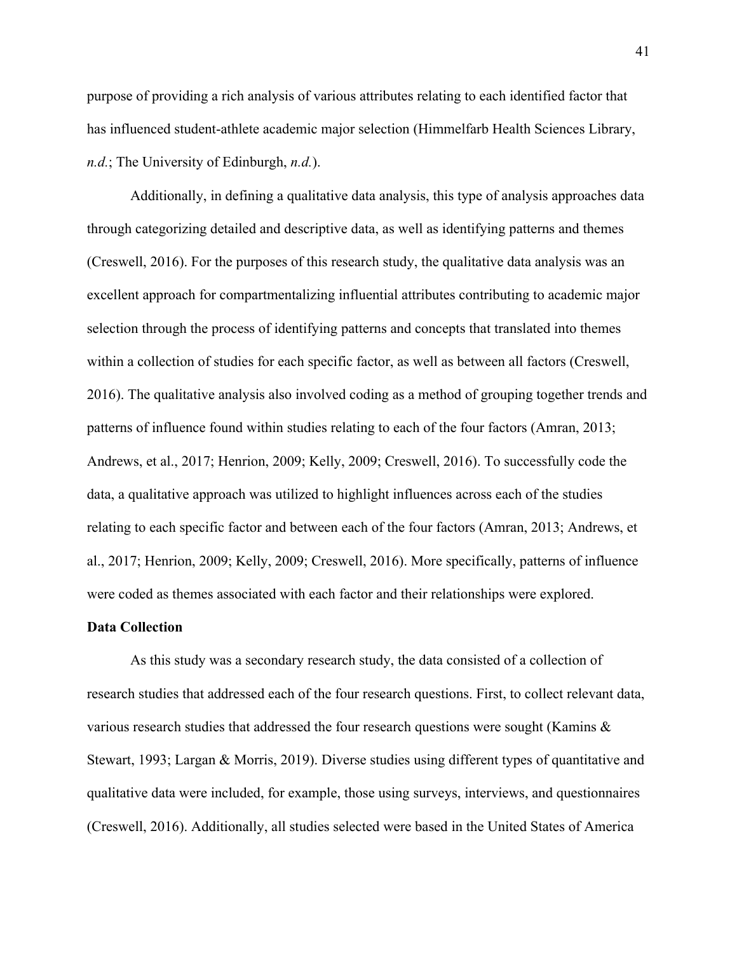purpose of providing a rich analysis of various attributes relating to each identified factor that has influenced student-athlete academic major selection (Himmelfarb Health Sciences Library, *n.d.*; The University of Edinburgh, *n.d.*).

Additionally, in defining a qualitative data analysis, this type of analysis approaches data through categorizing detailed and descriptive data, as well as identifying patterns and themes (Creswell, 2016). For the purposes of this research study, the qualitative data analysis was an excellent approach for compartmentalizing influential attributes contributing to academic major selection through the process of identifying patterns and concepts that translated into themes within a collection of studies for each specific factor, as well as between all factors (Creswell, 2016). The qualitative analysis also involved coding as a method of grouping together trends and patterns of influence found within studies relating to each of the four factors (Amran, 2013; Andrews, et al., 2017; Henrion, 2009; Kelly, 2009; Creswell, 2016). To successfully code the data, a qualitative approach was utilized to highlight influences across each of the studies relating to each specific factor and between each of the four factors (Amran, 2013; Andrews, et al., 2017; Henrion, 2009; Kelly, 2009; Creswell, 2016). More specifically, patterns of influence were coded as themes associated with each factor and their relationships were explored.

## **Data Collection**

As this study was a secondary research study, the data consisted of a collection of research studies that addressed each of the four research questions. First, to collect relevant data, various research studies that addressed the four research questions were sought (Kamins & Stewart, 1993; Largan & Morris, 2019). Diverse studies using different types of quantitative and qualitative data were included, for example, those using surveys, interviews, and questionnaires (Creswell, 2016). Additionally, all studies selected were based in the United States of America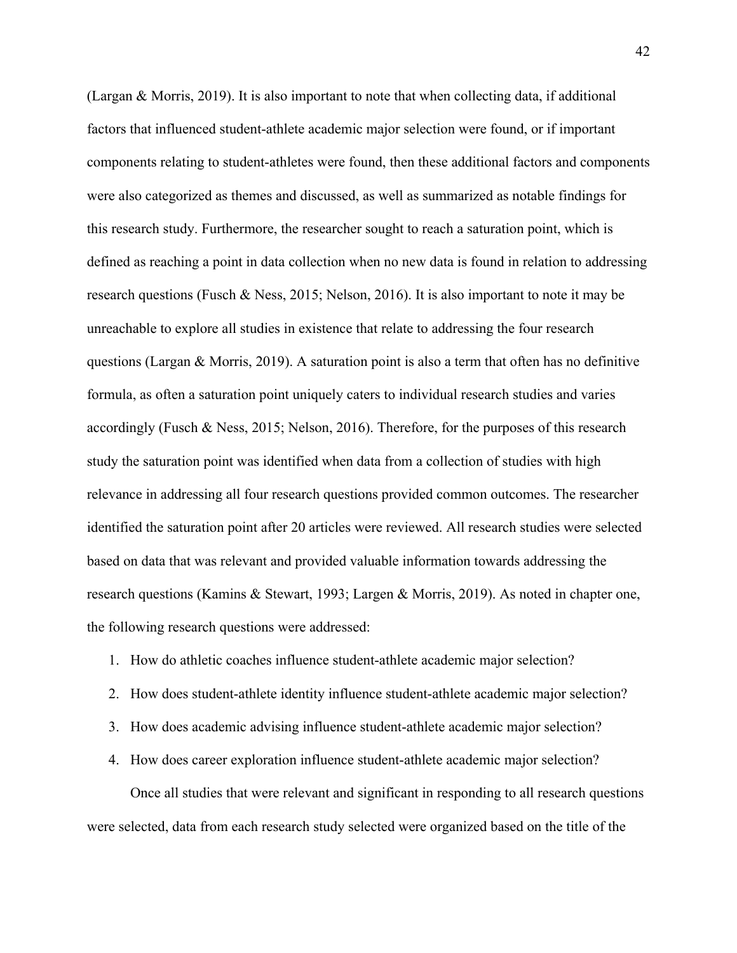(Largan & Morris, 2019). It is also important to note that when collecting data, if additional factors that influenced student-athlete academic major selection were found, or if important components relating to student-athletes were found, then these additional factors and components were also categorized as themes and discussed, as well as summarized as notable findings for this research study. Furthermore, the researcher sought to reach a saturation point, which is defined as reaching a point in data collection when no new data is found in relation to addressing research questions (Fusch & Ness, 2015; Nelson, 2016). It is also important to note it may be unreachable to explore all studies in existence that relate to addressing the four research questions (Largan & Morris, 2019). A saturation point is also a term that often has no definitive formula, as often a saturation point uniquely caters to individual research studies and varies accordingly (Fusch & Ness, 2015; Nelson, 2016). Therefore, for the purposes of this research study the saturation point was identified when data from a collection of studies with high relevance in addressing all four research questions provided common outcomes. The researcher identified the saturation point after 20 articles were reviewed. All research studies were selected based on data that was relevant and provided valuable information towards addressing the research questions (Kamins & Stewart, 1993; Largen & Morris, 2019). As noted in chapter one, the following research questions were addressed:

- 1. How do athletic coaches influence student-athlete academic major selection?
- 2. How does student-athlete identity influence student-athlete academic major selection?
- 3. How does academic advising influence student-athlete academic major selection?
- 4. How does career exploration influence student-athlete academic major selection?

Once all studies that were relevant and significant in responding to all research questions were selected, data from each research study selected were organized based on the title of the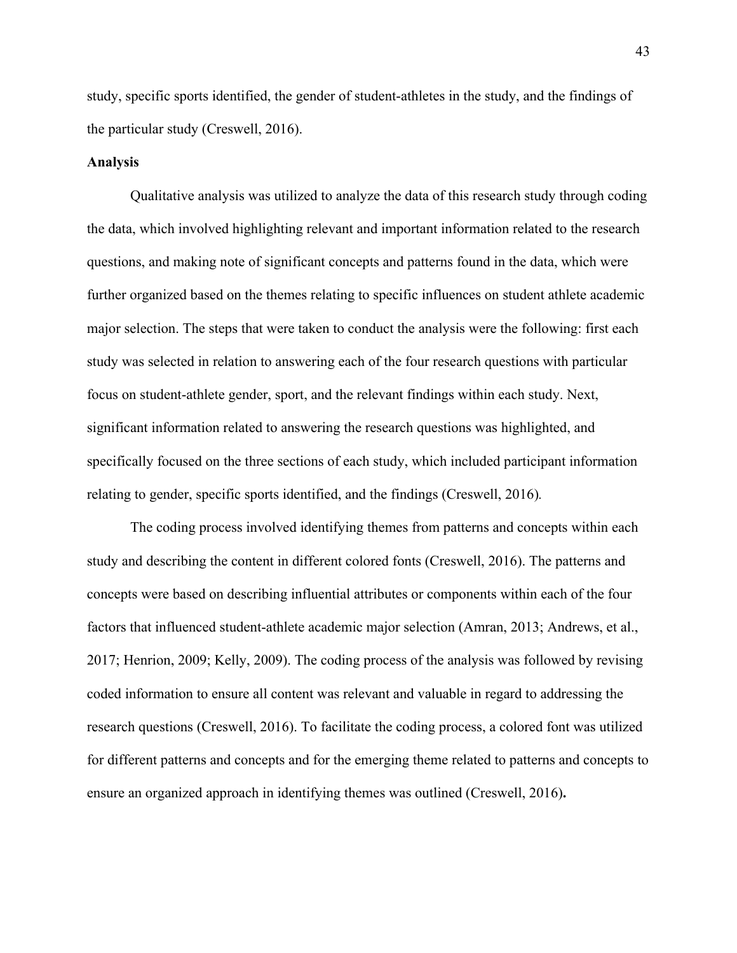study, specific sports identified, the gender of student-athletes in the study, and the findings of the particular study (Creswell, 2016).

## **Analysis**

Qualitative analysis was utilized to analyze the data of this research study through coding the data, which involved highlighting relevant and important information related to the research questions, and making note of significant concepts and patterns found in the data, which were further organized based on the themes relating to specific influences on student athlete academic major selection. The steps that were taken to conduct the analysis were the following: first each study was selected in relation to answering each of the four research questions with particular focus on student-athlete gender, sport, and the relevant findings within each study. Next, significant information related to answering the research questions was highlighted, and specifically focused on the three sections of each study, which included participant information relating to gender, specific sports identified, and the findings (Creswell, 2016)*.* 

The coding process involved identifying themes from patterns and concepts within each study and describing the content in different colored fonts (Creswell, 2016). The patterns and concepts were based on describing influential attributes or components within each of the four factors that influenced student-athlete academic major selection (Amran, 2013; Andrews, et al., 2017; Henrion, 2009; Kelly, 2009). The coding process of the analysis was followed by revising coded information to ensure all content was relevant and valuable in regard to addressing the research questions (Creswell, 2016). To facilitate the coding process, a colored font was utilized for different patterns and concepts and for the emerging theme related to patterns and concepts to ensure an organized approach in identifying themes was outlined (Creswell, 2016)**.**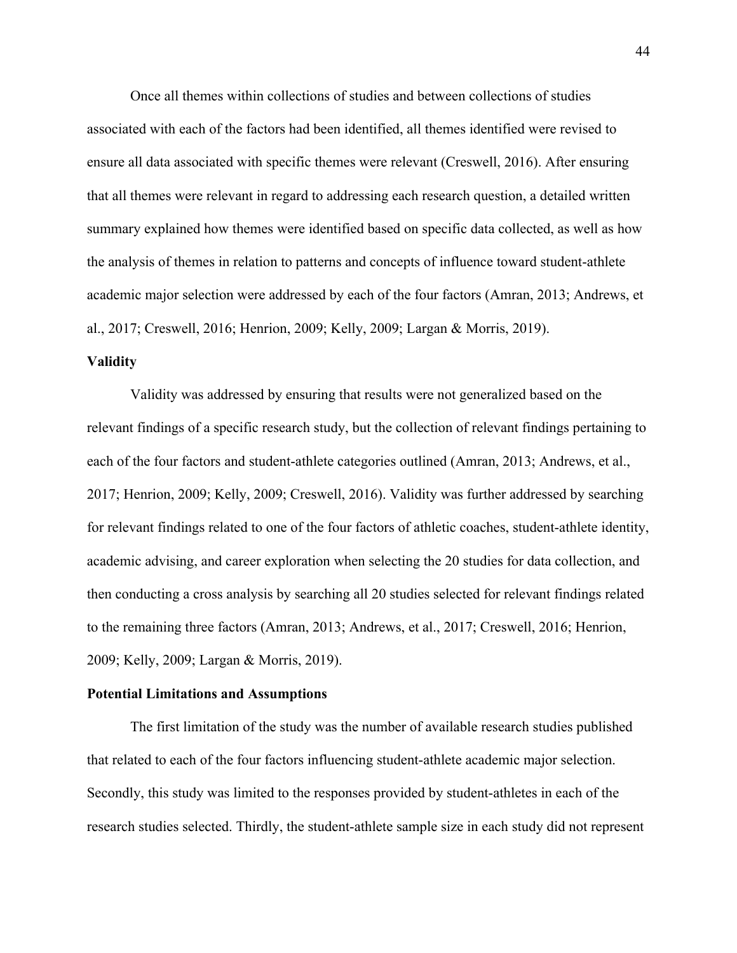Once all themes within collections of studies and between collections of studies associated with each of the factors had been identified, all themes identified were revised to ensure all data associated with specific themes were relevant (Creswell, 2016). After ensuring that all themes were relevant in regard to addressing each research question, a detailed written summary explained how themes were identified based on specific data collected, as well as how the analysis of themes in relation to patterns and concepts of influence toward student-athlete academic major selection were addressed by each of the four factors (Amran, 2013; Andrews, et al., 2017; Creswell, 2016; Henrion, 2009; Kelly, 2009; Largan & Morris, 2019).

# **Validity**

Validity was addressed by ensuring that results were not generalized based on the relevant findings of a specific research study, but the collection of relevant findings pertaining to each of the four factors and student-athlete categories outlined (Amran, 2013; Andrews, et al., 2017; Henrion, 2009; Kelly, 2009; Creswell, 2016). Validity was further addressed by searching for relevant findings related to one of the four factors of athletic coaches, student-athlete identity, academic advising, and career exploration when selecting the 20 studies for data collection, and then conducting a cross analysis by searching all 20 studies selected for relevant findings related to the remaining three factors (Amran, 2013; Andrews, et al., 2017; Creswell, 2016; Henrion, 2009; Kelly, 2009; Largan & Morris, 2019).

# **Potential Limitations and Assumptions**

The first limitation of the study was the number of available research studies published that related to each of the four factors influencing student-athlete academic major selection. Secondly, this study was limited to the responses provided by student-athletes in each of the research studies selected. Thirdly, the student-athlete sample size in each study did not represent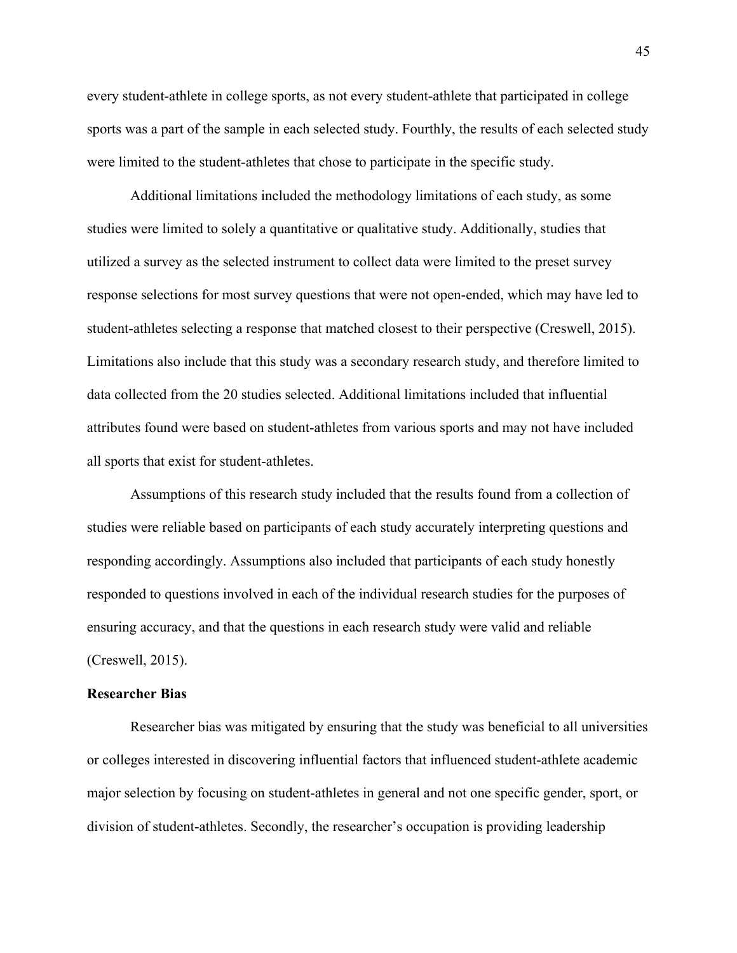every student-athlete in college sports, as not every student-athlete that participated in college sports was a part of the sample in each selected study. Fourthly, the results of each selected study were limited to the student-athletes that chose to participate in the specific study.

Additional limitations included the methodology limitations of each study, as some studies were limited to solely a quantitative or qualitative study. Additionally, studies that utilized a survey as the selected instrument to collect data were limited to the preset survey response selections for most survey questions that were not open-ended, which may have led to student-athletes selecting a response that matched closest to their perspective (Creswell, 2015). Limitations also include that this study was a secondary research study, and therefore limited to data collected from the 20 studies selected. Additional limitations included that influential attributes found were based on student-athletes from various sports and may not have included all sports that exist for student-athletes.

Assumptions of this research study included that the results found from a collection of studies were reliable based on participants of each study accurately interpreting questions and responding accordingly. Assumptions also included that participants of each study honestly responded to questions involved in each of the individual research studies for the purposes of ensuring accuracy, and that the questions in each research study were valid and reliable (Creswell, 2015).

# **Researcher Bias**

Researcher bias was mitigated by ensuring that the study was beneficial to all universities or colleges interested in discovering influential factors that influenced student-athlete academic major selection by focusing on student-athletes in general and not one specific gender, sport, or division of student-athletes. Secondly, the researcher's occupation is providing leadership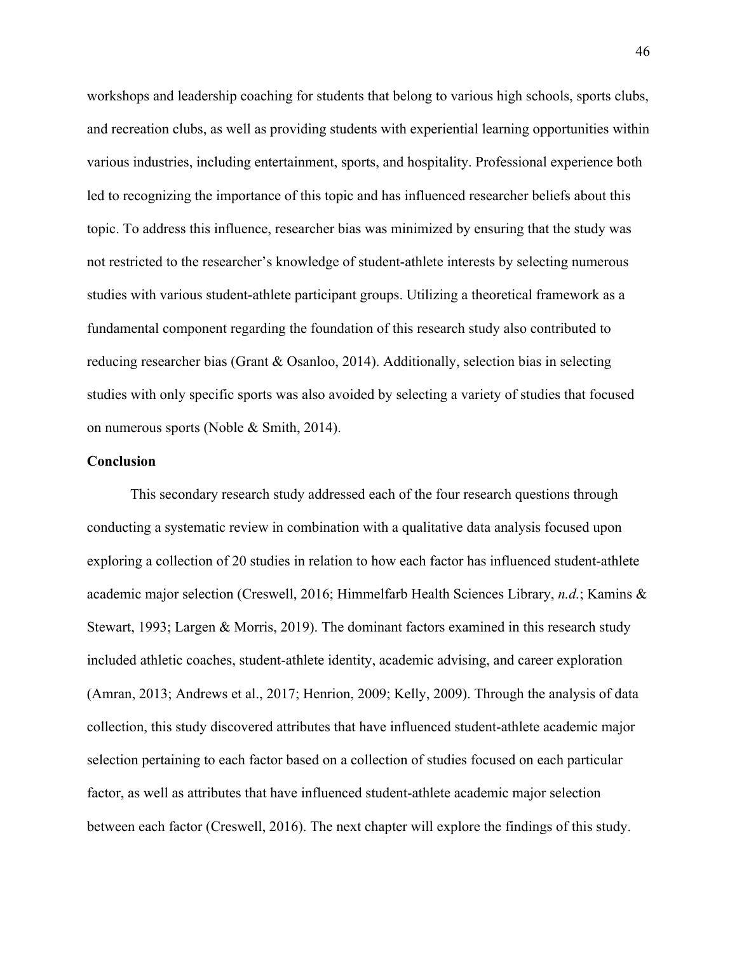workshops and leadership coaching for students that belong to various high schools, sports clubs, and recreation clubs, as well as providing students with experiential learning opportunities within various industries, including entertainment, sports, and hospitality. Professional experience both led to recognizing the importance of this topic and has influenced researcher beliefs about this topic. To address this influence, researcher bias was minimized by ensuring that the study was not restricted to the researcher's knowledge of student-athlete interests by selecting numerous studies with various student-athlete participant groups. Utilizing a theoretical framework as a fundamental component regarding the foundation of this research study also contributed to reducing researcher bias (Grant & Osanloo, 2014). Additionally, selection bias in selecting studies with only specific sports was also avoided by selecting a variety of studies that focused on numerous sports (Noble & Smith, 2014).

# **Conclusion**

This secondary research study addressed each of the four research questions through conducting a systematic review in combination with a qualitative data analysis focused upon exploring a collection of 20 studies in relation to how each factor has influenced student-athlete academic major selection (Creswell, 2016; Himmelfarb Health Sciences Library, *n.d.*; Kamins & Stewart, 1993; Largen & Morris, 2019). The dominant factors examined in this research study included athletic coaches, student-athlete identity, academic advising, and career exploration (Amran, 2013; Andrews et al., 2017; Henrion, 2009; Kelly, 2009). Through the analysis of data collection, this study discovered attributes that have influenced student-athlete academic major selection pertaining to each factor based on a collection of studies focused on each particular factor, as well as attributes that have influenced student-athlete academic major selection between each factor (Creswell, 2016). The next chapter will explore the findings of this study.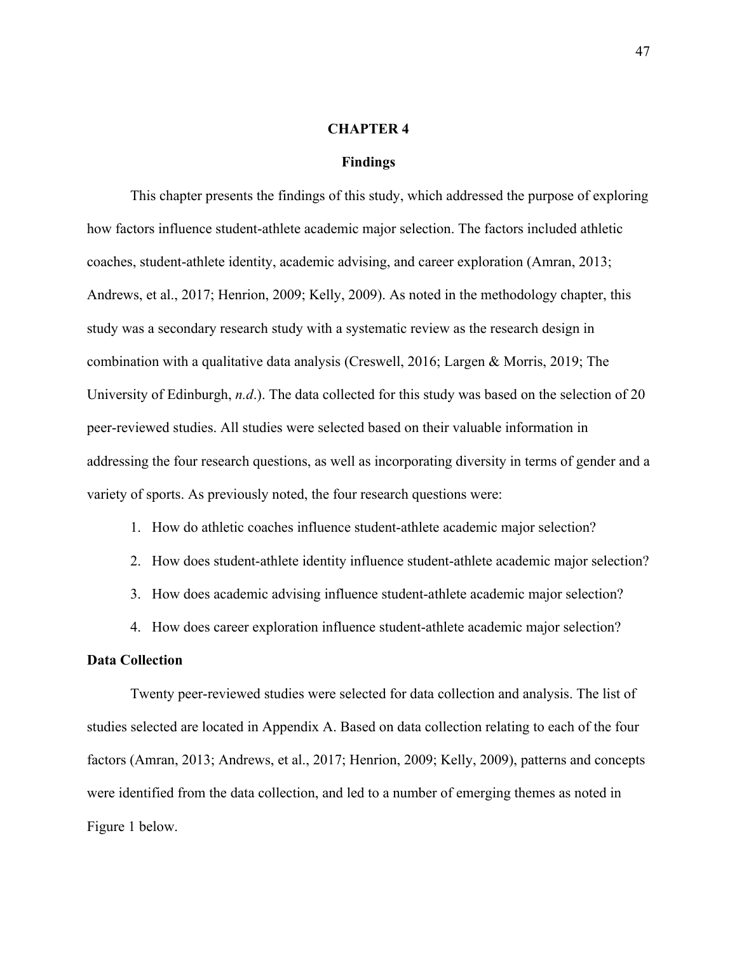# **CHAPTER 4**

# **Findings**

This chapter presents the findings of this study, which addressed the purpose of exploring how factors influence student-athlete academic major selection. The factors included athletic coaches, student-athlete identity, academic advising, and career exploration (Amran, 2013; Andrews, et al., 2017; Henrion, 2009; Kelly, 2009). As noted in the methodology chapter, this study was a secondary research study with a systematic review as the research design in combination with a qualitative data analysis (Creswell, 2016; Largen & Morris, 2019; The University of Edinburgh, *n.d*.). The data collected for this study was based on the selection of 20 peer-reviewed studies. All studies were selected based on their valuable information in addressing the four research questions, as well as incorporating diversity in terms of gender and a variety of sports. As previously noted, the four research questions were:

# 1. How do athletic coaches influence student-athlete academic major selection?

- 2. How does student-athlete identity influence student-athlete academic major selection?
- 3. How does academic advising influence student-athlete academic major selection?
- 4. How does career exploration influence student-athlete academic major selection?

# **Data Collection**

Twenty peer-reviewed studies were selected for data collection and analysis. The list of studies selected are located in Appendix A. Based on data collection relating to each of the four factors (Amran, 2013; Andrews, et al., 2017; Henrion, 2009; Kelly, 2009), patterns and concepts were identified from the data collection, and led to a number of emerging themes as noted in Figure 1 below.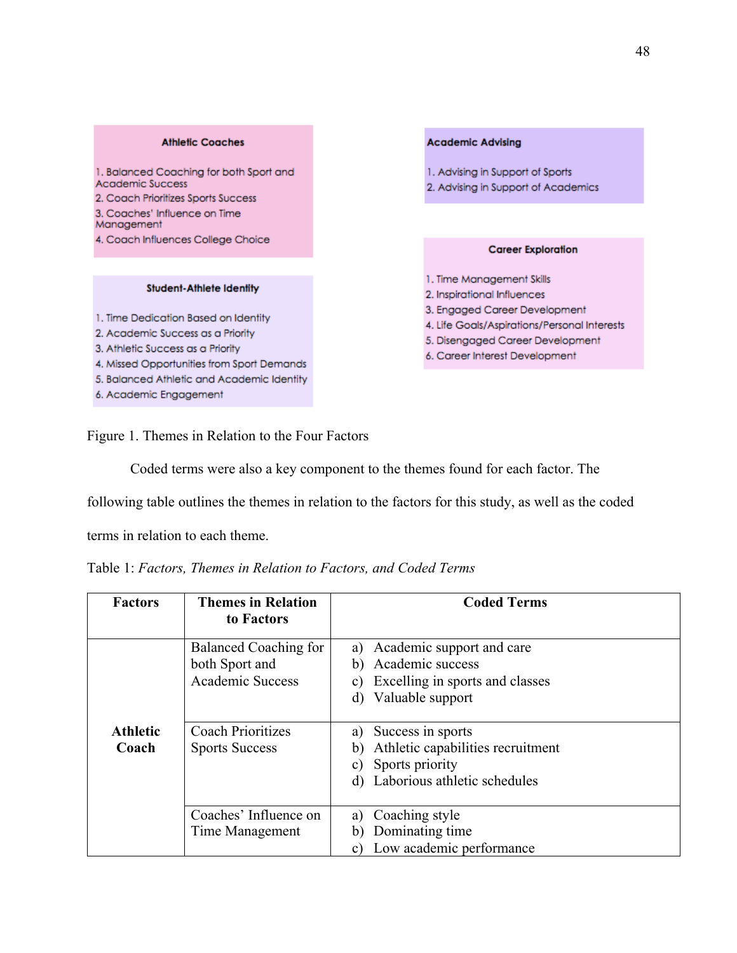#### **Athletic Coaches**

1. Balanced Coaching for both Sport and Academic Success 2. Coach Prioritizes Sports Success 3. Coaches' Influence on Time Management 4. Coach Influences College Choice

#### **Student-Athlete Identity**

1. Time Dedication Based on Identity

- 2. Academic Success as a Priority
- 3. Athletic Success as a Priority
- 4. Missed Opportunities from Sport Demands
- 5. Balanced Athletic and Academic Identity
- 6. Academic Engagement

#### **Academic Advising**

- 1. Advising in Support of Sports
- 2. Advising in Support of Academics

#### **Career Exploration**

- 1. Time Management Skills
- 2. Inspirational Influences
- 3. Engaged Career Development
- 4. Life Goals/Aspirations/Personal Interests
- 5. Disengaged Career Development
- 6. Career Interest Development

Figure 1. Themes in Relation to the Four Factors

Coded terms were also a key component to the themes found for each factor. The

following table outlines the themes in relation to the factors for this study, as well as the coded

terms in relation to each theme.

| Table 1: Factors, Themes in Relation to Factors, and Coded Terms |  |  |  |  |  |  |
|------------------------------------------------------------------|--|--|--|--|--|--|
|------------------------------------------------------------------|--|--|--|--|--|--|

| <b>Factors</b>           | <b>Themes in Relation</b><br>to Factors                            | <b>Coded Terms</b>                                                                                                                         |
|--------------------------|--------------------------------------------------------------------|--------------------------------------------------------------------------------------------------------------------------------------------|
|                          | Balanced Coaching for<br>both Sport and<br><b>Academic Success</b> | Academic support and care<br>a)<br>Academic success<br>b)<br>Excelling in sports and classes<br>C)<br>Valuable support<br>d)               |
| <b>Athletic</b><br>Coach | <b>Coach Prioritizes</b><br><b>Sports Success</b>                  | Success in sports<br>a)<br>Athletic capabilities recruitment<br>$\mathbf b$<br>Sports priority<br>C)<br>Laborious athletic schedules<br>d) |
|                          | Coaches' Influence on<br>Time Management                           | Coaching style<br>a)<br>Dominating time<br>$\mathbf b$<br>Low academic performance                                                         |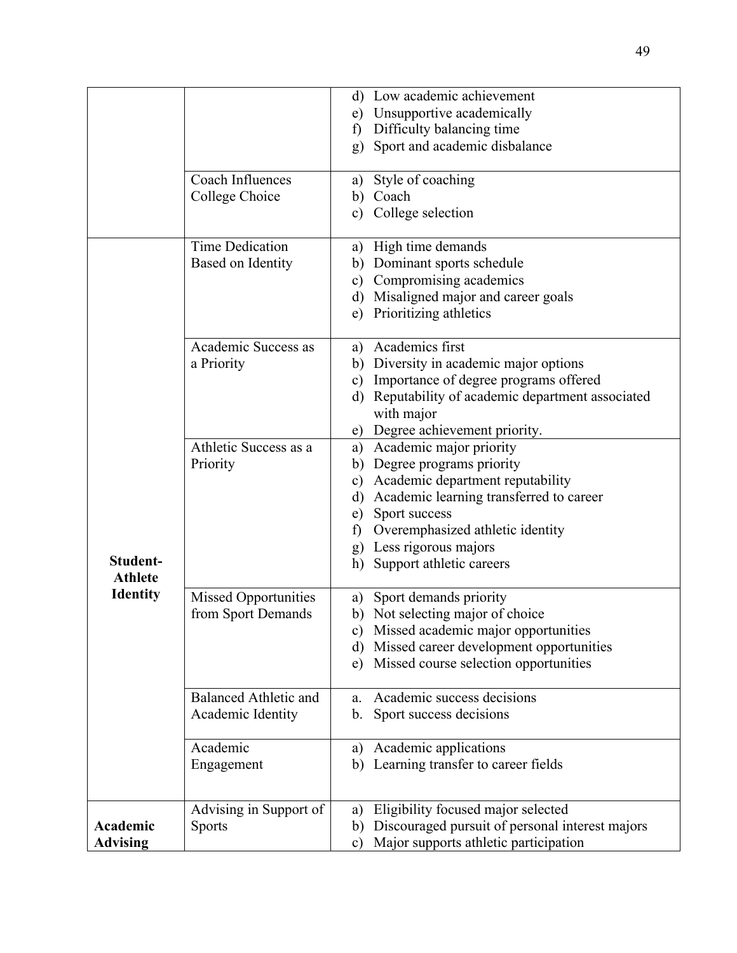|                 |                              | d) Low academic achievement                            |
|-----------------|------------------------------|--------------------------------------------------------|
|                 |                              | e) Unsupportive academically                           |
|                 |                              | Difficulty balancing time<br>$\mathbf{f}$              |
|                 |                              | Sport and academic disbalance<br>g)                    |
|                 |                              |                                                        |
|                 | Coach Influences             | Style of coaching<br>a)                                |
|                 | College Choice               | b) Coach                                               |
|                 |                              | c) College selection                                   |
|                 |                              |                                                        |
|                 | <b>Time Dedication</b>       | a) High time demands                                   |
|                 | Based on Identity            | b) Dominant sports schedule                            |
|                 |                              | Compromising academics<br>$\mathbf{c})$                |
|                 |                              | Misaligned major and career goals<br>$\rm d)$          |
|                 |                              | Prioritizing athletics<br>e)                           |
|                 | Academic Success as          | Academics first<br>a)                                  |
|                 | a Priority                   | b) Diversity in academic major options                 |
|                 |                              | Importance of degree programs offered<br>$\mathbf{c})$ |
|                 |                              | Reputability of academic department associated<br>d)   |
|                 |                              | with major                                             |
|                 |                              | Degree achievement priority.<br>e)                     |
|                 | Athletic Success as a        | a) Academic major priority                             |
|                 | Priority                     | Degree programs priority<br>b)                         |
|                 |                              | Academic department reputability<br>c)                 |
|                 |                              | Academic learning transferred to career<br>$\rm d)$    |
|                 |                              | Sport success<br>e)                                    |
|                 |                              | f) Overemphasized athletic identity                    |
|                 |                              | Less rigorous majors<br>g)                             |
| Student-        |                              | Support athletic careers<br>h)                         |
| <b>Athlete</b>  |                              |                                                        |
| <b>Identity</b> | Missed Opportunities         | Sport demands priority<br>a)                           |
|                 | from Sport Demands           | Not selecting major of choice<br>b)                    |
|                 |                              | c) Missed academic major opportunities                 |
|                 |                              | Missed career development opportunities<br>$\rm d)$    |
|                 |                              | Missed course selection opportunities<br>e)            |
|                 | <b>Balanced Athletic and</b> | Academic success decisions<br>a.                       |
|                 | Academic Identity            | Sport success decisions<br>b.                          |
|                 |                              |                                                        |
|                 | Academic                     | Academic applications<br>a)                            |
|                 | Engagement                   | Learning transfer to career fields<br>b)               |
|                 |                              |                                                        |
|                 | Advising in Support of       | Eligibility focused major selected<br>a)               |
| Academic        | <b>Sports</b>                | Discouraged pursuit of personal interest majors<br>b)  |
| <b>Advising</b> |                              | Major supports athletic participation<br>$\mathbf{c})$ |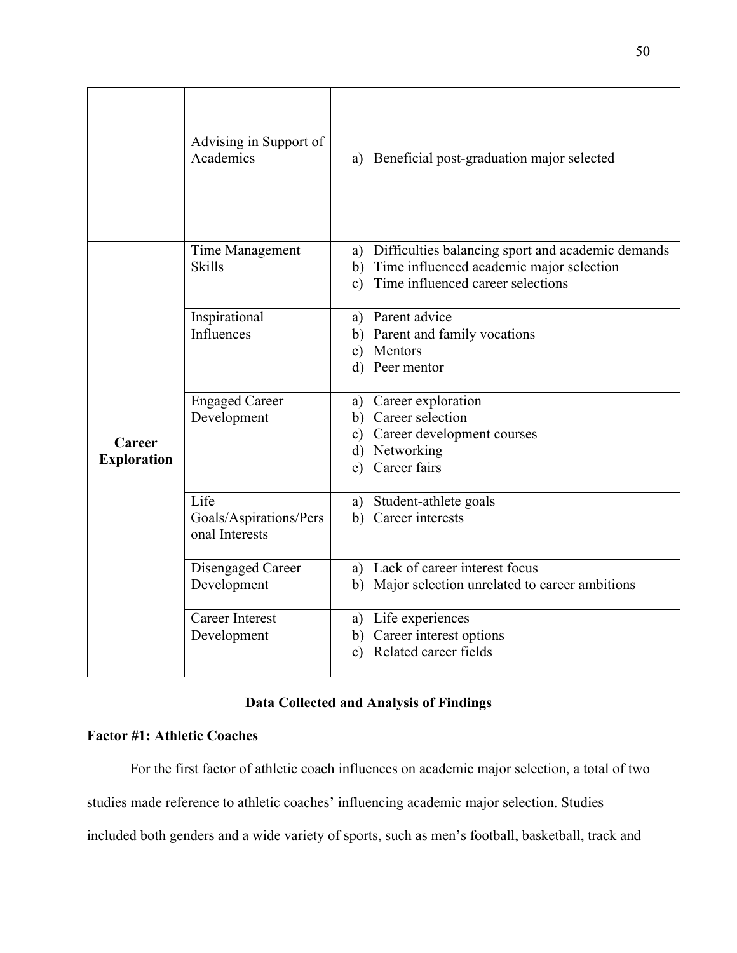|                              | Advising in Support of<br>Academics      | a) Beneficial post-graduation major selected            |
|------------------------------|------------------------------------------|---------------------------------------------------------|
|                              |                                          |                                                         |
|                              | Time Management                          | Difficulties balancing sport and academic demands<br>a) |
|                              | <b>Skills</b>                            | Time influenced academic major selection<br>b)          |
|                              |                                          | Time influenced career selections<br>c)                 |
|                              | Inspirational                            | a) Parent advice                                        |
|                              | Influences                               | b) Parent and family vocations                          |
|                              |                                          | c) Mentors                                              |
|                              |                                          | d) Peer mentor                                          |
|                              | <b>Engaged Career</b>                    | Career exploration<br>a)                                |
|                              | Development                              | Career selection<br>b)                                  |
| Career<br><b>Exploration</b> |                                          | Career development courses<br>C)                        |
|                              |                                          | Networking<br>$\rm d)$                                  |
|                              |                                          | Career fairs<br>e)                                      |
|                              | Life                                     | a) Student-athlete goals                                |
|                              | Goals/Aspirations/Pers<br>onal Interests | b) Career interests                                     |
|                              | Disengaged Career                        | a) Lack of career interest focus                        |
|                              | Development                              | Major selection unrelated to career ambitions<br>b)     |
|                              | <b>Career Interest</b>                   | a) Life experiences                                     |
|                              | Development                              | b) Career interest options                              |
|                              |                                          | Related career fields<br>c)                             |
|                              |                                          |                                                         |

# **Data Collected and Analysis of Findings**

# **Factor #1: Athletic Coaches**

For the first factor of athletic coach influences on academic major selection, a total of two studies made reference to athletic coaches' influencing academic major selection. Studies included both genders and a wide variety of sports, such as men's football, basketball, track and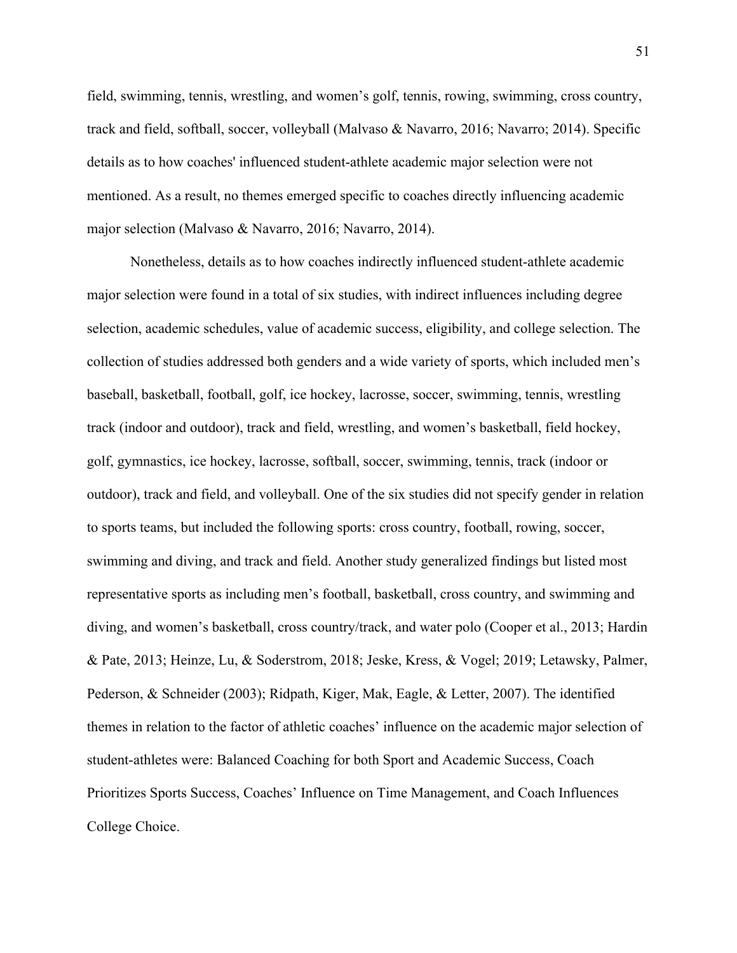field, swimming, tennis, wrestling, and women's golf, tennis, rowing, swimming, cross country, track and field, softball, soccer, volleyball (Malvaso & Navarro, 2016; Navarro; 2014). Specific details as to how coaches' influenced student-athlete academic major selection were not mentioned. As a result, no themes emerged specific to coaches directly influencing academic major selection (Malvaso & Navarro, 2016; Navarro, 2014).

Nonetheless, details as to how coaches indirectly influenced student-athlete academic major selection were found in a total of six studies, with indirect influences including degree selection, academic schedules, value of academic success, eligibility, and college selection. The collection of studies addressed both genders and a wide variety of sports, which included men's baseball, basketball, football, golf, ice hockey, lacrosse, soccer, swimming, tennis, wrestling track (indoor and outdoor), track and field, wrestling, and women's basketball, field hockey, golf, gymnastics, ice hockey, lacrosse, softball, soccer, swimming, tennis, track (indoor or outdoor), track and field, and volleyball. One of the six studies did not specify gender in relation to sports teams, but included the following sports: cross country, football, rowing, soccer, swimming and diving, and track and field. Another study generalized findings but listed most representative sports as including men's football, basketball, cross country, and swimming and diving, and women's basketball, cross country/track, and water polo (Cooper et al., 2013; Hardin & Pate, 2013; Heinze, Lu, & Soderstrom, 2018; Jeske, Kress, & Vogel; 2019; Letawsky, Palmer, Pederson, & Schneider (2003); Ridpath, Kiger, Mak, Eagle, & Letter, 2007). The identified themes in relation to the factor of athletic coaches' influence on the academic major selection of student-athletes were: Balanced Coaching for both Sport and Academic Success, Coach Prioritizes Sports Success, Coaches' Influence on Time Management, and Coach Influences College Choice.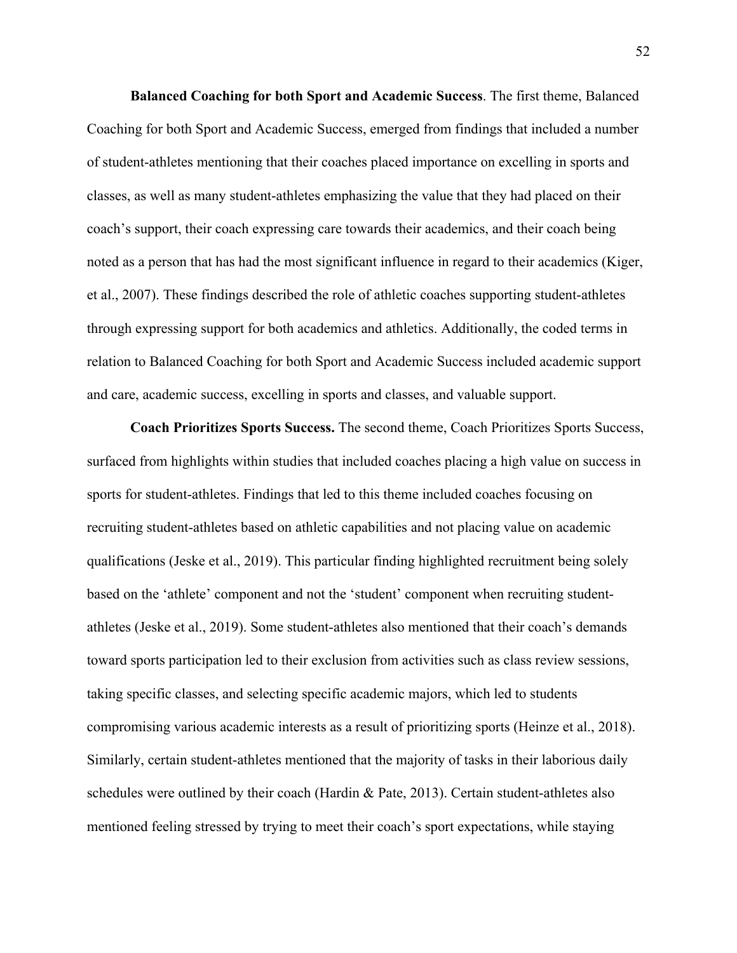**Balanced Coaching for both Sport and Academic Success**. The first theme, Balanced Coaching for both Sport and Academic Success, emerged from findings that included a number of student-athletes mentioning that their coaches placed importance on excelling in sports and classes, as well as many student-athletes emphasizing the value that they had placed on their coach's support, their coach expressing care towards their academics, and their coach being noted as a person that has had the most significant influence in regard to their academics (Kiger, et al., 2007). These findings described the role of athletic coaches supporting student-athletes through expressing support for both academics and athletics. Additionally, the coded terms in relation to Balanced Coaching for both Sport and Academic Success included academic support and care, academic success, excelling in sports and classes, and valuable support.

**Coach Prioritizes Sports Success.** The second theme, Coach Prioritizes Sports Success, surfaced from highlights within studies that included coaches placing a high value on success in sports for student-athletes. Findings that led to this theme included coaches focusing on recruiting student-athletes based on athletic capabilities and not placing value on academic qualifications (Jeske et al., 2019). This particular finding highlighted recruitment being solely based on the 'athlete' component and not the 'student' component when recruiting studentathletes (Jeske et al., 2019). Some student-athletes also mentioned that their coach's demands toward sports participation led to their exclusion from activities such as class review sessions, taking specific classes, and selecting specific academic majors, which led to students compromising various academic interests as a result of prioritizing sports (Heinze et al., 2018). Similarly, certain student-athletes mentioned that the majority of tasks in their laborious daily schedules were outlined by their coach (Hardin & Pate, 2013). Certain student-athletes also mentioned feeling stressed by trying to meet their coach's sport expectations, while staying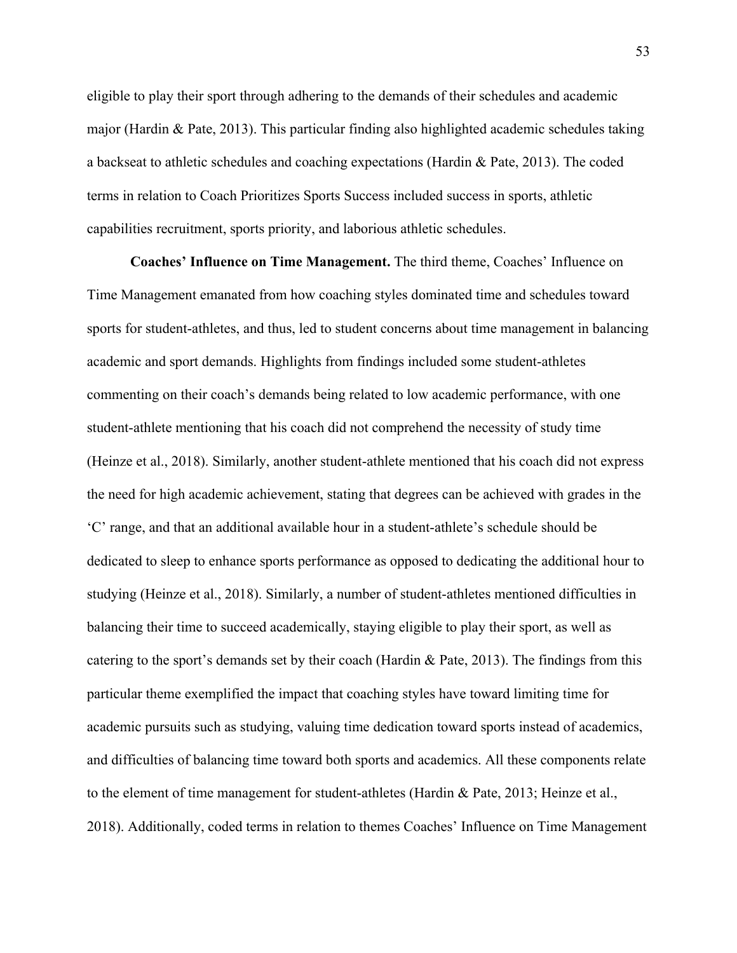eligible to play their sport through adhering to the demands of their schedules and academic major (Hardin & Pate, 2013). This particular finding also highlighted academic schedules taking a backseat to athletic schedules and coaching expectations (Hardin & Pate, 2013). The coded terms in relation to Coach Prioritizes Sports Success included success in sports, athletic capabilities recruitment, sports priority, and laborious athletic schedules.

**Coaches' Influence on Time Management.** The third theme, Coaches' Influence on Time Management emanated from how coaching styles dominated time and schedules toward sports for student-athletes, and thus, led to student concerns about time management in balancing academic and sport demands. Highlights from findings included some student-athletes commenting on their coach's demands being related to low academic performance, with one student-athlete mentioning that his coach did not comprehend the necessity of study time (Heinze et al., 2018). Similarly, another student-athlete mentioned that his coach did not express the need for high academic achievement, stating that degrees can be achieved with grades in the 'C' range, and that an additional available hour in a student-athlete's schedule should be dedicated to sleep to enhance sports performance as opposed to dedicating the additional hour to studying (Heinze et al., 2018). Similarly, a number of student-athletes mentioned difficulties in balancing their time to succeed academically, staying eligible to play their sport, as well as catering to the sport's demands set by their coach (Hardin & Pate, 2013). The findings from this particular theme exemplified the impact that coaching styles have toward limiting time for academic pursuits such as studying, valuing time dedication toward sports instead of academics, and difficulties of balancing time toward both sports and academics. All these components relate to the element of time management for student-athletes (Hardin & Pate, 2013; Heinze et al., 2018). Additionally, coded terms in relation to themes Coaches' Influence on Time Management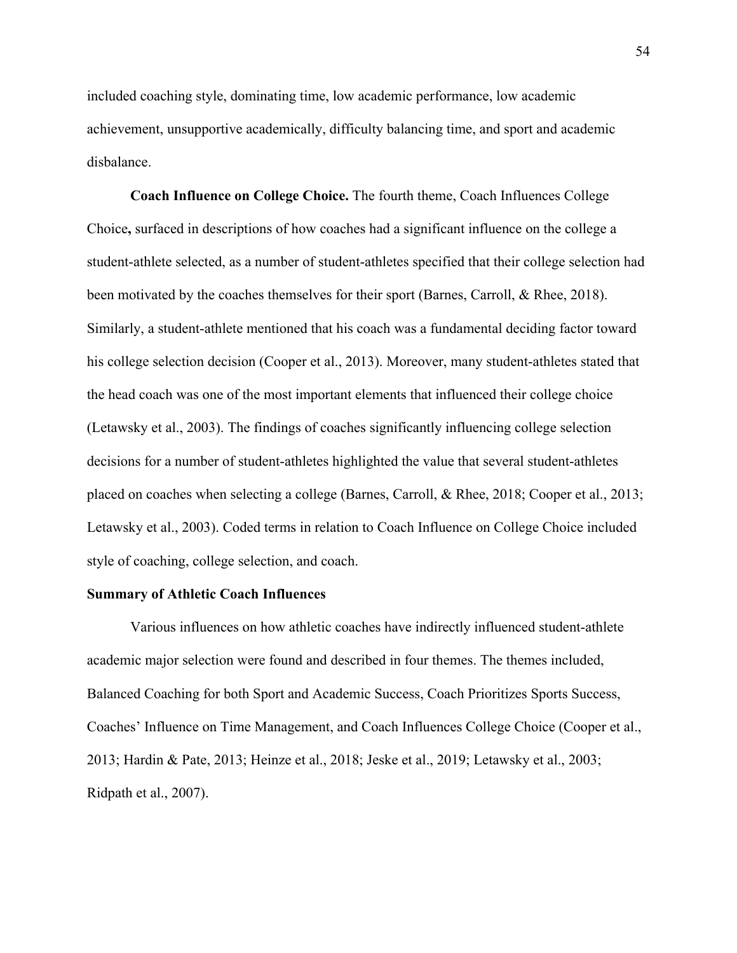included coaching style, dominating time, low academic performance, low academic achievement, unsupportive academically, difficulty balancing time, and sport and academic disbalance.

**Coach Influence on College Choice.** The fourth theme, Coach Influences College Choice**,** surfaced in descriptions of how coaches had a significant influence on the college a student-athlete selected, as a number of student-athletes specified that their college selection had been motivated by the coaches themselves for their sport (Barnes, Carroll, & Rhee, 2018). Similarly, a student-athlete mentioned that his coach was a fundamental deciding factor toward his college selection decision (Cooper et al., 2013). Moreover, many student-athletes stated that the head coach was one of the most important elements that influenced their college choice (Letawsky et al., 2003). The findings of coaches significantly influencing college selection decisions for a number of student-athletes highlighted the value that several student-athletes placed on coaches when selecting a college (Barnes, Carroll, & Rhee, 2018; Cooper et al., 2013; Letawsky et al., 2003). Coded terms in relation to Coach Influence on College Choice included style of coaching, college selection, and coach.

## **Summary of Athletic Coach Influences**

Various influences on how athletic coaches have indirectly influenced student-athlete academic major selection were found and described in four themes. The themes included, Balanced Coaching for both Sport and Academic Success, Coach Prioritizes Sports Success, Coaches' Influence on Time Management, and Coach Influences College Choice (Cooper et al., 2013; Hardin & Pate, 2013; Heinze et al., 2018; Jeske et al., 2019; Letawsky et al., 2003; Ridpath et al., 2007).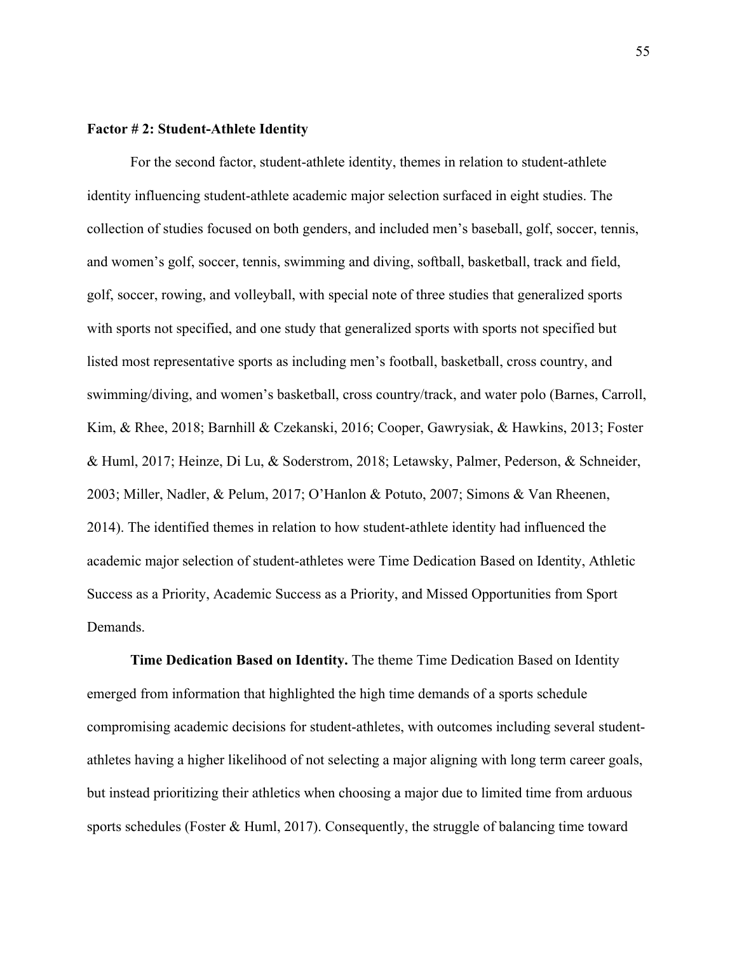# **Factor # 2: Student-Athlete Identity**

For the second factor, student-athlete identity, themes in relation to student-athlete identity influencing student-athlete academic major selection surfaced in eight studies. The collection of studies focused on both genders, and included men's baseball, golf, soccer, tennis, and women's golf, soccer, tennis, swimming and diving, softball, basketball, track and field, golf, soccer, rowing, and volleyball, with special note of three studies that generalized sports with sports not specified, and one study that generalized sports with sports not specified but listed most representative sports as including men's football, basketball, cross country, and swimming/diving, and women's basketball, cross country/track, and water polo (Barnes, Carroll, Kim, & Rhee, 2018; Barnhill & Czekanski, 2016; Cooper, Gawrysiak, & Hawkins, 2013; Foster & Huml, 2017; Heinze, Di Lu, & Soderstrom, 2018; Letawsky, Palmer, Pederson, & Schneider, 2003; Miller, Nadler, & Pelum, 2017; O'Hanlon & Potuto, 2007; Simons & Van Rheenen, 2014). The identified themes in relation to how student-athlete identity had influenced the academic major selection of student-athletes were Time Dedication Based on Identity, Athletic Success as a Priority, Academic Success as a Priority, and Missed Opportunities from Sport Demands.

**Time Dedication Based on Identity.** The theme Time Dedication Based on Identity emerged from information that highlighted the high time demands of a sports schedule compromising academic decisions for student-athletes, with outcomes including several studentathletes having a higher likelihood of not selecting a major aligning with long term career goals, but instead prioritizing their athletics when choosing a major due to limited time from arduous sports schedules (Foster & Huml, 2017). Consequently, the struggle of balancing time toward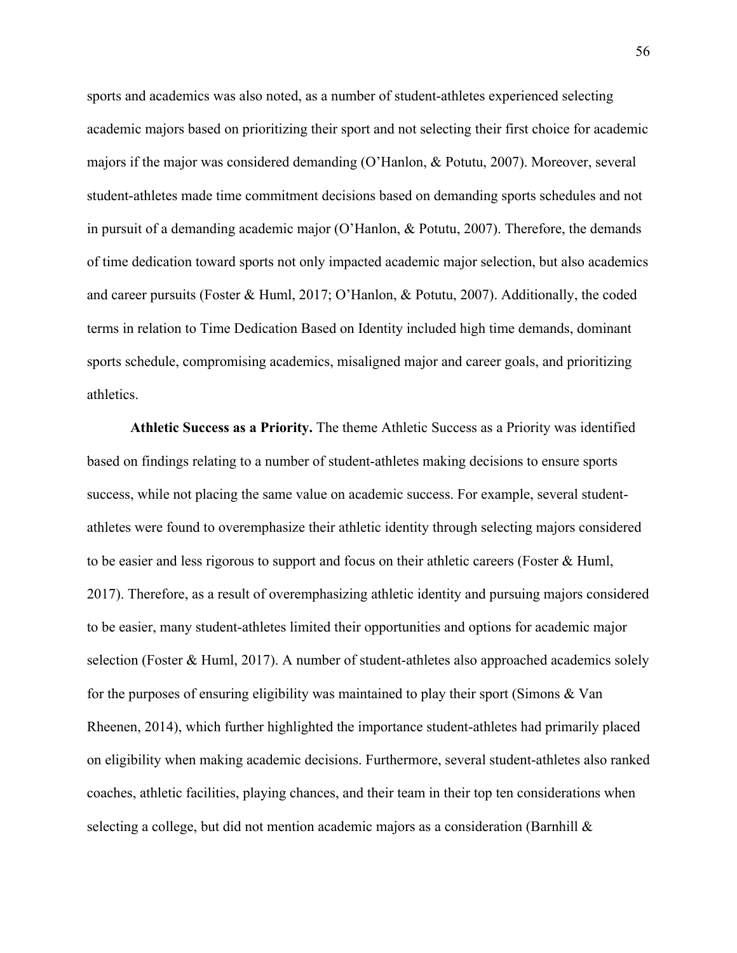sports and academics was also noted, as a number of student-athletes experienced selecting academic majors based on prioritizing their sport and not selecting their first choice for academic majors if the major was considered demanding (O'Hanlon, & Potutu, 2007). Moreover, several student-athletes made time commitment decisions based on demanding sports schedules and not in pursuit of a demanding academic major (O'Hanlon, & Potutu, 2007). Therefore, the demands of time dedication toward sports not only impacted academic major selection, but also academics and career pursuits (Foster & Huml, 2017; O'Hanlon, & Potutu, 2007). Additionally, the coded terms in relation to Time Dedication Based on Identity included high time demands, dominant sports schedule, compromising academics, misaligned major and career goals, and prioritizing athletics.

**Athletic Success as a Priority.** The theme Athletic Success as a Priority was identified based on findings relating to a number of student-athletes making decisions to ensure sports success, while not placing the same value on academic success. For example, several studentathletes were found to overemphasize their athletic identity through selecting majors considered to be easier and less rigorous to support and focus on their athletic careers (Foster & Huml, 2017). Therefore, as a result of overemphasizing athletic identity and pursuing majors considered to be easier, many student-athletes limited their opportunities and options for academic major selection (Foster & Huml, 2017). A number of student-athletes also approached academics solely for the purposes of ensuring eligibility was maintained to play their sport (Simons & Van Rheenen, 2014), which further highlighted the importance student-athletes had primarily placed on eligibility when making academic decisions. Furthermore, several student-athletes also ranked coaches, athletic facilities, playing chances, and their team in their top ten considerations when selecting a college, but did not mention academic majors as a consideration (Barnhill &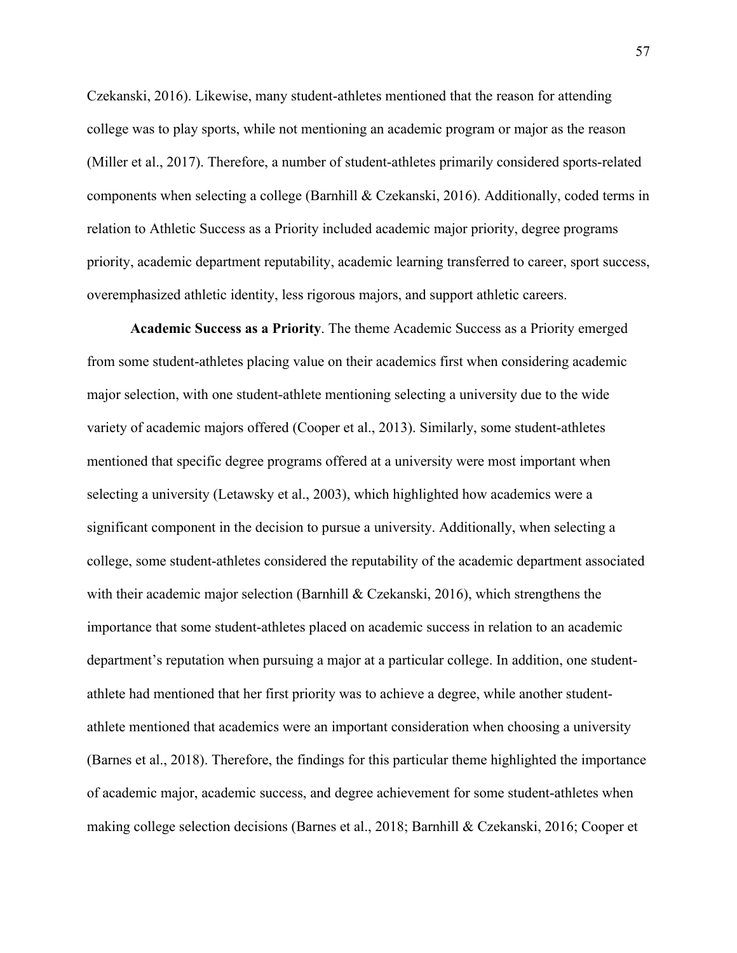Czekanski, 2016). Likewise, many student-athletes mentioned that the reason for attending college was to play sports, while not mentioning an academic program or major as the reason (Miller et al., 2017). Therefore, a number of student-athletes primarily considered sports-related components when selecting a college (Barnhill & Czekanski, 2016). Additionally, coded terms in relation to Athletic Success as a Priority included academic major priority, degree programs priority, academic department reputability, academic learning transferred to career, sport success, overemphasized athletic identity, less rigorous majors, and support athletic careers.

**Academic Success as a Priority**. The theme Academic Success as a Priority emerged from some student-athletes placing value on their academics first when considering academic major selection, with one student-athlete mentioning selecting a university due to the wide variety of academic majors offered (Cooper et al., 2013). Similarly, some student-athletes mentioned that specific degree programs offered at a university were most important when selecting a university (Letawsky et al., 2003), which highlighted how academics were a significant component in the decision to pursue a university. Additionally, when selecting a college, some student-athletes considered the reputability of the academic department associated with their academic major selection (Barnhill & Czekanski, 2016), which strengthens the importance that some student-athletes placed on academic success in relation to an academic department's reputation when pursuing a major at a particular college. In addition, one studentathlete had mentioned that her first priority was to achieve a degree, while another studentathlete mentioned that academics were an important consideration when choosing a university (Barnes et al., 2018). Therefore, the findings for this particular theme highlighted the importance of academic major, academic success, and degree achievement for some student-athletes when making college selection decisions (Barnes et al., 2018; Barnhill & Czekanski, 2016; Cooper et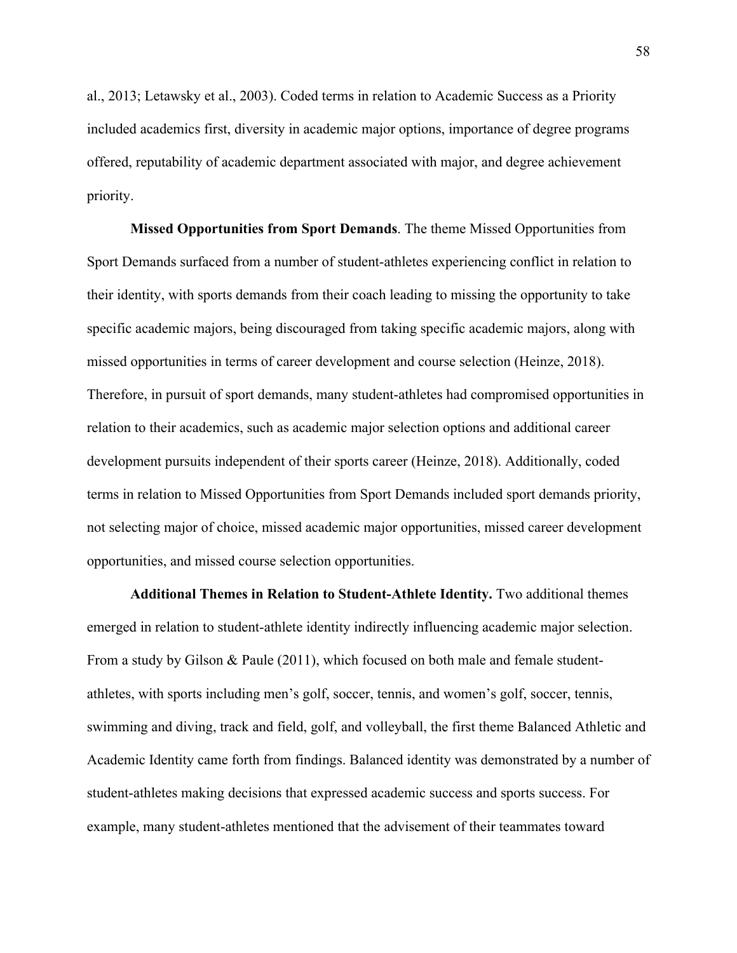al., 2013; Letawsky et al., 2003). Coded terms in relation to Academic Success as a Priority included academics first, diversity in academic major options, importance of degree programs offered, reputability of academic department associated with major, and degree achievement priority.

**Missed Opportunities from Sport Demands**. The theme Missed Opportunities from Sport Demands surfaced from a number of student-athletes experiencing conflict in relation to their identity, with sports demands from their coach leading to missing the opportunity to take specific academic majors, being discouraged from taking specific academic majors, along with missed opportunities in terms of career development and course selection (Heinze, 2018). Therefore, in pursuit of sport demands, many student-athletes had compromised opportunities in relation to their academics, such as academic major selection options and additional career development pursuits independent of their sports career (Heinze, 2018). Additionally, coded terms in relation to Missed Opportunities from Sport Demands included sport demands priority, not selecting major of choice, missed academic major opportunities, missed career development opportunities, and missed course selection opportunities.

**Additional Themes in Relation to Student-Athlete Identity.** Two additional themes emerged in relation to student-athlete identity indirectly influencing academic major selection. From a study by Gilson & Paule (2011), which focused on both male and female studentathletes, with sports including men's golf, soccer, tennis, and women's golf, soccer, tennis, swimming and diving, track and field, golf, and volleyball, the first theme Balanced Athletic and Academic Identity came forth from findings. Balanced identity was demonstrated by a number of student-athletes making decisions that expressed academic success and sports success. For example, many student-athletes mentioned that the advisement of their teammates toward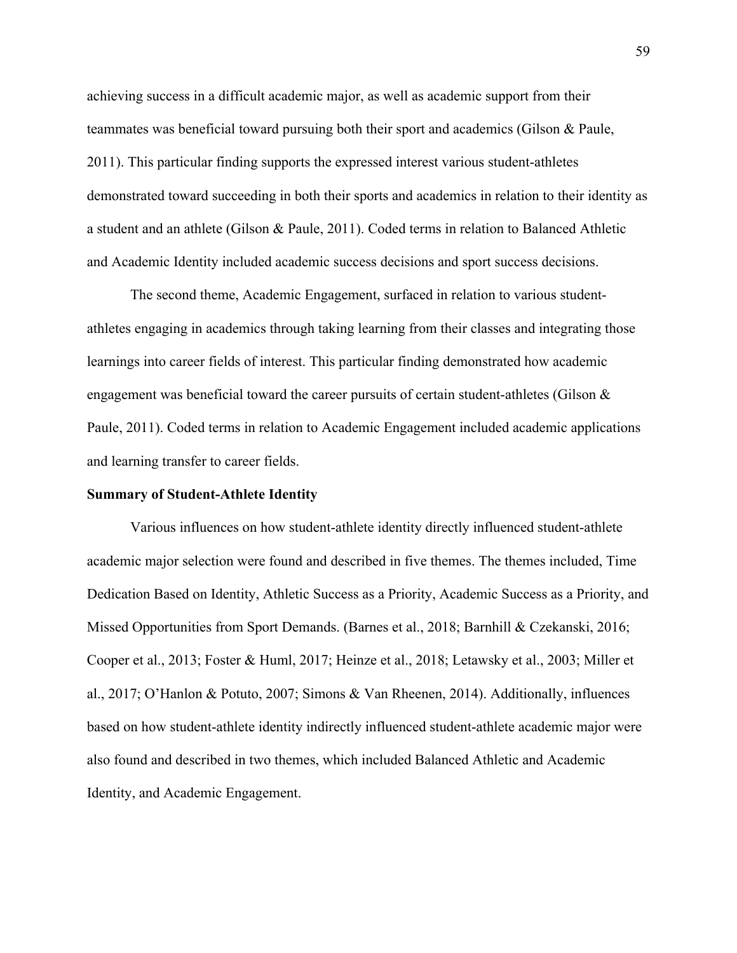achieving success in a difficult academic major, as well as academic support from their teammates was beneficial toward pursuing both their sport and academics (Gilson & Paule, 2011). This particular finding supports the expressed interest various student-athletes demonstrated toward succeeding in both their sports and academics in relation to their identity as a student and an athlete (Gilson & Paule, 2011). Coded terms in relation to Balanced Athletic and Academic Identity included academic success decisions and sport success decisions.

The second theme, Academic Engagement, surfaced in relation to various studentathletes engaging in academics through taking learning from their classes and integrating those learnings into career fields of interest. This particular finding demonstrated how academic engagement was beneficial toward the career pursuits of certain student-athletes (Gilson & Paule, 2011). Coded terms in relation to Academic Engagement included academic applications and learning transfer to career fields.

## **Summary of Student-Athlete Identity**

Various influences on how student-athlete identity directly influenced student-athlete academic major selection were found and described in five themes. The themes included, Time Dedication Based on Identity, Athletic Success as a Priority, Academic Success as a Priority, and Missed Opportunities from Sport Demands. (Barnes et al., 2018; Barnhill & Czekanski, 2016; Cooper et al., 2013; Foster & Huml, 2017; Heinze et al., 2018; Letawsky et al., 2003; Miller et al., 2017; O'Hanlon & Potuto, 2007; Simons & Van Rheenen, 2014). Additionally, influences based on how student-athlete identity indirectly influenced student-athlete academic major were also found and described in two themes, which included Balanced Athletic and Academic Identity, and Academic Engagement.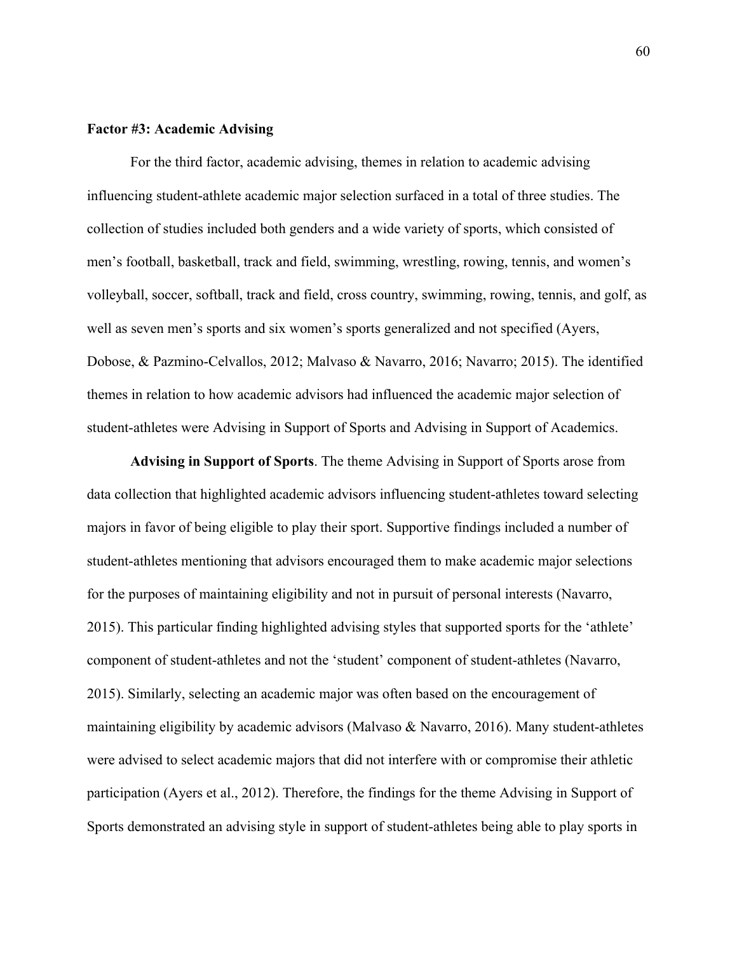# **Factor #3: Academic Advising**

For the third factor, academic advising, themes in relation to academic advising influencing student-athlete academic major selection surfaced in a total of three studies. The collection of studies included both genders and a wide variety of sports, which consisted of men's football, basketball, track and field, swimming, wrestling, rowing, tennis, and women's volleyball, soccer, softball, track and field, cross country, swimming, rowing, tennis, and golf, as well as seven men's sports and six women's sports generalized and not specified (Ayers, Dobose, & Pazmino-Celvallos, 2012; Malvaso & Navarro, 2016; Navarro; 2015). The identified themes in relation to how academic advisors had influenced the academic major selection of student-athletes were Advising in Support of Sports and Advising in Support of Academics.

**Advising in Support of Sports**. The theme Advising in Support of Sports arose from data collection that highlighted academic advisors influencing student-athletes toward selecting majors in favor of being eligible to play their sport. Supportive findings included a number of student-athletes mentioning that advisors encouraged them to make academic major selections for the purposes of maintaining eligibility and not in pursuit of personal interests (Navarro, 2015). This particular finding highlighted advising styles that supported sports for the 'athlete' component of student-athletes and not the 'student' component of student-athletes (Navarro, 2015). Similarly, selecting an academic major was often based on the encouragement of maintaining eligibility by academic advisors (Malvaso & Navarro, 2016). Many student-athletes were advised to select academic majors that did not interfere with or compromise their athletic participation (Ayers et al., 2012). Therefore, the findings for the theme Advising in Support of Sports demonstrated an advising style in support of student-athletes being able to play sports in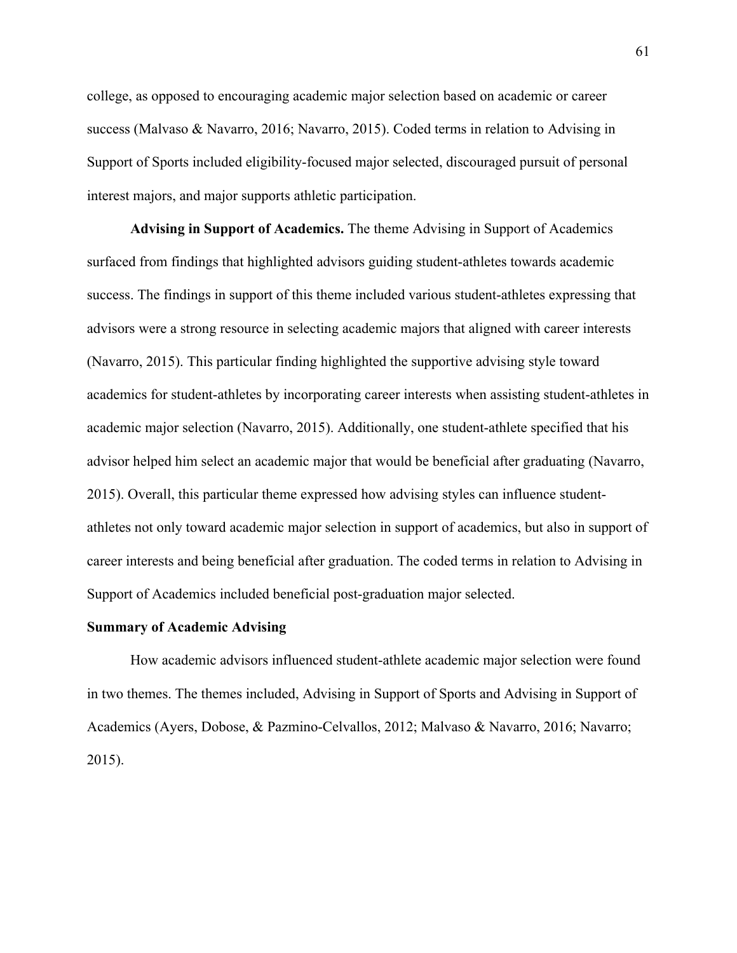college, as opposed to encouraging academic major selection based on academic or career success (Malvaso & Navarro, 2016; Navarro, 2015). Coded terms in relation to Advising in Support of Sports included eligibility-focused major selected, discouraged pursuit of personal interest majors, and major supports athletic participation.

**Advising in Support of Academics.** The theme Advising in Support of Academics surfaced from findings that highlighted advisors guiding student-athletes towards academic success. The findings in support of this theme included various student-athletes expressing that advisors were a strong resource in selecting academic majors that aligned with career interests (Navarro, 2015). This particular finding highlighted the supportive advising style toward academics for student-athletes by incorporating career interests when assisting student-athletes in academic major selection (Navarro, 2015). Additionally, one student-athlete specified that his advisor helped him select an academic major that would be beneficial after graduating (Navarro, 2015). Overall, this particular theme expressed how advising styles can influence studentathletes not only toward academic major selection in support of academics, but also in support of career interests and being beneficial after graduation. The coded terms in relation to Advising in Support of Academics included beneficial post-graduation major selected.

## **Summary of Academic Advising**

How academic advisors influenced student-athlete academic major selection were found in two themes. The themes included, Advising in Support of Sports and Advising in Support of Academics (Ayers, Dobose, & Pazmino-Celvallos, 2012; Malvaso & Navarro, 2016; Navarro; 2015).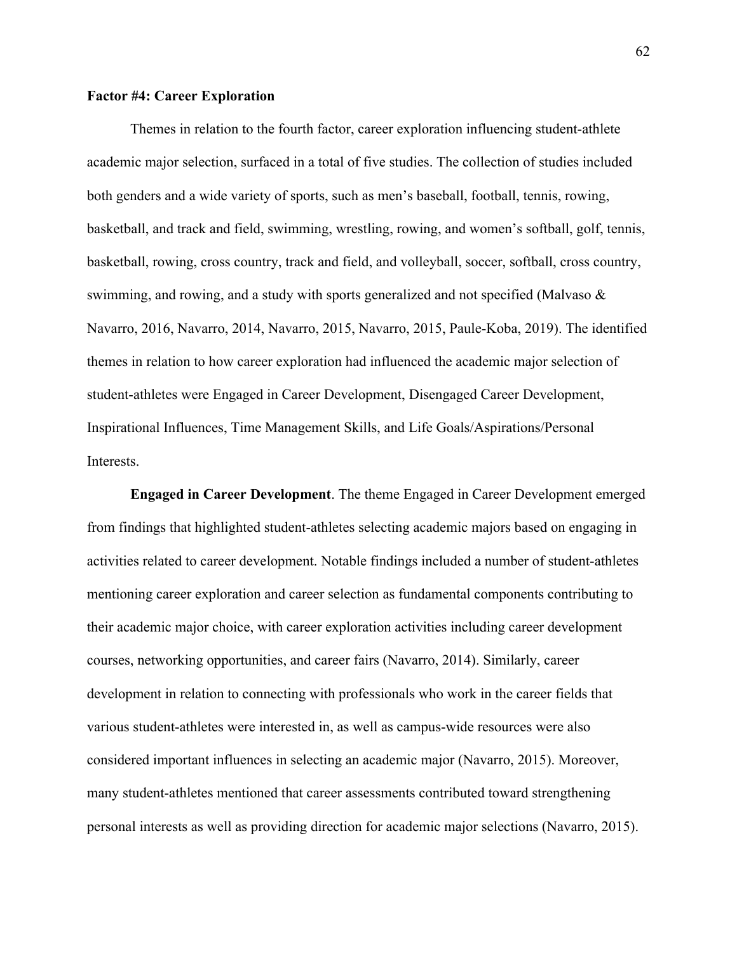## **Factor #4: Career Exploration**

Themes in relation to the fourth factor, career exploration influencing student-athlete academic major selection, surfaced in a total of five studies. The collection of studies included both genders and a wide variety of sports, such as men's baseball, football, tennis, rowing, basketball, and track and field, swimming, wrestling, rowing, and women's softball, golf, tennis, basketball, rowing, cross country, track and field, and volleyball, soccer, softball, cross country, swimming, and rowing, and a study with sports generalized and not specified (Malvaso & Navarro, 2016, Navarro, 2014, Navarro, 2015, Navarro, 2015, Paule-Koba, 2019). The identified themes in relation to how career exploration had influenced the academic major selection of student-athletes were Engaged in Career Development, Disengaged Career Development, Inspirational Influences, Time Management Skills, and Life Goals/Aspirations/Personal Interests.

**Engaged in Career Development**. The theme Engaged in Career Development emerged from findings that highlighted student-athletes selecting academic majors based on engaging in activities related to career development. Notable findings included a number of student-athletes mentioning career exploration and career selection as fundamental components contributing to their academic major choice, with career exploration activities including career development courses, networking opportunities, and career fairs (Navarro, 2014). Similarly, career development in relation to connecting with professionals who work in the career fields that various student-athletes were interested in, as well as campus-wide resources were also considered important influences in selecting an academic major (Navarro, 2015). Moreover, many student-athletes mentioned that career assessments contributed toward strengthening personal interests as well as providing direction for academic major selections (Navarro, 2015).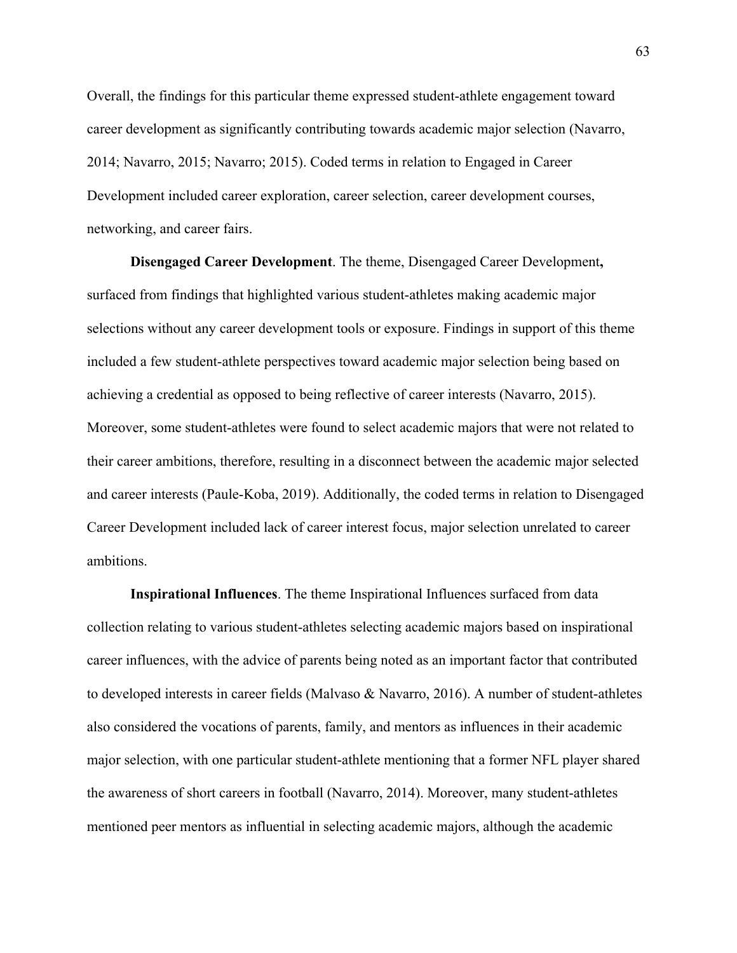Overall, the findings for this particular theme expressed student-athlete engagement toward career development as significantly contributing towards academic major selection (Navarro, 2014; Navarro, 2015; Navarro; 2015). Coded terms in relation to Engaged in Career Development included career exploration, career selection, career development courses, networking, and career fairs.

**Disengaged Career Development**. The theme, Disengaged Career Development**,** surfaced from findings that highlighted various student-athletes making academic major selections without any career development tools or exposure. Findings in support of this theme included a few student-athlete perspectives toward academic major selection being based on achieving a credential as opposed to being reflective of career interests (Navarro, 2015). Moreover, some student-athletes were found to select academic majors that were not related to their career ambitions, therefore, resulting in a disconnect between the academic major selected and career interests (Paule-Koba, 2019). Additionally, the coded terms in relation to Disengaged Career Development included lack of career interest focus, major selection unrelated to career ambitions.

**Inspirational Influences**. The theme Inspirational Influences surfaced from data collection relating to various student-athletes selecting academic majors based on inspirational career influences, with the advice of parents being noted as an important factor that contributed to developed interests in career fields (Malvaso & Navarro, 2016). A number of student-athletes also considered the vocations of parents, family, and mentors as influences in their academic major selection, with one particular student-athlete mentioning that a former NFL player shared the awareness of short careers in football (Navarro, 2014). Moreover, many student-athletes mentioned peer mentors as influential in selecting academic majors, although the academic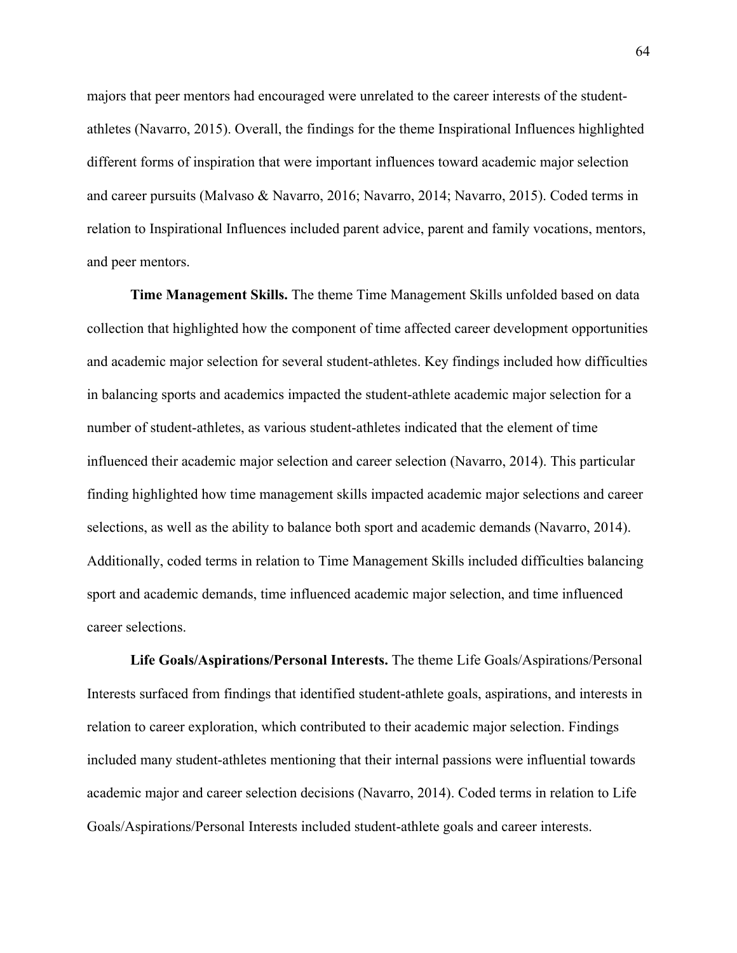majors that peer mentors had encouraged were unrelated to the career interests of the studentathletes (Navarro, 2015). Overall, the findings for the theme Inspirational Influences highlighted different forms of inspiration that were important influences toward academic major selection and career pursuits (Malvaso & Navarro, 2016; Navarro, 2014; Navarro, 2015). Coded terms in relation to Inspirational Influences included parent advice, parent and family vocations, mentors, and peer mentors.

**Time Management Skills.** The theme Time Management Skills unfolded based on data collection that highlighted how the component of time affected career development opportunities and academic major selection for several student-athletes. Key findings included how difficulties in balancing sports and academics impacted the student-athlete academic major selection for a number of student-athletes, as various student-athletes indicated that the element of time influenced their academic major selection and career selection (Navarro, 2014). This particular finding highlighted how time management skills impacted academic major selections and career selections, as well as the ability to balance both sport and academic demands (Navarro, 2014). Additionally, coded terms in relation to Time Management Skills included difficulties balancing sport and academic demands, time influenced academic major selection, and time influenced career selections.

**Life Goals/Aspirations/Personal Interests.** The theme Life Goals/Aspirations/Personal Interests surfaced from findings that identified student-athlete goals, aspirations, and interests in relation to career exploration, which contributed to their academic major selection. Findings included many student-athletes mentioning that their internal passions were influential towards academic major and career selection decisions (Navarro, 2014). Coded terms in relation to Life Goals/Aspirations/Personal Interests included student-athlete goals and career interests.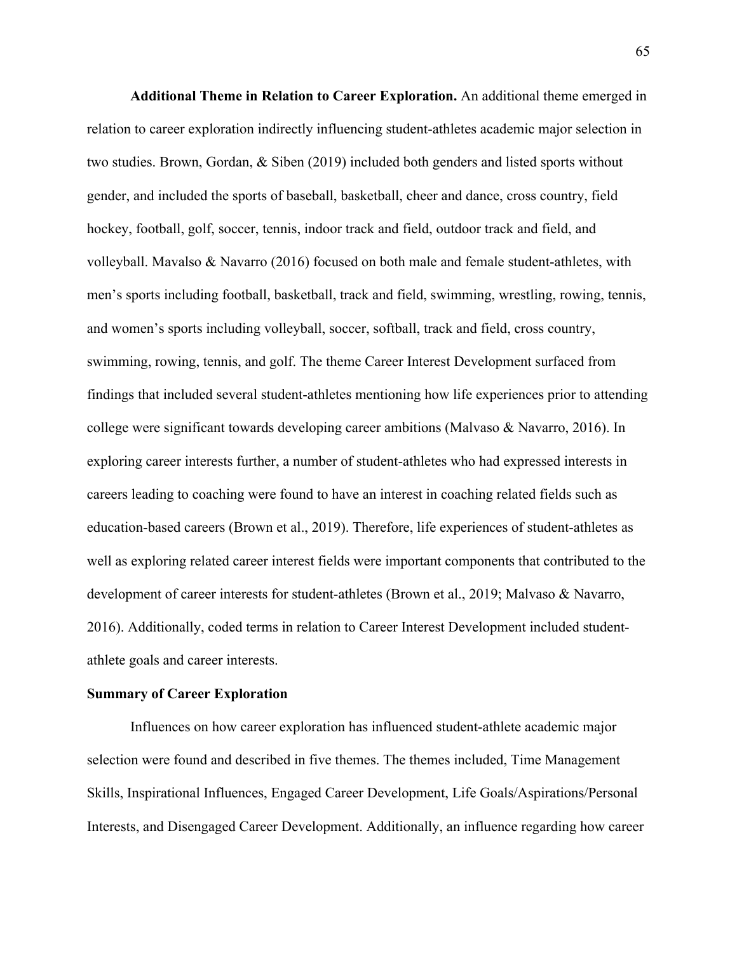**Additional Theme in Relation to Career Exploration.** An additional theme emerged in relation to career exploration indirectly influencing student-athletes academic major selection in two studies. Brown, Gordan, & Siben (2019) included both genders and listed sports without gender, and included the sports of baseball, basketball, cheer and dance, cross country, field hockey, football, golf, soccer, tennis, indoor track and field, outdoor track and field, and volleyball. Mavalso & Navarro (2016) focused on both male and female student-athletes, with men's sports including football, basketball, track and field, swimming, wrestling, rowing, tennis, and women's sports including volleyball, soccer, softball, track and field, cross country, swimming, rowing, tennis, and golf. The theme Career Interest Development surfaced from findings that included several student-athletes mentioning how life experiences prior to attending college were significant towards developing career ambitions (Malvaso & Navarro, 2016). In exploring career interests further, a number of student-athletes who had expressed interests in careers leading to coaching were found to have an interest in coaching related fields such as education-based careers (Brown et al., 2019). Therefore, life experiences of student-athletes as well as exploring related career interest fields were important components that contributed to the development of career interests for student-athletes (Brown et al., 2019; Malvaso & Navarro, 2016). Additionally, coded terms in relation to Career Interest Development included studentathlete goals and career interests.

## **Summary of Career Exploration**

Influences on how career exploration has influenced student-athlete academic major selection were found and described in five themes. The themes included, Time Management Skills, Inspirational Influences, Engaged Career Development, Life Goals/Aspirations/Personal Interests, and Disengaged Career Development. Additionally, an influence regarding how career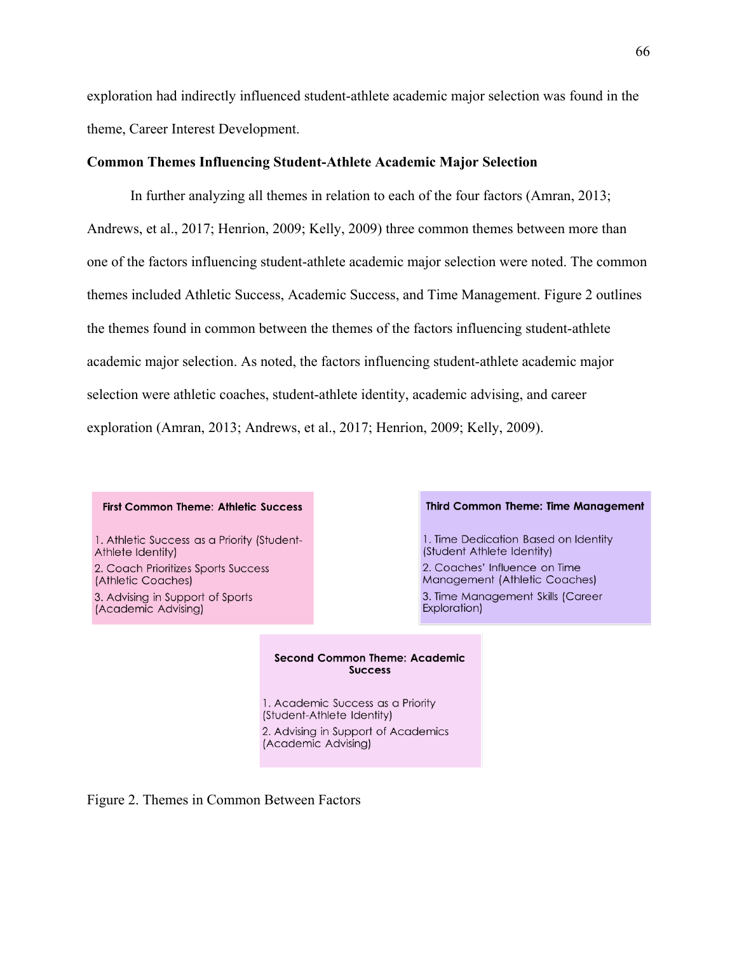exploration had indirectly influenced student-athlete academic major selection was found in the theme, Career Interest Development.

## **Common Themes Influencing Student-Athlete Academic Major Selection**

In further analyzing all themes in relation to each of the four factors (Amran, 2013; Andrews, et al., 2017; Henrion, 2009; Kelly, 2009) three common themes between more than one of the factors influencing student-athlete academic major selection were noted. The common themes included Athletic Success, Academic Success, and Time Management. Figure 2 outlines the themes found in common between the themes of the factors influencing student-athlete academic major selection. As noted, the factors influencing student-athlete academic major selection were athletic coaches, student-athlete identity, academic advising, and career exploration (Amran, 2013; Andrews, et al., 2017; Henrion, 2009; Kelly, 2009).

#### **First Common Theme: Athletic Success**

1. Athletic Success as a Priority (Student-Athlete Identity)

2. Coach Prioritizes Sports Success (Athletic Coaches) 3. Advising in Support of Sports (Academic Advising)

#### **Third Common Theme: Time Management**

1. Time Dedication Based on Identity (Student Athlete Identity)

2. Coaches' Influence on Time Management (Athletic Coaches) 3. Time Management Skills (Career Exploration)

#### **Second Common Theme: Academic Success**

1. Academic Success as a Priority (Student-Athlete Identity) 2. Advising in Support of Academics (Academic Advising)

Figure 2. Themes in Common Between Factors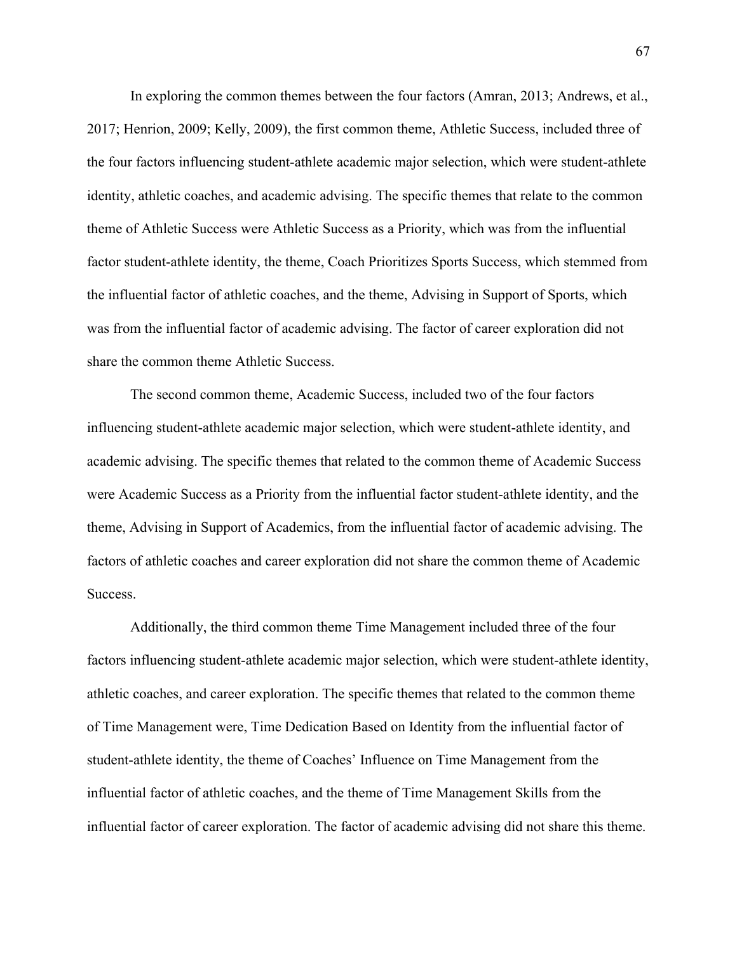In exploring the common themes between the four factors (Amran, 2013; Andrews, et al., 2017; Henrion, 2009; Kelly, 2009), the first common theme, Athletic Success, included three of the four factors influencing student-athlete academic major selection, which were student-athlete identity, athletic coaches, and academic advising. The specific themes that relate to the common theme of Athletic Success were Athletic Success as a Priority, which was from the influential factor student-athlete identity, the theme, Coach Prioritizes Sports Success, which stemmed from the influential factor of athletic coaches, and the theme, Advising in Support of Sports, which was from the influential factor of academic advising. The factor of career exploration did not share the common theme Athletic Success.

The second common theme, Academic Success, included two of the four factors influencing student-athlete academic major selection, which were student-athlete identity, and academic advising. The specific themes that related to the common theme of Academic Success were Academic Success as a Priority from the influential factor student-athlete identity, and the theme, Advising in Support of Academics, from the influential factor of academic advising. The factors of athletic coaches and career exploration did not share the common theme of Academic Success.

Additionally, the third common theme Time Management included three of the four factors influencing student-athlete academic major selection, which were student-athlete identity, athletic coaches, and career exploration. The specific themes that related to the common theme of Time Management were, Time Dedication Based on Identity from the influential factor of student-athlete identity, the theme of Coaches' Influence on Time Management from the influential factor of athletic coaches, and the theme of Time Management Skills from the influential factor of career exploration. The factor of academic advising did not share this theme.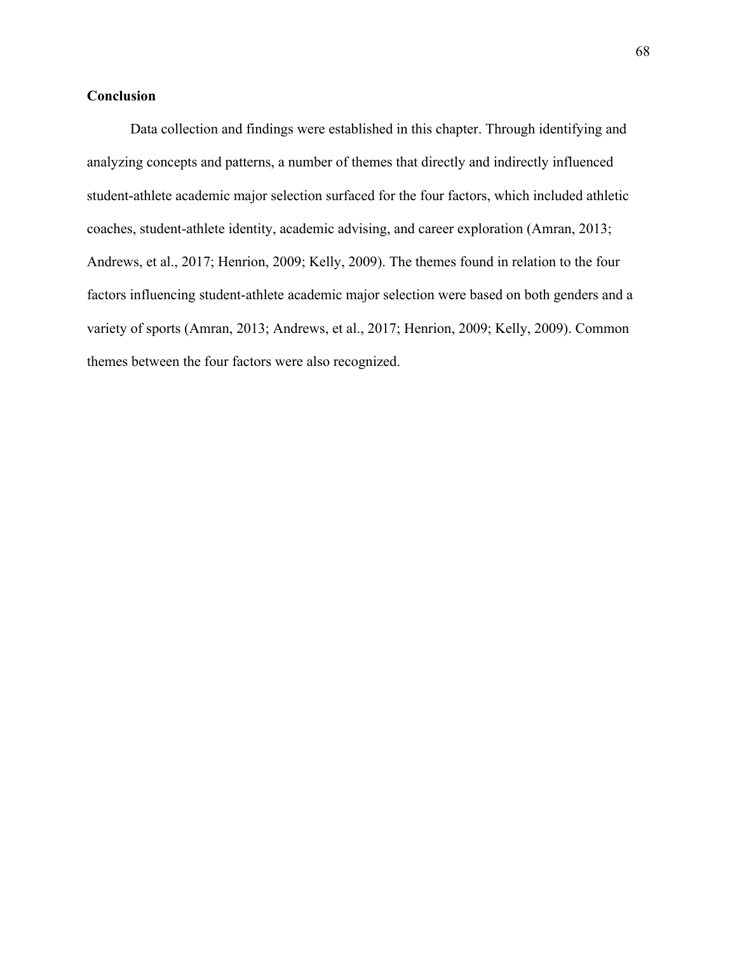## **Conclusion**

Data collection and findings were established in this chapter. Through identifying and analyzing concepts and patterns, a number of themes that directly and indirectly influenced student-athlete academic major selection surfaced for the four factors, which included athletic coaches, student-athlete identity, academic advising, and career exploration (Amran, 2013; Andrews, et al., 2017; Henrion, 2009; Kelly, 2009). The themes found in relation to the four factors influencing student-athlete academic major selection were based on both genders and a variety of sports (Amran, 2013; Andrews, et al., 2017; Henrion, 2009; Kelly, 2009). Common themes between the four factors were also recognized.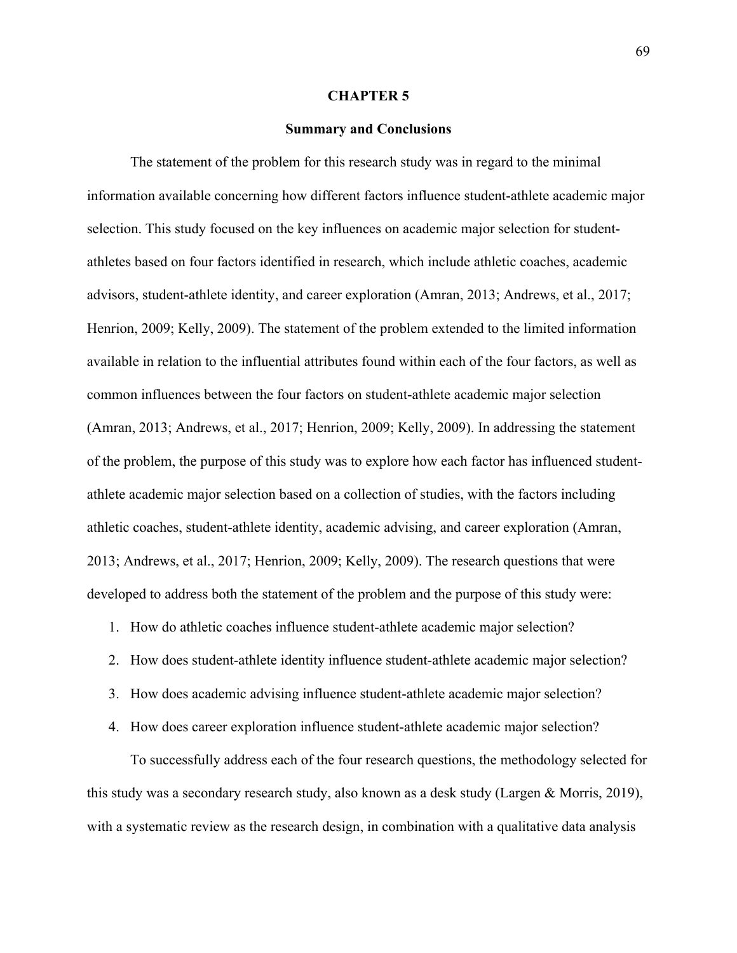### **CHAPTER 5**

### **Summary and Conclusions**

The statement of the problem for this research study was in regard to the minimal information available concerning how different factors influence student-athlete academic major selection. This study focused on the key influences on academic major selection for studentathletes based on four factors identified in research, which include athletic coaches, academic advisors, student-athlete identity, and career exploration (Amran, 2013; Andrews, et al., 2017; Henrion, 2009; Kelly, 2009). The statement of the problem extended to the limited information available in relation to the influential attributes found within each of the four factors, as well as common influences between the four factors on student-athlete academic major selection (Amran, 2013; Andrews, et al., 2017; Henrion, 2009; Kelly, 2009). In addressing the statement of the problem, the purpose of this study was to explore how each factor has influenced studentathlete academic major selection based on a collection of studies, with the factors including athletic coaches, student-athlete identity, academic advising, and career exploration (Amran, 2013; Andrews, et al., 2017; Henrion, 2009; Kelly, 2009). The research questions that were developed to address both the statement of the problem and the purpose of this study were:

1. How do athletic coaches influence student-athlete academic major selection?

- 2. How does student-athlete identity influence student-athlete academic major selection?
- 3. How does academic advising influence student-athlete academic major selection?
- 4. How does career exploration influence student-athlete academic major selection?

To successfully address each of the four research questions, the methodology selected for this study was a secondary research study, also known as a desk study (Largen & Morris, 2019), with a systematic review as the research design, in combination with a qualitative data analysis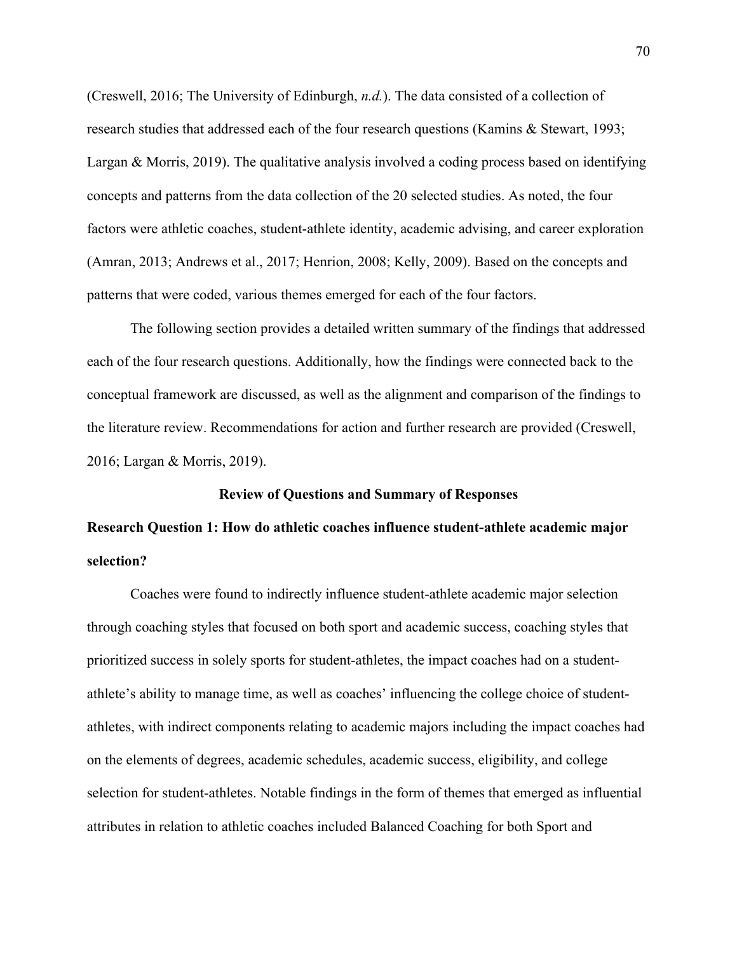(Creswell, 2016; The University of Edinburgh, *n.d.*). The data consisted of a collection of research studies that addressed each of the four research questions (Kamins & Stewart, 1993; Largan & Morris, 2019). The qualitative analysis involved a coding process based on identifying concepts and patterns from the data collection of the 20 selected studies. As noted, the four factors were athletic coaches, student-athlete identity, academic advising, and career exploration (Amran, 2013; Andrews et al., 2017; Henrion, 2008; Kelly, 2009). Based on the concepts and patterns that were coded, various themes emerged for each of the four factors.

The following section provides a detailed written summary of the findings that addressed each of the four research questions. Additionally, how the findings were connected back to the conceptual framework are discussed, as well as the alignment and comparison of the findings to the literature review. Recommendations for action and further research are provided (Creswell, 2016; Largan & Morris, 2019).

#### **Review of Questions and Summary of Responses**

# **Research Question 1: How do athletic coaches influence student-athlete academic major selection?**

Coaches were found to indirectly influence student-athlete academic major selection through coaching styles that focused on both sport and academic success, coaching styles that prioritized success in solely sports for student-athletes, the impact coaches had on a studentathlete's ability to manage time, as well as coaches' influencing the college choice of studentathletes, with indirect components relating to academic majors including the impact coaches had on the elements of degrees, academic schedules, academic success, eligibility, and college selection for student-athletes. Notable findings in the form of themes that emerged as influential attributes in relation to athletic coaches included Balanced Coaching for both Sport and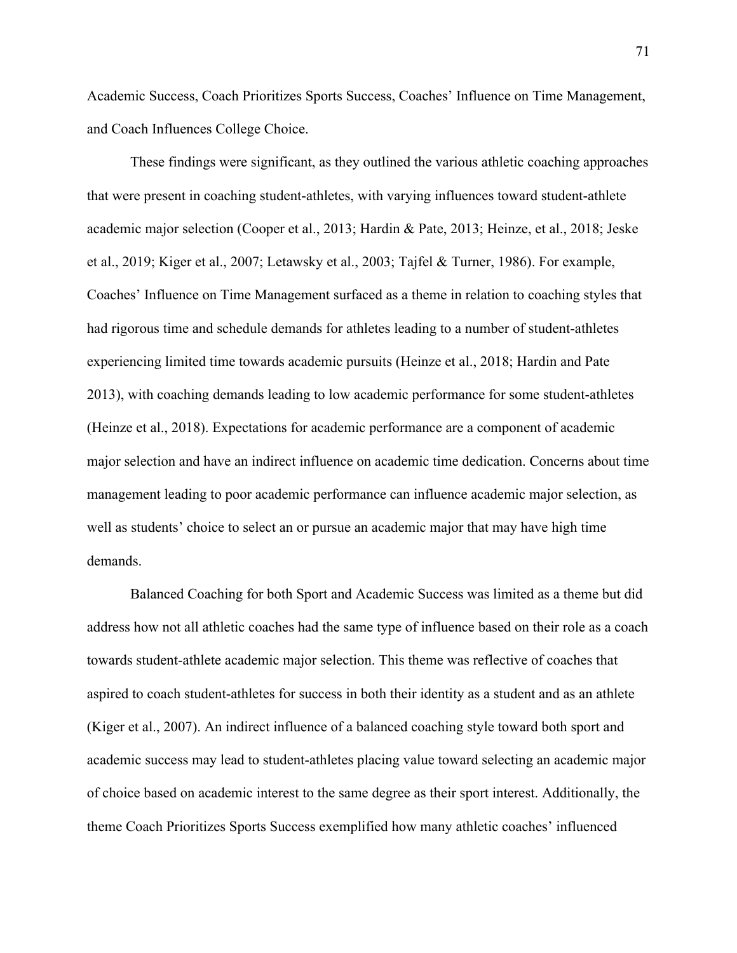Academic Success, Coach Prioritizes Sports Success, Coaches' Influence on Time Management, and Coach Influences College Choice.

These findings were significant, as they outlined the various athletic coaching approaches that were present in coaching student-athletes, with varying influences toward student-athlete academic major selection (Cooper et al., 2013; Hardin & Pate, 2013; Heinze, et al., 2018; Jeske et al., 2019; Kiger et al., 2007; Letawsky et al., 2003; Tajfel & Turner, 1986). For example, Coaches' Influence on Time Management surfaced as a theme in relation to coaching styles that had rigorous time and schedule demands for athletes leading to a number of student-athletes experiencing limited time towards academic pursuits (Heinze et al., 2018; Hardin and Pate 2013), with coaching demands leading to low academic performance for some student-athletes (Heinze et al., 2018). Expectations for academic performance are a component of academic major selection and have an indirect influence on academic time dedication. Concerns about time management leading to poor academic performance can influence academic major selection, as well as students' choice to select an or pursue an academic major that may have high time demands.

Balanced Coaching for both Sport and Academic Success was limited as a theme but did address how not all athletic coaches had the same type of influence based on their role as a coach towards student-athlete academic major selection. This theme was reflective of coaches that aspired to coach student-athletes for success in both their identity as a student and as an athlete (Kiger et al., 2007). An indirect influence of a balanced coaching style toward both sport and academic success may lead to student-athletes placing value toward selecting an academic major of choice based on academic interest to the same degree as their sport interest. Additionally, the theme Coach Prioritizes Sports Success exemplified how many athletic coaches' influenced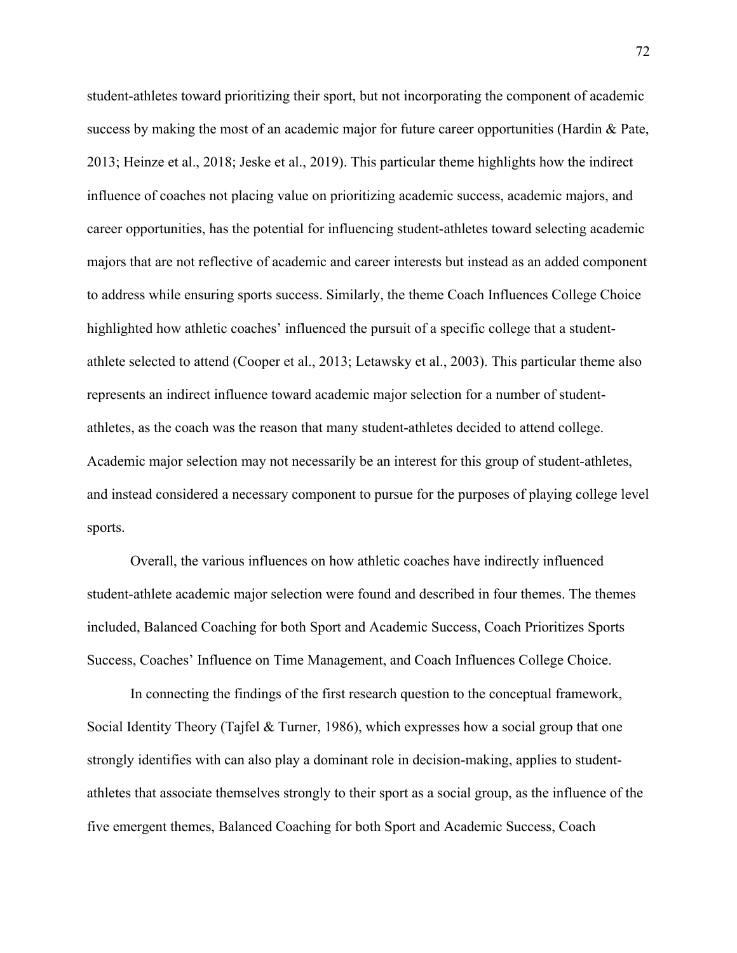student-athletes toward prioritizing their sport, but not incorporating the component of academic success by making the most of an academic major for future career opportunities (Hardin  $\&$  Pate, 2013; Heinze et al., 2018; Jeske et al., 2019). This particular theme highlights how the indirect influence of coaches not placing value on prioritizing academic success, academic majors, and career opportunities, has the potential for influencing student-athletes toward selecting academic majors that are not reflective of academic and career interests but instead as an added component to address while ensuring sports success. Similarly, the theme Coach Influences College Choice highlighted how athletic coaches' influenced the pursuit of a specific college that a studentathlete selected to attend (Cooper et al., 2013; Letawsky et al., 2003). This particular theme also represents an indirect influence toward academic major selection for a number of studentathletes, as the coach was the reason that many student-athletes decided to attend college. Academic major selection may not necessarily be an interest for this group of student-athletes, and instead considered a necessary component to pursue for the purposes of playing college level sports.

Overall, the various influences on how athletic coaches have indirectly influenced student-athlete academic major selection were found and described in four themes. The themes included, Balanced Coaching for both Sport and Academic Success, Coach Prioritizes Sports Success, Coaches' Influence on Time Management, and Coach Influences College Choice.

In connecting the findings of the first research question to the conceptual framework, Social Identity Theory (Tajfel & Turner, 1986), which expresses how a social group that one strongly identifies with can also play a dominant role in decision-making, applies to studentathletes that associate themselves strongly to their sport as a social group, as the influence of the five emergent themes, Balanced Coaching for both Sport and Academic Success, Coach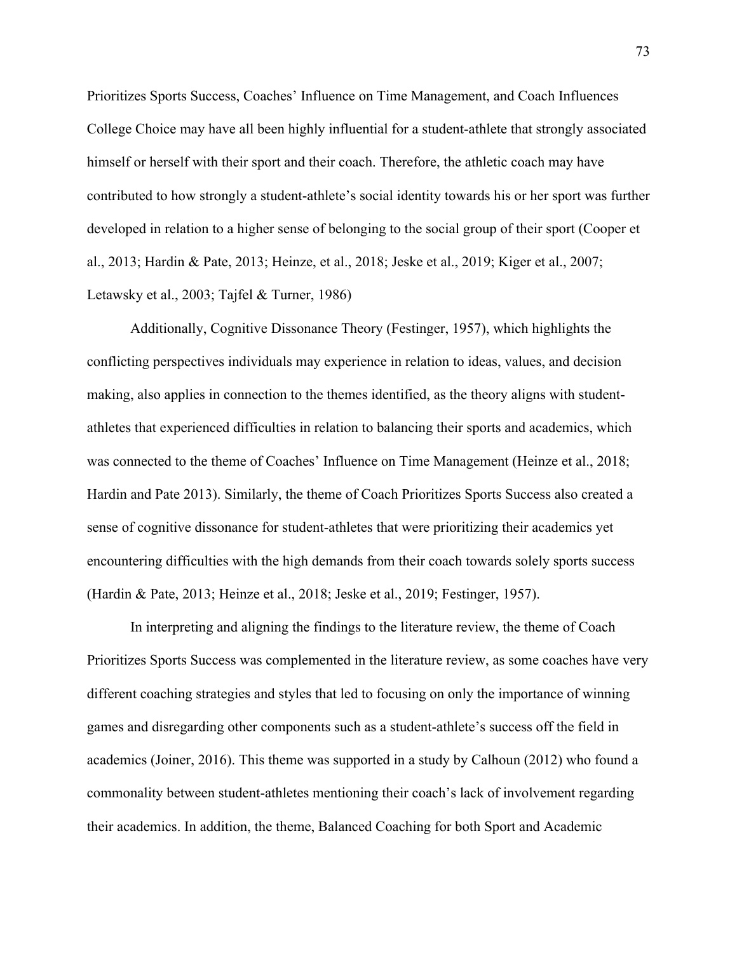Prioritizes Sports Success, Coaches' Influence on Time Management, and Coach Influences College Choice may have all been highly influential for a student-athlete that strongly associated himself or herself with their sport and their coach. Therefore, the athletic coach may have contributed to how strongly a student-athlete's social identity towards his or her sport was further developed in relation to a higher sense of belonging to the social group of their sport (Cooper et al., 2013; Hardin & Pate, 2013; Heinze, et al., 2018; Jeske et al., 2019; Kiger et al., 2007; Letawsky et al., 2003; Tajfel & Turner, 1986)

Additionally, Cognitive Dissonance Theory (Festinger, 1957), which highlights the conflicting perspectives individuals may experience in relation to ideas, values, and decision making, also applies in connection to the themes identified, as the theory aligns with studentathletes that experienced difficulties in relation to balancing their sports and academics, which was connected to the theme of Coaches' Influence on Time Management (Heinze et al., 2018; Hardin and Pate 2013). Similarly, the theme of Coach Prioritizes Sports Success also created a sense of cognitive dissonance for student-athletes that were prioritizing their academics yet encountering difficulties with the high demands from their coach towards solely sports success (Hardin & Pate, 2013; Heinze et al., 2018; Jeske et al., 2019; Festinger, 1957).

In interpreting and aligning the findings to the literature review, the theme of Coach Prioritizes Sports Success was complemented in the literature review, as some coaches have very different coaching strategies and styles that led to focusing on only the importance of winning games and disregarding other components such as a student-athlete's success off the field in academics (Joiner, 2016). This theme was supported in a study by Calhoun (2012) who found a commonality between student-athletes mentioning their coach's lack of involvement regarding their academics. In addition, the theme, Balanced Coaching for both Sport and Academic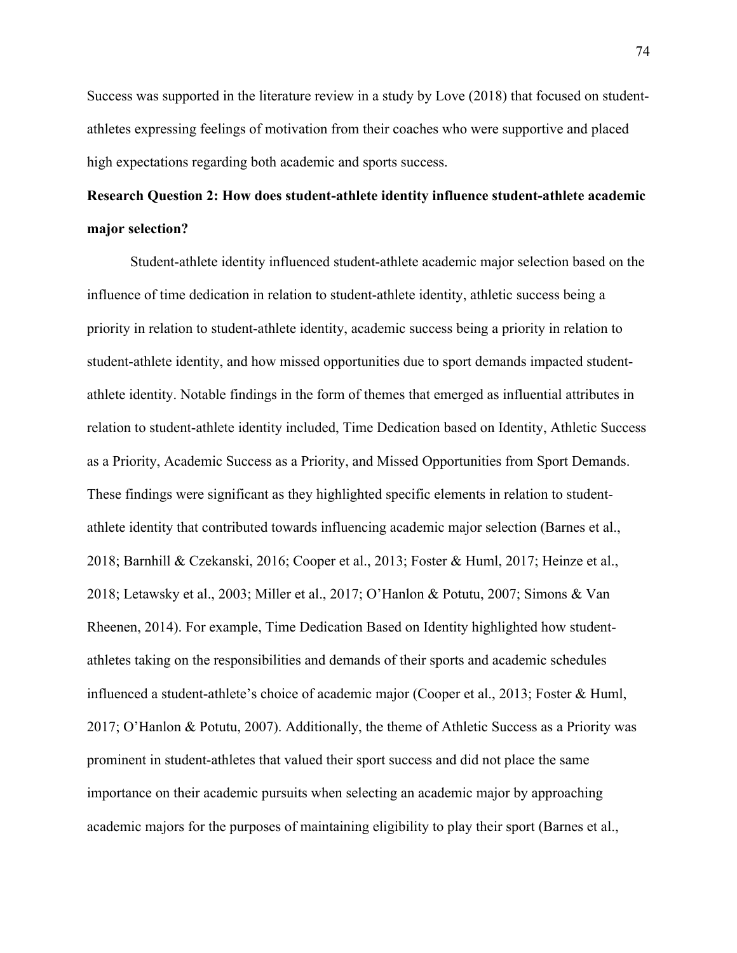Success was supported in the literature review in a study by Love (2018) that focused on studentathletes expressing feelings of motivation from their coaches who were supportive and placed high expectations regarding both academic and sports success.

# **Research Question 2: How does student-athlete identity influence student-athlete academic major selection?**

Student-athlete identity influenced student-athlete academic major selection based on the influence of time dedication in relation to student-athlete identity, athletic success being a priority in relation to student-athlete identity, academic success being a priority in relation to student-athlete identity, and how missed opportunities due to sport demands impacted studentathlete identity. Notable findings in the form of themes that emerged as influential attributes in relation to student-athlete identity included, Time Dedication based on Identity, Athletic Success as a Priority, Academic Success as a Priority, and Missed Opportunities from Sport Demands. These findings were significant as they highlighted specific elements in relation to studentathlete identity that contributed towards influencing academic major selection (Barnes et al., 2018; Barnhill & Czekanski, 2016; Cooper et al., 2013; Foster & Huml, 2017; Heinze et al., 2018; Letawsky et al., 2003; Miller et al., 2017; O'Hanlon & Potutu, 2007; Simons & Van Rheenen, 2014). For example, Time Dedication Based on Identity highlighted how studentathletes taking on the responsibilities and demands of their sports and academic schedules influenced a student-athlete's choice of academic major (Cooper et al., 2013; Foster & Huml, 2017; O'Hanlon & Potutu, 2007). Additionally, the theme of Athletic Success as a Priority was prominent in student-athletes that valued their sport success and did not place the same importance on their academic pursuits when selecting an academic major by approaching academic majors for the purposes of maintaining eligibility to play their sport (Barnes et al.,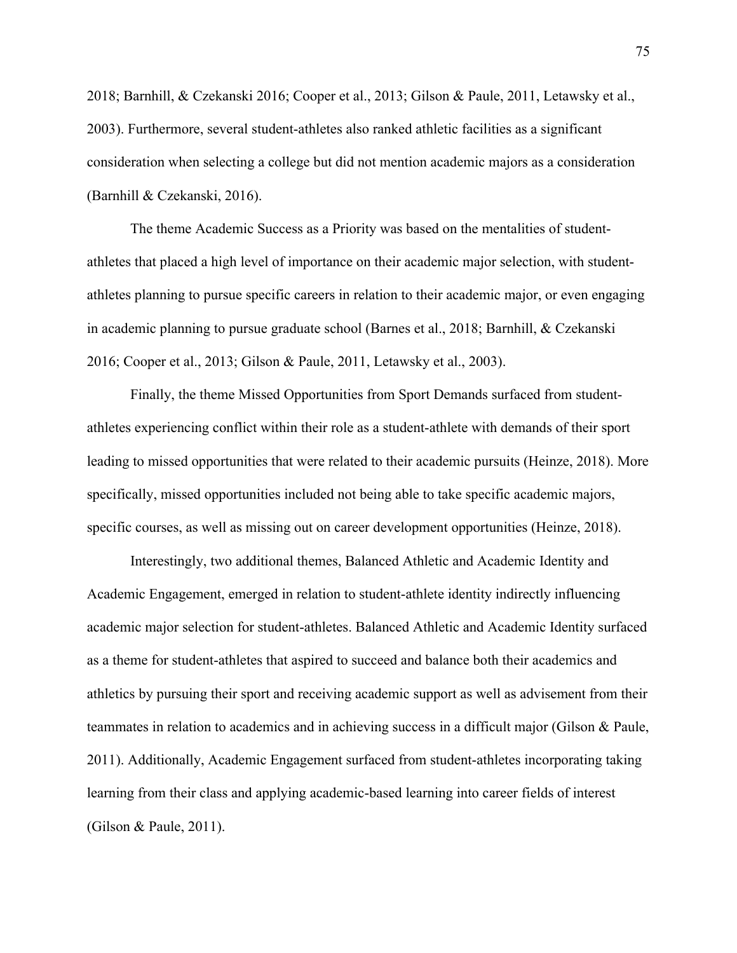2018; Barnhill, & Czekanski 2016; Cooper et al., 2013; Gilson & Paule, 2011, Letawsky et al., 2003). Furthermore, several student-athletes also ranked athletic facilities as a significant consideration when selecting a college but did not mention academic majors as a consideration (Barnhill & Czekanski, 2016).

The theme Academic Success as a Priority was based on the mentalities of studentathletes that placed a high level of importance on their academic major selection, with studentathletes planning to pursue specific careers in relation to their academic major, or even engaging in academic planning to pursue graduate school (Barnes et al., 2018; Barnhill, & Czekanski 2016; Cooper et al., 2013; Gilson & Paule, 2011, Letawsky et al., 2003).

Finally, the theme Missed Opportunities from Sport Demands surfaced from studentathletes experiencing conflict within their role as a student-athlete with demands of their sport leading to missed opportunities that were related to their academic pursuits (Heinze, 2018). More specifically, missed opportunities included not being able to take specific academic majors, specific courses, as well as missing out on career development opportunities (Heinze, 2018).

Interestingly, two additional themes, Balanced Athletic and Academic Identity and Academic Engagement, emerged in relation to student-athlete identity indirectly influencing academic major selection for student-athletes. Balanced Athletic and Academic Identity surfaced as a theme for student-athletes that aspired to succeed and balance both their academics and athletics by pursuing their sport and receiving academic support as well as advisement from their teammates in relation to academics and in achieving success in a difficult major (Gilson & Paule, 2011). Additionally, Academic Engagement surfaced from student-athletes incorporating taking learning from their class and applying academic-based learning into career fields of interest (Gilson & Paule, 2011).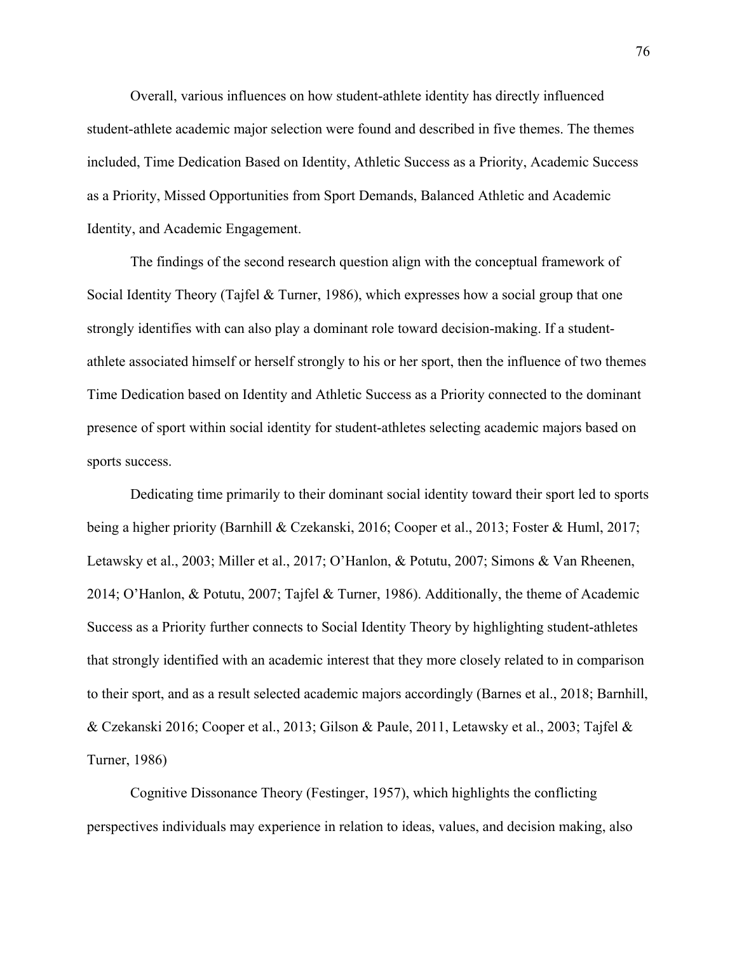Overall, various influences on how student-athlete identity has directly influenced student-athlete academic major selection were found and described in five themes. The themes included, Time Dedication Based on Identity, Athletic Success as a Priority, Academic Success as a Priority, Missed Opportunities from Sport Demands, Balanced Athletic and Academic Identity, and Academic Engagement.

The findings of the second research question align with the conceptual framework of Social Identity Theory (Tajfel & Turner, 1986), which expresses how a social group that one strongly identifies with can also play a dominant role toward decision-making. If a studentathlete associated himself or herself strongly to his or her sport, then the influence of two themes Time Dedication based on Identity and Athletic Success as a Priority connected to the dominant presence of sport within social identity for student-athletes selecting academic majors based on sports success.

Dedicating time primarily to their dominant social identity toward their sport led to sports being a higher priority (Barnhill & Czekanski, 2016; Cooper et al., 2013; Foster & Huml, 2017; Letawsky et al., 2003; Miller et al., 2017; O'Hanlon, & Potutu, 2007; Simons & Van Rheenen, 2014; O'Hanlon, & Potutu, 2007; Tajfel & Turner, 1986). Additionally, the theme of Academic Success as a Priority further connects to Social Identity Theory by highlighting student-athletes that strongly identified with an academic interest that they more closely related to in comparison to their sport, and as a result selected academic majors accordingly (Barnes et al., 2018; Barnhill, & Czekanski 2016; Cooper et al., 2013; Gilson & Paule, 2011, Letawsky et al., 2003; Tajfel & Turner, 1986)

Cognitive Dissonance Theory (Festinger, 1957), which highlights the conflicting perspectives individuals may experience in relation to ideas, values, and decision making, also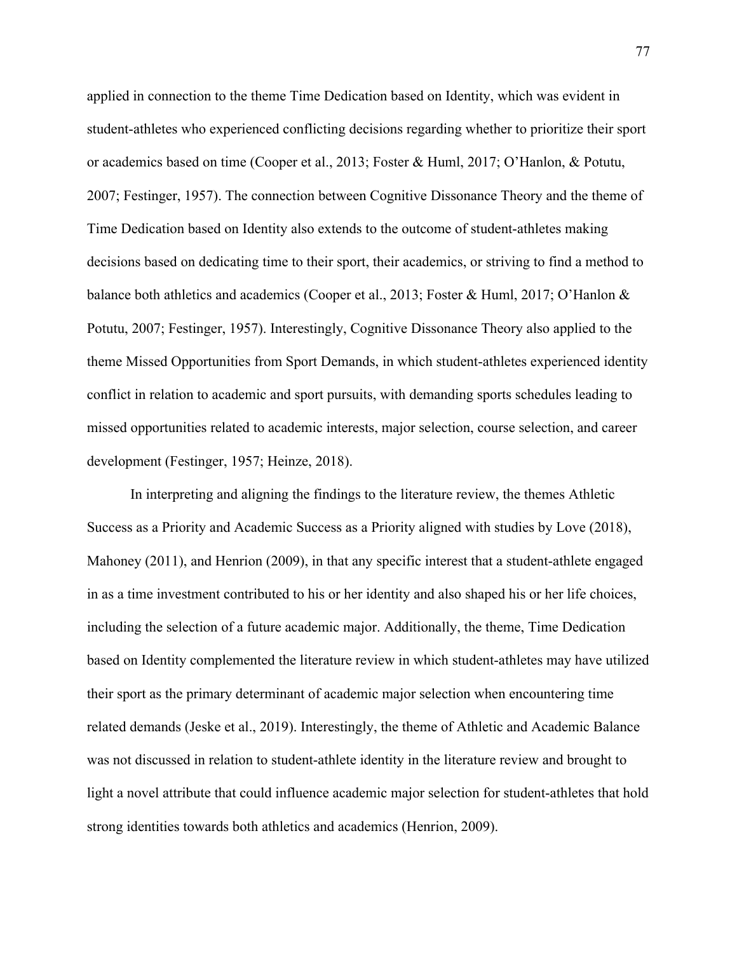applied in connection to the theme Time Dedication based on Identity, which was evident in student-athletes who experienced conflicting decisions regarding whether to prioritize their sport or academics based on time (Cooper et al., 2013; Foster & Huml, 2017; O'Hanlon, & Potutu, 2007; Festinger, 1957). The connection between Cognitive Dissonance Theory and the theme of Time Dedication based on Identity also extends to the outcome of student-athletes making decisions based on dedicating time to their sport, their academics, or striving to find a method to balance both athletics and academics (Cooper et al., 2013; Foster & Huml, 2017; O'Hanlon & Potutu, 2007; Festinger, 1957). Interestingly, Cognitive Dissonance Theory also applied to the theme Missed Opportunities from Sport Demands, in which student-athletes experienced identity conflict in relation to academic and sport pursuits, with demanding sports schedules leading to missed opportunities related to academic interests, major selection, course selection, and career development (Festinger, 1957; Heinze, 2018).

In interpreting and aligning the findings to the literature review, the themes Athletic Success as a Priority and Academic Success as a Priority aligned with studies by Love (2018), Mahoney (2011), and Henrion (2009), in that any specific interest that a student-athlete engaged in as a time investment contributed to his or her identity and also shaped his or her life choices, including the selection of a future academic major. Additionally, the theme, Time Dedication based on Identity complemented the literature review in which student-athletes may have utilized their sport as the primary determinant of academic major selection when encountering time related demands (Jeske et al., 2019). Interestingly, the theme of Athletic and Academic Balance was not discussed in relation to student-athlete identity in the literature review and brought to light a novel attribute that could influence academic major selection for student-athletes that hold strong identities towards both athletics and academics (Henrion, 2009).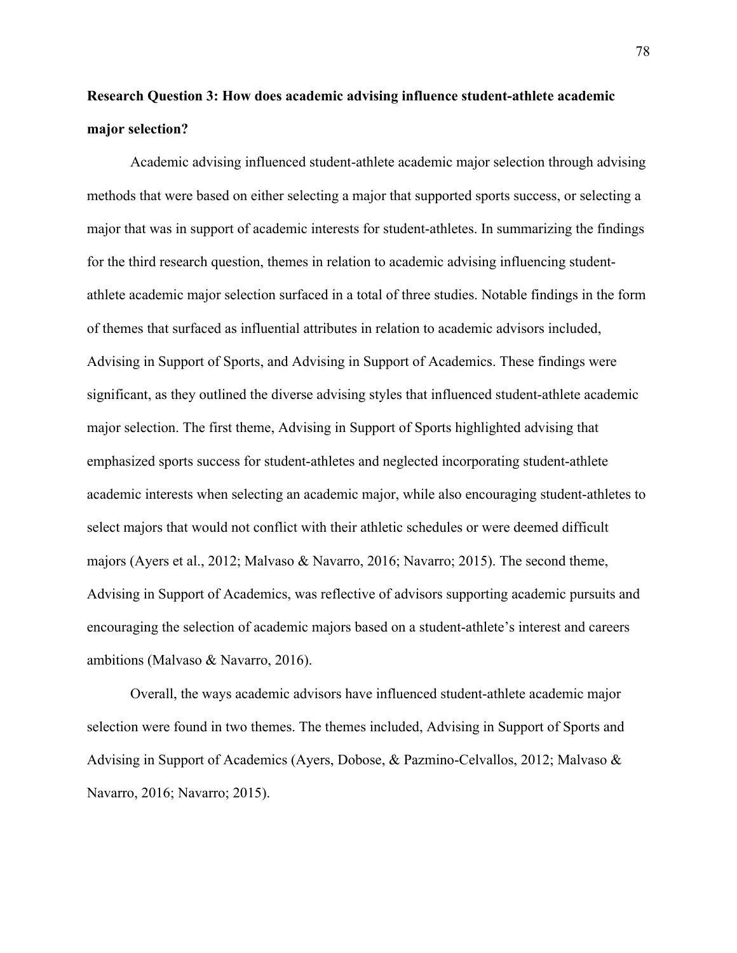# **Research Question 3: How does academic advising influence student-athlete academic major selection?**

Academic advising influenced student-athlete academic major selection through advising methods that were based on either selecting a major that supported sports success, or selecting a major that was in support of academic interests for student-athletes. In summarizing the findings for the third research question, themes in relation to academic advising influencing studentathlete academic major selection surfaced in a total of three studies. Notable findings in the form of themes that surfaced as influential attributes in relation to academic advisors included, Advising in Support of Sports, and Advising in Support of Academics. These findings were significant, as they outlined the diverse advising styles that influenced student-athlete academic major selection. The first theme, Advising in Support of Sports highlighted advising that emphasized sports success for student-athletes and neglected incorporating student-athlete academic interests when selecting an academic major, while also encouraging student-athletes to select majors that would not conflict with their athletic schedules or were deemed difficult majors (Ayers et al., 2012; Malvaso & Navarro, 2016; Navarro; 2015). The second theme, Advising in Support of Academics, was reflective of advisors supporting academic pursuits and encouraging the selection of academic majors based on a student-athlete's interest and careers ambitions (Malvaso & Navarro, 2016).

Overall, the ways academic advisors have influenced student-athlete academic major selection were found in two themes. The themes included, Advising in Support of Sports and Advising in Support of Academics (Ayers, Dobose, & Pazmino-Celvallos, 2012; Malvaso & Navarro, 2016; Navarro; 2015).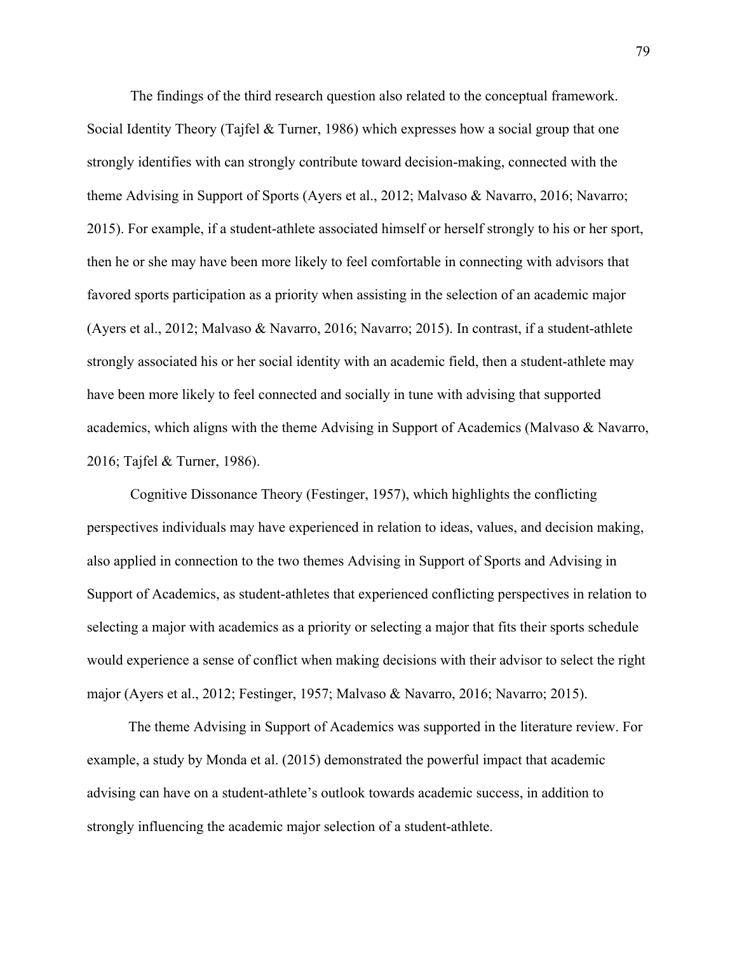The findings of the third research question also related to the conceptual framework. Social Identity Theory (Tajfel & Turner, 1986) which expresses how a social group that one strongly identifies with can strongly contribute toward decision-making, connected with the theme Advising in Support of Sports (Ayers et al., 2012; Malvaso & Navarro, 2016; Navarro; 2015). For example, if a student-athlete associated himself or herself strongly to his or her sport, then he or she may have been more likely to feel comfortable in connecting with advisors that favored sports participation as a priority when assisting in the selection of an academic major (Ayers et al., 2012; Malvaso & Navarro, 2016; Navarro; 2015). In contrast, if a student-athlete strongly associated his or her social identity with an academic field, then a student-athlete may have been more likely to feel connected and socially in tune with advising that supported academics, which aligns with the theme Advising in Support of Academics (Malvaso & Navarro, 2016; Tajfel & Turner, 1986).

Cognitive Dissonance Theory (Festinger, 1957), which highlights the conflicting perspectives individuals may have experienced in relation to ideas, values, and decision making, also applied in connection to the two themes Advising in Support of Sports and Advising in Support of Academics, as student-athletes that experienced conflicting perspectives in relation to selecting a major with academics as a priority or selecting a major that fits their sports schedule would experience a sense of conflict when making decisions with their advisor to select the right major (Ayers et al., 2012; Festinger, 1957; Malvaso & Navarro, 2016; Navarro; 2015).

The theme Advising in Support of Academics was supported in the literature review. For example, a study by Monda et al. (2015) demonstrated the powerful impact that academic advising can have on a student-athlete's outlook towards academic success, in addition to strongly influencing the academic major selection of a student-athlete.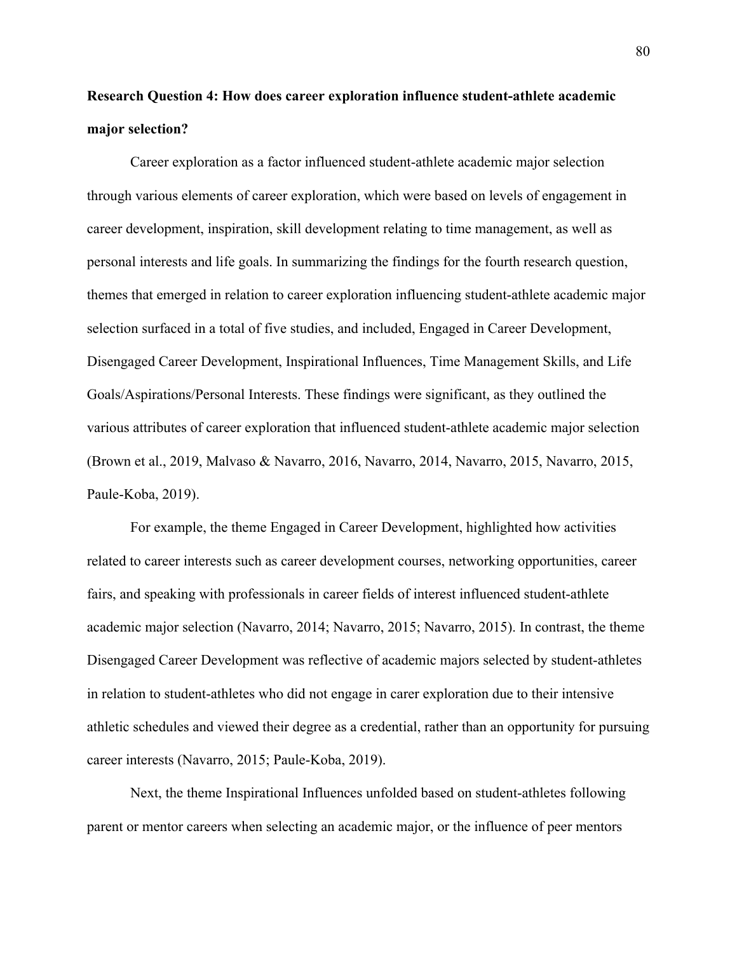# **Research Question 4: How does career exploration influence student-athlete academic major selection?**

Career exploration as a factor influenced student-athlete academic major selection through various elements of career exploration, which were based on levels of engagement in career development, inspiration, skill development relating to time management, as well as personal interests and life goals. In summarizing the findings for the fourth research question, themes that emerged in relation to career exploration influencing student-athlete academic major selection surfaced in a total of five studies, and included, Engaged in Career Development, Disengaged Career Development, Inspirational Influences, Time Management Skills, and Life Goals/Aspirations/Personal Interests. These findings were significant, as they outlined the various attributes of career exploration that influenced student-athlete academic major selection (Brown et al., 2019, Malvaso & Navarro, 2016, Navarro, 2014, Navarro, 2015, Navarro, 2015, Paule-Koba, 2019).

For example, the theme Engaged in Career Development, highlighted how activities related to career interests such as career development courses, networking opportunities, career fairs, and speaking with professionals in career fields of interest influenced student-athlete academic major selection (Navarro, 2014; Navarro, 2015; Navarro, 2015). In contrast, the theme Disengaged Career Development was reflective of academic majors selected by student-athletes in relation to student-athletes who did not engage in carer exploration due to their intensive athletic schedules and viewed their degree as a credential, rather than an opportunity for pursuing career interests (Navarro, 2015; Paule-Koba, 2019).

Next, the theme Inspirational Influences unfolded based on student-athletes following parent or mentor careers when selecting an academic major, or the influence of peer mentors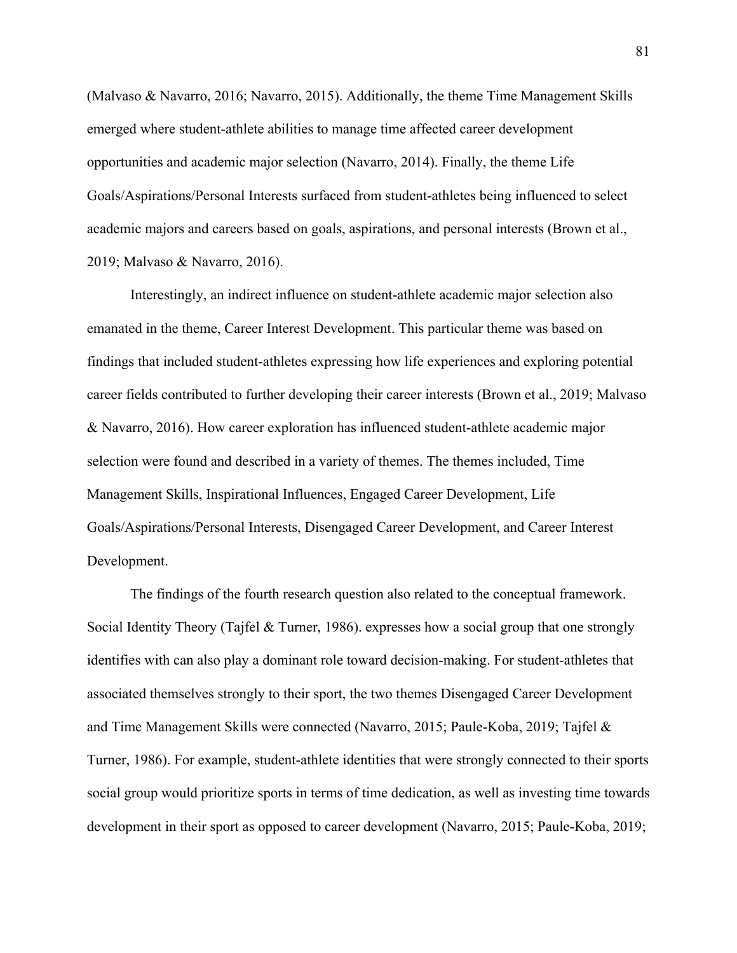(Malvaso & Navarro, 2016; Navarro, 2015). Additionally, the theme Time Management Skills emerged where student-athlete abilities to manage time affected career development opportunities and academic major selection (Navarro, 2014). Finally, the theme Life Goals/Aspirations/Personal Interests surfaced from student-athletes being influenced to select academic majors and careers based on goals, aspirations, and personal interests (Brown et al., 2019; Malvaso & Navarro, 2016).

Interestingly, an indirect influence on student-athlete academic major selection also emanated in the theme, Career Interest Development. This particular theme was based on findings that included student-athletes expressing how life experiences and exploring potential career fields contributed to further developing their career interests (Brown et al., 2019; Malvaso & Navarro, 2016). How career exploration has influenced student-athlete academic major selection were found and described in a variety of themes. The themes included, Time Management Skills, Inspirational Influences, Engaged Career Development, Life Goals/Aspirations/Personal Interests, Disengaged Career Development, and Career Interest Development.

The findings of the fourth research question also related to the conceptual framework. Social Identity Theory (Tajfel & Turner, 1986). expresses how a social group that one strongly identifies with can also play a dominant role toward decision-making. For student-athletes that associated themselves strongly to their sport, the two themes Disengaged Career Development and Time Management Skills were connected (Navarro, 2015; Paule-Koba, 2019; Tajfel & Turner, 1986). For example, student-athlete identities that were strongly connected to their sports social group would prioritize sports in terms of time dedication, as well as investing time towards development in their sport as opposed to career development (Navarro, 2015; Paule-Koba, 2019;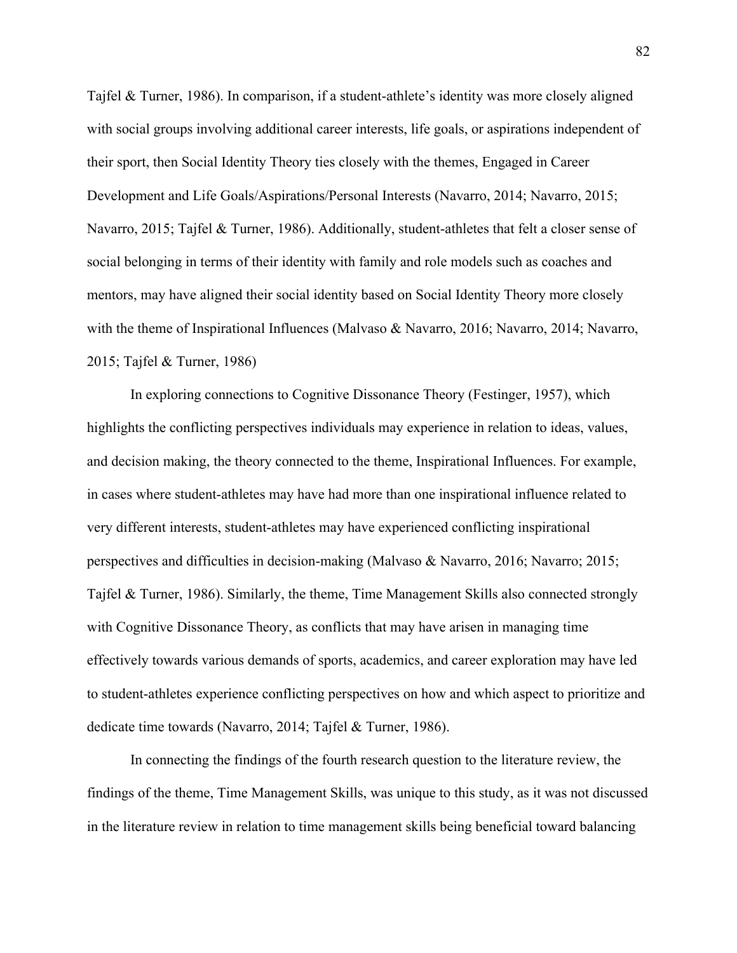Tajfel & Turner, 1986). In comparison, if a student-athlete's identity was more closely aligned with social groups involving additional career interests, life goals, or aspirations independent of their sport, then Social Identity Theory ties closely with the themes, Engaged in Career Development and Life Goals/Aspirations/Personal Interests (Navarro, 2014; Navarro, 2015; Navarro, 2015; Tajfel & Turner, 1986). Additionally, student-athletes that felt a closer sense of social belonging in terms of their identity with family and role models such as coaches and mentors, may have aligned their social identity based on Social Identity Theory more closely with the theme of Inspirational Influences (Malvaso & Navarro, 2016; Navarro, 2014; Navarro, 2015; Tajfel & Turner, 1986)

In exploring connections to Cognitive Dissonance Theory (Festinger, 1957), which highlights the conflicting perspectives individuals may experience in relation to ideas, values, and decision making, the theory connected to the theme, Inspirational Influences. For example, in cases where student-athletes may have had more than one inspirational influence related to very different interests, student-athletes may have experienced conflicting inspirational perspectives and difficulties in decision-making (Malvaso & Navarro, 2016; Navarro; 2015; Tajfel & Turner, 1986). Similarly, the theme, Time Management Skills also connected strongly with Cognitive Dissonance Theory, as conflicts that may have arisen in managing time effectively towards various demands of sports, academics, and career exploration may have led to student-athletes experience conflicting perspectives on how and which aspect to prioritize and dedicate time towards (Navarro, 2014; Tajfel & Turner, 1986).

In connecting the findings of the fourth research question to the literature review, the findings of the theme, Time Management Skills, was unique to this study, as it was not discussed in the literature review in relation to time management skills being beneficial toward balancing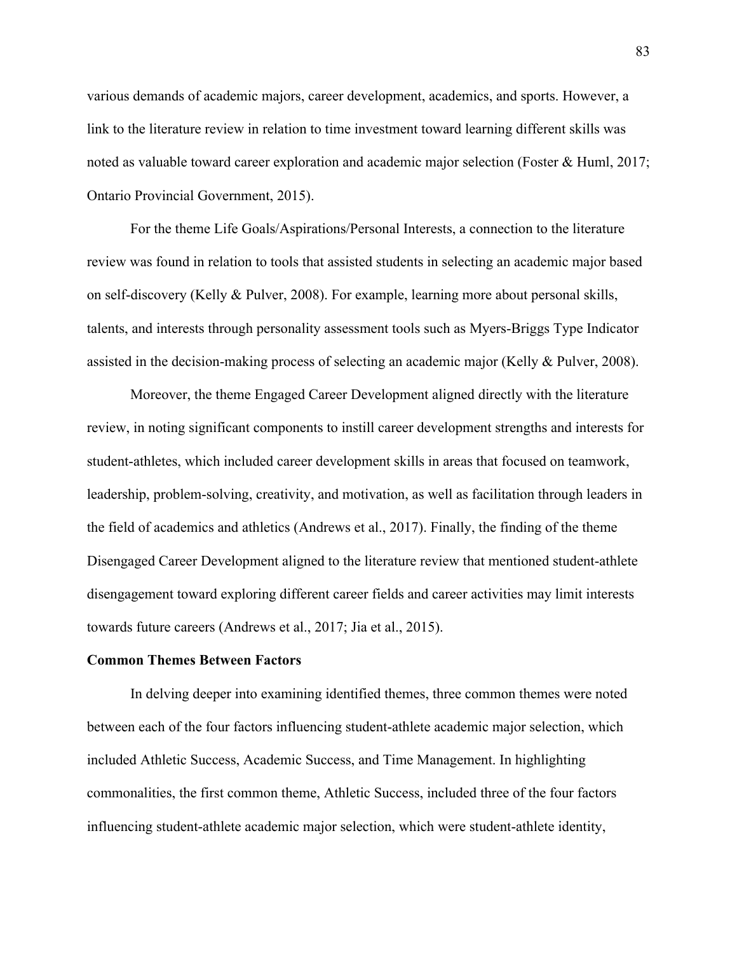various demands of academic majors, career development, academics, and sports. However, a link to the literature review in relation to time investment toward learning different skills was noted as valuable toward career exploration and academic major selection (Foster & Huml, 2017; Ontario Provincial Government, 2015).

For the theme Life Goals/Aspirations/Personal Interests, a connection to the literature review was found in relation to tools that assisted students in selecting an academic major based on self-discovery (Kelly & Pulver, 2008). For example, learning more about personal skills, talents, and interests through personality assessment tools such as Myers-Briggs Type Indicator assisted in the decision-making process of selecting an academic major (Kelly & Pulver, 2008).

Moreover, the theme Engaged Career Development aligned directly with the literature review, in noting significant components to instill career development strengths and interests for student-athletes, which included career development skills in areas that focused on teamwork, leadership, problem-solving, creativity, and motivation, as well as facilitation through leaders in the field of academics and athletics (Andrews et al., 2017). Finally, the finding of the theme Disengaged Career Development aligned to the literature review that mentioned student-athlete disengagement toward exploring different career fields and career activities may limit interests towards future careers (Andrews et al., 2017; Jia et al., 2015).

### **Common Themes Between Factors**

In delving deeper into examining identified themes, three common themes were noted between each of the four factors influencing student-athlete academic major selection, which included Athletic Success, Academic Success, and Time Management. In highlighting commonalities, the first common theme, Athletic Success, included three of the four factors influencing student-athlete academic major selection, which were student-athlete identity,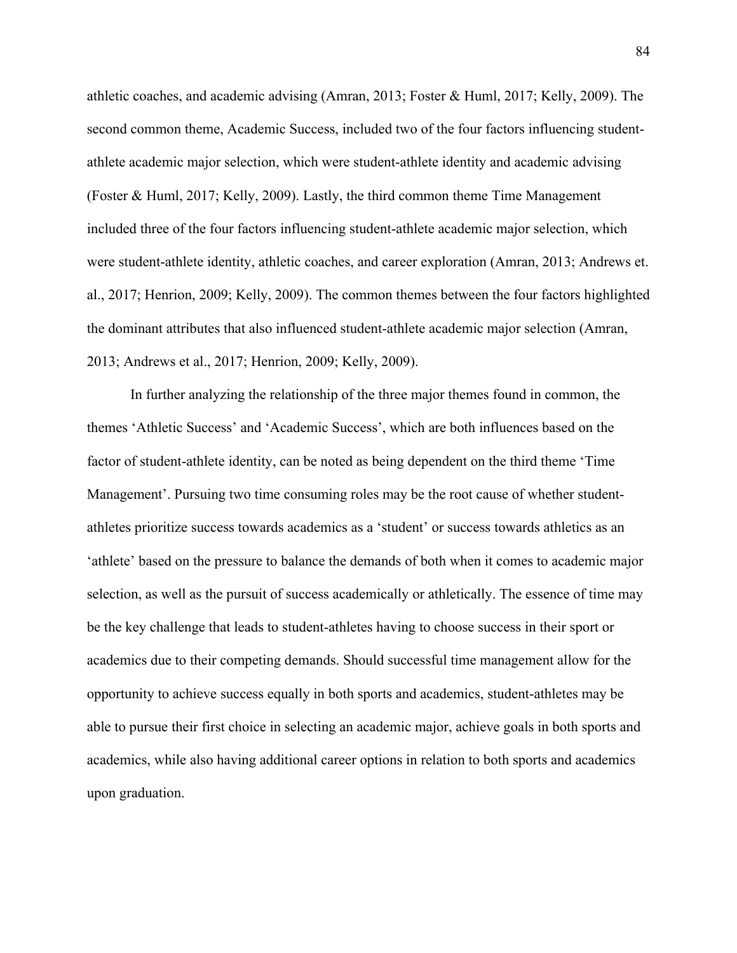athletic coaches, and academic advising (Amran, 2013; Foster & Huml, 2017; Kelly, 2009). The second common theme, Academic Success, included two of the four factors influencing studentathlete academic major selection, which were student-athlete identity and academic advising (Foster & Huml, 2017; Kelly, 2009). Lastly, the third common theme Time Management included three of the four factors influencing student-athlete academic major selection, which were student-athlete identity, athletic coaches, and career exploration (Amran, 2013; Andrews et. al., 2017; Henrion, 2009; Kelly, 2009). The common themes between the four factors highlighted the dominant attributes that also influenced student-athlete academic major selection (Amran, 2013; Andrews et al., 2017; Henrion, 2009; Kelly, 2009).

In further analyzing the relationship of the three major themes found in common, the themes 'Athletic Success' and 'Academic Success', which are both influences based on the factor of student-athlete identity, can be noted as being dependent on the third theme 'Time Management'. Pursuing two time consuming roles may be the root cause of whether studentathletes prioritize success towards academics as a 'student' or success towards athletics as an 'athlete' based on the pressure to balance the demands of both when it comes to academic major selection, as well as the pursuit of success academically or athletically. The essence of time may be the key challenge that leads to student-athletes having to choose success in their sport or academics due to their competing demands. Should successful time management allow for the opportunity to achieve success equally in both sports and academics, student-athletes may be able to pursue their first choice in selecting an academic major, achieve goals in both sports and academics, while also having additional career options in relation to both sports and academics upon graduation.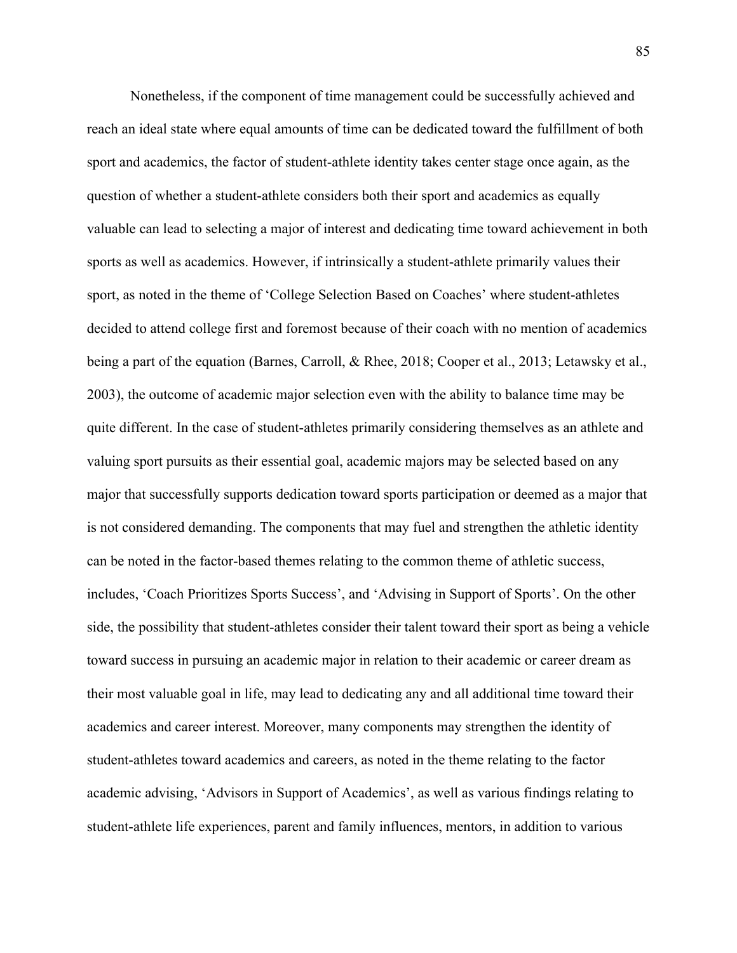Nonetheless, if the component of time management could be successfully achieved and reach an ideal state where equal amounts of time can be dedicated toward the fulfillment of both sport and academics, the factor of student-athlete identity takes center stage once again, as the question of whether a student-athlete considers both their sport and academics as equally valuable can lead to selecting a major of interest and dedicating time toward achievement in both sports as well as academics. However, if intrinsically a student-athlete primarily values their sport, as noted in the theme of 'College Selection Based on Coaches' where student-athletes decided to attend college first and foremost because of their coach with no mention of academics being a part of the equation (Barnes, Carroll, & Rhee, 2018; Cooper et al., 2013; Letawsky et al., 2003), the outcome of academic major selection even with the ability to balance time may be quite different. In the case of student-athletes primarily considering themselves as an athlete and valuing sport pursuits as their essential goal, academic majors may be selected based on any major that successfully supports dedication toward sports participation or deemed as a major that is not considered demanding. The components that may fuel and strengthen the athletic identity can be noted in the factor-based themes relating to the common theme of athletic success, includes, 'Coach Prioritizes Sports Success', and 'Advising in Support of Sports'. On the other side, the possibility that student-athletes consider their talent toward their sport as being a vehicle toward success in pursuing an academic major in relation to their academic or career dream as their most valuable goal in life, may lead to dedicating any and all additional time toward their academics and career interest. Moreover, many components may strengthen the identity of student-athletes toward academics and careers, as noted in the theme relating to the factor academic advising, 'Advisors in Support of Academics', as well as various findings relating to student-athlete life experiences, parent and family influences, mentors, in addition to various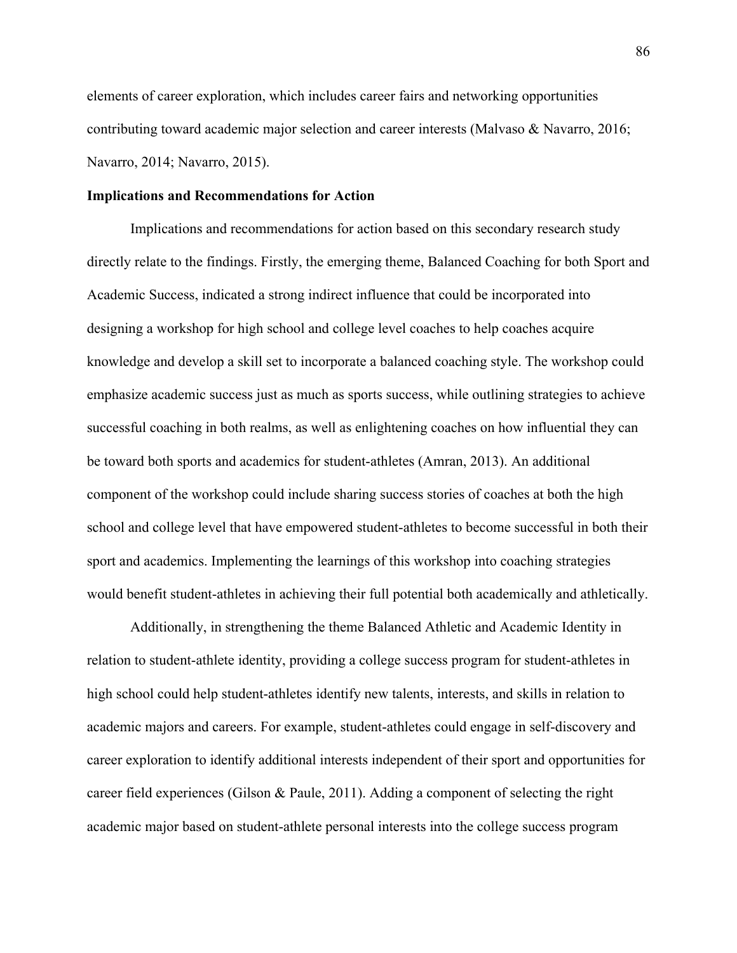elements of career exploration, which includes career fairs and networking opportunities contributing toward academic major selection and career interests (Malvaso & Navarro, 2016; Navarro, 2014; Navarro, 2015).

## **Implications and Recommendations for Action**

Implications and recommendations for action based on this secondary research study directly relate to the findings. Firstly, the emerging theme, Balanced Coaching for both Sport and Academic Success, indicated a strong indirect influence that could be incorporated into designing a workshop for high school and college level coaches to help coaches acquire knowledge and develop a skill set to incorporate a balanced coaching style. The workshop could emphasize academic success just as much as sports success, while outlining strategies to achieve successful coaching in both realms, as well as enlightening coaches on how influential they can be toward both sports and academics for student-athletes (Amran, 2013). An additional component of the workshop could include sharing success stories of coaches at both the high school and college level that have empowered student-athletes to become successful in both their sport and academics. Implementing the learnings of this workshop into coaching strategies would benefit student-athletes in achieving their full potential both academically and athletically.

Additionally, in strengthening the theme Balanced Athletic and Academic Identity in relation to student-athlete identity, providing a college success program for student-athletes in high school could help student-athletes identify new talents, interests, and skills in relation to academic majors and careers. For example, student-athletes could engage in self-discovery and career exploration to identify additional interests independent of their sport and opportunities for career field experiences (Gilson & Paule, 2011). Adding a component of selecting the right academic major based on student-athlete personal interests into the college success program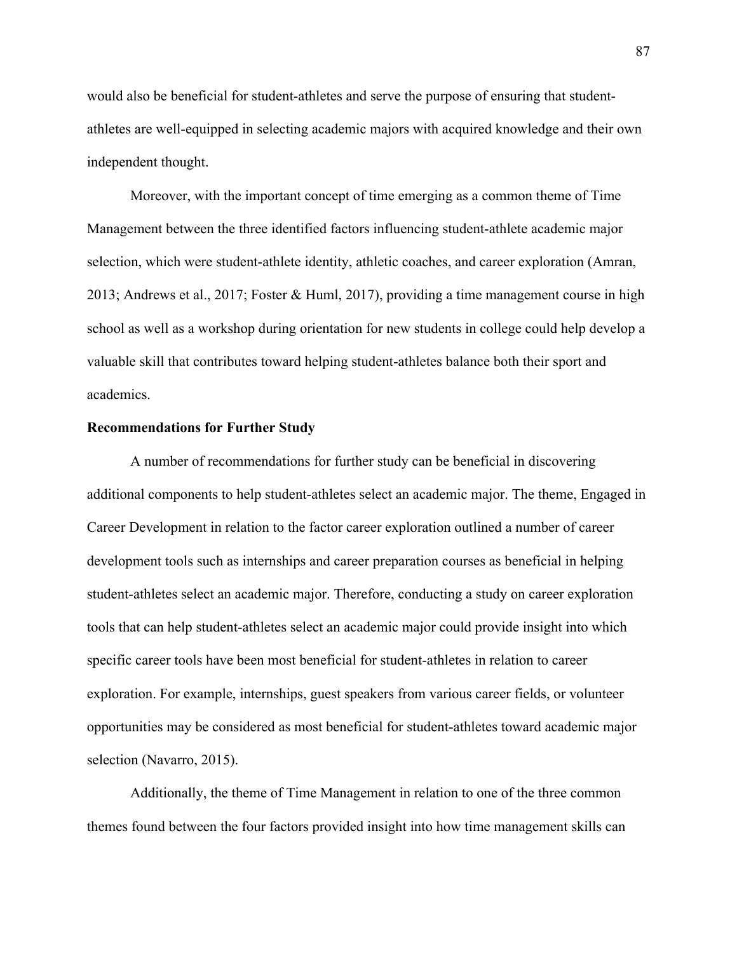would also be beneficial for student-athletes and serve the purpose of ensuring that studentathletes are well-equipped in selecting academic majors with acquired knowledge and their own independent thought.

Moreover, with the important concept of time emerging as a common theme of Time Management between the three identified factors influencing student-athlete academic major selection, which were student-athlete identity, athletic coaches, and career exploration (Amran, 2013; Andrews et al., 2017; Foster & Huml, 2017), providing a time management course in high school as well as a workshop during orientation for new students in college could help develop a valuable skill that contributes toward helping student-athletes balance both their sport and academics.

### **Recommendations for Further Study**

A number of recommendations for further study can be beneficial in discovering additional components to help student-athletes select an academic major. The theme, Engaged in Career Development in relation to the factor career exploration outlined a number of career development tools such as internships and career preparation courses as beneficial in helping student-athletes select an academic major. Therefore, conducting a study on career exploration tools that can help student-athletes select an academic major could provide insight into which specific career tools have been most beneficial for student-athletes in relation to career exploration. For example, internships, guest speakers from various career fields, or volunteer opportunities may be considered as most beneficial for student-athletes toward academic major selection (Navarro, 2015).

Additionally, the theme of Time Management in relation to one of the three common themes found between the four factors provided insight into how time management skills can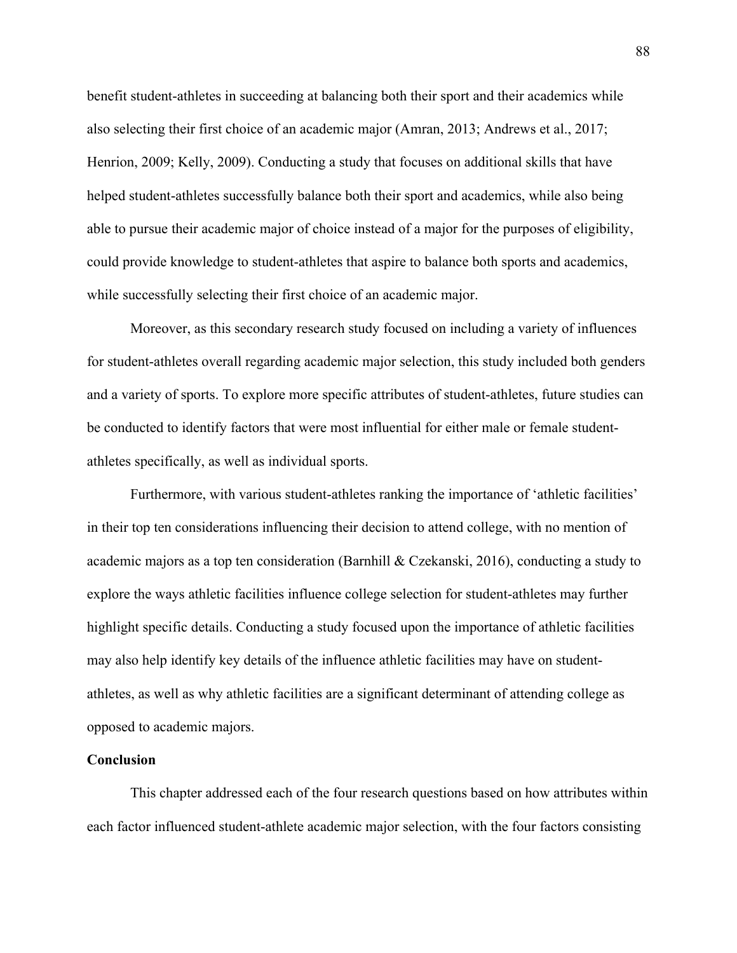benefit student-athletes in succeeding at balancing both their sport and their academics while also selecting their first choice of an academic major (Amran, 2013; Andrews et al., 2017; Henrion, 2009; Kelly, 2009). Conducting a study that focuses on additional skills that have helped student-athletes successfully balance both their sport and academics, while also being able to pursue their academic major of choice instead of a major for the purposes of eligibility, could provide knowledge to student-athletes that aspire to balance both sports and academics, while successfully selecting their first choice of an academic major.

Moreover, as this secondary research study focused on including a variety of influences for student-athletes overall regarding academic major selection, this study included both genders and a variety of sports. To explore more specific attributes of student-athletes, future studies can be conducted to identify factors that were most influential for either male or female studentathletes specifically, as well as individual sports.

Furthermore, with various student-athletes ranking the importance of 'athletic facilities' in their top ten considerations influencing their decision to attend college, with no mention of academic majors as a top ten consideration (Barnhill & Czekanski, 2016), conducting a study to explore the ways athletic facilities influence college selection for student-athletes may further highlight specific details. Conducting a study focused upon the importance of athletic facilities may also help identify key details of the influence athletic facilities may have on studentathletes, as well as why athletic facilities are a significant determinant of attending college as opposed to academic majors.

### **Conclusion**

This chapter addressed each of the four research questions based on how attributes within each factor influenced student-athlete academic major selection, with the four factors consisting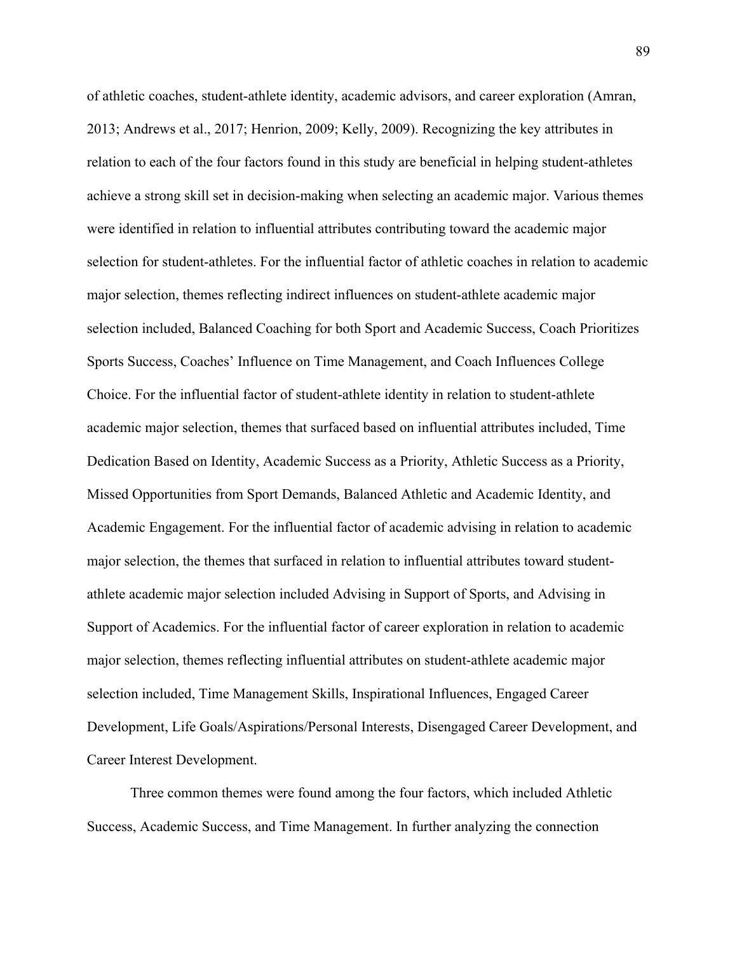of athletic coaches, student-athlete identity, academic advisors, and career exploration (Amran, 2013; Andrews et al., 2017; Henrion, 2009; Kelly, 2009). Recognizing the key attributes in relation to each of the four factors found in this study are beneficial in helping student-athletes achieve a strong skill set in decision-making when selecting an academic major. Various themes were identified in relation to influential attributes contributing toward the academic major selection for student-athletes. For the influential factor of athletic coaches in relation to academic major selection, themes reflecting indirect influences on student-athlete academic major selection included, Balanced Coaching for both Sport and Academic Success, Coach Prioritizes Sports Success, Coaches' Influence on Time Management, and Coach Influences College Choice. For the influential factor of student-athlete identity in relation to student-athlete academic major selection, themes that surfaced based on influential attributes included, Time Dedication Based on Identity, Academic Success as a Priority, Athletic Success as a Priority, Missed Opportunities from Sport Demands, Balanced Athletic and Academic Identity, and Academic Engagement. For the influential factor of academic advising in relation to academic major selection, the themes that surfaced in relation to influential attributes toward studentathlete academic major selection included Advising in Support of Sports, and Advising in Support of Academics. For the influential factor of career exploration in relation to academic major selection, themes reflecting influential attributes on student-athlete academic major selection included, Time Management Skills, Inspirational Influences, Engaged Career Development, Life Goals/Aspirations/Personal Interests, Disengaged Career Development, and Career Interest Development.

Three common themes were found among the four factors, which included Athletic Success, Academic Success, and Time Management. In further analyzing the connection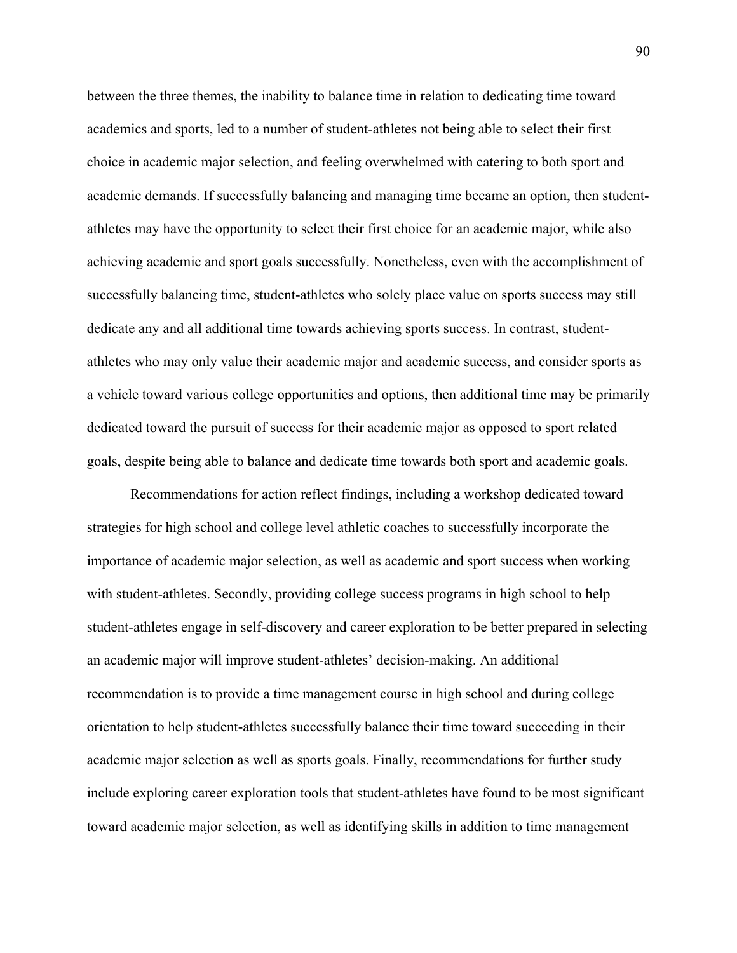between the three themes, the inability to balance time in relation to dedicating time toward academics and sports, led to a number of student-athletes not being able to select their first choice in academic major selection, and feeling overwhelmed with catering to both sport and academic demands. If successfully balancing and managing time became an option, then studentathletes may have the opportunity to select their first choice for an academic major, while also achieving academic and sport goals successfully. Nonetheless, even with the accomplishment of successfully balancing time, student-athletes who solely place value on sports success may still dedicate any and all additional time towards achieving sports success. In contrast, studentathletes who may only value their academic major and academic success, and consider sports as a vehicle toward various college opportunities and options, then additional time may be primarily dedicated toward the pursuit of success for their academic major as opposed to sport related goals, despite being able to balance and dedicate time towards both sport and academic goals.

Recommendations for action reflect findings, including a workshop dedicated toward strategies for high school and college level athletic coaches to successfully incorporate the importance of academic major selection, as well as academic and sport success when working with student-athletes. Secondly, providing college success programs in high school to help student-athletes engage in self-discovery and career exploration to be better prepared in selecting an academic major will improve student-athletes' decision-making. An additional recommendation is to provide a time management course in high school and during college orientation to help student-athletes successfully balance their time toward succeeding in their academic major selection as well as sports goals. Finally, recommendations for further study include exploring career exploration tools that student-athletes have found to be most significant toward academic major selection, as well as identifying skills in addition to time management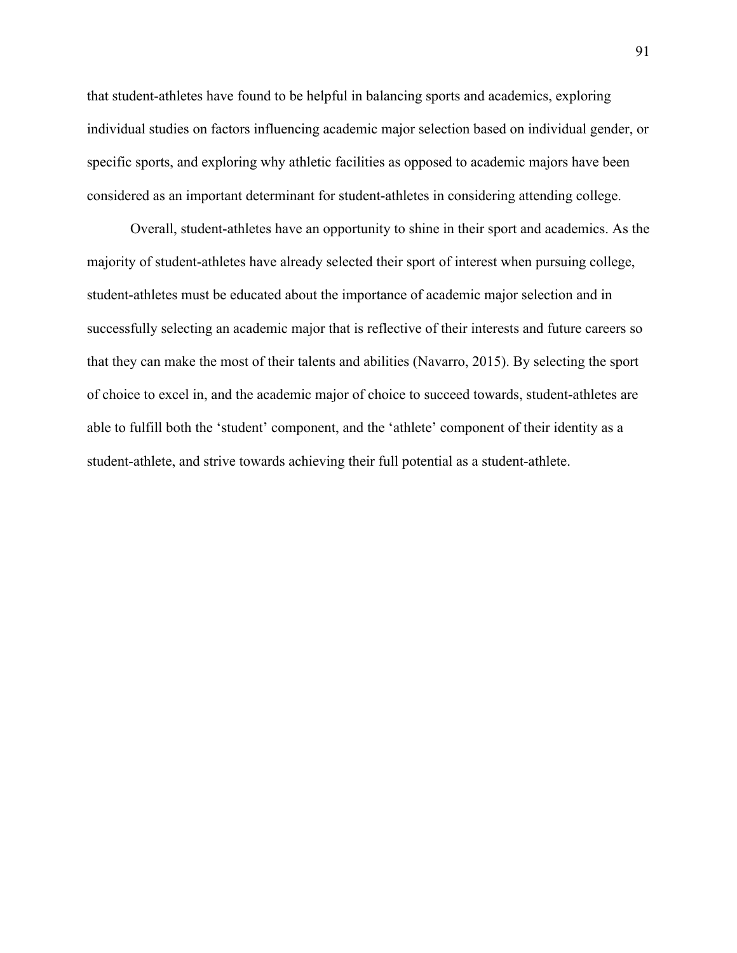that student-athletes have found to be helpful in balancing sports and academics, exploring individual studies on factors influencing academic major selection based on individual gender, or specific sports, and exploring why athletic facilities as opposed to academic majors have been considered as an important determinant for student-athletes in considering attending college.

Overall, student-athletes have an opportunity to shine in their sport and academics. As the majority of student-athletes have already selected their sport of interest when pursuing college, student-athletes must be educated about the importance of academic major selection and in successfully selecting an academic major that is reflective of their interests and future careers so that they can make the most of their talents and abilities (Navarro, 2015). By selecting the sport of choice to excel in, and the academic major of choice to succeed towards, student-athletes are able to fulfill both the 'student' component, and the 'athlete' component of their identity as a student-athlete, and strive towards achieving their full potential as a student-athlete.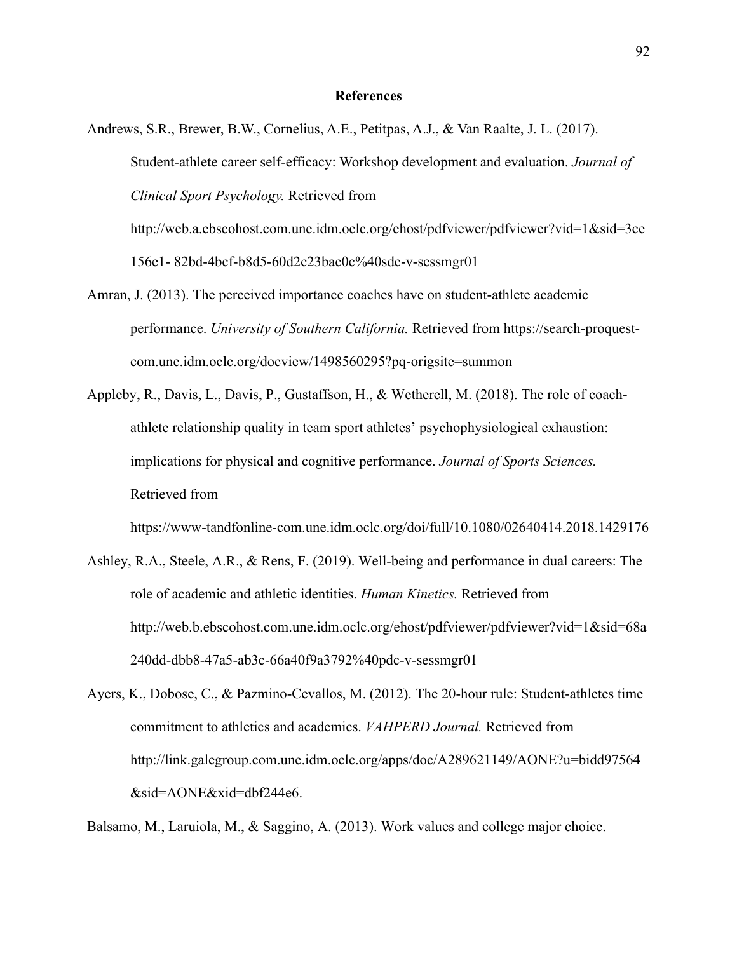- Andrews, S.R., Brewer, B.W., Cornelius, A.E., Petitpas, A.J., & Van Raalte, J. L. (2017). Student-athlete career self-efficacy: Workshop development and evaluation. *Journal of Clinical Sport Psychology.* Retrieved from http://web.a.ebscohost.com.une.idm.oclc.org/ehost/pdfviewer/pdfviewer?vid=1&sid=3ce 156e1- 82bd-4bcf-b8d5-60d2c23bac0c%40sdc-v-sessmgr01
- Amran, J. (2013). The perceived importance coaches have on student-athlete academic performance. *University of Southern California.* Retrieved from https://search-proquestcom.une.idm.oclc.org/docview/1498560295?pq-origsite=summon
- Appleby, R., Davis, L., Davis, P., Gustaffson, H., & Wetherell, M. (2018). The role of coachathlete relationship quality in team sport athletes' psychophysiological exhaustion: implications for physical and cognitive performance. *Journal of Sports Sciences.*  Retrieved from

https://www-tandfonline-com.une.idm.oclc.org/doi/full/10.1080/02640414.2018.1429176

- Ashley, R.A., Steele, A.R., & Rens, F. (2019). Well-being and performance in dual careers: The role of academic and athletic identities. *Human Kinetics.* Retrieved from http://web.b.ebscohost.com.une.idm.oclc.org/ehost/pdfviewer/pdfviewer?vid=1&sid=68a 240dd-dbb8-47a5-ab3c-66a40f9a3792%40pdc-v-sessmgr01
- Ayers, K., Dobose, C., & Pazmino-Cevallos, M. (2012). The 20-hour rule: Student-athletes time commitment to athletics and academics. *VAHPERD Journal.* Retrieved from http://link.galegroup.com.une.idm.oclc.org/apps/doc/A289621149/AONE?u=bidd97564 &sid=AONE&xid=dbf244e6.

Balsamo, M., Laruiola, M., & Saggino, A. (2013). Work values and college major choice.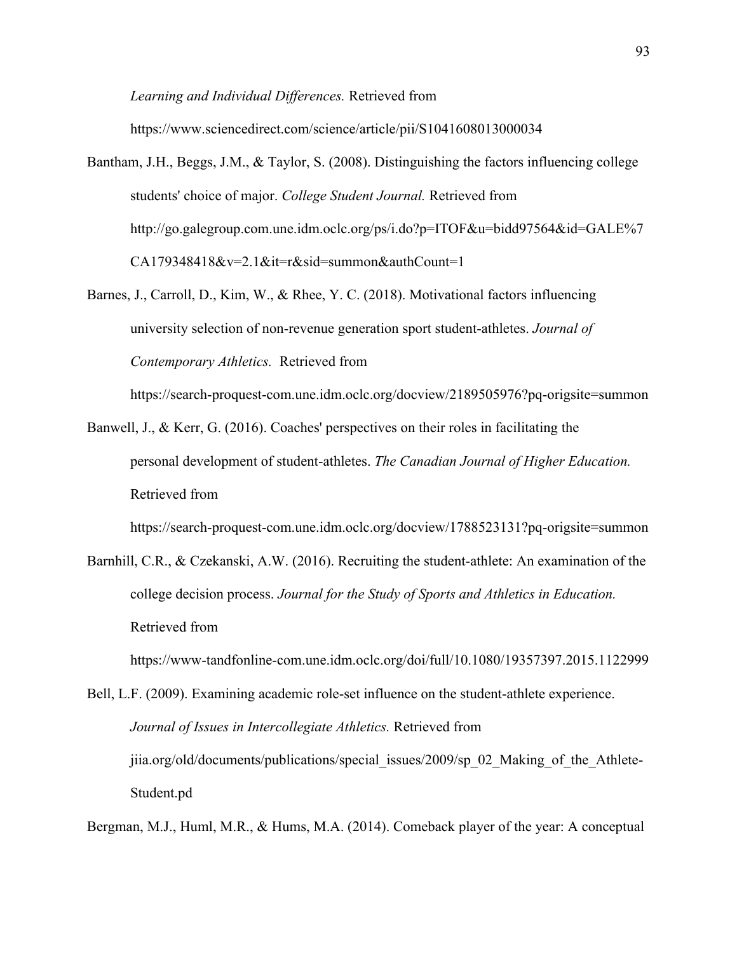*Learning and Individual Differences.* Retrieved from

https://www.sciencedirect.com/science/article/pii/S1041608013000034

- Bantham, J.H., Beggs, J.M., & Taylor, S. (2008). Distinguishing the factors influencing college students' choice of major. *College Student Journal.* Retrieved from http://go.galegroup.com.une.idm.oclc.org/ps/i.do?p=ITOF&u=bidd97564&id=GALE%7 CA179348418&v=2.1&it=r&sid=summon&authCount=1
- Barnes, J., Carroll, D., Kim, W., & Rhee, Y. C. (2018). Motivational factors influencing university selection of non-revenue generation sport student-athletes. *Journal of Contemporary Athletics.* Retrieved from

https://search-proquest-com.une.idm.oclc.org/docview/2189505976?pq-origsite=summon

Banwell, J., & Kerr, G. (2016). Coaches' perspectives on their roles in facilitating the personal development of student-athletes. *The Canadian Journal of Higher Education.* Retrieved from

https://search-proquest-com.une.idm.oclc.org/docview/1788523131?pq-origsite=summon

Barnhill, C.R., & Czekanski, A.W. (2016). Recruiting the student-athlete: An examination of the college decision process. *Journal for the Study of Sports and Athletics in Education.*  Retrieved from

https://www-tandfonline-com.une.idm.oclc.org/doi/full/10.1080/19357397.2015.1122999

Bell, L.F. (2009). Examining academic role-set influence on the student-athlete experience. *Journal of Issues in Intercollegiate Athletics.* Retrieved from jiia.org/old/documents/publications/special\_issues/2009/sp\_02\_Making\_of\_the\_Athlete-Student.pd

Bergman, M.J., Huml, M.R., & Hums, M.A. (2014). Comeback player of the year: A conceptual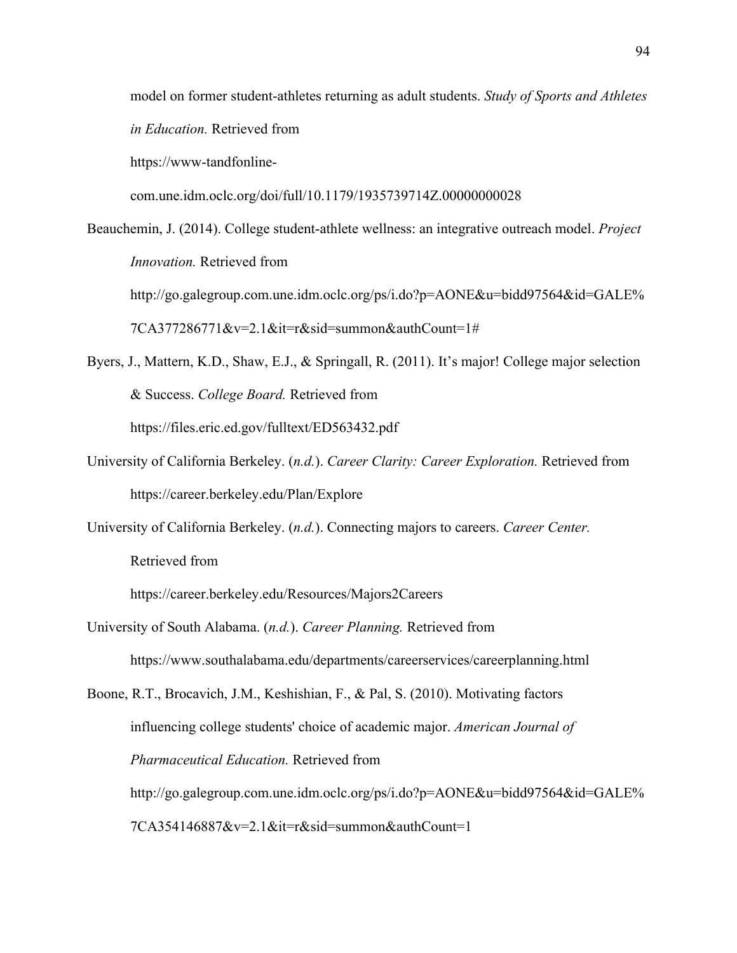model on former student-athletes returning as adult students. *Study of Sports and Athletes in Education.* Retrieved from https://www-tandfonlinecom.une.idm.oclc.org/doi/full/10.1179/1935739714Z.00000000028 Beauchemin, J. (2014). College student-athlete wellness: an integrative outreach model. *Project* 

*Innovation.* Retrieved from http://go.galegroup.com.une.idm.oclc.org/ps/i.do?p=AONE&u=bidd97564&id=GALE% 7CA377286771&v=2.1&it=r&sid=summon&authCount=1#

Byers, J., Mattern, K.D., Shaw, E.J., & Springall, R. (2011). It's major! College major selection & Success. *College Board.* Retrieved from https://files.eric.ed.gov/fulltext/ED563432.pdf

- University of California Berkeley. (*n.d.*). *Career Clarity: Career Exploration.* Retrieved from https://career.berkeley.edu/Plan/Explore
- University of California Berkeley. (*n.d.*). Connecting majors to careers. *Career Center.* Retrieved from

https://career.berkeley.edu/Resources/Majors2Careers

University of South Alabama. (*n.d.*). *Career Planning.* Retrieved from https://www.southalabama.edu/departments/careerservices/careerplanning.html

Boone, R.T., Brocavich, J.M., Keshishian, F., & Pal, S. (2010). Motivating factors influencing college students' choice of academic major. *American Journal of Pharmaceutical Education.* Retrieved from http://go.galegroup.com.une.idm.oclc.org/ps/i.do?p=AONE&u=bidd97564&id=GALE% 7CA354146887&v=2.1&it=r&sid=summon&authCount=1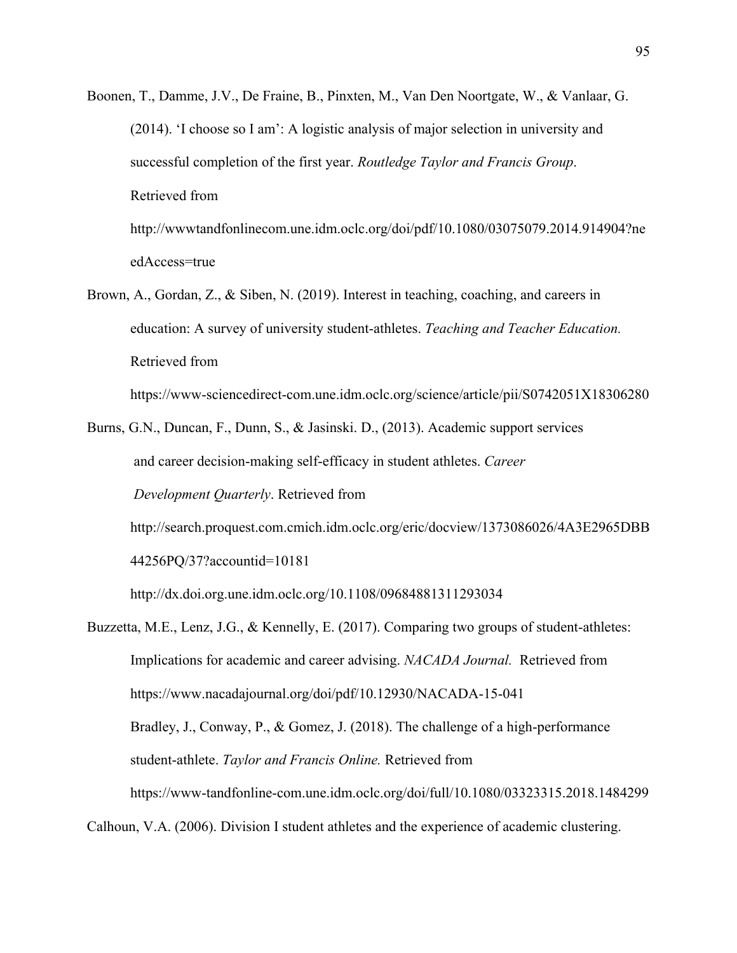- Boonen, T., Damme, J.V., De Fraine, B., Pinxten, M., Van Den Noortgate, W., & Vanlaar, G. (2014). 'I choose so I am': A logistic analysis of major selection in university and successful completion of the first year. *Routledge Taylor and Francis Group*. Retrieved from http://wwwtandfonlinecom.une.idm.oclc.org/doi/pdf/10.1080/03075079.2014.914904?ne edAccess=true
- Brown, A., Gordan, Z., & Siben, N. (2019). Interest in teaching, coaching, and careers in education: A survey of university student-athletes. *Teaching and Teacher Education.*  Retrieved from

https://www-sciencedirect-com.une.idm.oclc.org/science/article/pii/S0742051X18306280

Burns, G.N., Duncan, F., Dunn, S., & Jasinski. D., (2013). Academic support services and career decision-making self-efficacy in student athletes. *Career Development Quarterly*. Retrieved from

http://search.proquest.com.cmich.idm.oclc.org/eric/docview/1373086026/4A3E2965DBB 44256PQ/37?accountid=10181

http://dx.doi.org.une.idm.oclc.org/10.1108/09684881311293034

Buzzetta, M.E., Lenz, J.G., & Kennelly, E. (2017). Comparing two groups of student-athletes: Implications for academic and career advising. *NACADA Journal.* Retrieved from https://www.nacadajournal.org/doi/pdf/10.12930/NACADA-15-041 Bradley, J., Conway, P., & Gomez, J. (2018). The challenge of a high-performance student-athlete. *Taylor and Francis Online.* Retrieved from https://www-tandfonline-com.une.idm.oclc.org/doi/full/10.1080/03323315.2018.1484299

Calhoun, V.A. (2006). Division I student athletes and the experience of academic clustering.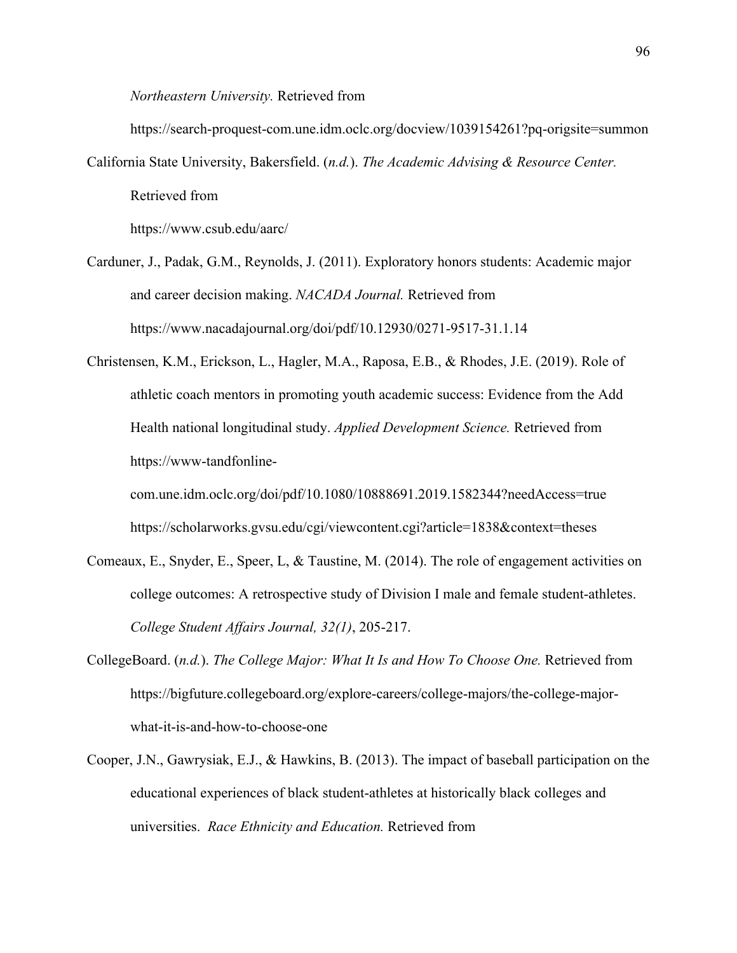*Northeastern University.* Retrieved from

https://search-proquest-com.une.idm.oclc.org/docview/1039154261?pq-origsite=summon

California State University, Bakersfield. (*n.d.*). *The Academic Advising & Resource Center.*  Retrieved from

https://www.csub.edu/aarc/

- Carduner, J., Padak, G.M., Reynolds, J. (2011). Exploratory honors students: Academic major and career decision making. *NACADA Journal.* Retrieved from https://www.nacadajournal.org/doi/pdf/10.12930/0271-9517-31.1.14
- Christensen, K.M., Erickson, L., Hagler, M.A., Raposa, E.B., & Rhodes, J.E. (2019). Role of athletic coach mentors in promoting youth academic success: Evidence from the Add Health national longitudinal study. *Applied Development Science.* Retrieved from https://www-tandfonline-

com.une.idm.oclc.org/doi/pdf/10.1080/10888691.2019.1582344?needAccess=true https://scholarworks.gvsu.edu/cgi/viewcontent.cgi?article=1838&context=theses

- Comeaux, E., Snyder, E., Speer, L, & Taustine, M. (2014). The role of engagement activities on college outcomes: A retrospective study of Division I male and female student-athletes. *College Student Affairs Journal, 32(1)*, 205-217.
- CollegeBoard. (*n.d.*). *The College Major: What It Is and How To Choose One.* Retrieved from https://bigfuture.collegeboard.org/explore-careers/college-majors/the-college-majorwhat-it-is-and-how-to-choose-one
- Cooper, J.N., Gawrysiak, E.J., & Hawkins, B. (2013). The impact of baseball participation on the educational experiences of black student-athletes at historically black colleges and universities. *Race Ethnicity and Education.* Retrieved from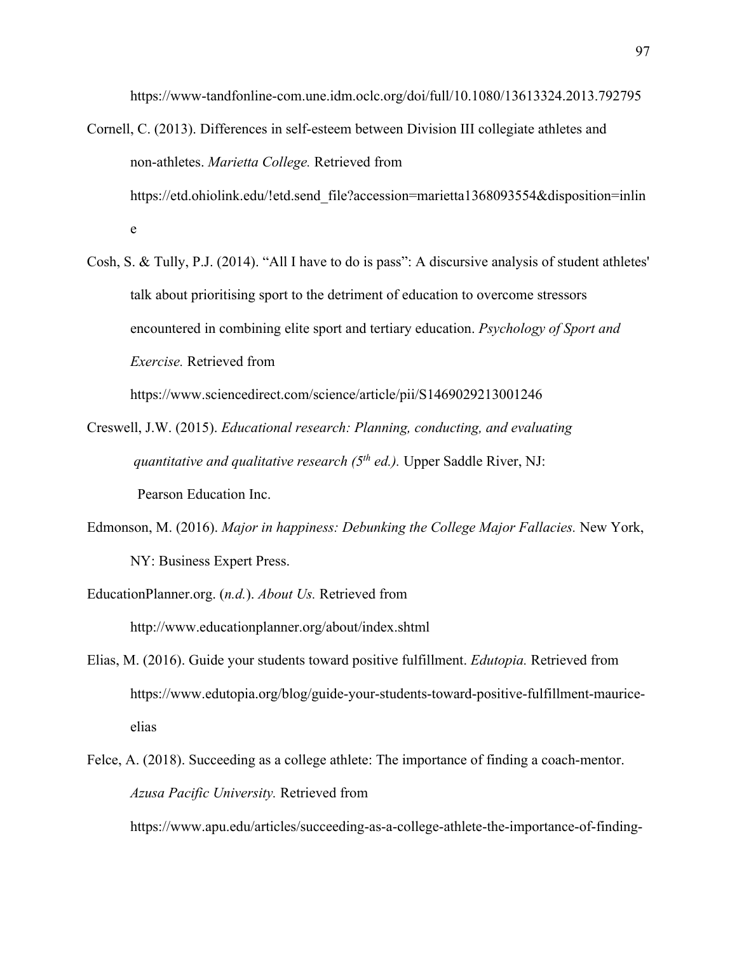https://www-tandfonline-com.une.idm.oclc.org/doi/full/10.1080/13613324.2013.792795

- Cornell, C. (2013). Differences in self-esteem between Division III collegiate athletes and non-athletes. *Marietta College.* Retrieved from https://etd.ohiolink.edu/!etd.send file?accession=marietta1368093554&disposition=inlin e
- Cosh, S. & Tully, P.J. (2014). "All I have to do is pass": A discursive analysis of student athletes' talk about prioritising sport to the detriment of education to overcome stressors encountered in combining elite sport and tertiary education. *Psychology of Sport and Exercise.* Retrieved from

https://www.sciencedirect.com/science/article/pii/S1469029213001246

- Creswell, J.W. (2015). *Educational research: Planning, conducting, and evaluating quantitative and qualitative research (5<sup>th</sup> ed.).* Upper Saddle River, NJ: Pearson Education Inc.
- Edmonson, M. (2016). *Major in happiness: Debunking the College Major Fallacies.* New York, NY: Business Expert Press.
- EducationPlanner.org. (*n.d.*). *About Us.* Retrieved from http://www.educationplanner.org/about/index.shtml
- Elias, M. (2016). Guide your students toward positive fulfillment. *Edutopia.* Retrieved from https://www.edutopia.org/blog/guide-your-students-toward-positive-fulfillment-mauriceelias
- Felce, A. (2018). Succeeding as a college athlete: The importance of finding a coach-mentor. *Azusa Pacific University.* Retrieved from

https://www.apu.edu/articles/succeeding-as-a-college-athlete-the-importance-of-finding-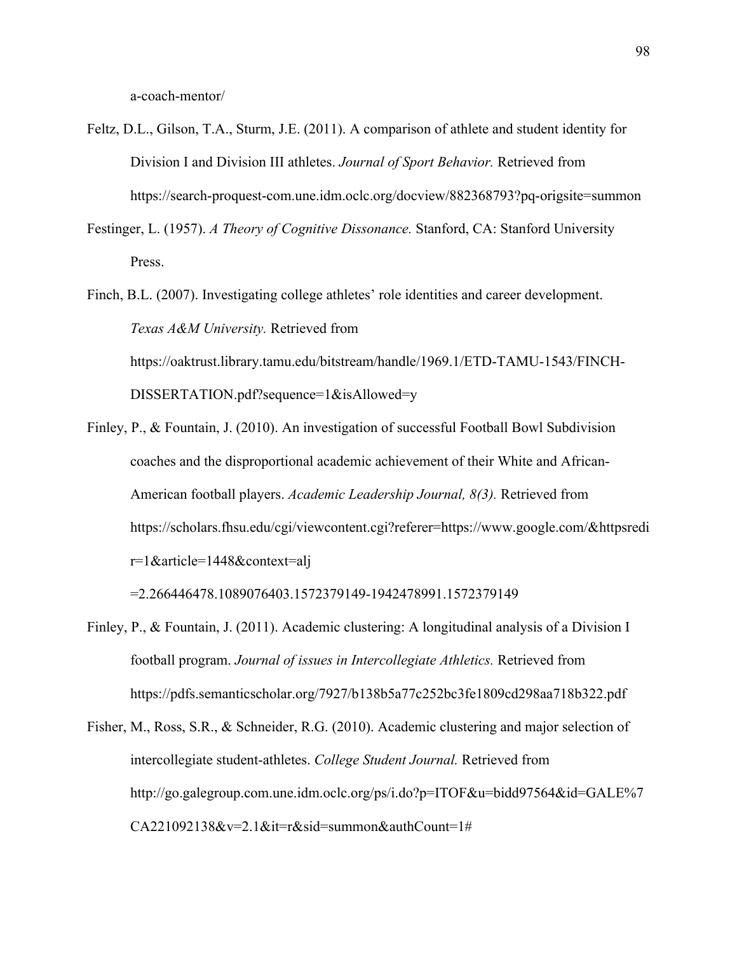a-coach-mentor/

- Feltz, D.L., Gilson, T.A., Sturm, J.E. (2011). A comparison of athlete and student identity for Division I and Division III athletes. *Journal of Sport Behavior.* Retrieved from https://search-proquest-com.une.idm.oclc.org/docview/882368793?pq-origsite=summon
- Festinger, L. (1957). *A Theory of Cognitive Dissonance.* Stanford, CA: Stanford University Press.
- Finch, B.L. (2007). Investigating college athletes' role identities and career development.  *Texas A&M University.* Retrieved from https://oaktrust.library.tamu.edu/bitstream/handle/1969.1/ETD-TAMU-1543/FINCH-DISSERTATION.pdf?sequence=1&isAllowed=y
- Finley, P., & Fountain, J. (2010). An investigation of successful Football Bowl Subdivision coaches and the disproportional academic achievement of their White and African-American football players. *Academic Leadership Journal, 8(3).* Retrieved from https://scholars.fhsu.edu/cgi/viewcontent.cgi?referer=https://www.google.com/&httpsredi r=1&article=1448&context=alj

=2.266446478.1089076403.1572379149-1942478991.1572379149

- Finley, P., & Fountain, J. (2011). Academic clustering: A longitudinal analysis of a Division I football program. *Journal of issues in Intercollegiate Athletics.* Retrieved from https://pdfs.semanticscholar.org/7927/b138b5a77c252bc3fe1809cd298aa718b322.pdf
- Fisher, M., Ross, S.R., & Schneider, R.G. (2010). Academic clustering and major selection of intercollegiate student-athletes. *College Student Journal.* Retrieved from http://go.galegroup.com.une.idm.oclc.org/ps/i.do?p=ITOF&u=bidd97564&id=GALE%7 CA221092138&v=2.1&it=r&sid=summon&authCount=1#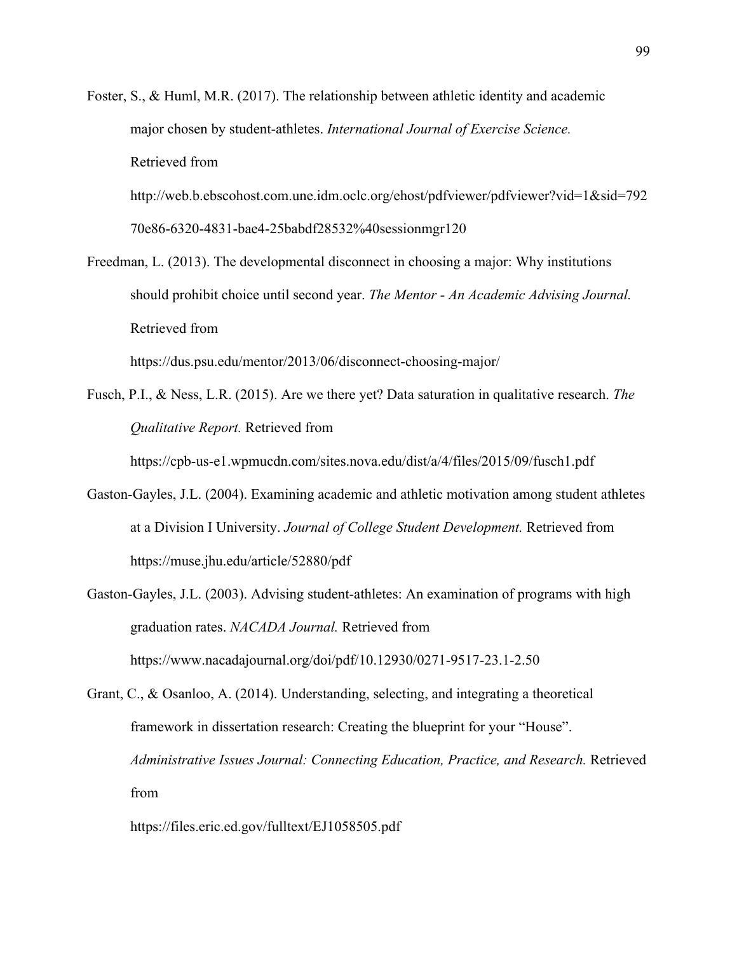Foster, S., & Huml, M.R. (2017). The relationship between athletic identity and academic major chosen by student-athletes. *International Journal of Exercise Science.*  Retrieved from

http://web.b.ebscohost.com.une.idm.oclc.org/ehost/pdfviewer/pdfviewer?vid=1&sid=792 70e86-6320-4831-bae4-25babdf28532%40sessionmgr120

Freedman, L. (2013). The developmental disconnect in choosing a major: Why institutions should prohibit choice until second year. *The Mentor - An Academic Advising Journal.*  Retrieved from

https://dus.psu.edu/mentor/2013/06/disconnect-choosing-major/

Fusch, P.I., & Ness, L.R. (2015). Are we there yet? Data saturation in qualitative research. *The Qualitative Report.* Retrieved from

https://cpb-us-e1.wpmucdn.com/sites.nova.edu/dist/a/4/files/2015/09/fusch1.pdf

- Gaston-Gayles, J.L. (2004). Examining academic and athletic motivation among student athletes at a Division I University. *Journal of College Student Development.* Retrieved from https://muse.jhu.edu/article/52880/pdf
- Gaston-Gayles, J.L. (2003). Advising student-athletes: An examination of programs with high graduation rates. *NACADA Journal.* Retrieved from https://www.nacadajournal.org/doi/pdf/10.12930/0271-9517-23.1-2.50
- Grant, C., & Osanloo, A. (2014). Understanding, selecting, and integrating a theoretical framework in dissertation research: Creating the blueprint for your "House". *Administrative Issues Journal: Connecting Education, Practice, and Research.* Retrieved from

https://files.eric.ed.gov/fulltext/EJ1058505.pdf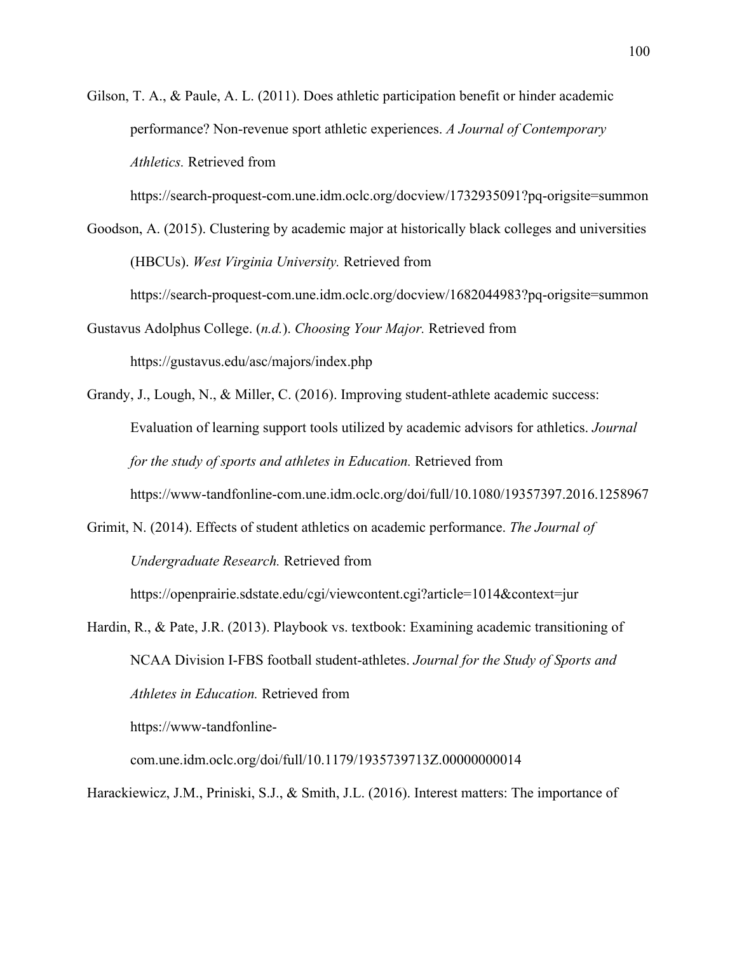Gilson, T. A., & Paule, A. L. (2011). Does athletic participation benefit or hinder academic performance? Non-revenue sport athletic experiences. *A Journal of Contemporary Athletics.* Retrieved from

https://search-proquest-com.une.idm.oclc.org/docview/1732935091?pq-origsite=summon

Goodson, A. (2015). Clustering by academic major at historically black colleges and universities (HBCUs). *West Virginia University.* Retrieved from

https://search-proquest-com.une.idm.oclc.org/docview/1682044983?pq-origsite=summon

Gustavus Adolphus College. (*n.d.*). *Choosing Your Major.* Retrieved from https://gustavus.edu/asc/majors/index.php

Grandy, J., Lough, N., & Miller, C. (2016). Improving student-athlete academic success: Evaluation of learning support tools utilized by academic advisors for athletics. *Journal for the study of sports and athletes in Education.* Retrieved from https://www-tandfonline-com.une.idm.oclc.org/doi/full/10.1080/19357397.2016.1258967

Grimit, N. (2014). Effects of student athletics on academic performance. *The Journal of Undergraduate Research.* Retrieved from

https://openprairie.sdstate.edu/cgi/viewcontent.cgi?article=1014&context=jur

Hardin, R., & Pate, J.R. (2013). Playbook vs. textbook: Examining academic transitioning of NCAA Division I-FBS football student-athletes. *Journal for the Study of Sports and Athletes in Education.* Retrieved from

https://www-tandfonline-

com.une.idm.oclc.org/doi/full/10.1179/1935739713Z.00000000014

Harackiewicz, J.M., Priniski, S.J., & Smith, J.L. (2016). Interest matters: The importance of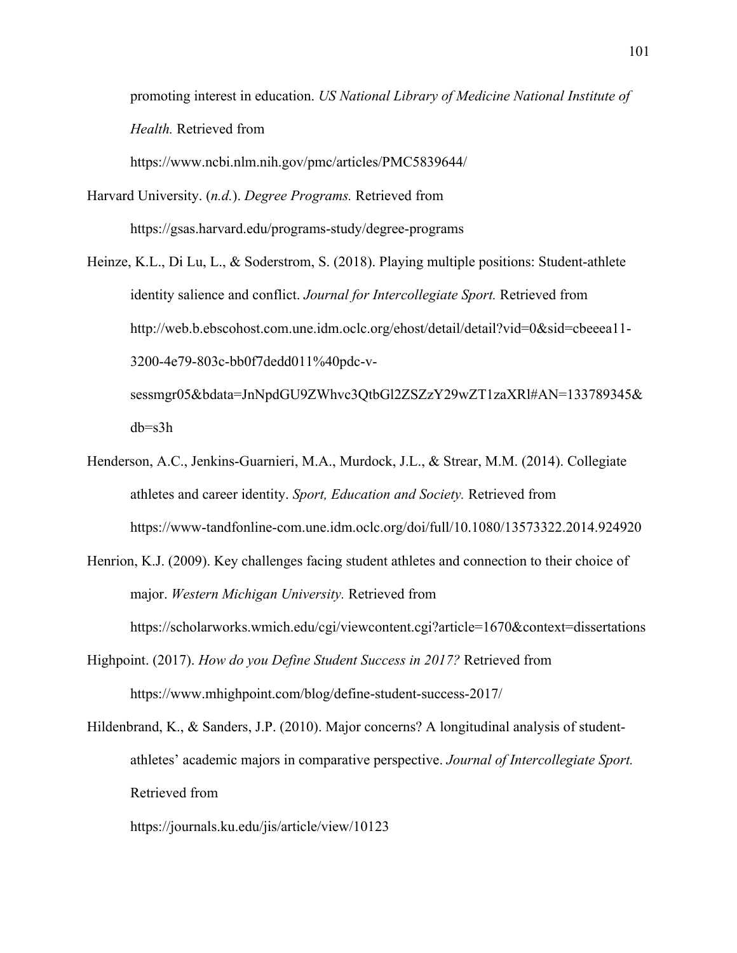promoting interest in education. *US National Library of Medicine National Institute of Health.* Retrieved from

https://www.ncbi.nlm.nih.gov/pmc/articles/PMC5839644/

- Harvard University. (*n.d.*). *Degree Programs.* Retrieved from https://gsas.harvard.edu/programs-study/degree-programs
- Heinze, K.L., Di Lu, L., & Soderstrom, S. (2018). Playing multiple positions: Student-athlete identity salience and conflict. *Journal for Intercollegiate Sport.* Retrieved from http://web.b.ebscohost.com.une.idm.oclc.org/ehost/detail/detail?vid=0&sid=cbeeea11-3200-4e79-803c-bb0f7dedd011%40pdc-vsessmgr05&bdata=JnNpdGU9ZWhvc3QtbGl2ZSZzY29wZT1zaXRl#AN=133789345&

db=s3h

- Henderson, A.C., Jenkins-Guarnieri, M.A., Murdock, J.L., & Strear, M.M. (2014). Collegiate athletes and career identity. *Sport, Education and Society.* Retrieved from https://www-tandfonline-com.une.idm.oclc.org/doi/full/10.1080/13573322.2014.924920
- Henrion, K.J. (2009). Key challenges facing student athletes and connection to their choice of major. *Western Michigan University.* Retrieved from

https://scholarworks.wmich.edu/cgi/viewcontent.cgi?article=1670&context=dissertations

- Highpoint. (2017). *How do you Define Student Success in 2017?* Retrieved from https://www.mhighpoint.com/blog/define-student-success-2017/
- Hildenbrand, K., & Sanders, J.P. (2010). Major concerns? A longitudinal analysis of studentathletes' academic majors in comparative perspective. *Journal of Intercollegiate Sport.*  Retrieved from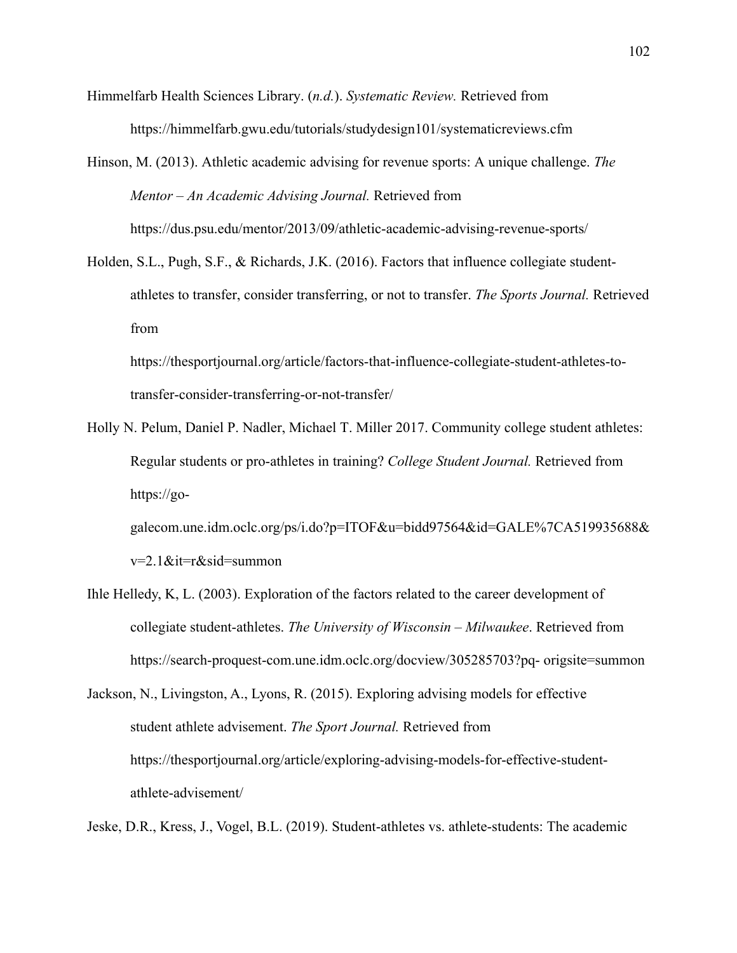Himmelfarb Health Sciences Library. (*n.d.*). *Systematic Review.* Retrieved from https://himmelfarb.gwu.edu/tutorials/studydesign101/systematicreviews.cfm

Hinson, M. (2013). Athletic academic advising for revenue sports: A unique challenge. *The Mentor – An Academic Advising Journal.* Retrieved from https://dus.psu.edu/mentor/2013/09/athletic-academic-advising-revenue-sports/

Holden, S.L., Pugh, S.F., & Richards, J.K. (2016). Factors that influence collegiate studentathletes to transfer, consider transferring, or not to transfer. *The Sports Journal.* Retrieved from

https://thesportjournal.org/article/factors-that-influence-collegiate-student-athletes-totransfer-consider-transferring-or-not-transfer/

Holly N. Pelum, Daniel P. Nadler, Michael T. Miller 2017. Community college student athletes: Regular students or pro-athletes in training? *College Student Journal.* Retrieved from https://go-

galecom.une.idm.oclc.org/ps/i.do?p=ITOF&u=bidd97564&id=GALE%7CA519935688& v=2.1&it=r&sid=summon

Ihle Helledy, K, L. (2003). Exploration of the factors related to the career development of collegiate student-athletes. *The University of Wisconsin – Milwaukee*. Retrieved from https://search-proquest-com.une.idm.oclc.org/docview/305285703?pq- origsite=summon

Jackson, N., Livingston, A., Lyons, R. (2015). Exploring advising models for effective student athlete advisement. *The Sport Journal.* Retrieved from https://thesportjournal.org/article/exploring-advising-models-for-effective-studentathlete-advisement/

Jeske, D.R., Kress, J., Vogel, B.L. (2019). Student-athletes vs. athlete-students: The academic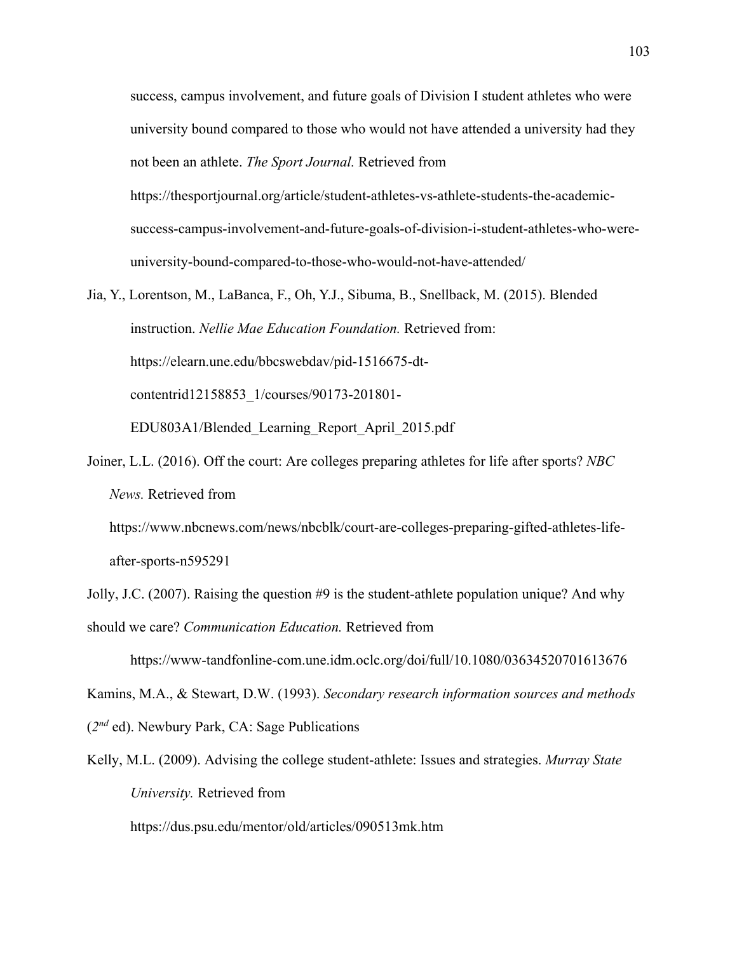success, campus involvement, and future goals of Division I student athletes who were university bound compared to those who would not have attended a university had they not been an athlete. *The Sport Journal.* Retrieved from https://thesportjournal.org/article/student-athletes-vs-athlete-students-the-academicsuccess-campus-involvement-and-future-goals-of-division-i-student-athletes-who-wereuniversity-bound-compared-to-those-who-would-not-have-attended/

- Jia, Y., Lorentson, M., LaBanca, F., Oh, Y.J., Sibuma, B., Snellback, M. (2015). Blended instruction. *Nellie Mae Education Foundation.* Retrieved from: https://elearn.une.edu/bbcswebdav/pid-1516675-dtcontentrid12158853\_1/courses/90173-201801- EDU803A1/Blended\_Learning\_Report\_April\_2015.pdf
- Joiner, L.L. (2016). Off the court: Are colleges preparing athletes for life after sports? *NBC News.* Retrieved from

https://www.nbcnews.com/news/nbcblk/court-are-colleges-preparing-gifted-athletes-lifeafter-sports-n595291

Jolly, J.C. (2007). Raising the question #9 is the student-athlete population unique? And why should we care? *Communication Education.* Retrieved from

https://www-tandfonline-com.une.idm.oclc.org/doi/full/10.1080/03634520701613676

Kamins, M.A., & Stewart, D.W. (1993). *Secondary research information sources and methods*  (*2nd* ed). Newbury Park, CA: Sage Publications

Kelly, M.L. (2009). Advising the college student-athlete: Issues and strategies. *Murray State University.* Retrieved from

https://dus.psu.edu/mentor/old/articles/090513mk.htm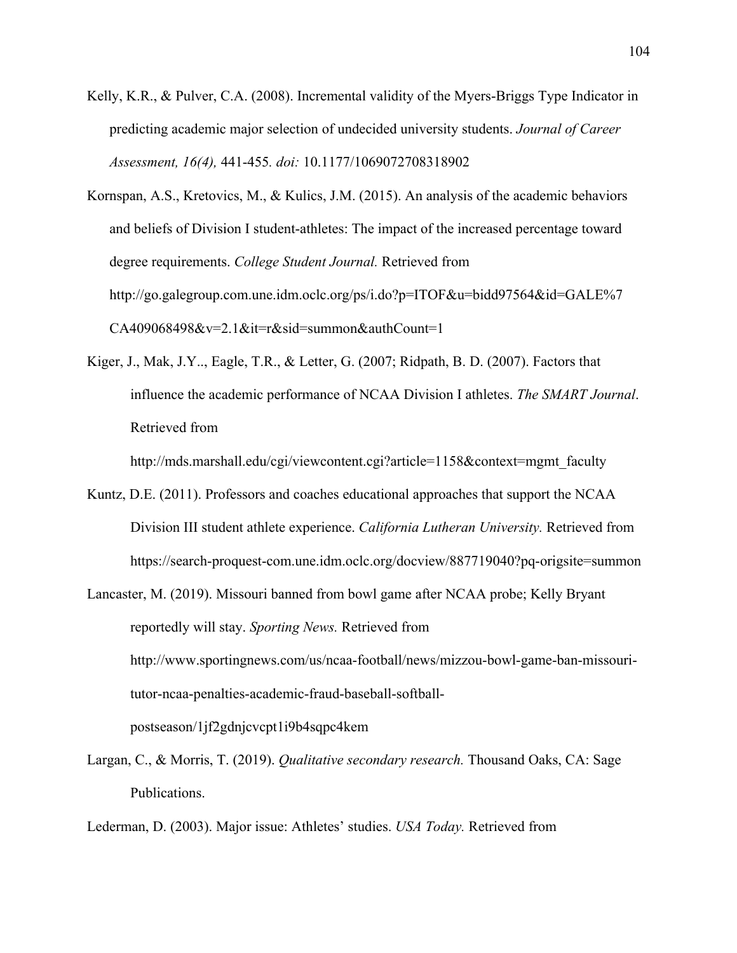Kelly, K.R., & Pulver, C.A. (2008). Incremental validity of the Myers-Briggs Type Indicator in predicting academic major selection of undecided university students. *Journal of Career Assessment, 16(4),* 441-455*. doi:* 10.1177/1069072708318902

Kornspan, A.S., Kretovics, M., & Kulics, J.M. (2015). An analysis of the academic behaviors and beliefs of Division I student-athletes: The impact of the increased percentage toward degree requirements. *College Student Journal.* Retrieved from http://go.galegroup.com.une.idm.oclc.org/ps/i.do?p=ITOF&u=bidd97564&id=GALE%7  $CA409068498&v=2.1⁢=rksid=summon&authCount=1$ 

Kiger, J., Mak, J.Y.., Eagle, T.R., & Letter, G. (2007; Ridpath, B. D. (2007). Factors that influence the academic performance of NCAA Division I athletes. *The SMART Journal*. Retrieved from

http://mds.marshall.edu/cgi/viewcontent.cgi?article=1158&context=mgmt\_faculty

- Kuntz, D.E. (2011). Professors and coaches educational approaches that support the NCAA Division III student athlete experience. *California Lutheran University.* Retrieved from https://search-proquest-com.une.idm.oclc.org/docview/887719040?pq-origsite=summon
- Lancaster, M. (2019). Missouri banned from bowl game after NCAA probe; Kelly Bryant reportedly will stay. *Sporting News.* Retrieved from http://www.sportingnews.com/us/ncaa-football/news/mizzou-bowl-game-ban-missouritutor-ncaa-penalties-academic-fraud-baseball-softballpostseason/1jf2gdnjcvcpt1i9b4sqpc4kem
- Largan, C., & Morris, T. (2019). *Qualitative secondary research.* Thousand Oaks, CA: Sage Publications.

Lederman, D. (2003). Major issue: Athletes' studies. *USA Today.* Retrieved from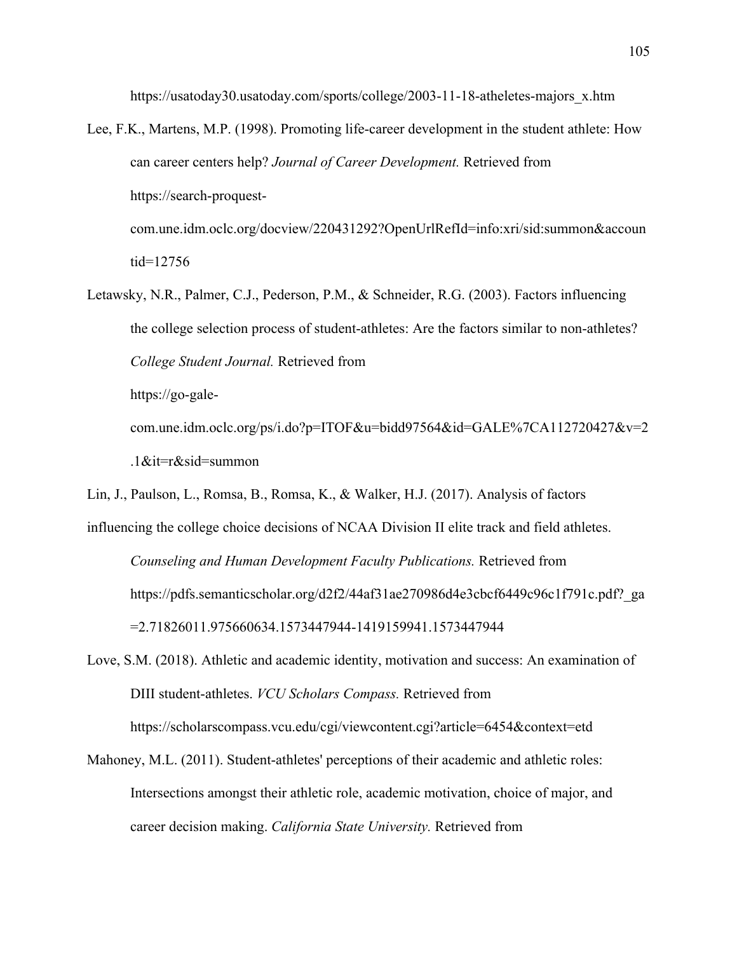https://usatoday30.usatoday.com/sports/college/2003-11-18-atheletes-majors\_x.htm

- Lee, F.K., Martens, M.P. (1998). Promoting life-career development in the student athlete: How can career centers help? *Journal of Career Development.* Retrieved from https://search-proquestcom.une.idm.oclc.org/docview/220431292?OpenUrlRefId=info:xri/sid:summon&accoun tid=12756
- Letawsky, N.R., Palmer, C.J., Pederson, P.M., & Schneider, R.G. (2003). Factors influencing the college selection process of student-athletes: Are the factors similar to non-athletes? *College Student Journal.* Retrieved from https://go-galecom.une.idm.oclc.org/ps/i.do?p=ITOF&u=bidd97564&id=GALE%7CA112720427&v=2

.1&it=r&sid=summon

Lin, J., Paulson, L., Romsa, B., Romsa, K., & Walker, H.J. (2017). Analysis of factors

influencing the college choice decisions of NCAA Division II elite track and field athletes. *Counseling and Human Development Faculty Publications.* Retrieved from https://pdfs.semanticscholar.org/d2f2/44af31ae270986d4e3cbcf6449c96c1f791c.pdf?\_ga =2.71826011.975660634.1573447944-1419159941.1573447944

- Love, S.M. (2018). Athletic and academic identity, motivation and success: An examination of DIII student-athletes. *VCU Scholars Compass.* Retrieved from https://scholarscompass.vcu.edu/cgi/viewcontent.cgi?article=6454&context=etd
- Mahoney, M.L. (2011). Student-athletes' perceptions of their academic and athletic roles: Intersections amongst their athletic role, academic motivation, choice of major, and career decision making. *California State University.* Retrieved from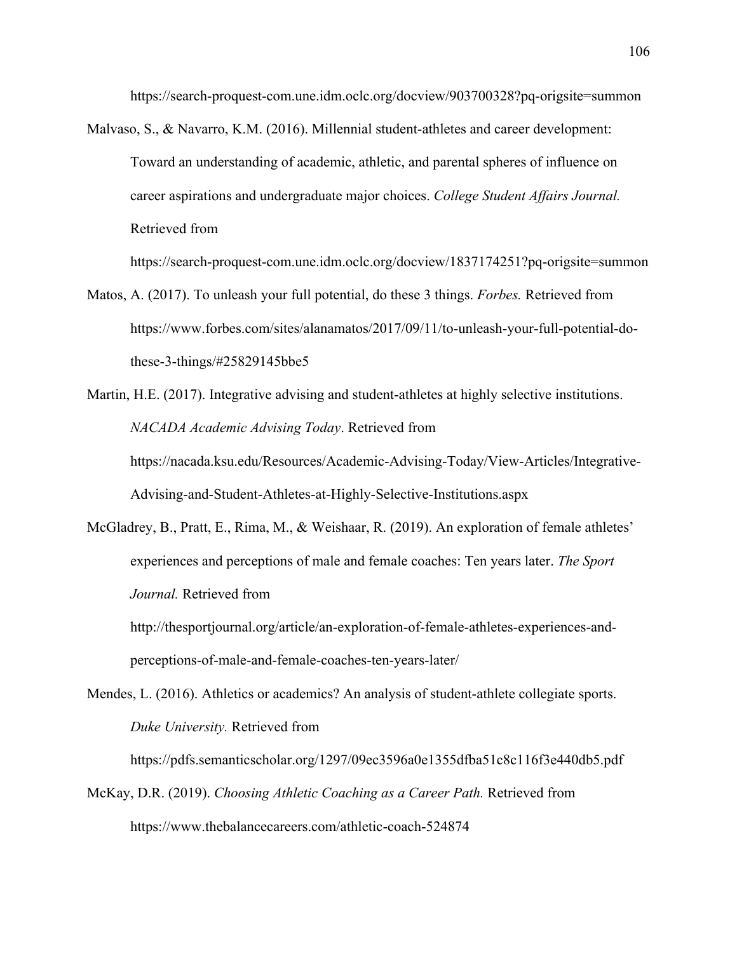https://search-proquest-com.une.idm.oclc.org/docview/903700328?pq-origsite=summon

Malvaso, S., & Navarro, K.M. (2016). Millennial student-athletes and career development: Toward an understanding of academic, athletic, and parental spheres of influence on career aspirations and undergraduate major choices. *College Student Affairs Journal.*  Retrieved from

https://search-proquest-com.une.idm.oclc.org/docview/1837174251?pq-origsite=summon

- Matos, A. (2017). To unleash your full potential, do these 3 things. *Forbes.* Retrieved from https://www.forbes.com/sites/alanamatos/2017/09/11/to-unleash-your-full-potential-dothese-3-things/#25829145bbe5
- Martin, H.E. (2017). Integrative advising and student-athletes at highly selective institutions. *NACADA Academic Advising Today*. Retrieved from https://nacada.ksu.edu/Resources/Academic-Advising-Today/View-Articles/Integrative-Advising-and-Student-Athletes-at-Highly-Selective-Institutions.aspx
- McGladrey, B., Pratt, E., Rima, M., & Weishaar, R. (2019). An exploration of female athletes' experiences and perceptions of male and female coaches: Ten years later. *The Sport Journal.* Retrieved from

http://thesportjournal.org/article/an-exploration-of-female-athletes-experiences-andperceptions-of-male-and-female-coaches-ten-years-later/

Mendes, L. (2016). Athletics or academics? An analysis of student-athlete collegiate sports. *Duke University.* Retrieved from

https://pdfs.semanticscholar.org/1297/09ec3596a0e1355dfba51c8c116f3e440db5.pdf

McKay, D.R. (2019). *Choosing Athletic Coaching as a Career Path.* Retrieved from https://www.thebalancecareers.com/athletic-coach-524874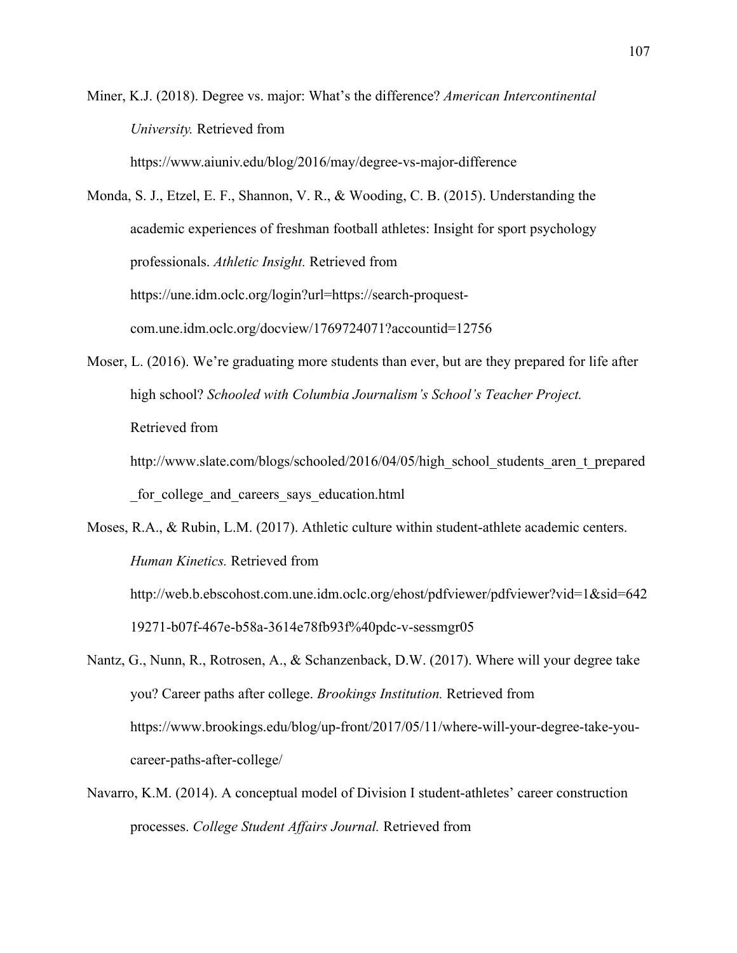Miner, K.J. (2018). Degree vs. major: What's the difference? *American Intercontinental University.* Retrieved from https://www.aiuniv.edu/blog/2016/may/degree-vs-major-difference

Monda, S. J., Etzel, E. F., Shannon, V. R., & Wooding, C. B. (2015). Understanding the academic experiences of freshman football athletes: Insight for sport psychology professionals. *Athletic Insight.* Retrieved from https://une.idm.oclc.org/login?url=https://search-proquestcom.une.idm.oclc.org/docview/1769724071?accountid=12756

Moser, L. (2016). We're graduating more students than ever, but are they prepared for life after high school? *Schooled with Columbia Journalism's School's Teacher Project.*  Retrieved from

http://www.slate.com/blogs/schooled/2016/04/05/high\_school\_students\_aren\_t\_prepared for college and careers says education.html

Moses, R.A., & Rubin, L.M. (2017). Athletic culture within student-athlete academic centers. *Human Kinetics.* Retrieved from http://web.b.ebscohost.com.une.idm.oclc.org/ehost/pdfviewer/pdfviewer?vid=1&sid=642 19271-b07f-467e-b58a-3614e78fb93f%40pdc-v-sessmgr05

Nantz, G., Nunn, R., Rotrosen, A., & Schanzenback, D.W. (2017). Where will your degree take you? Career paths after college. *Brookings Institution.* Retrieved from https://www.brookings.edu/blog/up-front/2017/05/11/where-will-your-degree-take-youcareer-paths-after-college/

Navarro, K.M. (2014). A conceptual model of Division I student-athletes' career construction processes. *College Student Affairs Journal.* Retrieved from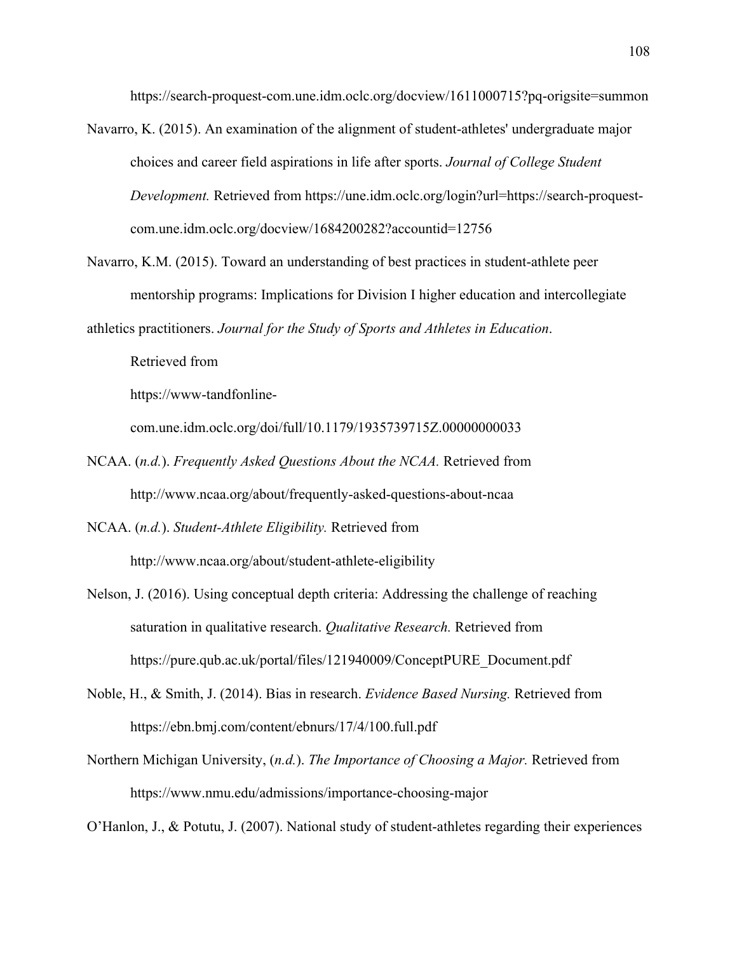https://search-proquest-com.une.idm.oclc.org/docview/1611000715?pq-origsite=summon

- Navarro, K. (2015). An examination of the alignment of student-athletes' undergraduate major choices and career field aspirations in life after sports. *Journal of College Student Development.* Retrieved from https://une.idm.oclc.org/login?url=https://search-proquestcom.une.idm.oclc.org/docview/1684200282?accountid=12756
- Navarro, K.M. (2015). Toward an understanding of best practices in student-athlete peer mentorship programs: Implications for Division I higher education and intercollegiate

athletics practitioners. *Journal for the Study of Sports and Athletes in Education*.

Retrieved from

https://www-tandfonline-

com.une.idm.oclc.org/doi/full/10.1179/1935739715Z.00000000033

NCAA. (*n.d.*). *Frequently Asked Questions About the NCAA.* Retrieved from http://www.ncaa.org/about/frequently-asked-questions-about-ncaa

NCAA. (*n.d.*). *Student-Athlete Eligibility.* Retrieved from

http://www.ncaa.org/about/student-athlete-eligibility

- Nelson, J. (2016). Using conceptual depth criteria: Addressing the challenge of reaching saturation in qualitative research. *Qualitative Research.* Retrieved from https://pure.qub.ac.uk/portal/files/121940009/ConceptPURE\_Document.pdf
- Noble, H., & Smith, J. (2014). Bias in research. *Evidence Based Nursing.* Retrieved from https://ebn.bmj.com/content/ebnurs/17/4/100.full.pdf
- Northern Michigan University, (*n.d.*). *The Importance of Choosing a Major.* Retrieved from https://www.nmu.edu/admissions/importance-choosing-major

O'Hanlon, J., & Potutu, J. (2007). National study of student-athletes regarding their experiences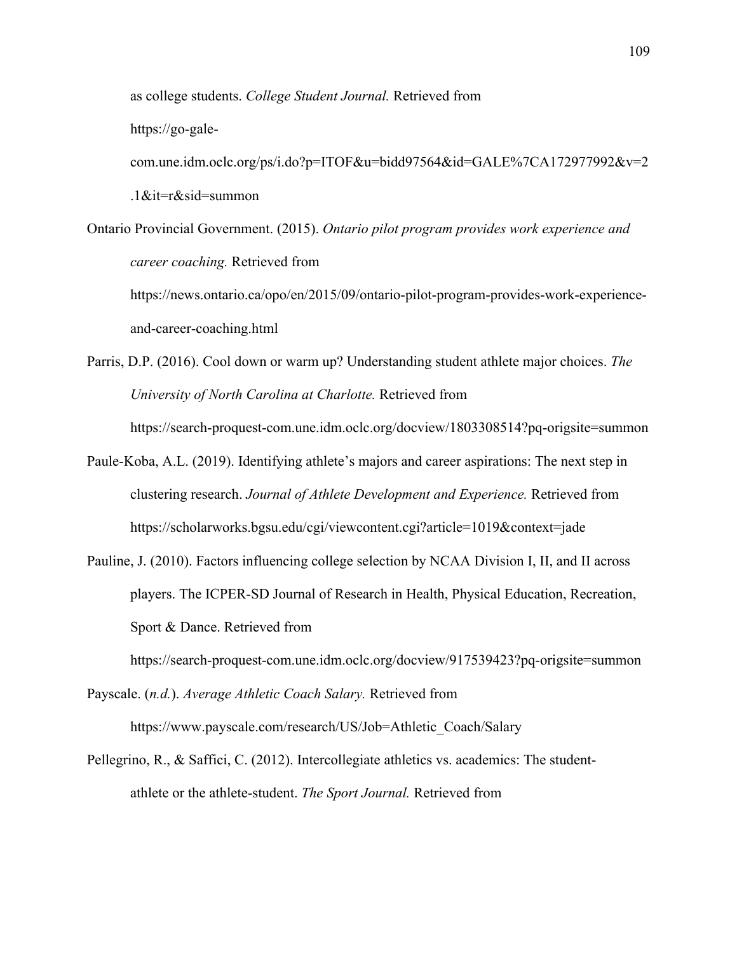as college students. *College Student Journal.* Retrieved from

https://go-gale-

com.une.idm.oclc.org/ps/i.do?p=ITOF&u=bidd97564&id=GALE%7CA172977992&v=2 .1&it=r&sid=summon

Ontario Provincial Government. (2015). *Ontario pilot program provides work experience and career coaching.* Retrieved from https://news.ontario.ca/opo/en/2015/09/ontario-pilot-program-provides-work-experience-

and-career-coaching.html

Parris, D.P. (2016). Cool down or warm up? Understanding student athlete major choices. *The University of North Carolina at Charlotte.* Retrieved from

https://search-proquest-com.une.idm.oclc.org/docview/1803308514?pq-origsite=summon

- Paule-Koba, A.L. (2019). Identifying athlete's majors and career aspirations: The next step in clustering research. *Journal of Athlete Development and Experience.* Retrieved from https://scholarworks.bgsu.edu/cgi/viewcontent.cgi?article=1019&context=jade
- Pauline, J. (2010). Factors influencing college selection by NCAA Division I, II, and II across players. The ICPER-SD Journal of Research in Health, Physical Education, Recreation, Sport & Dance. Retrieved from

https://search-proquest-com.une.idm.oclc.org/docview/917539423?pq-origsite=summon

Payscale. (*n.d.*). *Average Athletic Coach Salary.* Retrieved from https://www.payscale.com/research/US/Job=Athletic\_Coach/Salary

Pellegrino, R., & Saffici, C. (2012). Intercollegiate athletics vs. academics: The studentathlete or the athlete-student. *The Sport Journal.* Retrieved from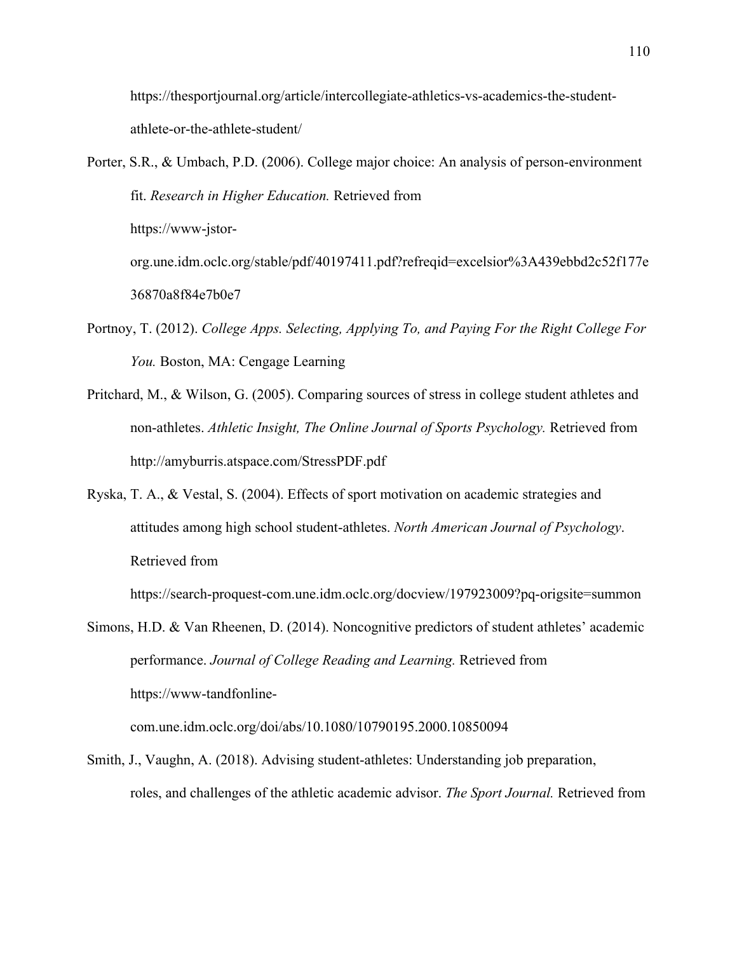https://thesportjournal.org/article/intercollegiate-athletics-vs-academics-the-studentathlete-or-the-athlete-student/

- Porter, S.R., & Umbach, P.D. (2006). College major choice: An analysis of person-environment fit. *Research in Higher Education.* Retrieved from https://www-jstororg.une.idm.oclc.org/stable/pdf/40197411.pdf?refreqid=excelsior%3A439ebbd2c52f177e 36870a8f84e7b0e7
- Portnoy, T. (2012). *College Apps. Selecting, Applying To, and Paying For the Right College For You.* Boston, MA: Cengage Learning
- Pritchard, M., & Wilson, G. (2005). Comparing sources of stress in college student athletes and non-athletes. *Athletic Insight, The Online Journal of Sports Psychology.* Retrieved from http://amyburris.atspace.com/StressPDF.pdf
- Ryska, T. A., & Vestal, S. (2004). Effects of sport motivation on academic strategies and attitudes among high school student-athletes. *North American Journal of Psychology*. Retrieved from

https://search-proquest-com.une.idm.oclc.org/docview/197923009?pq-origsite=summon

Simons, H.D. & Van Rheenen, D. (2014). Noncognitive predictors of student athletes' academic performance. *Journal of College Reading and Learning.* Retrieved from https://www-tandfonline-

com.une.idm.oclc.org/doi/abs/10.1080/10790195.2000.10850094

Smith, J., Vaughn, A. (2018). Advising student-athletes: Understanding job preparation, roles, and challenges of the athletic academic advisor. *The Sport Journal.* Retrieved from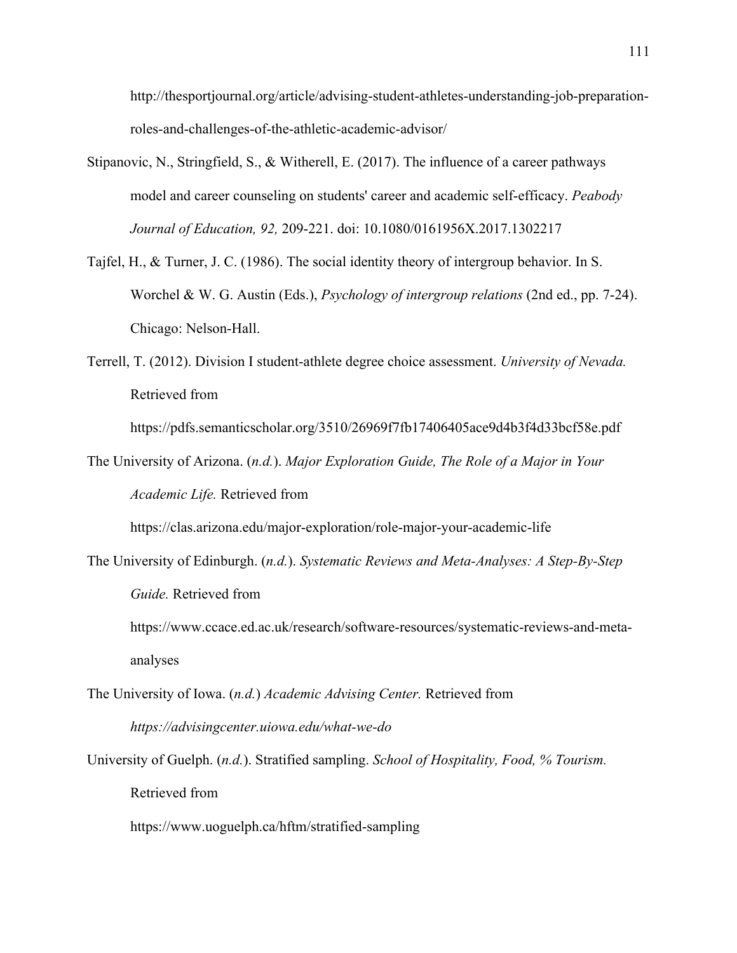http://thesportjournal.org/article/advising-student-athletes-understanding-job-preparationroles-and-challenges-of-the-athletic-academic-advisor/

- Stipanovic, N., Stringfield, S., & Witherell, E. (2017). The influence of a career pathways model and career counseling on students' career and academic self-efficacy. *Peabody Journal of Education, 92,* 209-221. doi: 10.1080/0161956X.2017.1302217
- Tajfel, H., & Turner, J. C. (1986). The social identity theory of intergroup behavior. In S. Worchel & W. G. Austin (Eds.), *Psychology of intergroup relations* (2nd ed., pp. 7-24). Chicago: Nelson-Hall.
- Terrell, T. (2012). Division I student-athlete degree choice assessment. *University of Nevada.*  Retrieved from

https://pdfs.semanticscholar.org/3510/26969f7fb17406405ace9d4b3f4d33bcf58e.pdf

The University of Arizona. (*n.d.*). *Major Exploration Guide, The Role of a Major in Your Academic Life.* Retrieved from

https://clas.arizona.edu/major-exploration/role-major-your-academic-life

The University of Edinburgh. (*n.d.*). *Systematic Reviews and Meta-Analyses: A Step-By-Step Guide.* Retrieved from

https://www.ccace.ed.ac.uk/research/software-resources/systematic-reviews-and-metaanalyses

- The University of Iowa. (*n.d.*) *Academic Advising Center.* Retrieved from *https://advisingcenter.uiowa.edu/what-we-do*
- University of Guelph. (*n.d.*). Stratified sampling. *School of Hospitality, Food, % Tourism.*  Retrieved from

https://www.uoguelph.ca/hftm/stratified-sampling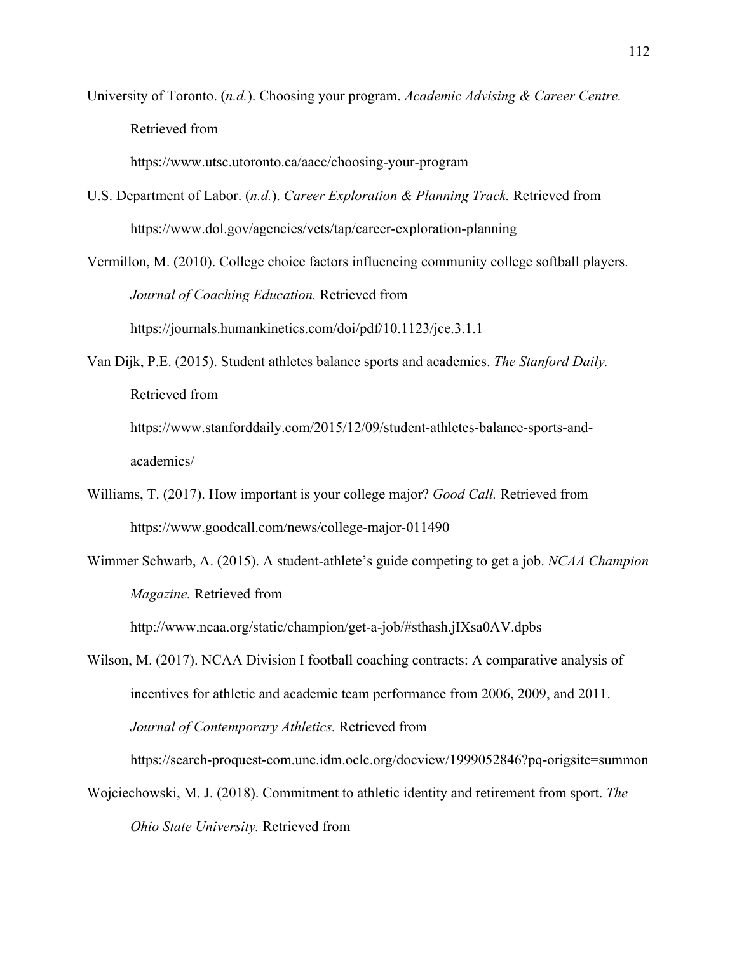University of Toronto. (*n.d.*). Choosing your program. *Academic Advising & Career Centre.*  Retrieved from

https://www.utsc.utoronto.ca/aacc/choosing-your-program

- U.S. Department of Labor. (*n.d.*). *Career Exploration & Planning Track.* Retrieved from https://www.dol.gov/agencies/vets/tap/career-exploration-planning
- Vermillon, M. (2010). College choice factors influencing community college softball players. *Journal of Coaching Education.* Retrieved from https://journals.humankinetics.com/doi/pdf/10.1123/jce.3.1.1
- Van Dijk, P.E. (2015). Student athletes balance sports and academics. *The Stanford Daily.*  Retrieved from

https://www.stanforddaily.com/2015/12/09/student-athletes-balance-sports-andacademics/

- Williams, T. (2017). How important is your college major? *Good Call.* Retrieved from https://www.goodcall.com/news/college-major-011490
- Wimmer Schwarb, A. (2015). A student-athlete's guide competing to get a job. *NCAA Champion Magazine.* Retrieved from

http://www.ncaa.org/static/champion/get-a-job/#sthash.jIXsa0AV.dpbs

Wilson, M. (2017). NCAA Division I football coaching contracts: A comparative analysis of incentives for athletic and academic team performance from 2006, 2009, and 2011. *Journal of Contemporary Athletics.* Retrieved from

https://search-proquest-com.une.idm.oclc.org/docview/1999052846?pq-origsite=summon

Wojciechowski, M. J. (2018). Commitment to athletic identity and retirement from sport. *The Ohio State University.* Retrieved from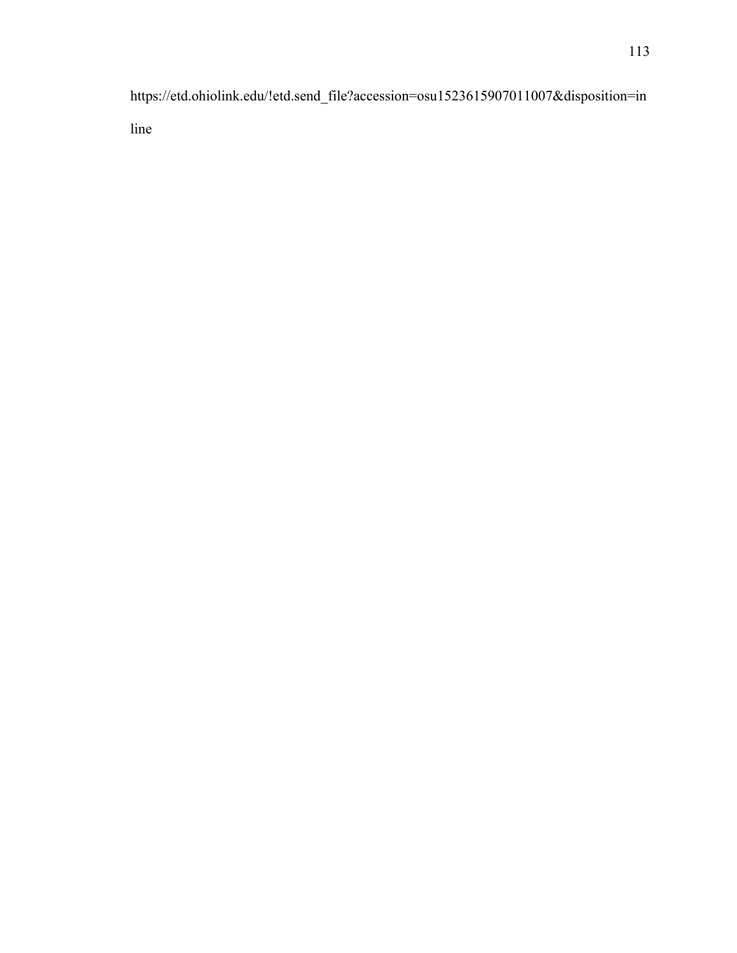https://etd.ohiolink.edu/!etd.send\_file?accession=osu1523615907011007&disposition=in line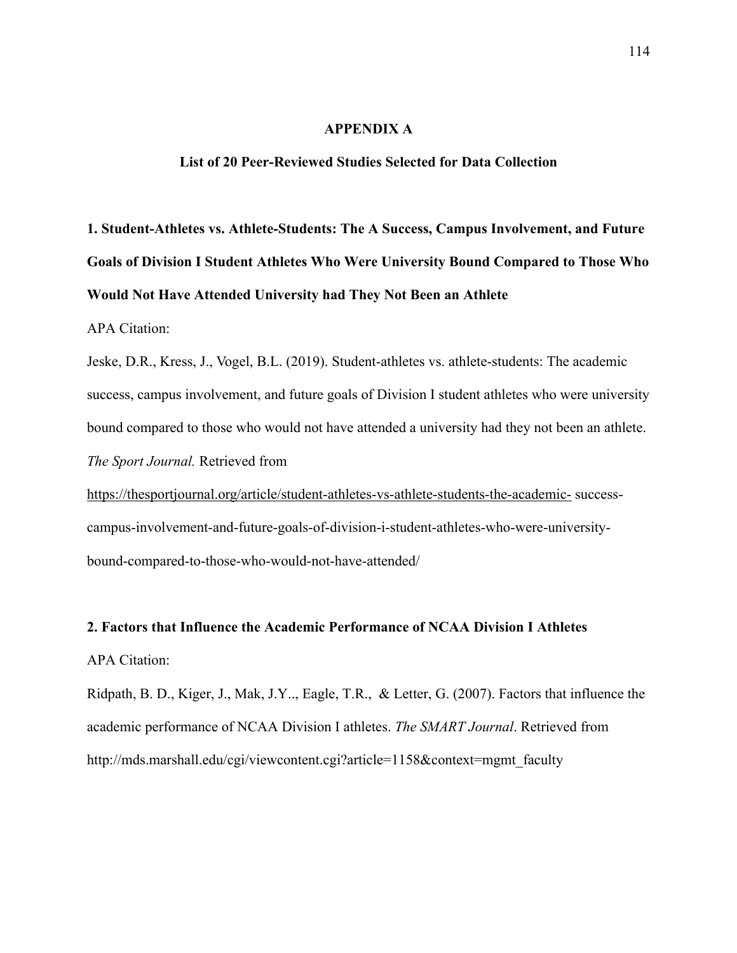### **APPENDIX A**

#### **List of 20 Peer-Reviewed Studies Selected for Data Collection**

**1. Student-Athletes vs. Athlete-Students: The A Success, Campus Involvement, and Future Goals of Division I Student Athletes Who Were University Bound Compared to Those Who Would Not Have Attended University had They Not Been an Athlete**

APA Citation:

Jeske, D.R., Kress, J., Vogel, B.L. (2019). Student-athletes vs. athlete-students: The academic success, campus involvement, and future goals of Division I student athletes who were university bound compared to those who would not have attended a university had they not been an athlete. *The Sport Journal.* Retrieved from

https://thesportjournal.org/article/student-athletes-vs-athlete-students-the-academic- successcampus-involvement-and-future-goals-of-division-i-student-athletes-who-were-universitybound-compared-to-those-who-would-not-have-attended/

## **2. Factors that Influence the Academic Performance of NCAA Division I Athletes**  APA Citation:

Ridpath, B. D., Kiger, J., Mak, J.Y.., Eagle, T.R., & Letter, G. (2007). Factors that influence the academic performance of NCAA Division I athletes. *The SMART Journal*. Retrieved from http://mds.marshall.edu/cgi/viewcontent.cgi?article=1158&context=mgmt\_faculty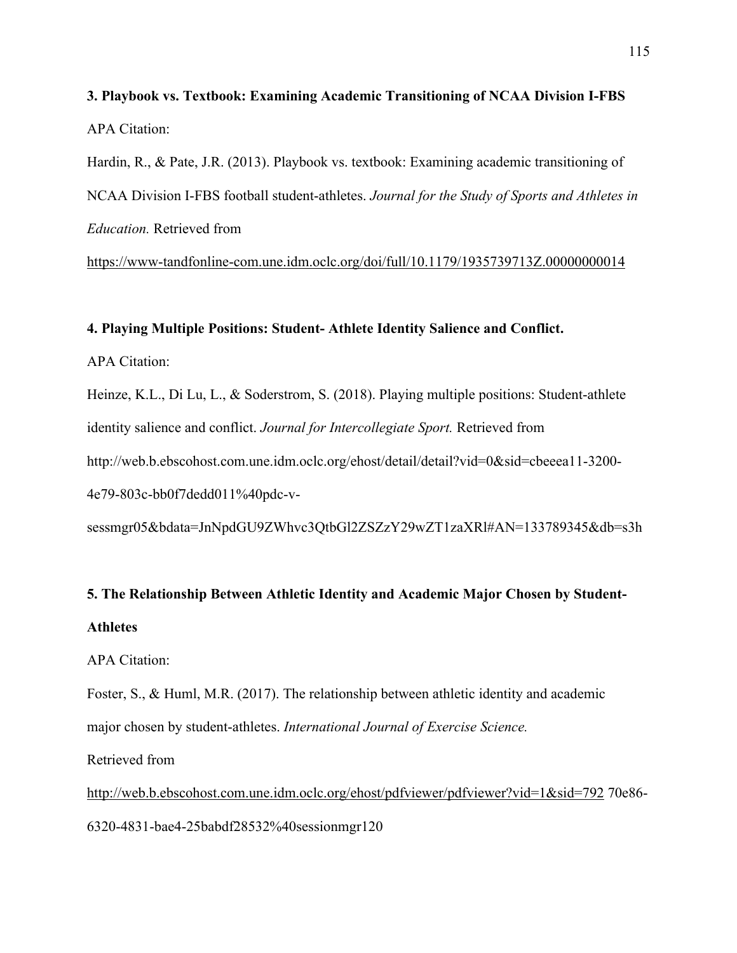**3. Playbook vs. Textbook: Examining Academic Transitioning of NCAA Division I-FBS**  APA Citation:

Hardin, R., & Pate, J.R. (2013). Playbook vs. textbook: Examining academic transitioning of NCAA Division I-FBS football student-athletes. *Journal for the Study of Sports and Athletes in Education.* Retrieved from

https://www-tandfonline-com.une.idm.oclc.org/doi/full/10.1179/1935739713Z.00000000014

#### **4. Playing Multiple Positions: Student- Athlete Identity Salience and Conflict.**

APA Citation:

Heinze, K.L., Di Lu, L., & Soderstrom, S. (2018). Playing multiple positions: Student-athlete identity salience and conflict. *Journal for Intercollegiate Sport.* Retrieved from http://web.b.ebscohost.com.une.idm.oclc.org/ehost/detail/detail?vid=0&sid=cbeeea11-3200- 4e79-803c-bb0f7dedd011%40pdc-v-

sessmgr05&bdata=JnNpdGU9ZWhvc3QtbGl2ZSZzY29wZT1zaXRl#AN=133789345&db=s3h

## **5. The Relationship Between Athletic Identity and Academic Major Chosen by Student-Athletes**

APA Citation:

Foster, S., & Huml, M.R. (2017). The relationship between athletic identity and academic major chosen by student-athletes. *International Journal of Exercise Science.*

Retrieved from

http://web.b.ebscohost.com.une.idm.oclc.org/ehost/pdfviewer/pdfviewer?vid=1&sid=792 70e86- 6320-4831-bae4-25babdf28532%40sessionmgr120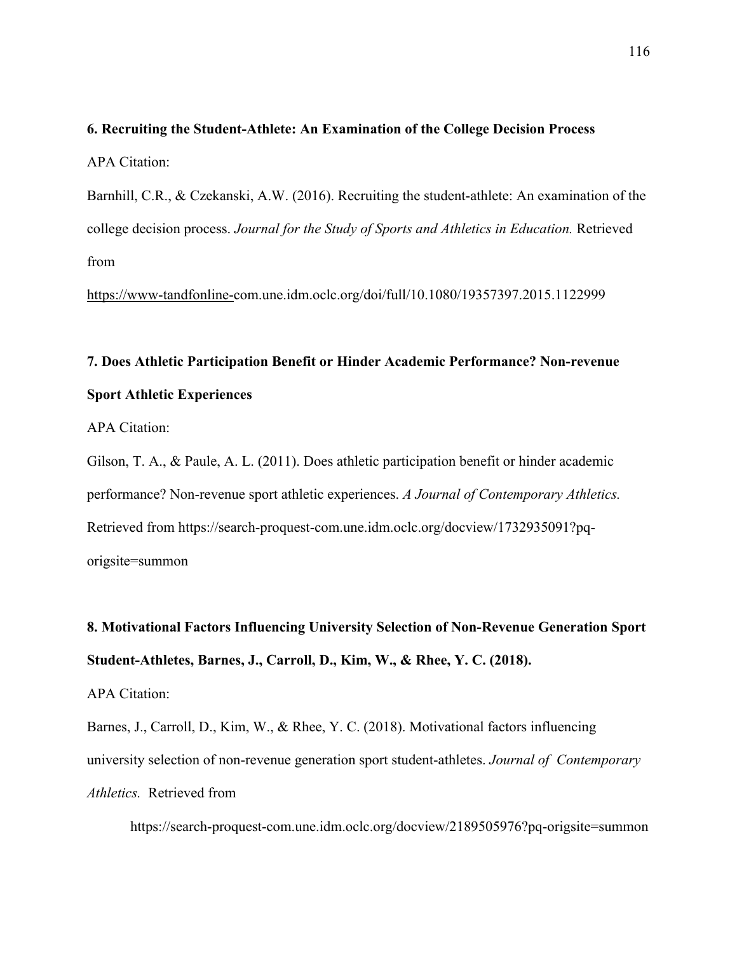**6. Recruiting the Student-Athlete: An Examination of the College Decision Process**  APA Citation:

Barnhill, C.R., & Czekanski, A.W. (2016). Recruiting the student-athlete: An examination of the college decision process. *Journal for the Study of Sports and Athletics in Education.* Retrieved from

https://www-tandfonline-com.une.idm.oclc.org/doi/full/10.1080/19357397.2015.1122999

# **7. Does Athletic Participation Benefit or Hinder Academic Performance? Non-revenue Sport Athletic Experiences**

APA Citation:

Gilson, T. A., & Paule, A. L. (2011). Does athletic participation benefit or hinder academic performance? Non-revenue sport athletic experiences. *A Journal of Contemporary Athletics.* Retrieved from https://search-proquest-com.une.idm.oclc.org/docview/1732935091?pqorigsite=summon

**8. Motivational Factors Influencing University Selection of Non-Revenue Generation Sport Student-Athletes, Barnes, J., Carroll, D., Kim, W., & Rhee, Y. C. (2018).**

#### APA Citation:

Barnes, J., Carroll, D., Kim, W., & Rhee, Y. C. (2018). Motivational factors influencing university selection of non-revenue generation sport student-athletes. *Journal of Contemporary Athletics.* Retrieved from

https://search-proquest-com.une.idm.oclc.org/docview/2189505976?pq-origsite=summon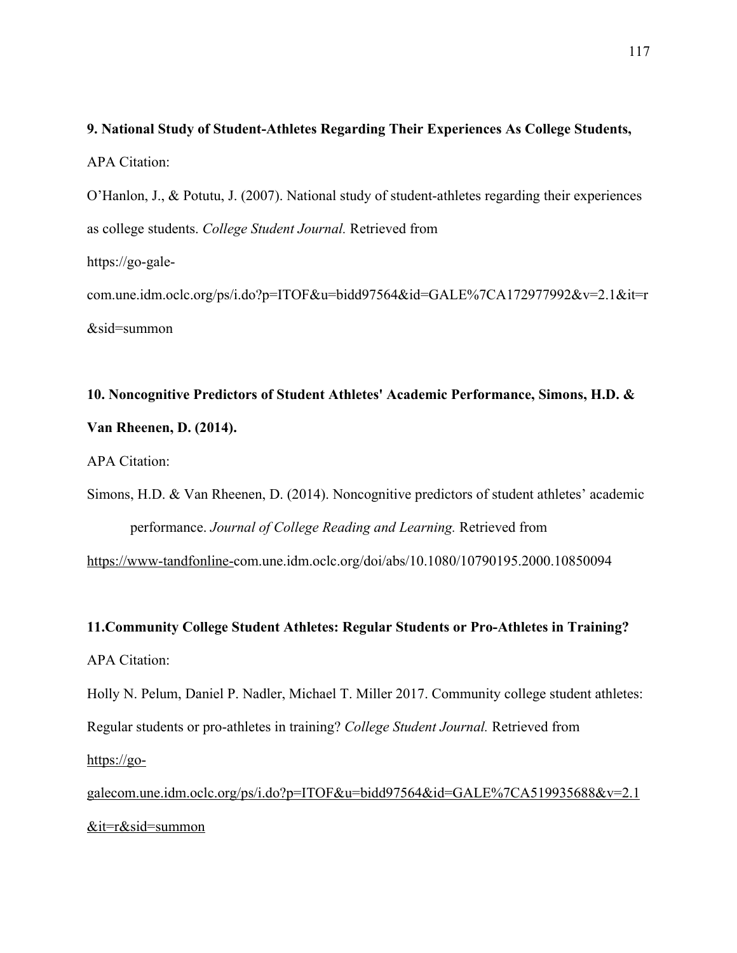## **9. National Study of Student-Athletes Regarding Their Experiences As College Students,**  APA Citation:

O'Hanlon, J., & Potutu, J. (2007). National study of student-athletes regarding their experiences as college students. *College Student Journal.* Retrieved from https://go-gale-

com.une.idm.oclc.org/ps/i.do?p=ITOF&u=bidd97564&id=GALE%7CA172977992&v=2.1&it=r &sid=summon

# **10. Noncognitive Predictors of Student Athletes' Academic Performance, Simons, H.D. & Van Rheenen, D. (2014).**

APA Citation:

Simons, H.D. & Van Rheenen, D. (2014). Noncognitive predictors of student athletes' academic performance. *Journal of College Reading and Learning.* Retrieved from

https://www-tandfonline-com.une.idm.oclc.org/doi/abs/10.1080/10790195.2000.10850094

## **11.Community College Student Athletes: Regular Students or Pro-Athletes in Training?** APA Citation:

Holly N. Pelum, Daniel P. Nadler, Michael T. Miller 2017. Community college student athletes: Regular students or pro-athletes in training? *College Student Journal.* Retrieved from https://go-

galecom.une.idm.oclc.org/ps/i.do?p=ITOF&u=bidd97564&id=GALE%7CA519935688&v=2.1 &it=r&sid=summon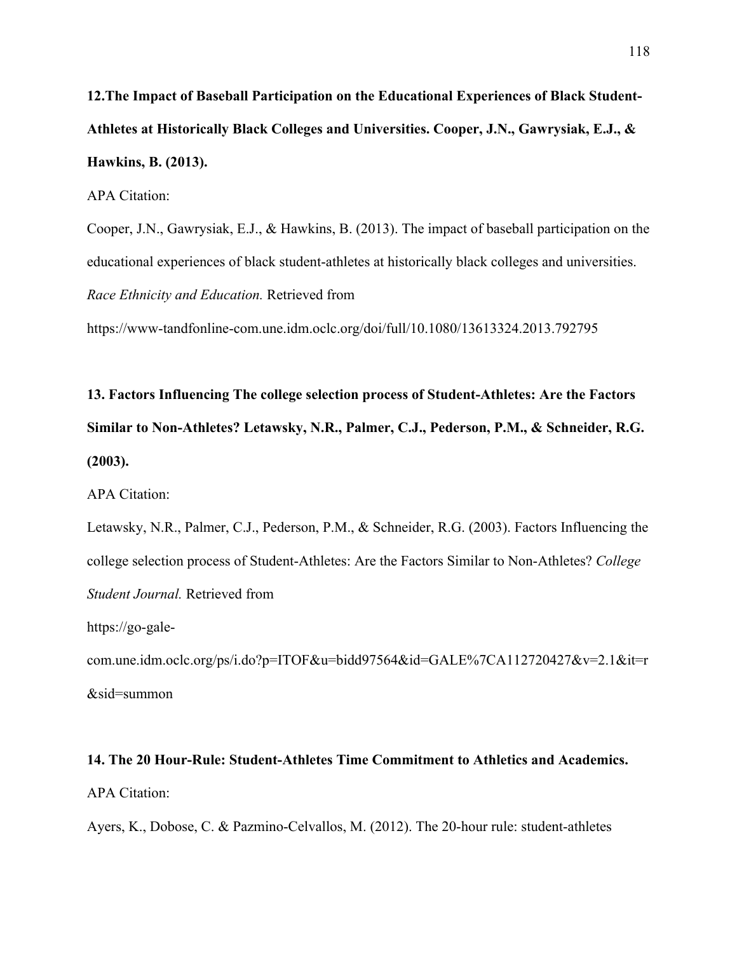**12.The Impact of Baseball Participation on the Educational Experiences of Black Student-Athletes at Historically Black Colleges and Universities. Cooper, J.N., Gawrysiak, E.J., & Hawkins, B. (2013).**

APA Citation:

Cooper, J.N., Gawrysiak, E.J., & Hawkins, B. (2013). The impact of baseball participation on the educational experiences of black student-athletes at historically black colleges and universities. *Race Ethnicity and Education.* Retrieved from

https://www-tandfonline-com.une.idm.oclc.org/doi/full/10.1080/13613324.2013.792795

**13. Factors Influencing The college selection process of Student-Athletes: Are the Factors Similar to Non-Athletes? Letawsky, N.R., Palmer, C.J., Pederson, P.M., & Schneider, R.G. (2003).**

APA Citation:

Letawsky, N.R., Palmer, C.J., Pederson, P.M., & Schneider, R.G. (2003). Factors Influencing the college selection process of Student-Athletes: Are the Factors Similar to Non-Athletes? *College Student Journal.* Retrieved from

https://go-gale-

com.une.idm.oclc.org/ps/i.do?p=ITOF&u=bidd97564&id=GALE%7CA112720427&v=2.1&it=r &sid=summon

## **14. The 20 Hour-Rule: Student-Athletes Time Commitment to Athletics and Academics.** APA Citation:

Ayers, K., Dobose, C. & Pazmino-Celvallos, M. (2012). The 20-hour rule: student-athletes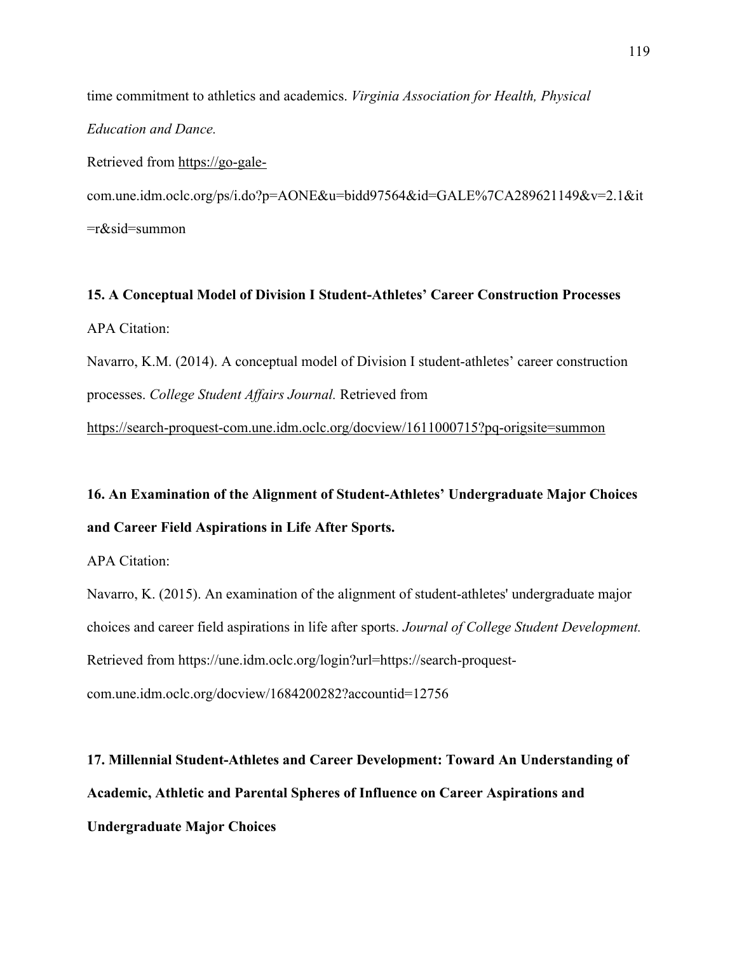time commitment to athletics and academics. *Virginia Association for Health, Physical Education and Dance.* 

Retrieved from https://go-gale-

com.une.idm.oclc.org/ps/i.do?p=AONE&u=bidd97564&id=GALE%7CA289621149&v=2.1&it =r&sid=summon

**15. A Conceptual Model of Division I Student-Athletes' Career Construction Processes** APA Citation:

Navarro, K.M. (2014). A conceptual model of Division I student-athletes' career construction processes. *College Student Affairs Journal.* Retrieved from

https://search-proquest-com.une.idm.oclc.org/docview/1611000715?pq-origsite=summon

**16. An Examination of the Alignment of Student-Athletes' Undergraduate Major Choices and Career Field Aspirations in Life After Sports.**

APA Citation:

Navarro, K. (2015). An examination of the alignment of student-athletes' undergraduate major choices and career field aspirations in life after sports. *Journal of College Student Development.* Retrieved from https://une.idm.oclc.org/login?url=https://search-proquestcom.une.idm.oclc.org/docview/1684200282?accountid=12756

**17. Millennial Student-Athletes and Career Development: Toward An Understanding of Academic, Athletic and Parental Spheres of Influence on Career Aspirations and Undergraduate Major Choices**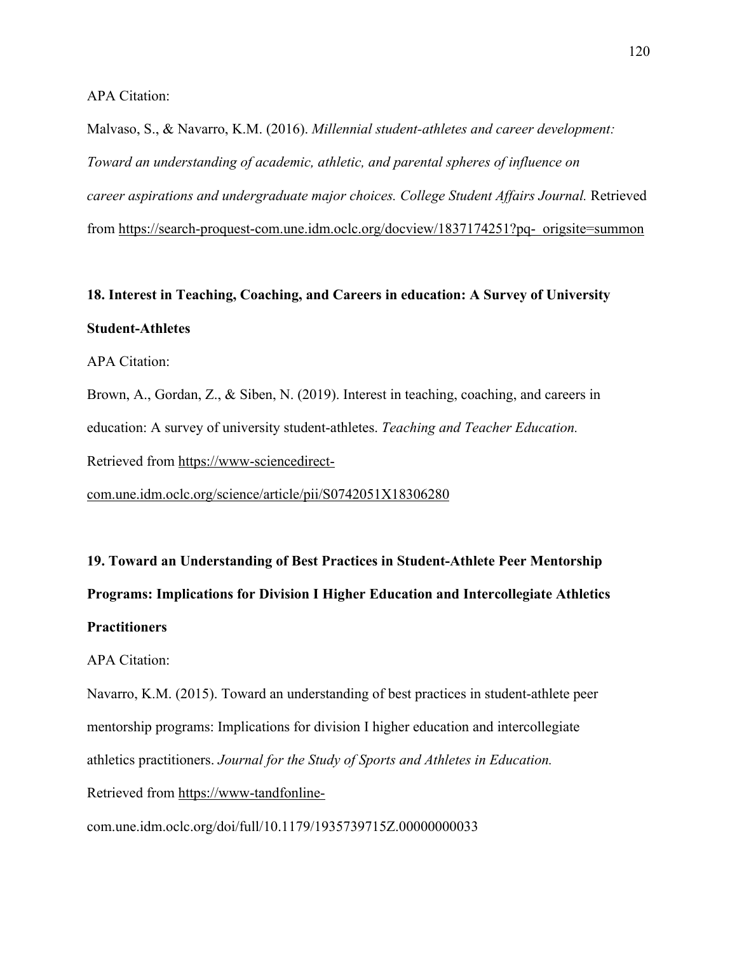APA Citation:

Malvaso, S., & Navarro, K.M. (2016). *Millennial student-athletes and career development: Toward an understanding of academic, athletic, and parental spheres of influence on career aspirations and undergraduate major choices. College Student Affairs Journal.* Retrieved from https://search-proquest-com.une.idm.oclc.org/docview/1837174251?pq- origsite=summon

## **18. Interest in Teaching, Coaching, and Careers in education: A Survey of University Student-Athletes**

APA Citation:

Brown, A., Gordan, Z., & Siben, N. (2019). Interest in teaching, coaching, and careers in education: A survey of university student-athletes. *Teaching and Teacher Education.*  Retrieved from https://www-sciencedirect-

com.une.idm.oclc.org/science/article/pii/S0742051X18306280

**19. Toward an Understanding of Best Practices in Student-Athlete Peer Mentorship Programs: Implications for Division I Higher Education and Intercollegiate Athletics Practitioners** 

APA Citation:

Navarro, K.M. (2015). Toward an understanding of best practices in student-athlete peer mentorship programs: Implications for division I higher education and intercollegiate athletics practitioners. *Journal for the Study of Sports and Athletes in Education.* 

Retrieved from https://www-tandfonline-

com.une.idm.oclc.org/doi/full/10.1179/1935739715Z.00000000033